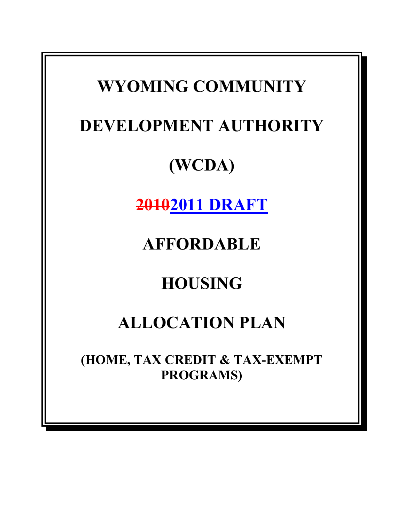# **WYOMING COMMUNITY DEVELOPMENT AUTHORITY (WCDA) 20102011 DRAFT AFFORDABLE HOUSING ALLOCATION PLAN (HOME, TAX CREDIT & TAX-EXEMPT PROGRAMS)**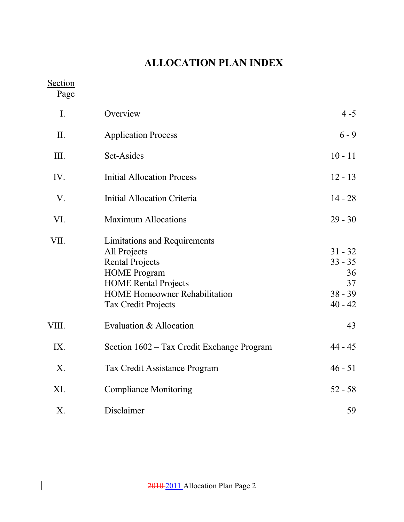# **ALLOCATION PLAN INDEX**

**Section** 

 $\begin{array}{c} \hline \end{array}$ 

Page

| I.    | Overview                                                                                                                                                                                           | $4 - 5$                                                      |
|-------|----------------------------------------------------------------------------------------------------------------------------------------------------------------------------------------------------|--------------------------------------------------------------|
| II.   | <b>Application Process</b>                                                                                                                                                                         | $6 - 9$                                                      |
| III.  | Set-Asides                                                                                                                                                                                         | $10 - 11$                                                    |
| IV.   | <b>Initial Allocation Process</b>                                                                                                                                                                  | $12 - 13$                                                    |
| V.    | <b>Initial Allocation Criteria</b>                                                                                                                                                                 | $14 - 28$                                                    |
| VI.   | <b>Maximum Allocations</b>                                                                                                                                                                         | $29 - 30$                                                    |
| VII.  | Limitations and Requirements<br>All Projects<br><b>Rental Projects</b><br><b>HOME</b> Program<br><b>HOME Rental Projects</b><br><b>HOME Homeowner Rehabilitation</b><br><b>Tax Credit Projects</b> | $31 - 32$<br>$33 - 35$<br>36<br>37<br>$38 - 39$<br>$40 - 42$ |
| VIII. | Evaluation & Allocation                                                                                                                                                                            | 43                                                           |
| IX.   | Section 1602 – Tax Credit Exchange Program                                                                                                                                                         | $44 - 45$                                                    |
| X.    | Tax Credit Assistance Program                                                                                                                                                                      | $46 - 51$                                                    |
| XI.   | <b>Compliance Monitoring</b>                                                                                                                                                                       | $52 - 58$                                                    |
| Χ.    | Disclaimer                                                                                                                                                                                         | 59                                                           |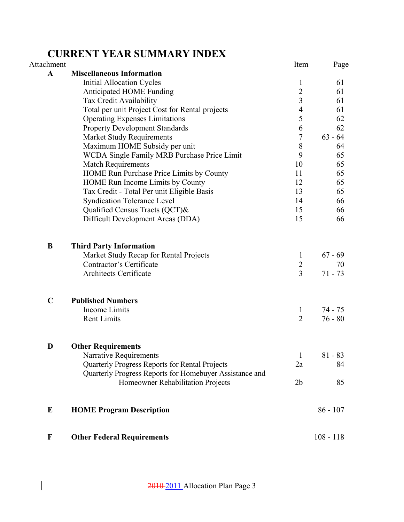## **CURRENT YEAR SUMMARY INDEX**

| Attachment   |                                                                                              | Item           | Page        |
|--------------|----------------------------------------------------------------------------------------------|----------------|-------------|
| $\mathbf{A}$ | <b>Miscellaneous Information</b>                                                             |                |             |
|              | <b>Initial Allocation Cycles</b>                                                             | $\mathbf{1}$   | 61          |
|              | Anticipated HOME Funding                                                                     | $\overline{2}$ | 61          |
|              | Tax Credit Availability                                                                      | $\overline{3}$ | 61          |
|              | Total per unit Project Cost for Rental projects                                              | 4              | 61          |
|              | <b>Operating Expenses Limitations</b>                                                        | 5              | 62          |
|              | <b>Property Development Standards</b>                                                        | 6              | 62          |
|              | <b>Market Study Requirements</b>                                                             | $\overline{7}$ | $63 - 64$   |
|              | Maximum HOME Subsidy per unit                                                                | 8              | 64          |
|              | WCDA Single Family MRB Purchase Price Limit                                                  | 9              | 65          |
|              | <b>Match Requirements</b>                                                                    | 10             | 65          |
|              | HOME Run Purchase Price Limits by County                                                     | 11             | 65          |
|              | HOME Run Income Limits by County                                                             | 12             | 65          |
|              | Tax Credit - Total Per unit Eligible Basis                                                   | 13             | 65          |
|              | <b>Syndication Tolerance Level</b>                                                           | 14             | 66          |
|              | Qualified Census Tracts (QCT)&                                                               | 15             | 66          |
|              | Difficult Development Areas (DDA)                                                            | 15             | 66          |
| B            | <b>Third Party Information</b>                                                               |                |             |
|              | Market Study Recap for Rental Projects                                                       | $\mathbf{1}$   | $67 - 69$   |
|              | Contractor's Certificate                                                                     | $\overline{2}$ | 70          |
|              | Architects Certificate                                                                       | $\overline{3}$ | $71 - 73$   |
| $\mathbf C$  | <b>Published Numbers</b>                                                                     |                |             |
|              | Income Limits                                                                                | 1              | 74 - 75     |
|              | <b>Rent Limits</b>                                                                           | $\overline{2}$ | $76 - 80$   |
|              |                                                                                              |                |             |
| D            | <b>Other Requirements</b><br>Narrative Requirements                                          | $\mathbf{1}$   | $81 - 83$   |
|              | Quarterly Progress Reports for Rental Projects                                               | 2a             | 84          |
|              |                                                                                              |                |             |
|              | Quarterly Progress Reports for Homebuyer Assistance and<br>Homeowner Rehabilitation Projects | 2 <sub>b</sub> | 85          |
|              |                                                                                              |                |             |
| ${\bf E}$    | <b>HOME Program Description</b>                                                              |                | $86 - 107$  |
| $\mathbf F$  | <b>Other Federal Requirements</b>                                                            |                | $108 - 118$ |

 $\begin{array}{c} \hline \end{array}$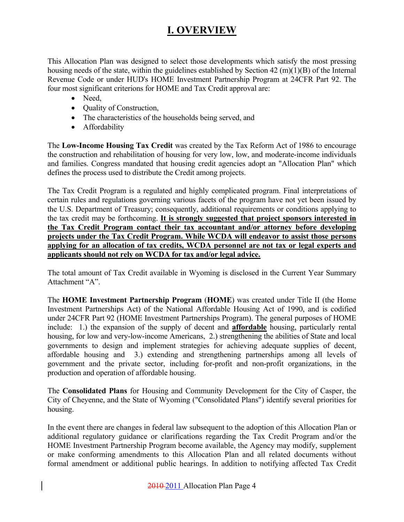### **I. OVERVIEW**

This Allocation Plan was designed to select those developments which satisfy the most pressing housing needs of the state, within the guidelines established by Section 42 (m)(1)(B) of the Internal Revenue Code or under HUD's HOME Investment Partnership Program at 24CFR Part 92. The four most significant criterions for HOME and Tax Credit approval are:

- Need,
- **Quality of Construction,**
- The characteristics of the households being served, and
- Affordability

The **Low-Income Housing Tax Credit** was created by the Tax Reform Act of 1986 to encourage the construction and rehabilitation of housing for very low, low, and moderate-income individuals and families. Congress mandated that housing credit agencies adopt an "Allocation Plan" which defines the process used to distribute the Credit among projects.

The Tax Credit Program is a regulated and highly complicated program. Final interpretations of certain rules and regulations governing various facets of the program have not yet been issued by the U.S. Department of Treasury; consequently, additional requirements or conditions applying to the tax credit may be forthcoming. **It is strongly suggested that project sponsors interested in the Tax Credit Program contact their tax accountant and/or attorney before developing projects under the Tax Credit Program. While WCDA will endeavor to assist those persons applying for an allocation of tax credits, WCDA personnel are not tax or legal experts and applicants should not rely on WCDA for tax and/or legal advice.**

The total amount of Tax Credit available in Wyoming is disclosed in the Current Year Summary Attachment "A".

The **HOME Investment Partnership Program** (**HOME**) was created under Title II (the Home Investment Partnerships Act) of the National Affordable Housing Act of 1990, and is codified under 24CFR Part 92 (HOME Investment Partnerships Program). The general purposes of HOME include: 1.) the expansion of the supply of decent and **affordable** housing, particularly rental housing, for low and very-low-income Americans, 2.) strengthening the abilities of State and local governments to design and implement strategies for achieving adequate supplies of decent, affordable housing and 3.) extending and strengthening partnerships among all levels of government and the private sector, including for-profit and non-profit organizations, in the production and operation of affordable housing.

The **Consolidated Plans** for Housing and Community Development for the City of Casper, the City of Cheyenne, and the State of Wyoming ("Consolidated Plans") identify several priorities for housing.

In the event there are changes in federal law subsequent to the adoption of this Allocation Plan or additional regulatory guidance or clarifications regarding the Tax Credit Program and/or the HOME Investment Partnership Program become available, the Agency may modify, supplement or make conforming amendments to this Allocation Plan and all related documents without formal amendment or additional public hearings. In addition to notifying affected Tax Credit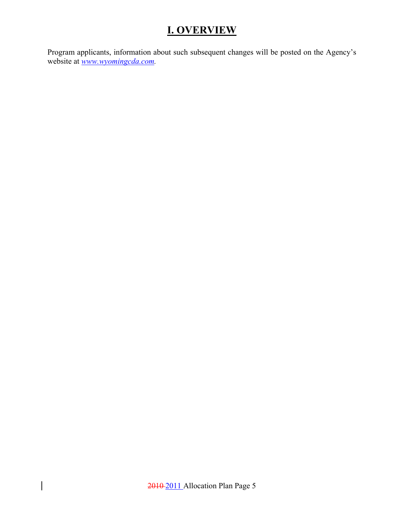## **I. OVERVIEW**

Program applicants, information about such subsequent changes will be posted on the Agency's website at *www.wyomingcda.com.* 

 $\begin{array}{c} \hline \end{array}$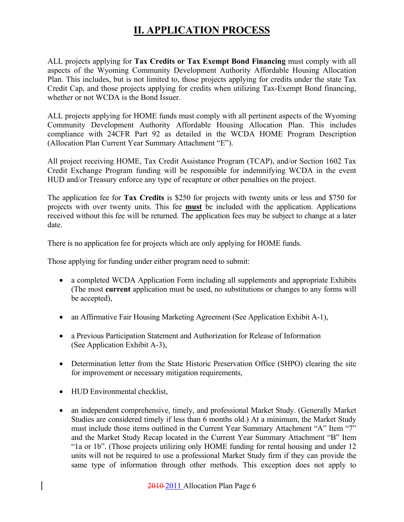ALL projects applying for **Tax Credits or Tax Exempt Bond Financing** must comply with all aspects of the Wyoming Community Development Authority Affordable Housing Allocation Plan. This includes, but is not limited to, those projects applying for credits under the state Tax Credit Cap, and those projects applying for credits when utilizing Tax-Exempt Bond financing, whether or not WCDA is the Bond Issuer.

ALL projects applying for HOME funds must comply with all pertinent aspects of the Wyoming Community Development Authority Affordable Housing Allocation Plan. This includes compliance with 24CFR Part 92 as detailed in the WCDA HOME Program Description (Allocation Plan Current Year Summary Attachment "E").

All project receiving HOME, Tax Credit Assistance Program (TCAP), and/or Section 1602 Tax Credit Exchange Program funding will be responsible for indemnifying WCDA in the event HUD and/or Treasury enforce any type of recapture or other penalties on the project.

The application fee for **Tax Credits** is \$250 for projects with twenty units or less and \$750 for projects with over twenty units. This fee **must** be included with the application. Applications received without this fee will be returned. The application fees may be subject to change at a later date.

There is no application fee for projects which are only applying for HOME funds.

Those applying for funding under either program need to submit:

- a completed WCDA Application Form including all supplements and appropriate Exhibits (The most **current** application must be used, no substitutions or changes to any forms will be accepted),
- an Affirmative Fair Housing Marketing Agreement (See Application Exhibit A-1),
- a Previous Participation Statement and Authorization for Release of Information (See Application Exhibit A-3),
- Determination letter from the State Historic Preservation Office (SHPO) clearing the site for improvement or necessary mitigation requirements,
- HUD Environmental checklist,
- an independent comprehensive, timely, and professional Market Study. (Generally Market Studies are considered timely if less than 6 months old.) At a minimum, the Market Study must include those items outlined in the Current Year Summary Attachment "A" Item "7" and the Market Study Recap located in the Current Year Summary Attachment "B" Item "1a or 1b". (Those projects utilizing only HOME funding for rental housing and under 12 units will not be required to use a professional Market Study firm if they can provide the same type of information through other methods. This exception does not apply to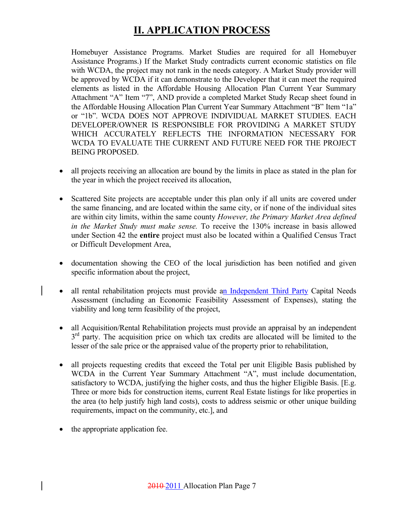Homebuyer Assistance Programs. Market Studies are required for all Homebuyer Assistance Programs.) If the Market Study contradicts current economic statistics on file with WCDA, the project may not rank in the needs category. A Market Study provider will be approved by WCDA if it can demonstrate to the Developer that it can meet the required elements as listed in the Affordable Housing Allocation Plan Current Year Summary Attachment "A" Item "7", AND provide a completed Market Study Recap sheet found in the Affordable Housing Allocation Plan Current Year Summary Attachment "B" Item "1a" or "1b". WCDA DOES NOT APPROVE INDIVIDUAL MARKET STUDIES. EACH DEVELOPER/OWNER IS RESPONSIBLE FOR PROVIDING A MARKET STUDY WHICH ACCURATELY REFLECTS THE INFORMATION NECESSARY FOR WCDA TO EVALUATE THE CURRENT AND FUTURE NEED FOR THE PROJECT BEING PROPOSED.

- all projects receiving an allocation are bound by the limits in place as stated in the plan for the year in which the project received its allocation,
- Scattered Site projects are acceptable under this plan only if all units are covered under the same financing, and are located within the same city, or if none of the individual sites are within city limits, within the same county *However, the Primary Market Area defined in the Market Study must make sense.* To receive the 130% increase in basis allowed under Section 42 the **entire** project must also be located within a Qualified Census Tract or Difficult Development Area,
- documentation showing the CEO of the local jurisdiction has been notified and given specific information about the project,
- all rental rehabilitation projects must provide an Independent Third Party Capital Needs Assessment (including an Economic Feasibility Assessment of Expenses), stating the viability and long term feasibility of the project,
- all Acquisition/Rental Rehabilitation projects must provide an appraisal by an independent  $3<sup>rd</sup>$  party. The acquisition price on which tax credits are allocated will be limited to the lesser of the sale price or the appraised value of the property prior to rehabilitation,
- all projects requesting credits that exceed the Total per unit Eligible Basis published by WCDA in the Current Year Summary Attachment "A", must include documentation, satisfactory to WCDA, justifying the higher costs, and thus the higher Eligible Basis. [E.g. Three or more bids for construction items, current Real Estate listings for like properties in the area (to help justify high land costs), costs to address seismic or other unique building requirements, impact on the community, etc.], and
- the appropriate application fee.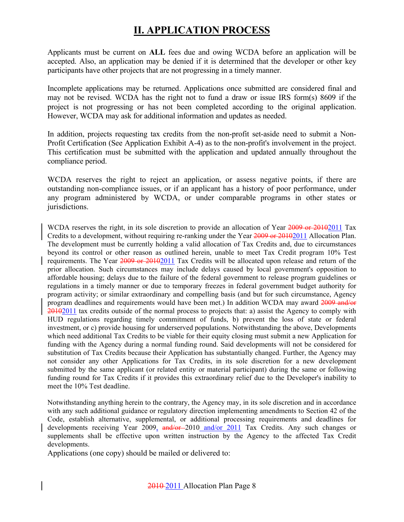Applicants must be current on **ALL** fees due and owing WCDA before an application will be accepted. Also, an application may be denied if it is determined that the developer or other key participants have other projects that are not progressing in a timely manner.

Incomplete applications may be returned. Applications once submitted are considered final and may not be revised. WCDA has the right not to fund a draw or issue IRS form(s) 8609 if the project is not progressing or has not been completed according to the original application. However, WCDA may ask for additional information and updates as needed.

In addition, projects requesting tax credits from the non-profit set-aside need to submit a Non-Profit Certification (See Application Exhibit A-4) as to the non-profit's involvement in the project. This certification must be submitted with the application and updated annually throughout the compliance period.

WCDA reserves the right to reject an application, or assess negative points, if there are outstanding non-compliance issues, or if an applicant has a history of poor performance, under any program administered by WCDA, or under comparable programs in other states or jurisdictions.

WCDA reserves the right, in its sole discretion to provide an allocation of Year 2009 or 20102011 Tax Credits to a development, without requiring re-ranking under the Year 2009 or 20102011 Allocation Plan. The development must be currently holding a valid allocation of Tax Credits and, due to circumstances beyond its control or other reason as outlined herein, unable to meet Tax Credit program 10% Test requirements. The Year 2009 or 20102011 Tax Credits will be allocated upon release and return of the prior allocation. Such circumstances may include delays caused by local government's opposition to affordable housing; delays due to the failure of the federal government to release program guidelines or regulations in a timely manner or due to temporary freezes in federal government budget authority for program activity; or similar extraordinary and compelling basis (and but for such circumstance, Agency program deadlines and requirements would have been met.) In addition WCDA may award 2009 and/or 20102011 tax credits outside of the normal process to projects that: a) assist the Agency to comply with HUD regulations regarding timely commitment of funds, b) prevent the loss of state or federal investment, or c) provide housing for underserved populations. Notwithstanding the above, Developments which need additional Tax Credits to be viable for their equity closing must submit a new Application for funding with the Agency during a normal funding round. Said developments will not be considered for substitution of Tax Credits because their Application has substantially changed. Further, the Agency may not consider any other Applications for Tax Credits, in its sole discretion for a new development submitted by the same applicant (or related entity or material participant) during the same or following funding round for Tax Credits if it provides this extraordinary relief due to the Developer's inability to meet the 10% Test deadline.

Notwithstanding anything herein to the contrary, the Agency may, in its sole discretion and in accordance with any such additional guidance or regulatory direction implementing amendments to Section 42 of the Code, establish alternative, supplemental, or additional processing requirements and deadlines for developments receiving Year 2009, and/or-2010 and/or 2011 Tax Credits. Any such changes or supplements shall be effective upon written instruction by the Agency to the affected Tax Credit developments.

Applications (one copy) should be mailed or delivered to: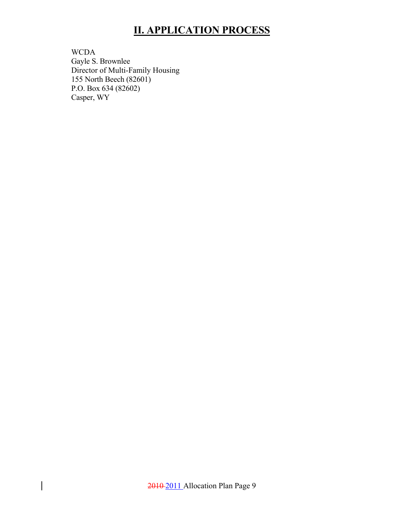WCDA Gayle S. Brownlee Director of Multi-Family Housing 155 North Beech (82601) P.O. Box 634 (82602) Casper, WY

 $\overline{\phantom{a}}$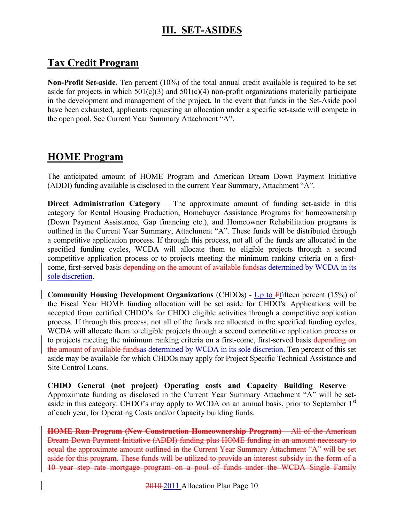### **III. SET-ASIDES**

#### **Tax Credit Program**

**Non-Profit Set-aside.** Ten percent (10%) of the total annual credit available is required to be set aside for projects in which  $501(c)(3)$  and  $501(c)(4)$  non-profit organizations materially participate in the development and management of the project. In the event that funds in the Set-Aside pool have been exhausted, applicants requesting an allocation under a specific set-aside will compete in the open pool. See Current Year Summary Attachment "A".

#### **HOME Program**

The anticipated amount of HOME Program and American Dream Down Payment Initiative (ADDI) funding available is disclosed in the current Year Summary, Attachment "A".

**Direct Administration Category** – The approximate amount of funding set-aside in this category for Rental Housing Production, Homebuyer Assistance Programs for homeownership (Down Payment Assistance, Gap financing etc.), and Homeowner Rehabilitation programs is outlined in the Current Year Summary, Attachment "A". These funds will be distributed through a competitive application process. If through this process, not all of the funds are allocated in the specified funding cycles, WCDA will allocate them to eligible projects through a second competitive application process or to projects meeting the minimum ranking criteria on a firstcome, first-served basis depending on the amount of available fundsas determined by WCDA in its sole discretion.

**Community Housing Development Organizations** (CHDOs) - Up to Ffifteen percent (15%) of the Fiscal Year HOME funding allocation will be set aside for CHDO's. Applications will be accepted from certified CHDO's for CHDO eligible activities through a competitive application process. If through this process, not all of the funds are allocated in the specified funding cycles, WCDA will allocate them to eligible projects through a second competitive application process or to projects meeting the minimum ranking criteria on a first-come, first-served basis depending on the amount of available fundsas determined by WCDA in its sole discretion. Ten percent of this set aside may be available for which CHDOs may apply for Project Specific Technical Assistance and Site Control Loans.

**CHDO General (not project) Operating costs and Capacity Building Reserve** – Approximate funding as disclosed in the Current Year Summary Attachment "A" will be setaside in this category. CHDO's may apply to WCDA on an annual basis, prior to September 1<sup>st</sup> of each year, for Operating Costs and/or Capacity building funds.

**HOME Run Program (New Construction Homeownership Program)** – All of the American Dream Down Payment Initiative (ADDI) funding plus HOME funding in an amount necessary to equal the approximate amount outlined in the Current Year Summary Attachment "A" will be set aside for this program. These funds will be utilized to provide an interest subsidy in the form of a 10 year step rate mortgage program on a pool of funds under the WCDA Single Family

2010 2011 Allocation Plan Page 10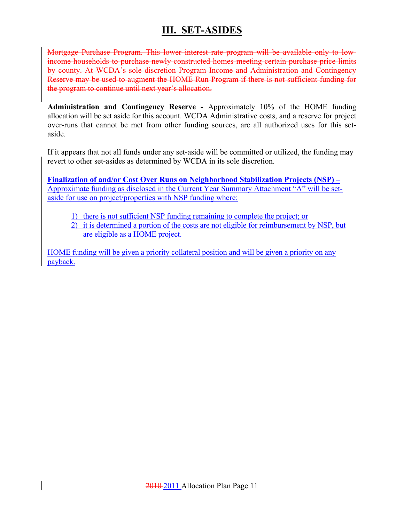## **III. SET-ASIDES**

Mortgage Purchase Program. This lower interest rate program will be available only to lowincome households to purchase newly constructed homes meeting certain purchase price limits by county. At WCDA's sole discretion Program Income and Administration and Contingency Reserve may be used to augment the HOME Run Program if there is not sufficient funding for the program to continue until next year's allocation.

**Administration and Contingency Reserve -** Approximately 10% of the HOME funding allocation will be set aside for this account. WCDA Administrative costs, and a reserve for project over-runs that cannot be met from other funding sources, are all authorized uses for this setaside.

If it appears that not all funds under any set-aside will be committed or utilized, the funding may revert to other set-asides as determined by WCDA in its sole discretion.

**Finalization of and/or Cost Over Runs on Neighborhood Stabilization Projects (NSP) –** Approximate funding as disclosed in the Current Year Summary Attachment "A" will be setaside for use on project/properties with NSP funding where:

- 1) there is not sufficient NSP funding remaining to complete the project; or
- 2) it is determined a portion of the costs are not eligible for reimbursement by NSP, but are eligible as a HOME project.

HOME funding will be given a priority collateral position and will be given a priority on any payback.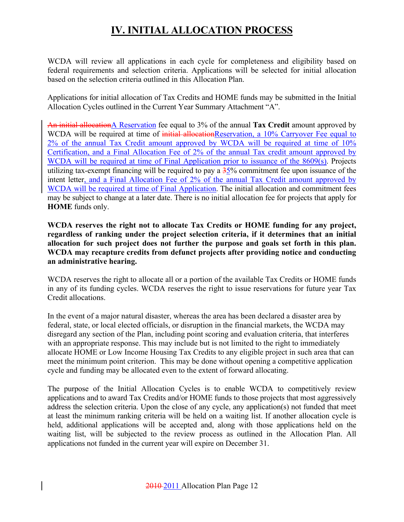## **IV. INITIAL ALLOCATION PROCESS**

WCDA will review all applications in each cycle for completeness and eligibility based on federal requirements and selection criteria. Applications will be selected for initial allocation based on the selection criteria outlined in this Allocation Plan.

Applications for initial allocation of Tax Credits and HOME funds may be submitted in the Initial Allocation Cycles outlined in the Current Year Summary Attachment "A".

An initial allocationA Reservation fee equal to 3% of the annual **Tax Credit** amount approved by WCDA will be required at time of initial allocationReservation, a 10% Carryover Fee equal to 2% of the annual Tax Credit amount approved by WCDA will be required at time of 10% Certification, and a Final Allocation Fee of 2% of the annual Tax credit amount approved by WCDA will be required at time of Final Application prior to issuance of the 8609(s). Projects utilizing tax-exempt financing will be required to pay a  $\frac{35}{6}$  commitment fee upon issuance of the intent letter, and a Final Allocation Fee of 2% of the annual Tax Credit amount approved by WCDA will be required at time of Final Application. The initial allocation and commitment fees may be subject to change at a later date. There is no initial allocation fee for projects that apply for **HOME** funds only.

**WCDA reserves the right not to allocate Tax Credits or HOME funding for any project, regardless of ranking under the project selection criteria, if it determines that an initial allocation for such project does not further the purpose and goals set forth in this plan. WCDA may recapture credits from defunct projects after providing notice and conducting an administrative hearing.** 

WCDA reserves the right to allocate all or a portion of the available Tax Credits or HOME funds in any of its funding cycles. WCDA reserves the right to issue reservations for future year Tax Credit allocations.

In the event of a major natural disaster, whereas the area has been declared a disaster area by federal, state, or local elected officials, or disruption in the financial markets, the WCDA may disregard any section of the Plan, including point scoring and evaluation criteria, that interferes with an appropriate response. This may include but is not limited to the right to immediately allocate HOME or Low Income Housing Tax Credits to any eligible project in such area that can meet the minimum point criterion. This may be done without opening a competitive application cycle and funding may be allocated even to the extent of forward allocating.

The purpose of the Initial Allocation Cycles is to enable WCDA to competitively review applications and to award Tax Credits and/or HOME funds to those projects that most aggressively address the selection criteria. Upon the close of any cycle, any application(s) not funded that meet at least the minimum ranking criteria will be held on a waiting list. If another allocation cycle is held, additional applications will be accepted and, along with those applications held on the waiting list, will be subjected to the review process as outlined in the Allocation Plan. All applications not funded in the current year will expire on December 31.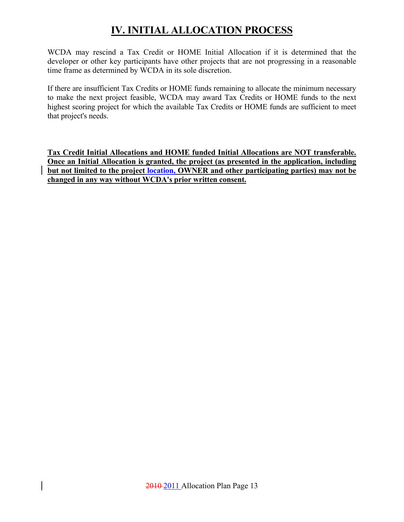# **IV. INITIAL ALLOCATION PROCESS**

WCDA may rescind a Tax Credit or HOME Initial Allocation if it is determined that the developer or other key participants have other projects that are not progressing in a reasonable time frame as determined by WCDA in its sole discretion.

If there are insufficient Tax Credits or HOME funds remaining to allocate the minimum necessary to make the next project feasible, WCDA may award Tax Credits or HOME funds to the next highest scoring project for which the available Tax Credits or HOME funds are sufficient to meet that project's needs.

**Tax Credit Initial Allocations and HOME funded Initial Allocations are NOT transferable. Once an Initial Allocation is granted, the project (as presented in the application, including but not limited to the project location, OWNER and other participating parties) may not be changed in any way without WCDA's prior written consent.**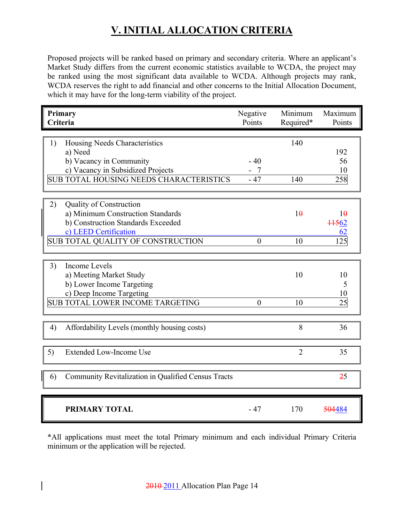Proposed projects will be ranked based on primary and secondary criteria. Where an applicant's Market Study differs from the current economic statistics available to WCDA, the project may be ranked using the most significant data available to WCDA. Although projects may rank, WCDA reserves the right to add financial and other concerns to the Initial Allocation Document, which it may have for the long-term viability of the project.

| Primary<br>Criteria                                       | Negative<br>Points | Minimum<br>Required* | Maximum<br>Points  |
|-----------------------------------------------------------|--------------------|----------------------|--------------------|
|                                                           |                    |                      |                    |
| 1)<br>Housing Needs Characteristics                       |                    | 140                  |                    |
| a) Need                                                   |                    |                      | 192                |
| b) Vacancy in Community                                   | $-40$              |                      | 56                 |
| c) Vacancy in Subsidized Projects                         | $-7$               |                      | 10                 |
| <b>SUB TOTAL HOUSING NEEDS CHARACTERISTICS</b>            | $-47$              | 140                  | 258                |
|                                                           |                    |                      |                    |
|                                                           |                    |                      |                    |
| 2)<br><b>Quality of Construction</b>                      |                    |                      |                    |
| a) Minimum Construction Standards                         |                    | 10                   | 10                 |
| b) Construction Standards Exceeded                        |                    |                      | ++562              |
| c) LEED Certification                                     |                    |                      | 62                 |
| SUB TOTAL QUALITY OF CONSTRUCTION                         | $\boldsymbol{0}$   | 10                   | 125                |
|                                                           |                    |                      |                    |
| <b>Income Levels</b><br>3)                                |                    |                      |                    |
| a) Meeting Market Study                                   |                    | 10                   | 10                 |
| b) Lower Income Targeting                                 |                    |                      | 5                  |
| c) Deep Income Targeting                                  |                    |                      | 10                 |
| <b>SUB TOTAL LOWER INCOME TARGETING</b>                   | $\overline{0}$     | 10                   | 25                 |
|                                                           |                    |                      |                    |
|                                                           |                    |                      |                    |
| Affordability Levels (monthly housing costs)<br>4)        |                    | 8                    | 36                 |
|                                                           |                    |                      |                    |
| 5)<br><b>Extended Low-Income Use</b>                      |                    | $\overline{2}$       | 35                 |
|                                                           |                    |                      |                    |
| Community Revitalization in Qualified Census Tracts<br>6) |                    |                      | 25                 |
|                                                           |                    |                      |                    |
| <b>PRIMARY TOTAL</b>                                      | $-47$              | 170                  | <del>504</del> 484 |

\*All applications must meet the total Primary minimum and each individual Primary Criteria minimum or the application will be rejected.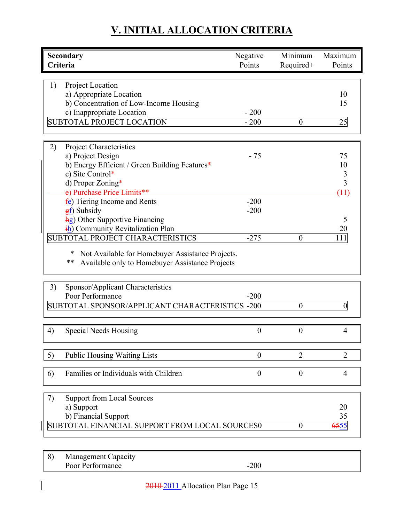| Secondary                                                                                                 | Negative         | Minimum          | Maximum        |
|-----------------------------------------------------------------------------------------------------------|------------------|------------------|----------------|
| Criteria                                                                                                  | Points           | Required+        | Points         |
|                                                                                                           |                  |                  |                |
| 1)<br>Project Location                                                                                    |                  |                  |                |
| a) Appropriate Location                                                                                   |                  |                  | 10             |
| b) Concentration of Low-Income Housing                                                                    |                  |                  | 15             |
| c) Inappropriate Location                                                                                 | $-200$           |                  |                |
| <b>SUBTOTAL PROJECT LOCATION</b>                                                                          | $-200$           | $\boldsymbol{0}$ | 25             |
|                                                                                                           |                  |                  |                |
|                                                                                                           |                  |                  |                |
| <b>Project Characteristics</b><br>2)                                                                      |                  |                  |                |
| a) Project Design                                                                                         | $-75$            |                  | 75             |
| b) Energy Efficient / Green Building Features*                                                            |                  |                  | 10             |
| c) Site Control*                                                                                          |                  |                  | 3              |
| d) Proper Zoning*                                                                                         |                  |                  | 3              |
| e) Purchase Price Limits**                                                                                |                  |                  | (11)           |
| fe) Tiering Income and Rents                                                                              | $-200$           |                  |                |
| $\frac{f}{f}$ Subsidy                                                                                     | $-200$           |                  |                |
| <b>hg</b> ) Other Supportive Financing                                                                    |                  |                  | 5              |
| <i>ih</i> ) Community Revitalization Plan                                                                 |                  |                  | 20             |
| SUBTOTAL PROJECT CHARACTERISTICS                                                                          | $-275$           | $\boldsymbol{0}$ | 111            |
| Not Available for Homebuyer Assistance Projects.<br>**<br>Available only to Homebuyer Assistance Projects |                  |                  |                |
| Sponsor/Applicant Characteristics<br>3)                                                                   |                  |                  |                |
| Poor Performance                                                                                          | $-200$           |                  |                |
|                                                                                                           |                  |                  |                |
| SUBTOTAL SPONSOR/APPLICANT CHARACTERISTICS -200                                                           |                  | $\overline{0}$   | $\theta$       |
|                                                                                                           |                  |                  |                |
| <b>Special Needs Housing</b><br>4)                                                                        | $\overline{0}$   | $\boldsymbol{0}$ | $\overline{4}$ |
| <b>Public Housing Waiting Lists</b><br>5)                                                                 | $\boldsymbol{0}$ | $\overline{2}$   | $\overline{2}$ |
|                                                                                                           |                  |                  |                |
| Families or Individuals with Children<br>6)                                                               | $\boldsymbol{0}$ | $\boldsymbol{0}$ | 4              |
|                                                                                                           |                  |                  |                |
| <b>Support from Local Sources</b><br>7)                                                                   |                  |                  |                |
| a) Support                                                                                                |                  |                  | 20             |
| b) Financial Support                                                                                      |                  |                  | 35             |
| SUBTOTAL FINANCIAL SUPPORT FROM LOCAL SOURCES0                                                            |                  | $\boldsymbol{0}$ | 6555           |
|                                                                                                           |                  |                  |                |

8) Management Capacity Poor Performance -200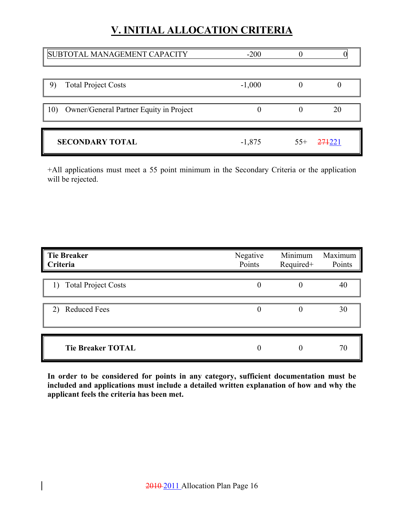| SUBTOTAL MANAGEMENT CAPACITY                   | $-200$   |       |        |
|------------------------------------------------|----------|-------|--------|
| <b>Total Project Costs</b><br>9)               | $-1,000$ |       |        |
| 10)<br>Owner/General Partner Equity in Project |          |       | 20     |
| <b>SECONDARY TOTAL</b>                         | $-1,875$ | $55+$ | 274221 |

+All applications must meet a 55 point minimum in the Secondary Criteria or the application will be rejected.

| <b>Tie Breaker</b><br>Criteria | Negative<br>Points | Minimum<br>Required+ | Maximum<br>Points |
|--------------------------------|--------------------|----------------------|-------------------|
| 1) Total Project Costs         | $\theta$           | $\theta$             | 40                |
| <b>Reduced Fees</b><br>2)      | $\theta$           | $\theta$             | 30                |
| <b>Tie Breaker TOTAL</b>       | 0                  |                      | 70                |

**In order to be considered for points in any category, sufficient documentation must be included and applications must include a detailed written explanation of how and why the applicant feels the criteria has been met.**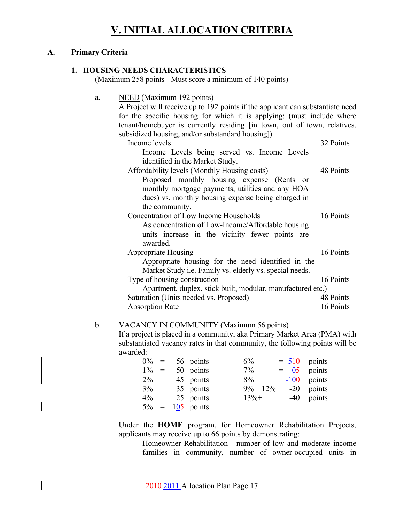#### **A. Primary Criteria**

#### **1. HOUSING NEEDS CHARACTERISTICS**

(Maximum 258 points - Must score a minimum of 140 points)

| a. | NEED (Maximum 192 points)<br>A Project will receive up to 192 points if the applicant can substantiate need<br>for the specific housing for which it is applying: (must include where<br>tenant/homebuyer is currently residing [in town, out of town, relatives, |           |
|----|-------------------------------------------------------------------------------------------------------------------------------------------------------------------------------------------------------------------------------------------------------------------|-----------|
|    | subsidized housing, and/or substandard housing])                                                                                                                                                                                                                  |           |
|    | Income levels                                                                                                                                                                                                                                                     | 32 Points |
|    | Income Levels being served vs. Income Levels<br>identified in the Market Study.                                                                                                                                                                                   |           |
|    | Affordability levels (Monthly Housing costs)                                                                                                                                                                                                                      | 48 Points |
|    | Proposed monthly housing expense (Rents or<br>monthly mortgage payments, utilities and any HOA                                                                                                                                                                    |           |
|    | dues) vs. monthly housing expense being charged in                                                                                                                                                                                                                |           |
|    | the community.                                                                                                                                                                                                                                                    |           |
|    | Concentration of Low Income Households                                                                                                                                                                                                                            | 16 Points |
|    | As concentration of Low-Income/Affordable housing<br>units increase in the vicinity fewer points are<br>awarded.                                                                                                                                                  |           |
|    | <b>Appropriate Housing</b>                                                                                                                                                                                                                                        | 16 Points |
|    | Appropriate housing for the need identified in the<br>Market Study <i>i.e.</i> Family vs. elderly vs. special needs.                                                                                                                                              |           |
|    | Type of housing construction                                                                                                                                                                                                                                      | 16 Points |
|    | Apartment, duplex, stick built, modular, manufactured etc.)                                                                                                                                                                                                       |           |
|    | Saturation (Units needed vs. Proposed)                                                                                                                                                                                                                            | 48 Points |
|    | <b>Absorption Rate</b>                                                                                                                                                                                                                                            | 16 Points |
|    |                                                                                                                                                                                                                                                                   |           |

#### b. VACANCY IN COMMUNITY (Maximum 56 points)

If a project is placed in a community, aka Primary Market Area (PMA) with substantiated vacancy rates in that community, the following points will be awarded:

|         |  | $0\% = 56$ points  | 6%                        |  | $= 540$ points |
|---------|--|--------------------|---------------------------|--|----------------|
| $1\% =$ |  | 50 points          | $7\%$                     |  | $=$ 05 points  |
| $2\% =$ |  | 45 points          | $8\% = -100$ points       |  |                |
|         |  | $3\% = 35$ points  | $9\% - 12\% = -20$ points |  |                |
| $4\% =$ |  | 25 points          | $13\% + = -40$ points     |  |                |
|         |  | $5\% = 105$ points |                           |  |                |

Under the **HOME** program, for Homeowner Rehabilitation Projects, applicants may receive up to 66 points by demonstrating:

 Homeowner Rehabilitation - number of low and moderate income families in community, number of owner-occupied units in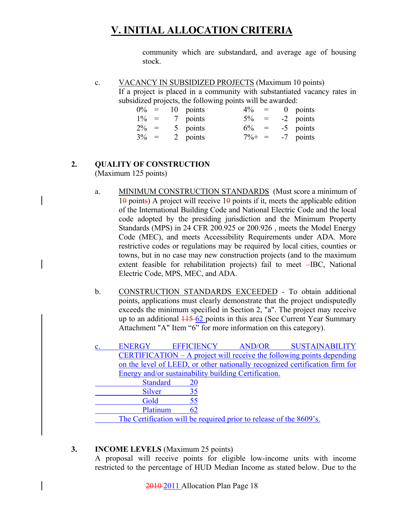community which are substandard, and average age of housing stock.

c. VACANCY IN SUBSIDIZED PROJECTS (Maximum 10 points) If a project is placed in a community with substantiated vacancy rates in subsidized projects, the following points will be awarded:

| $0\% =$ |  | 10 points | $4\%$     | $\alpha = \alpha$ | $0$ points |
|---------|--|-----------|-----------|-------------------|------------|
| $1\% =$ |  | 7 points  | $5\% =$   |                   | -2 points  |
| $2\% =$ |  | 5 points  | $6\% =$   |                   | -5 points  |
| $3\% =$ |  | 2 points  | $7\% + =$ |                   | -7 points  |

#### **2. QUALITY OF CONSTRUCTION**

(Maximum 125 points)

- a. MINIMUM CONSTRUCTION STANDARDS (Must score a minimum of  $10 \text{ points}$ ) A project will receive  $10 \text{ points}$  if it, meets the applicable edition of the International Building Code and National Electric Code and the local code adopted by the presiding jurisdiction and the Minimum Property Standards (MPS) in 24 CFR 200.925 or 200.926 , meets the Model Energy Code (MEC), and meets Accessibility Requirements under ADA. More restrictive codes or regulations may be required by local cities, counties or towns, but in no case may new construction projects (and to the maximum extent feasible for rehabilitation projects) fail to meet -IBC, National Electric Code, MPS, MEC, and ADA.
- b. CONSTRUCTION STANDARDS EXCEEDED To obtain additional points, applications must clearly demonstrate that the project undisputedly exceeds the minimum specified in Section 2, "a". The project may receive up to an additional  $\frac{115}{62}$  points in this area (See Current Year Summary Attachment "A" Item "6" for more information on this category).

| <b>ENERGY</b>                                        | <b>EFFICIENCY</b> | <b>AND/OR</b>                                                      | <b>SUSTAINABILITY</b>                                                       |
|------------------------------------------------------|-------------------|--------------------------------------------------------------------|-----------------------------------------------------------------------------|
|                                                      |                   |                                                                    | CERTIFICATION $- A$ project will receive the following points depending     |
|                                                      |                   |                                                                    | on the level of LEED, or other nationally recognized certification firm for |
| Energy and/or sustainability building Certification. |                   |                                                                    |                                                                             |
| <b>Standard</b>                                      | <b>20</b>         |                                                                    |                                                                             |
| <b>Silver</b>                                        | 35                |                                                                    |                                                                             |
| Gold                                                 | 55                |                                                                    |                                                                             |
| Platinum                                             | 62                |                                                                    |                                                                             |
|                                                      |                   | The Certification will be required prior to release of the 8609's. |                                                                             |

#### **3. INCOME LEVELS** (Maximum 25 points)

A proposal will receive points for eligible low-income units with income restricted to the percentage of HUD Median Income as stated below. Due to the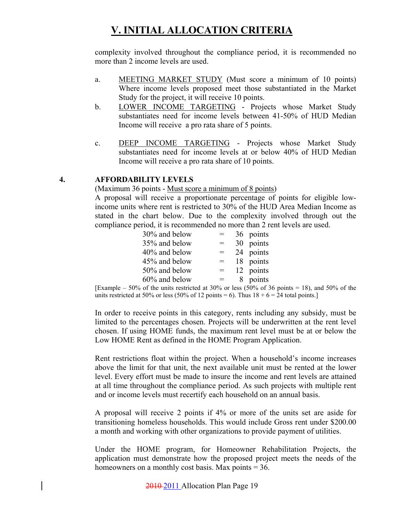complexity involved throughout the compliance period, it is recommended no more than 2 income levels are used.

- a. MEETING MARKET STUDY (Must score a minimum of 10 points) Where income levels proposed meet those substantiated in the Market Study for the project, it will receive 10 points.
- b. LOWER INCOME TARGETING Projects whose Market Study substantiates need for income levels between 41-50% of HUD Median Income will receive a pro rata share of 5 points.
- c. DEEP INCOME TARGETING Projects whose Market Study substantiates need for income levels at or below 40% of HUD Median Income will receive a pro rata share of 10 points.

#### **4. AFFORDABILITY LEVELS**

(Maximum 36 points - Must score a minimum of 8 points)

A proposal will receive a proportionate percentage of points for eligible lowincome units where rent is restricted to 30% of the HUD Area Median Income as stated in the chart below. Due to the complexity involved through out the compliance period, it is recommended no more than 2 rent levels are used.

| 30% and below |     | 36 points |
|---------------|-----|-----------|
| 35% and below | $=$ | 30 points |
| 40% and below | $=$ | 24 points |
| 45% and below | $=$ | 18 points |
| 50% and below | $=$ | 12 points |
| 60% and below |     | 8 points  |

[Example – 50% of the units restricted at 30% or less (50% of 36 points = 18), and 50% of the units restricted at 50% or less (50% of 12 points = 6). Thus  $18 + 6 = 24$  total points.]

In order to receive points in this category, rents including any subsidy, must be limited to the percentages chosen. Projects will be underwritten at the rent level chosen. If using HOME funds, the maximum rent level must be at or below the Low HOME Rent as defined in the HOME Program Application.

Rent restrictions float within the project. When a household's income increases above the limit for that unit, the next available unit must be rented at the lower level. Every effort must be made to insure the income and rent levels are attained at all time throughout the compliance period. As such projects with multiple rent and or income levels must recertify each household on an annual basis.

A proposal will receive 2 points if 4% or more of the units set are aside for transitioning homeless households. This would include Gross rent under \$200.00 a month and working with other organizations to provide payment of utilities.

Under the HOME program, for Homeowner Rehabilitation Projects, the application must demonstrate how the proposed project meets the needs of the homeowners on a monthly cost basis. Max points  $= 36$ .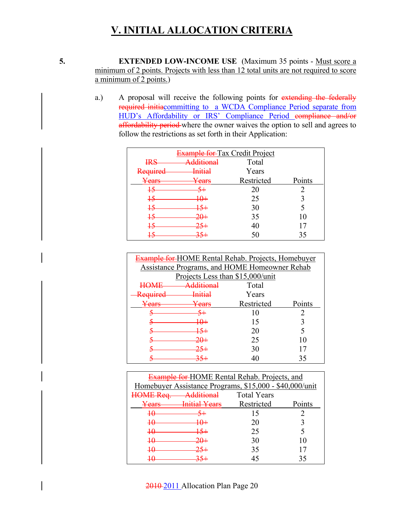**5. EXTENDED LOW-INCOME USE** (Maximum 35 points - Must score a minimum of 2 points. Projects with less than 12 total units are not required to score a minimum of 2 points.)

> a.) A proposal will receive the following points for extending the federally required initiacommitting to a WCDA Compliance Period separate from HUD's Affordability or IRS' Compliance Period compliance and/or affordability period where the owner waives the option to sell and agrees to follow the restrictions as set forth in their Application:

| <b>Example for</b> Tax Credit Project |                    |            |        |  |
|---------------------------------------|--------------------|------------|--------|--|
| <b>IRS</b>                            | ditional           | Total      |        |  |
| Required                              | <del>Initial</del> | Years      |        |  |
| Years                                 | Years              | Restricted | Points |  |
| $\overline{15}$                       |                    | 20         |        |  |
| $\overline{15}$                       | +⊕                 | 25         |        |  |
| $\frac{15}{2}$                        |                    | 30         |        |  |
| $\frac{15}{2}$                        | <del>20+</del>     | 35         | 10     |  |
| $\overline{15}$                       |                    | 40         | 17     |  |
|                                       |                    | 50         | 35     |  |

| <b>Example for-HOME Rental Rehab. Projects, Homebuyer</b> |                                               |            |        |
|-----------------------------------------------------------|-----------------------------------------------|------------|--------|
|                                                           | Assistance Programs, and HOME Homeowner Rehab |            |        |
|                                                           | Projects Less than \$15,000/unit              |            |        |
|                                                           | dditional                                     | Total      |        |
| $D_{\alpha\alpha\mu\sigma\alpha\sigma}$                   | Initia                                        | Years      |        |
| agra                                                      | ears                                          | Restricted | Points |
|                                                           |                                               | 10         |        |
|                                                           |                                               | 15         |        |
|                                                           |                                               | 20         |        |
|                                                           |                                               | 25         | 10     |
|                                                           |                                               | 30         |        |
|                                                           |                                               |            | 35     |

| <b>Example for HOME Rental Rehab. Projects, and</b> |                                                       |                                                         |        |  |
|-----------------------------------------------------|-------------------------------------------------------|---------------------------------------------------------|--------|--|
|                                                     |                                                       | Homebuyer Assistance Programs, \$15,000 - \$40,000/unit |        |  |
| $ME$ $Ra$                                           | Additional<br><b>Total Years</b><br><del>/ www.</del> |                                                         |        |  |
| Years                                               | $\sqrt{2}$<br><del>T Care</del>                       | Restricted                                              | Points |  |
| 40                                                  |                                                       | 15                                                      |        |  |
| $\overline{10}$                                     | 10+                                                   | 20                                                      |        |  |
| $\pmb{\mathcal{H}}$                                 |                                                       | 25                                                      |        |  |
| 40                                                  |                                                       | 30                                                      | 10     |  |
| $\pmb{\mathcal{H}}$                                 |                                                       | 35                                                      |        |  |
|                                                     |                                                       |                                                         |        |  |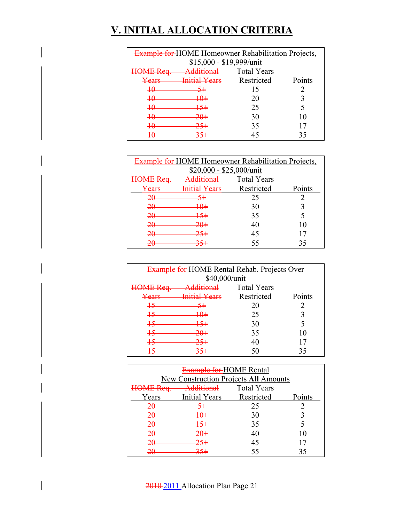| <b>Example for-HOME Homeowner Rehabilitation Projects,</b>     |                                   |            |        |  |
|----------------------------------------------------------------|-----------------------------------|------------|--------|--|
| \$15,000 - \$19,999/unit                                       |                                   |            |        |  |
| A dditional<br><b>Total Years</b><br>$\Lambda \Gamma$ $R_{AA}$ |                                   |            |        |  |
| <del>Years</del>                                               | V <sub>oare</sub><br><b>STERN</b> | Restricted | Points |  |
| $\pmb{+}\pmb{\theta}$                                          |                                   | 15         |        |  |
| $\pmb{\mathcal{H}}$                                            |                                   | 20         |        |  |
| 40                                                             | 15+                               | 25         |        |  |
| $\pmb{\mathcal{H}}$                                            |                                   | 30         | 10     |  |
| 1Λ<br>₩                                                        |                                   | 35         |        |  |
|                                                                |                                   | 45         |        |  |

| <b>Example for HOME Homeowner Rehabilitation Projects,</b> |                                         |            |        |  |  |
|------------------------------------------------------------|-----------------------------------------|------------|--------|--|--|
|                                                            | $$20,000 - $25,000/unit$                |            |        |  |  |
| ME Req                                                     | <b>Additional</b><br><b>Total Years</b> |            |        |  |  |
| $\sqrt{\rho}$ arq<br><del>can</del>                        | $\sqrt{2}$                              | Restricted | Points |  |  |
| <del>20</del>                                              |                                         | 25         |        |  |  |
| 20                                                         | ₩                                       | 30         |        |  |  |
| 20                                                         | <del>15+</del>                          | 35         |        |  |  |
| 20                                                         |                                         | 40         | 10     |  |  |
| 20                                                         |                                         | 45         |        |  |  |
| ንበ<br>$\sim$                                               |                                         | 55         | 35     |  |  |

| <b>Example for HOME Rental Rehab. Projects Over</b>   |                                                             |            |        |  |  |
|-------------------------------------------------------|-------------------------------------------------------------|------------|--------|--|--|
| \$40,000/unit                                         |                                                             |            |        |  |  |
| $\overline{A}$ $\Gamma$ $\overline{R}$ $\overline{R}$ | <u>Additional</u><br><b>Total Years</b><br>,,,,,,,,,,,,,,,, |            |        |  |  |
| Years                                                 | $V$ agre<br><del>mma - an</del>                             | Restricted | Points |  |  |
| 15                                                    |                                                             | 20         |        |  |  |
| $+5$                                                  | 10+                                                         | 25         |        |  |  |
| $+5$                                                  |                                                             | 30         |        |  |  |
| 45                                                    | $20+$                                                       | 35         | 10     |  |  |
| 15                                                    |                                                             | 40         |        |  |  |
|                                                       |                                                             |            |        |  |  |

| Example for HOME Rental                       |                                              |                    |        |
|-----------------------------------------------|----------------------------------------------|--------------------|--------|
|                                               | <b>New Construction Projects All Amounts</b> |                    |        |
| $\overline{A}E$ $\overline{R}$ $\overline{a}$ | <b>Additional</b>                            | <b>Total Years</b> |        |
| Years                                         | <b>Initial Years</b>                         | Restricted         | Points |
| 20                                            |                                              | 25                 |        |
| 20                                            | <del>10+</del>                               | 30                 |        |
| 20                                            | 15+                                          | 35                 |        |
| <del>20</del>                                 |                                              | 40                 |        |
| 20                                            |                                              | 45                 |        |
|                                               |                                              | 55                 | 35     |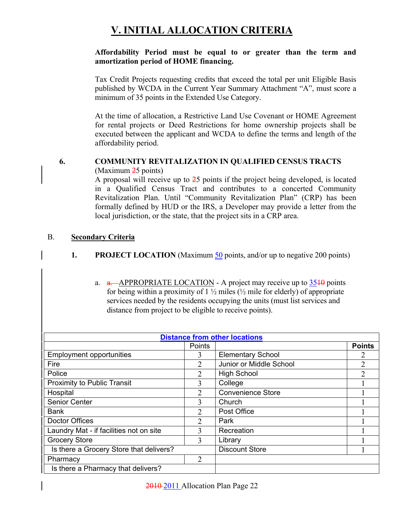#### **Affordability Period must be equal to or greater than the term and amortization period of HOME financing.**

Tax Credit Projects requesting credits that exceed the total per unit Eligible Basis published by WCDA in the Current Year Summary Attachment "A", must score a minimum of 35 points in the Extended Use Category.

At the time of allocation, a Restrictive Land Use Covenant or HOME Agreement for rental projects or Deed Restrictions for home ownership projects shall be executed between the applicant and WCDA to define the terms and length of the affordability period.

#### **6. COMMUNITY REVITALIZATION IN QUALIFIED CENSUS TRACTS**

(Maximum 25 points)

A proposal will receive up to 25 points if the project being developed, is located in a Qualified Census Tract and contributes to a concerted Community Revitalization Plan. Until "Community Revitalization Plan" (CRP) has been formally defined by HUD or the IRS, a Developer may provide a letter from the local jurisdiction, or the state, that the project sits in a CRP area.

#### B. **Secondary Criteria**

#### **1. PROJECT LOCATION** (Maximum 50 points, and/or up to negative 200 points)

a.  $a. -APPROPRIATE LOGATION - A project may receive up to  $\frac{3540}{90}$  points$ for being within a proximity of  $1\frac{1}{2}$  miles ( $\frac{1}{2}$  mile for elderly) of appropriate services needed by the residents occupying the units (must list services and distance from project to be eligible to receive points).

| <b>Distance from other locations</b>    |               |                          |               |
|-----------------------------------------|---------------|--------------------------|---------------|
|                                         | <b>Points</b> |                          | <b>Points</b> |
| <b>Employment opportunities</b>         | 3             | <b>Elementary School</b> |               |
| Fire                                    | 2             | Junior or Middle School  |               |
| Police                                  | 2             | <b>High School</b>       |               |
| Proximity to Public Transit             | 3             | College                  |               |
| Hospital                                | 2             | <b>Convenience Store</b> |               |
| Senior Center                           | 3             | Church                   |               |
| <b>Bank</b>                             | 2             | Post Office              |               |
| Doctor Offices                          | $\mathcal{D}$ | Park                     |               |
| Laundry Mat - if facilities not on site | 3             | Recreation               |               |
| <b>Grocery Store</b>                    | 3             | Library                  |               |
| Is there a Grocery Store that delivers? |               | <b>Discount Store</b>    |               |
| Pharmacy                                | 2             |                          |               |
| Is there a Pharmacy that delivers?      |               |                          |               |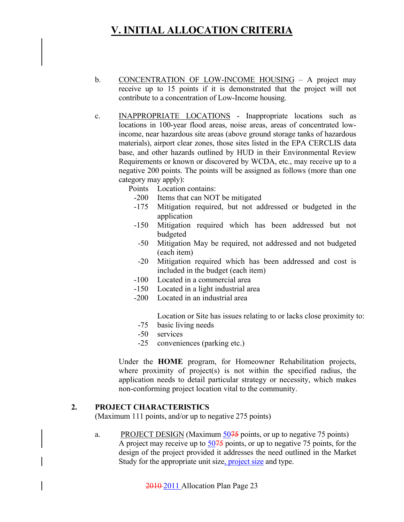- b. CONCENTRATION OF LOW-INCOME HOUSING A project may receive up to 15 points if it is demonstrated that the project will not contribute to a concentration of Low-Income housing.
- c. INAPPROPRIATE LOCATIONS Inappropriate locations such as locations in 100-year flood areas, noise areas, areas of concentrated lowincome, near hazardous site areas (above ground storage tanks of hazardous materials), airport clear zones, those sites listed in the EPA CERCLIS data base, and other hazards outlined by HUD in their Environmental Review Requirements or known or discovered by WCDA, etc., may receive up to a negative 200 points. The points will be assigned as follows (more than one category may apply):
	- Points Location contains:
		- -200 Items that can NOT be mitigated
		- -175 Mitigation required, but not addressed or budgeted in the application
		- -150 Mitigation required which has been addressed but not budgeted
		- -50 Mitigation May be required, not addressed and not budgeted (each item)
		- -20 Mitigation required which has been addressed and cost is included in the budget (each item)
		- -100 Located in a commercial area
		- -150 Located in a light industrial area
		- -200 Located in an industrial area

Location or Site has issues relating to or lacks close proximity to:

- -75 basic living needs
- -50 services
- -25 conveniences (parking etc.)

Under the **HOME** program, for Homeowner Rehabilitation projects, where proximity of project(s) is not within the specified radius, the application needs to detail particular strategy or necessity, which makes non-conforming project location vital to the community.

#### **2. PROJECT CHARACTERISTICS**

(Maximum 111 points, and/or up to negative 275 points)

a. PROJECT DESIGN (Maximum  $\frac{5075}{20}$  points, or up to negative 75 points) A project may receive up to 5075 points, or up to negative 75 points, for the design of the project provided it addresses the need outlined in the Market Study for the appropriate unit size, project size and type.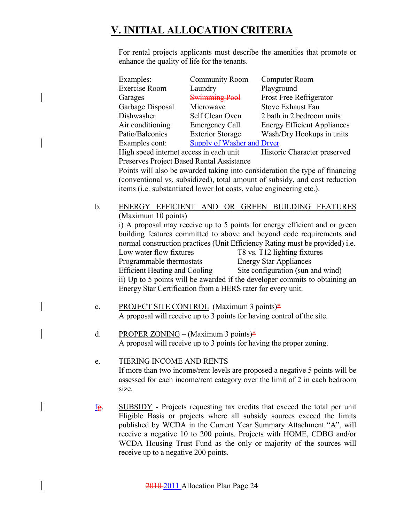For rental projects applicants must describe the amenities that promote or enhance the quality of life for the tenants.

| Examples:        | <b>Community Room</b>      | Computer Room                      |
|------------------|----------------------------|------------------------------------|
| Exercise Room    | Laundry                    | Playground                         |
| Garages          | <b>Swimming Pool</b>       | Frost Free Refrigerator            |
| Garbage Disposal | Microwave                  | <b>Stove Exhaust Fan</b>           |
| Dishwasher       | Self Clean Oven            | 2 bath in 2 bedroom units          |
| Air conditioning | <b>Emergency Call</b>      | <b>Energy Efficient Appliances</b> |
| Patio/Balconies  | <b>Exterior Storage</b>    | Wash/Dry Hookups in units          |
| Examples cont:   | Supply of Washer and Dryer |                                    |
|                  |                            |                                    |

High speed internet access in each unit Historic Character preserved Preserves Project Based Rental Assistance

Points will also be awarded taking into consideration the type of financing (conventional vs. subsidized), total amount of subsidy, and cost reduction items (i.e. substantiated lower lot costs, value engineering etc.).

- b. ENERGY EFFICIENT AND OR GREEN BUILDING FEATURES (Maximum 10 points) i) A proposal may receive up to 5 points for energy efficient and or green building features committed to above and beyond code requirements and normal construction practices (Unit Efficiency Rating must be provided) i.e. Low water flow fixtures T8 vs. T12 lighting fixtures Programmable thermostats Energy Star Appliances Efficient Heating and Cooling Site configuration (sun and wind) ii) Up to 5 points will be awarded if the developer commits to obtaining an Energy Star Certification from a HERS rater for every unit.
- c. PROJECT SITE CONTROL (Maximum 3 points) $*$ A proposal will receive up to 3 points for having control of the site.
- d. PROPER ZONING (Maximum 3 points) $*$ A proposal will receive up to 3 points for having the proper zoning.
- e. TIERING INCOME AND RENTS If more than two income/rent levels are proposed a negative 5 points will be assessed for each income/rent category over the limit of 2 in each bedroom size.
- fg. SUBSIDY Projects requesting tax credits that exceed the total per unit Eligible Basis or projects where all subsidy sources exceed the limits published by WCDA in the Current Year Summary Attachment "A", will receive a negative 10 to 200 points. Projects with HOME, CDBG and/or WCDA Housing Trust Fund as the only or majority of the sources will receive up to a negative 200 points.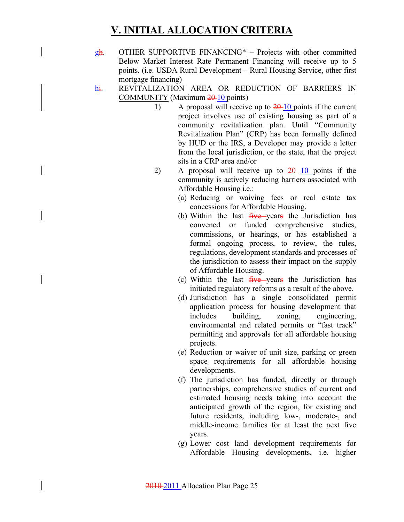- $g\text{h}$ . OTHER SUPPORTIVE FINANCING<sup>\*</sup> Projects with other committed Below Market Interest Rate Permanent Financing will receive up to 5 points. (i.e. USDA Rural Development – Rural Housing Service, other first mortgage financing)
- hi. REVITALIZATION AREA OR REDUCTION OF BARRIERS IN COMMUNITY (Maximum 20-10 points)
	- 1) A proposal will receive up to  $20-10$  points if the current project involves use of existing housing as part of a community revitalization plan. Until "Community Revitalization Plan" (CRP) has been formally defined by HUD or the IRS, a Developer may provide a letter from the local jurisdiction, or the state, that the project sits in a CRP area and/or
	- 2) A proposal will receive up to  $20-10$  points if the community is actively reducing barriers associated with Affordable Housing i.e.:
		- (a) Reducing or waiving fees or real estate tax concessions for Affordable Housing.
		- (b) Within the last  $five$ -vears the Jurisdiction has convened or funded comprehensive studies, commissions, or hearings, or has established a formal ongoing process, to review, the rules, regulations, development standards and processes of the jurisdiction to assess their impact on the supply of Affordable Housing.
		- (c) Within the last  $f<sub>i</sub> = \frac{f<sub>i</sub>}{f<sub>i</sub>}$  the Jurisdiction has initiated regulatory reforms as a result of the above.
		- (d) Jurisdiction has a single consolidated permit application process for housing development that includes building, zoning, engineering, environmental and related permits or "fast track" permitting and approvals for all affordable housing projects.
		- (e) Reduction or waiver of unit size, parking or green space requirements for all affordable housing developments.
		- (f) The jurisdiction has funded, directly or through partnerships, comprehensive studies of current and estimated housing needs taking into account the anticipated growth of the region, for existing and future residents, including low-, moderate-, and middle-income families for at least the next five years.
		- (g) Lower cost land development requirements for Affordable Housing developments, i.e. higher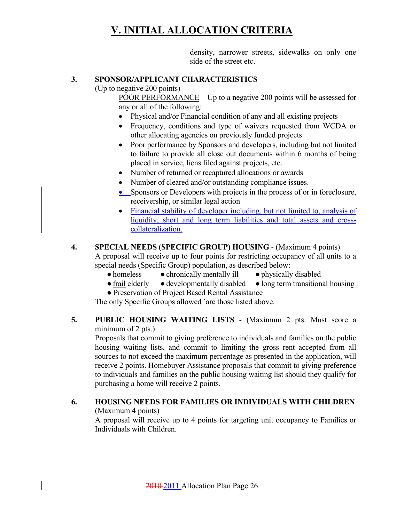density, narrower streets, sidewalks on only one side of the street etc.

#### **3. SPONSOR/APPLICANT CHARACTERISTICS**

(Up to negative 200 points)

 POOR PERFORMANCE – Up to a negative 200 points will be assessed for any or all of the following:

- Physical and/or Financial condition of any and all existing projects
- Frequency, conditions and type of waivers requested from WCDA or other allocating agencies on previously funded projects
- Poor performance by Sponsors and developers, including but not limited to failure to provide all close out documents within 6 months of being placed in service, liens filed against projects, etc.
- Number of returned or recaptured allocations or awards
- Number of cleared and/or outstanding compliance issues.
- Sponsors or Developers with projects in the process of or in foreclosure, receivership, or similar legal action
- Financial stability of developer including, but not limited to, analysis of liquidity, short and long term liabilities and total assets and crosscollateralization.

#### **4. SPECIAL NEEDS (SPECIFIC GROUP) HOUSING** - (Maximum 4 points)

A proposal will receive up to four points for restricting occupancy of all units to a special needs (Specific Group) population, as described below:

- homeless chronically mentally ill physically disabled
- frail elderly developmentally disabled long term transitional housing
- Preservation of Project Based Rental Assistance

The only Specific Groups allowed `are those listed above.

**5. PUBLIC HOUSING WAITING LISTS** - (Maximum 2 pts. Must score a minimum of 2 pts.)

Proposals that commit to giving preference to individuals and families on the public housing waiting lists, and commit to limiting the gross rent accepted from all sources to not exceed the maximum percentage as presented in the application, will receive 2 points. Homebuyer Assistance proposals that commit to giving preference to individuals and families on the public housing waiting list should they qualify for purchasing a home will receive 2 points.

#### **6. HOUSING NEEDS FOR FAMILIES OR INDIVIDUALS WITH CHILDREN** (Maximum 4 points)

A proposal will receive up to 4 points for targeting unit occupancy to Families or Individuals with Children.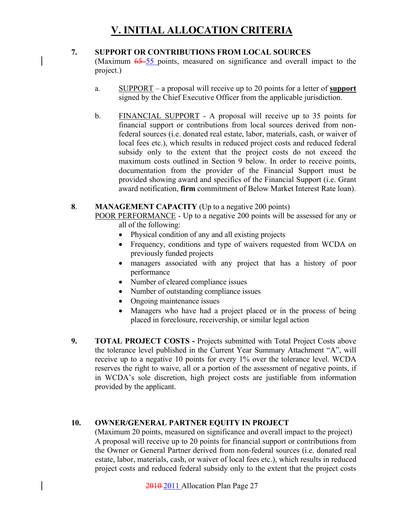#### **7. SUPPORT OR CONTRIBUTIONS FROM LOCAL SOURCES**

(Maximum  $65-55$  points, measured on significance and overall impact to the project.)

- a. SUPPORT a proposal will receive up to 20 points for a letter of **support** signed by the Chief Executive Officer from the applicable jurisdiction.
- b. FINANCIAL SUPPORT A proposal will receive up to 35 points for financial support or contributions from local sources derived from nonfederal sources (i.e. donated real estate, labor, materials, cash, or waiver of local fees etc.), which results in reduced project costs and reduced federal subsidy only to the extent that the project costs do not exceed the maximum costs outlined in Section 9 below. In order to receive points, documentation from the provider of the Financial Support must be provided showing award and specifics of the Financial Support (i.e. Grant award notification, **firm** commitment of Below Market Interest Rate loan).

#### **8**. **MANAGEMENT CAPACITY** (Up to a negative 200 points)

POOR PERFORMANCE - Up to a negative 200 points will be assessed for any or all of the following:

- Physical condition of any and all existing projects
- Frequency, conditions and type of waivers requested from WCDA on previously funded projects
- managers associated with any project that has a history of poor performance
- Number of cleared compliance issues
- Number of outstanding compliance issues
- Ongoing maintenance issues
- Managers who have had a project placed or in the process of being placed in foreclosure, receivership, or similar legal action
- **9. TOTAL PROJECT COSTS** Projects submitted with Total Project Costs above the tolerance level published in the Current Year Summary Attachment "A", will receive up to a negative 10 points for every 1% over the tolerance level. WCDA reserves the right to waive, all or a portion of the assessment of negative points, if in WCDA's sole discretion, high project costs are justifiable from information provided by the applicant.

#### **10. OWNER/GENERAL PARTNER EQUITY IN PROJECT**

(Maximum 20 points, measured on significance and overall impact to the project) A proposal will receive up to 20 points for financial support or contributions from the Owner or General Partner derived from non-federal sources (i.e. donated real estate, labor, materials, cash, or waiver of local fees etc.), which results in reduced project costs and reduced federal subsidy only to the extent that the project costs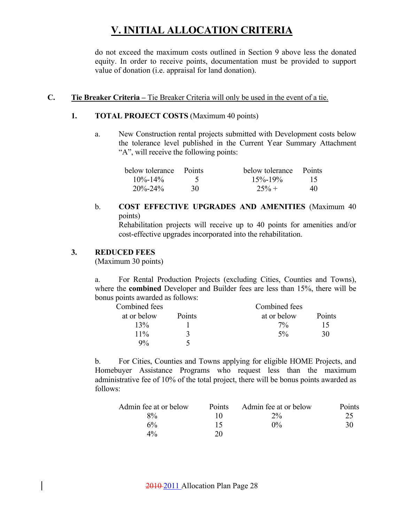do not exceed the maximum costs outlined in Section 9 above less the donated equity. In order to receive points, documentation must be provided to support value of donation (i.e. appraisal for land donation).

#### **C. Tie Breaker Criteria –** Tie Breaker Criteria will only be used in the event of a tie.

#### **1. TOTAL PROJECT COSTS** (Maximum 40 points)

a. New Construction rental projects submitted with Development costs below the tolerance level published in the Current Year Summary Attachment "A", will receive the following points:

| below tolerance Points |    | below tolerance Points |    |
|------------------------|----|------------------------|----|
| $10\% - 14\%$          |    | $15\% - 19\%$          | 15 |
| $20\% - 24\%$          | 30 | $25% +$                | 40 |

#### b. **COST EFFECTIVE UPGRADES AND AMENITIES** (Maximum 40 points)

 Rehabilitation projects will receive up to 40 points for amenities and/or cost-effective upgrades incorporated into the rehabilitation.

#### **3. REDUCED FEES**

(Maximum 30 points)

a. For Rental Production Projects (excluding Cities, Counties and Towns), where the **combined** Developer and Builder fees are less than 15%, there will be bonus points awarded as follows:

| Combined fees |        | Combined fees |        |
|---------------|--------|---------------|--------|
| at or below   | Points | at or below   | Points |
| 13%           |        | $7\%$         | 15     |
| $11\%$        |        | $5\%$         | 30     |
| 9%            |        |               |        |

b. For Cities, Counties and Towns applying for eligible HOME Projects, and Homebuyer Assistance Programs who request less than the maximum administrative fee of 10% of the total project, there will be bonus points awarded as follows:

| Admin fee at or below | <b>Points</b> | Admin fee at or below | Points |
|-----------------------|---------------|-----------------------|--------|
| $8\%$                 |               | $2\%$                 | 25     |
| 6%                    | 15            | $0\%$                 | 30     |
| $4\%$                 | 20            |                       |        |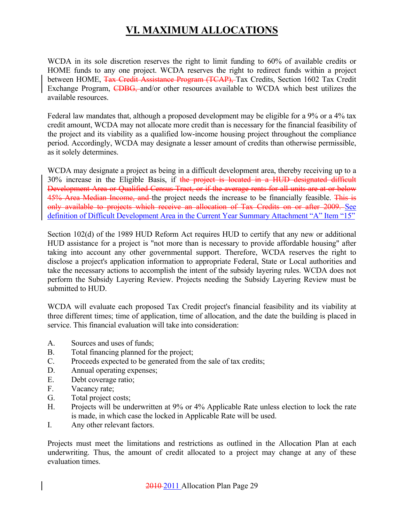## **VI. MAXIMUM ALLOCATIONS**

WCDA in its sole discretion reserves the right to limit funding to 60% of available credits or HOME funds to any one project. WCDA reserves the right to redirect funds within a project between HOME, Tax Credit Assistance Program (TCAP), Tax Credits, Section 1602 Tax Credit Exchange Program, CDBG, and/or other resources available to WCDA which best utilizes the available resources.

Federal law mandates that, although a proposed development may be eligible for a 9% or a 4% tax credit amount, WCDA may not allocate more credit than is necessary for the financial feasibility of the project and its viability as a qualified low-income housing project throughout the compliance period. Accordingly, WCDA may designate a lesser amount of credits than otherwise permissible, as it solely determines.

WCDA may designate a project as being in a difficult development area, thereby receiving up to a 30% increase in the Eligible Basis, if the project is located in a HUD designated difficult Development Area or Qualified Census Tract, or if the average rents for all units are at or below 45% Area Median Income, and the project needs the increase to be financially feasible. This is only available to projects which receive an allocation of Tax Credits on or after 2009. See definition of Difficult Development Area in the Current Year Summary Attachment "A" Item "15"

Section 102(d) of the 1989 HUD Reform Act requires HUD to certify that any new or additional HUD assistance for a project is "not more than is necessary to provide affordable housing" after taking into account any other governmental support. Therefore, WCDA reserves the right to disclose a project's application information to appropriate Federal, State or Local authorities and take the necessary actions to accomplish the intent of the subsidy layering rules. WCDA does not perform the Subsidy Layering Review. Projects needing the Subsidy Layering Review must be submitted to HUD.

WCDA will evaluate each proposed Tax Credit project's financial feasibility and its viability at three different times; time of application, time of allocation, and the date the building is placed in service. This financial evaluation will take into consideration:

- A. Sources and uses of funds;
- B. Total financing planned for the project;
- C. Proceeds expected to be generated from the sale of tax credits;
- D. Annual operating expenses;
- E. Debt coverage ratio;
- F. Vacancy rate;
- G. Total project costs;
- H. Projects will be underwritten at 9% or 4% Applicable Rate unless election to lock the rate is made, in which case the locked in Applicable Rate will be used.
- I. Any other relevant factors.

Projects must meet the limitations and restrictions as outlined in the Allocation Plan at each underwriting. Thus, the amount of credit allocated to a project may change at any of these evaluation times.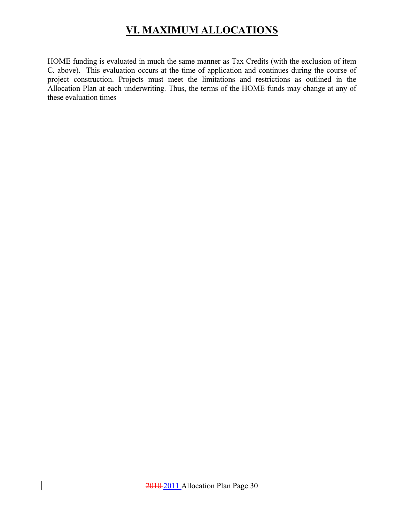## **VI. MAXIMUM ALLOCATIONS**

HOME funding is evaluated in much the same manner as Tax Credits (with the exclusion of item C. above). This evaluation occurs at the time of application and continues during the course of project construction. Projects must meet the limitations and restrictions as outlined in the Allocation Plan at each underwriting. Thus, the terms of the HOME funds may change at any of these evaluation times

 $\overline{\phantom{a}}$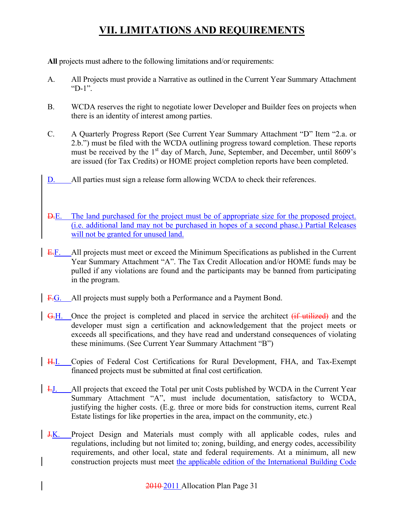**All** projects must adhere to the following limitations and/or requirements:

- A. All Projects must provide a Narrative as outlined in the Current Year Summary Attachment "D- $1"$ .
- B. WCDA reserves the right to negotiate lower Developer and Builder fees on projects when there is an identity of interest among parties.
- C. A Quarterly Progress Report (See Current Year Summary Attachment "D" Item "2.a. or 2.b.") must be filed with the WCDA outlining progress toward completion. These reports must be received by the  $1<sup>st</sup>$  day of March, June, September, and December, until  $8609's$ are issued (for Tax Credits) or HOME project completion reports have been completed.
- D. All parties must sign a release form allowing WCDA to check their references.
- D.E. The land purchased for the project must be of appropriate size for the proposed project. (i.e. additional land may not be purchased in hopes of a second phase.) Partial Releases will not be granted for unused land.
- E.F. All projects must meet or exceed the Minimum Specifications as published in the Current Year Summary Attachment "A". The Tax Credit Allocation and/or HOME funds may be pulled if any violations are found and the participants may be banned from participating in the program.
- F.G. All projects must supply both a Performance and a Payment Bond.
- G.H. Once the project is completed and placed in service the architect (if utilized) and the developer must sign a certification and acknowledgement that the project meets or exceeds all specifications, and they have read and understand consequences of violating these minimums. (See Current Year Summary Attachment "B")
- H.I. Copies of Federal Cost Certifications for Rural Development, FHA, and Tax-Exempt financed projects must be submitted at final cost certification.
- I.J. All projects that exceed the Total per unit Costs published by WCDA in the Current Year Summary Attachment "A", must include documentation, satisfactory to WCDA, justifying the higher costs. (E.g. three or more bids for construction items, current Real Estate listings for like properties in the area, impact on the community, etc.)
- **J.K.** Project Design and Materials must comply with all applicable codes, rules and regulations, including but not limited to; zoning, building, and energy codes, accessibility requirements, and other local, state and federal requirements. At a minimum, all new construction projects must meet the applicable edition of the International Building Code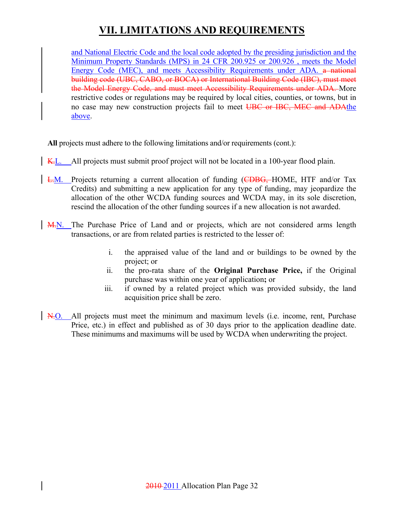and National Electric Code and the local code adopted by the presiding jurisdiction and the Minimum Property Standards (MPS) in 24 CFR 200.925 or 200.926 , meets the Model Energy Code (MEC), and meets Accessibility Requirements under ADA. a national building code (UBC, CABO, or BOCA) or International Building Code (IBC), must meet the Model Energy Code, and must meet Accessibility Requirements under ADA. More restrictive codes or regulations may be required by local cities, counties, or towns, but in no case may new construction projects fail to meet UBC or IBC, MEC and ADAthe above.

**All** projects must adhere to the following limitations and/or requirements (cont.):

- K.L. All projects must submit proof project will not be located in a 100-year flood plain.
- L.M. Projects returning a current allocation of funding (CDBG, HOME, HTF and/or Tax Credits) and submitting a new application for any type of funding, may jeopardize the allocation of the other WCDA funding sources and WCDA may, in its sole discretion, rescind the allocation of the other funding sources if a new allocation is not awarded.
- M.N. The Purchase Price of Land and or projects, which are not considered arms length transactions, or are from related parties is restricted to the lesser of:
	- i. the appraised value of the land and or buildings to be owned by the project; or
	- ii. the pro-rata share of the **Original Purchase Price,** if the Original purchase was within one year of application**;** or
	- iii. if owned by a related project which was provided subsidy, the land acquisition price shall be zero.
- N.O. All projects must meet the minimum and maximum levels (i.e. income, rent, Purchase Price, etc.) in effect and published as of 30 days prior to the application deadline date. These minimums and maximums will be used by WCDA when underwriting the project.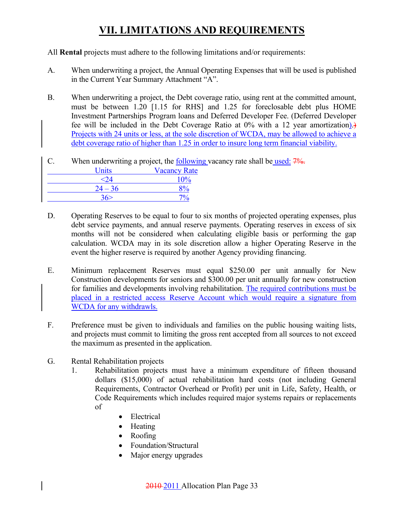#### All **Rental** projects must adhere to the following limitations and/or requirements:

- A. When underwriting a project, the Annual Operating Expenses that will be used is published in the Current Year Summary Attachment "A".
- B. When underwriting a project, the Debt coverage ratio, using rent at the committed amount, must be between 1.20 [1.15 for RHS] and 1.25 for foreclosable debt plus HOME Investment Partnerships Program loans and Deferred Developer Fee. (Deferred Developer fee will be included in the Debt Coverage Ratio at 0% with a 12 year amortization).) Projects with 24 units or less, at the sole discretion of WCDA, may be allowed to achieve a debt coverage ratio of higher than 1.25 in order to insure long term financial viability.

#### C. When underwriting a project, the following vacancy rate shall be used: 7%.

| <b>Units</b> | <b>Vacancy Rate</b> |
|--------------|---------------------|
|              | $10\%$              |
| $24 - 36$    |                     |
| 36           |                     |

- D. Operating Reserves to be equal to four to six months of projected operating expenses, plus debt service payments, and annual reserve payments. Operating reserves in excess of six months will not be considered when calculating eligible basis or performing the gap calculation. WCDA may in its sole discretion allow a higher Operating Reserve in the event the higher reserve is required by another Agency providing financing.
- E. Minimum replacement Reserves must equal \$250.00 per unit annually for New Construction developments for seniors and \$300.00 per unit annually for new construction for families and developments involving rehabilitation. The required contributions must be placed in a restricted access Reserve Account which would require a signature from WCDA for any withdrawls.
- F. Preference must be given to individuals and families on the public housing waiting lists, and projects must commit to limiting the gross rent accepted from all sources to not exceed the maximum as presented in the application.
- G. Rental Rehabilitation projects
	- 1. Rehabilitation projects must have a minimum expenditure of fifteen thousand dollars (\$15,000) of actual rehabilitation hard costs (not including General Requirements, Contractor Overhead or Profit) per unit in Life, Safety, Health, or Code Requirements which includes required major systems repairs or replacements of
		- Electrical
		- Heating
		- Roofing
		- Foundation/Structural
		- Major energy upgrades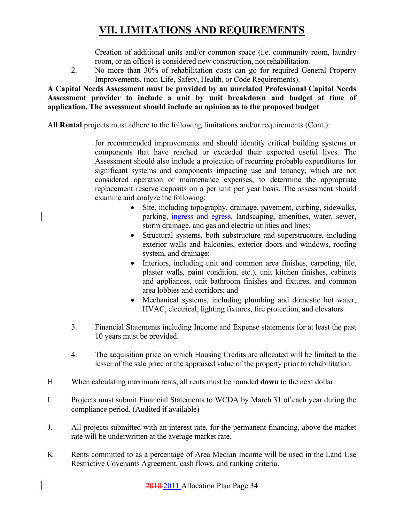Creation of additional units and/or common space (i.e. community room, laundry room, or an office) is considered new construction, not rehabilitation.

2. No more than 30% of rehabilitation costs can go for required General Property Improvements, (non-Life, Safety, Health, or Code Requirements).

#### **A Capital Needs Assessment must be provided by an unrelated Professional Capital Needs Assessment provider to include a unit by unit breakdown and budget at time of application. The assessment should include an opinion as to the proposed budget**

All **Rental** projects must adhere to the following limitations and/or requirements (Cont.):

for recommended improvements and should identify critical building systems or components that have reached or exceeded their expected useful lives. The Assessment should also include a projection of recurring probable expenditures for significant systems and components impacting use and tenancy, which are not considered operation or maintenance expenses, to determine the appropriate replacement reserve deposits on a per unit per year basis. The assessment should examine and analyze the following:

- Site, including topography, drainage, pavement, curbing, sidewalks, parking, ingress and egress, landscaping, amenities, water, sewer, storm drainage, and gas and electric utilities and lines;
- Structural systems, both substructure and superstructure, including exterior walls and balconies, exterior doors and windows, roofing system, and drainage;
- Interiors, including unit and common area finishes, carpeting, tile, plaster walls, paint condition, etc.), unit kitchen finishes, cabinets and appliances, unit bathroom finishes and fixtures, and common area lobbies and corridors; and
- Mechanical systems, including plumbing and domestic hot water, HVAC, electrical, lighting fixtures, fire protection, and elevators.
- 3. Financial Statements including Income and Expense statements for at least the past 10 years must be provided.
- 4. The acquisition price on which Housing Credits are allocated will be limited to the lesser of the sale price or the appraised value of the property prior to rehabilitation.
- H. When calculating maximum rents, all rents must be rounded **down** to the next dollar.
- I. Projects must submit Financial Statements to WCDA by March 31 of each year during the compliance period. (Audited if available)
- J. All projects submitted with an interest rate, for the permanent financing, above the market rate will be underwritten at the average market rate.
- K. Rents committed to as a percentage of Area Median Income will be used in the Land Use Restrictive Covenants Agreement, cash flows, and ranking criteria.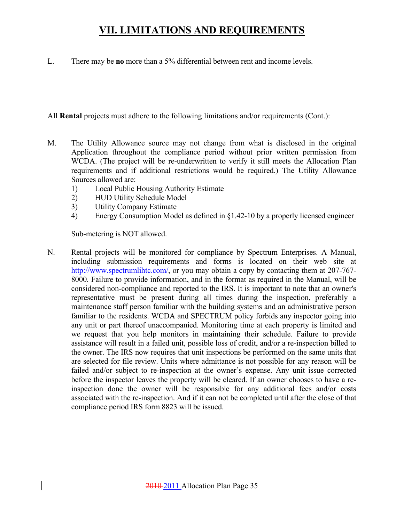L. There may be **no** more than a 5% differential between rent and income levels.

All **Rental** projects must adhere to the following limitations and/or requirements (Cont.):

- M. The Utility Allowance source may not change from what is disclosed in the original Application throughout the compliance period without prior written permission from WCDA. (The project will be re-underwritten to verify it still meets the Allocation Plan requirements and if additional restrictions would be required.) The Utility Allowance Sources allowed are:
	- 1) Local Public Housing Authority Estimate
	- 2) HUD Utility Schedule Model
	- 3) Utility Company Estimate
	- 4) Energy Consumption Model as defined in §1.42-10 by a properly licensed engineer

Sub-metering is NOT allowed.

N. Rental projects will be monitored for compliance by Spectrum Enterprises. A Manual, including submission requirements and forms is located on their web site at http://www.spectrumlihtc.com/, or you may obtain a copy by contacting them at 207-767-8000. Failure to provide information, and in the format as required in the Manual, will be considered non-compliance and reported to the IRS. It is important to note that an owner's representative must be present during all times during the inspection, preferably a maintenance staff person familiar with the building systems and an administrative person familiar to the residents. WCDA and SPECTRUM policy forbids any inspector going into any unit or part thereof unaccompanied. Monitoring time at each property is limited and we request that you help monitors in maintaining their schedule. Failure to provide assistance will result in a failed unit, possible loss of credit, and/or a re-inspection billed to the owner. The IRS now requires that unit inspections be performed on the same units that are selected for file review. Units where admittance is not possible for any reason will be failed and/or subject to re-inspection at the owner's expense. Any unit issue corrected before the inspector leaves the property will be cleared. If an owner chooses to have a reinspection done the owner will be responsible for any additional fees and/or costs associated with the re-inspection. And if it can not be completed until after the close of that compliance period IRS form 8823 will be issued.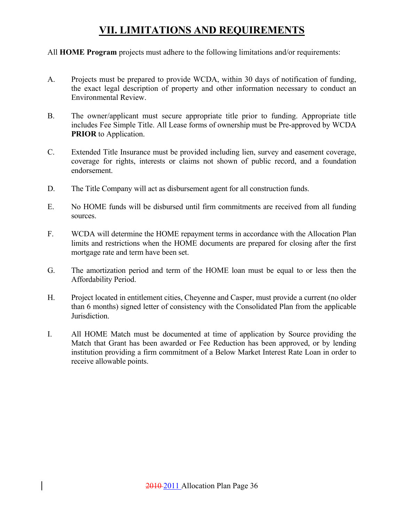All **HOME Program** projects must adhere to the following limitations and/or requirements:

- A. Projects must be prepared to provide WCDA, within 30 days of notification of funding, the exact legal description of property and other information necessary to conduct an Environmental Review.
- B. The owner/applicant must secure appropriate title prior to funding. Appropriate title includes Fee Simple Title. All Lease forms of ownership must be Pre-approved by WCDA **PRIOR** to Application.
- C. Extended Title Insurance must be provided including lien, survey and easement coverage, coverage for rights, interests or claims not shown of public record, and a foundation endorsement.
- D. The Title Company will act as disbursement agent for all construction funds.
- E. No HOME funds will be disbursed until firm commitments are received from all funding sources.
- F. WCDA will determine the HOME repayment terms in accordance with the Allocation Plan limits and restrictions when the HOME documents are prepared for closing after the first mortgage rate and term have been set.
- G. The amortization period and term of the HOME loan must be equal to or less then the Affordability Period.
- H. Project located in entitlement cities, Cheyenne and Casper, must provide a current (no older than 6 months) signed letter of consistency with the Consolidated Plan from the applicable Jurisdiction.
- I. All HOME Match must be documented at time of application by Source providing the Match that Grant has been awarded or Fee Reduction has been approved, or by lending institution providing a firm commitment of a Below Market Interest Rate Loan in order to receive allowable points.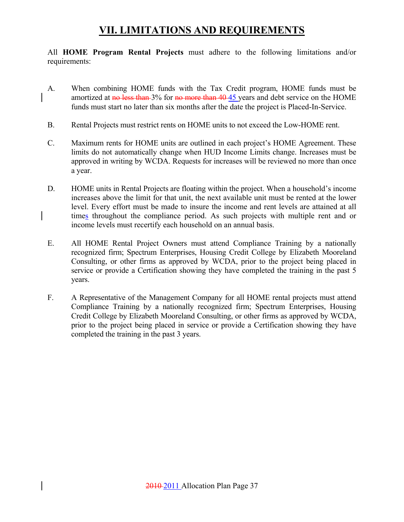All **HOME Program Rental Projects** must adhere to the following limitations and/or requirements:

- A. When combining HOME funds with the Tax Credit program, HOME funds must be amortized at no less than 3% for no more than 40-45 years and debt service on the HOME funds must start no later than six months after the date the project is Placed-In-Service.
- B. Rental Projects must restrict rents on HOME units to not exceed the Low-HOME rent.
- C. Maximum rents for HOME units are outlined in each project's HOME Agreement. These limits do not automatically change when HUD Income Limits change. Increases must be approved in writing by WCDA. Requests for increases will be reviewed no more than once a year.
- D. HOME units in Rental Projects are floating within the project. When a household's income increases above the limit for that unit, the next available unit must be rented at the lower level. Every effort must be made to insure the income and rent levels are attained at all times throughout the compliance period. As such projects with multiple rent and or income levels must recertify each household on an annual basis.
- E. All HOME Rental Project Owners must attend Compliance Training by a nationally recognized firm; Spectrum Enterprises, Housing Credit College by Elizabeth Mooreland Consulting, or other firms as approved by WCDA, prior to the project being placed in service or provide a Certification showing they have completed the training in the past 5 years.
- F. A Representative of the Management Company for all HOME rental projects must attend Compliance Training by a nationally recognized firm; Spectrum Enterprises, Housing Credit College by Elizabeth Mooreland Consulting, or other firms as approved by WCDA, prior to the project being placed in service or provide a Certification showing they have completed the training in the past 3 years.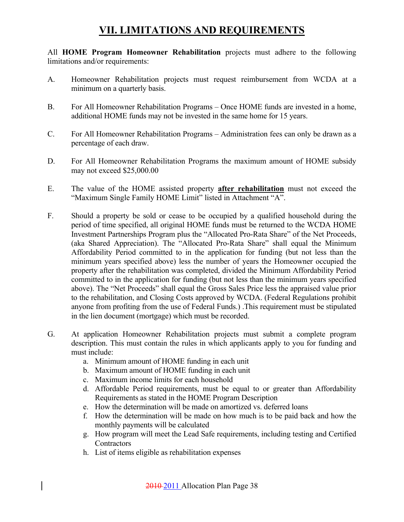All **HOME Program Homeowner Rehabilitation** projects must adhere to the following limitations and/or requirements:

- A. Homeowner Rehabilitation projects must request reimbursement from WCDA at a minimum on a quarterly basis.
- B. For All Homeowner Rehabilitation Programs Once HOME funds are invested in a home, additional HOME funds may not be invested in the same home for 15 years.
- C. For All Homeowner Rehabilitation Programs Administration fees can only be drawn as a percentage of each draw.
- D. For All Homeowner Rehabilitation Programs the maximum amount of HOME subsidy may not exceed \$25,000.00
- E. The value of the HOME assisted property **after rehabilitation** must not exceed the "Maximum Single Family HOME Limit" listed in Attachment "A".
- F. Should a property be sold or cease to be occupied by a qualified household during the period of time specified, all original HOME funds must be returned to the WCDA HOME Investment Partnerships Program plus the "Allocated Pro-Rata Share" of the Net Proceeds, (aka Shared Appreciation). The "Allocated Pro-Rata Share" shall equal the Minimum Affordability Period committed to in the application for funding (but not less than the minimum years specified above) less the number of years the Homeowner occupied the property after the rehabilitation was completed, divided the Minimum Affordability Period committed to in the application for funding (but not less than the minimum years specified above). The "Net Proceeds" shall equal the Gross Sales Price less the appraised value prior to the rehabilitation, and Closing Costs approved by WCDA. (Federal Regulations prohibit anyone from profiting from the use of Federal Funds.) .This requirement must be stipulated in the lien document (mortgage) which must be recorded.
- G. At application Homeowner Rehabilitation projects must submit a complete program description. This must contain the rules in which applicants apply to you for funding and must include:
	- a. Minimum amount of HOME funding in each unit
	- b. Maximum amount of HOME funding in each unit
	- c. Maximum income limits for each household
	- d. Affordable Period requirements, must be equal to or greater than Affordability Requirements as stated in the HOME Program Description
	- e. How the determination will be made on amortized vs. deferred loans
	- f. How the determination will be made on how much is to be paid back and how the monthly payments will be calculated
	- g. How program will meet the Lead Safe requirements, including testing and Certified **Contractors**
	- h. List of items eligible as rehabilitation expenses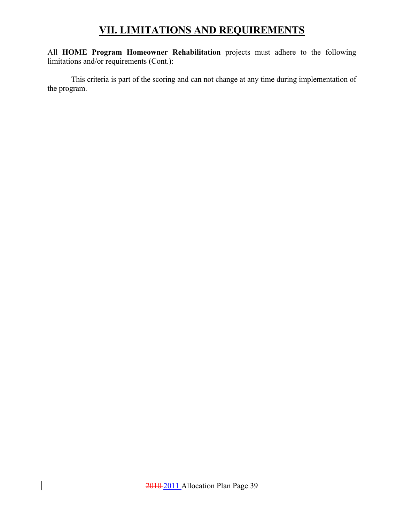All **HOME Program Homeowner Rehabilitation** projects must adhere to the following limitations and/or requirements (Cont.):

 This criteria is part of the scoring and can not change at any time during implementation of the program.

 $\overline{\phantom{a}}$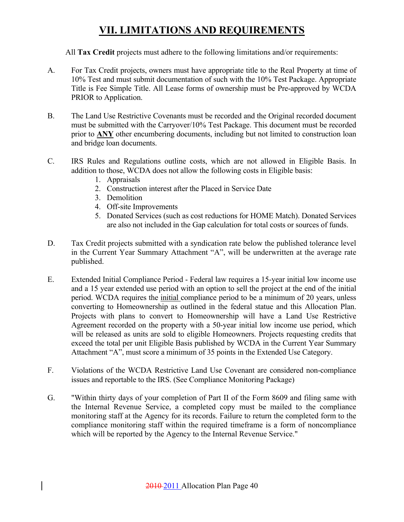All **Tax Credit** projects must adhere to the following limitations and/or requirements:

- A. For Tax Credit projects, owners must have appropriate title to the Real Property at time of 10% Test and must submit documentation of such with the 10% Test Package. Appropriate Title is Fee Simple Title. All Lease forms of ownership must be Pre-approved by WCDA PRIOR to Application.
- B. The Land Use Restrictive Covenants must be recorded and the Original recorded document must be submitted with the Carryover/10% Test Package. This document must be recorded prior to **ANY** other encumbering documents, including but not limited to construction loan and bridge loan documents.
- C. IRS Rules and Regulations outline costs, which are not allowed in Eligible Basis. In addition to those, WCDA does not allow the following costs in Eligible basis:
	- 1. Appraisals
	- 2. Construction interest after the Placed in Service Date
	- 3. Demolition
	- 4. Off-site Improvements
	- 5. Donated Services (such as cost reductions for HOME Match). Donated Services are also not included in the Gap calculation for total costs or sources of funds.
- D. Tax Credit projects submitted with a syndication rate below the published tolerance level in the Current Year Summary Attachment "A", will be underwritten at the average rate published.
- E. Extended Initial Compliance Period Federal law requires a 15-year initial low income use and a 15 year extended use period with an option to sell the project at the end of the initial period. WCDA requires the initial compliance period to be a minimum of 20 years, unless converting to Homeownership as outlined in the federal statue and this Allocation Plan. Projects with plans to convert to Homeownership will have a Land Use Restrictive Agreement recorded on the property with a 50-year initial low income use period, which will be released as units are sold to eligible Homeowners. Projects requesting credits that exceed the total per unit Eligible Basis published by WCDA in the Current Year Summary Attachment "A", must score a minimum of 35 points in the Extended Use Category.
- F. Violations of the WCDA Restrictive Land Use Covenant are considered non-compliance issues and reportable to the IRS. (See Compliance Monitoring Package)
- G. "Within thirty days of your completion of Part II of the Form 8609 and filing same with the Internal Revenue Service, a completed copy must be mailed to the compliance monitoring staff at the Agency for its records. Failure to return the completed form to the compliance monitoring staff within the required timeframe is a form of noncompliance which will be reported by the Agency to the Internal Revenue Service."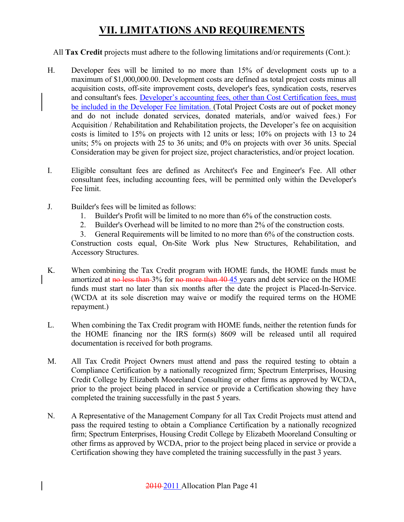#### All **Tax Credit** projects must adhere to the following limitations and/or requirements (Cont.):

- H. Developer fees will be limited to no more than 15% of development costs up to a maximum of \$1,000,000.00. Development costs are defined as total project costs minus all acquisition costs, off-site improvement costs, developer's fees, syndication costs, reserves and consultant's fees. Developer's accounting fees, other than Cost Certification fees, must be included in the Developer Fee limitation. (Total Project Costs are out of pocket money and do not include donated services, donated materials, and/or waived fees.) For Acquisition / Rehabilitation and Rehabilitation projects, the Developer's fee on acquisition costs is limited to 15% on projects with 12 units or less; 10% on projects with 13 to 24 units; 5% on projects with 25 to 36 units; and 0% on projects with over 36 units. Special Consideration may be given for project size, project characteristics, and/or project location.
- I. Eligible consultant fees are defined as Architect's Fee and Engineer's Fee. All other consultant fees, including accounting fees, will be permitted only within the Developer's Fee limit.
- J. Builder's fees will be limited as follows:
	- 1. Builder's Profit will be limited to no more than 6% of the construction costs.
	- 2. Builder's Overhead will be limited to no more than 2% of the construction costs.

3. General Requirements will be limited to no more than 6% of the construction costs. Construction costs equal, On-Site Work plus New Structures, Rehabilitation, and Accessory Structures.

- K. When combining the Tax Credit program with HOME funds, the HOME funds must be amortized at no less than 3% for no more than 40-45 years and debt service on the HOME funds must start no later than six months after the date the project is Placed-In-Service. (WCDA at its sole discretion may waive or modify the required terms on the HOME repayment.)
- L. When combining the Tax Credit program with HOME funds, neither the retention funds for the HOME financing nor the IRS form(s) 8609 will be released until all required documentation is received for both programs.
- M. All Tax Credit Project Owners must attend and pass the required testing to obtain a Compliance Certification by a nationally recognized firm; Spectrum Enterprises, Housing Credit College by Elizabeth Mooreland Consulting or other firms as approved by WCDA, prior to the project being placed in service or provide a Certification showing they have completed the training successfully in the past 5 years.
- N. A Representative of the Management Company for all Tax Credit Projects must attend and pass the required testing to obtain a Compliance Certification by a nationally recognized firm; Spectrum Enterprises, Housing Credit College by Elizabeth Mooreland Consulting or other firms as approved by WCDA, prior to the project being placed in service or provide a Certification showing they have completed the training successfully in the past 3 years.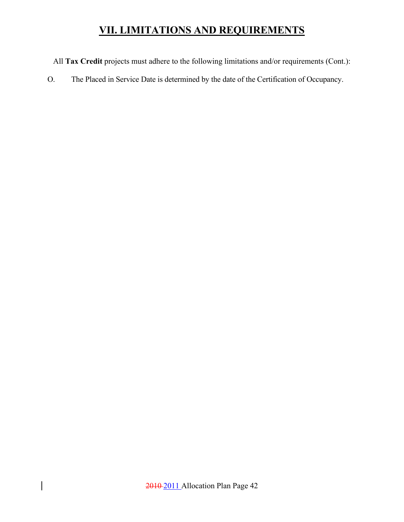All **Tax Credit** projects must adhere to the following limitations and/or requirements (Cont.):

O. The Placed in Service Date is determined by the date of the Certification of Occupancy.

 $\overline{\phantom{a}}$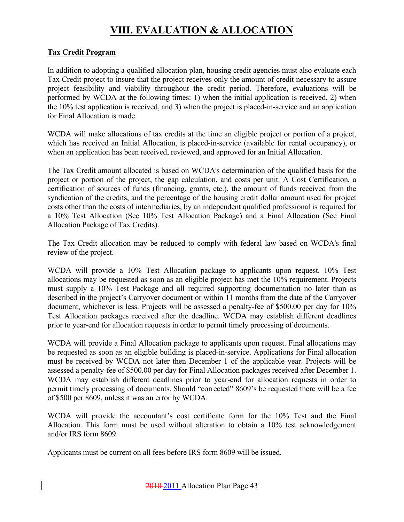## **VIII. EVALUATION & ALLOCATION**

#### **Tax Credit Program**

In addition to adopting a qualified allocation plan, housing credit agencies must also evaluate each Tax Credit project to insure that the project receives only the amount of credit necessary to assure project feasibility and viability throughout the credit period. Therefore, evaluations will be performed by WCDA at the following times: 1) when the initial application is received, 2) when the 10% test application is received, and 3) when the project is placed-in-service and an application for Final Allocation is made.

WCDA will make allocations of tax credits at the time an eligible project or portion of a project, which has received an Initial Allocation, is placed-in-service (available for rental occupancy), or when an application has been received, reviewed, and approved for an Initial Allocation.

The Tax Credit amount allocated is based on WCDA's determination of the qualified basis for the project or portion of the project, the gap calculation, and costs per unit. A Cost Certification, a certification of sources of funds (financing, grants, etc.), the amount of funds received from the syndication of the credits, and the percentage of the housing credit dollar amount used for project costs other than the costs of intermediaries, by an independent qualified professional is required for a 10% Test Allocation (See 10% Test Allocation Package) and a Final Allocation (See Final Allocation Package of Tax Credits).

The Tax Credit allocation may be reduced to comply with federal law based on WCDA's final review of the project.

WCDA will provide a 10% Test Allocation package to applicants upon request. 10% Test allocations may be requested as soon as an eligible project has met the 10% requirement. Projects must supply a 10% Test Package and all required supporting documentation no later than as described in the project's Carryover document or within 11 months from the date of the Carryover document, whichever is less. Projects will be assessed a penalty-fee of \$500.00 per day for 10% Test Allocation packages received after the deadline. WCDA may establish different deadlines prior to year-end for allocation requests in order to permit timely processing of documents.

WCDA will provide a Final Allocation package to applicants upon request. Final allocations may be requested as soon as an eligible building is placed-in-service. Applications for Final allocation must be received by WCDA not later then December 1 of the applicable year. Projects will be assessed a penalty-fee of \$500.00 per day for Final Allocation packages received after December 1. WCDA may establish different deadlines prior to year-end for allocation requests in order to permit timely processing of documents. Should "corrected" 8609's be requested there will be a fee of \$500 per 8609, unless it was an error by WCDA.

WCDA will provide the accountant's cost certificate form for the 10% Test and the Final Allocation. This form must be used without alteration to obtain a 10% test acknowledgement and/or IRS form 8609.

Applicants must be current on all fees before IRS form 8609 will be issued.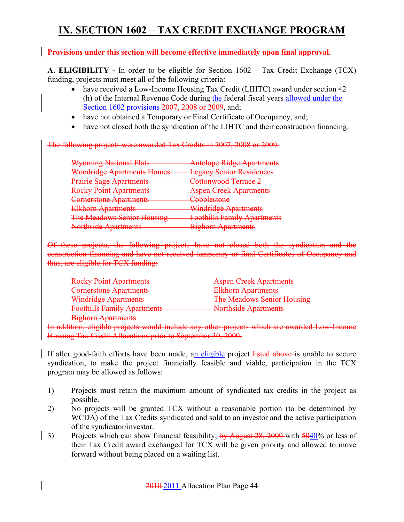## **IX. SECTION 1602 – TAX CREDIT EXCHANGE PROGRAM**

#### **Provisions under this section will become effective immediately upon final approval.**

**A. ELIGIBILITY -** In order to be eligible for Section 1602 – Tax Credit Exchange (TCX) funding, projects must meet all of the following criteria:

- have received a Low-Income Housing Tax Credit (LIHTC) award under section 42 (h) of the Internal Revenue Code during the federal fiscal years allowed under the Section 1602 provisions 2007, 2008 or 2009, and;
- have not obtained a Temporary or Final Certificate of Occupancy, and;
- have not closed both the syndication of the LIHTC and their construction financing.

The following projects were awarded Tax Credits in 2007, 2008 or 2009:

| <b>Wyoming National Flats</b>                            | <b>Antelope Ridge Apartments</b>   |
|----------------------------------------------------------|------------------------------------|
| <b>Woodridge Apartments Homes</b>                        | <b>Legacy Senior Residences</b>    |
| <b>Prairie Sage Apartments</b>                           | Cottonwood Terrace 2               |
| <b>Rocky Point Apartments</b>                            | <b>Aspen Creek Apartments</b>      |
| <b>Cornerstone Apartments</b>                            | Cobblestone                        |
| <b>Elkhorn Apartments</b>                                | <b>Windridge Apartments</b>        |
| <b>The Meadows Senior Housing</b>                        | <b>Foothills Family Apartments</b> |
| Northeida Apartmante<br><b>INVESTIGATE AN ACTIVITIES</b> | <b>Bighorn Apartments</b>          |

Of these projects, the following projects have not closed both the syndication and the construction financing and have not received temporary or final Certificates of Occupancy and thus, are eligible for TCX funding:

| <b>Rocky Point Apartments</b>                              | <b>Aspen Creek Apartments</b>     |
|------------------------------------------------------------|-----------------------------------|
| Cornerstone Apertments<br><del>Comersione Apartments</del> | <b>Elkhorn Apartments</b>         |
| <b>Windridge Apartments</b>                                | <b>The Meadows Senior Housing</b> |
| <b>Foothills Family Apartments</b>                         | <b>Northside Apartments</b>       |
| Rigborn Apartments<br><b>DIXIBUILI TYPELUIICHIS</b>        |                                   |

In addition, eligible projects would include any other projects which are awarded Low-Income Housing Tax Credit Allocations prior to September 30, 2009.

If after good-faith efforts have been made, an eligible project listed above is unable to secure syndication, to make the project financially feasible and viable, participation in the TCX program may be allowed as follows:

- 1) Projects must retain the maximum amount of syndicated tax credits in the project as possible.
- 2) No projects will be granted TCX without a reasonable portion (to be determined by WCDA) of the Tax Credits syndicated and sold to an investor and the active participation of the syndicator/investor.
- 3) Projects which can show financial feasibility, by August 28, 2009 with 5040% or less of their Tax Credit award exchanged for TCX will be given priority and allowed to move forward without being placed on a waiting list.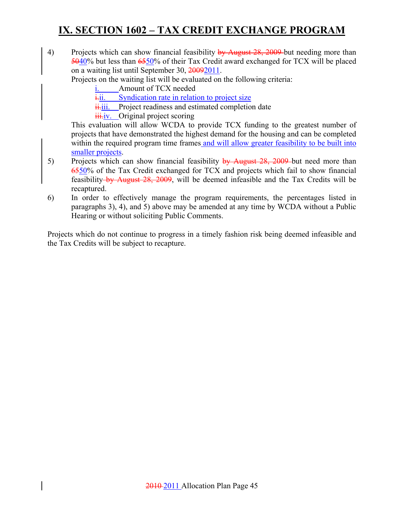## **IX. SECTION 1602 – TAX CREDIT EXCHANGE PROGRAM**

4) Projects which can show financial feasibility by August 28, 2009 but needing more than 5040% but less than 6550% of their Tax Credit award exchanged for TCX will be placed on a waiting list until September 30, 20092011.

Projects on the waiting list will be evaluated on the following criteria:

- Amount of TCX needed
- $i$ <sub>i</sub>.ii. Syndication rate in relation to project size
- $\frac{ii}{ii}$ . Project readiness and estimated completion date
- **iii.iv.** Original project scoring

This evaluation will allow WCDA to provide TCX funding to the greatest number of projects that have demonstrated the highest demand for the housing and can be completed within the required program time frames and will allow greater feasibility to be built into smaller projects.

- 5) Projects which can show financial feasibility by August 28, 2009 but need more than 6550% of the Tax Credit exchanged for TCX and projects which fail to show financial feasibility by August 28, 2009, will be deemed infeasible and the Tax Credits will be recaptured.
- 6) In order to effectively manage the program requirements, the percentages listed in paragraphs 3), 4), and 5) above may be amended at any time by WCDA without a Public Hearing or without soliciting Public Comments.

Projects which do not continue to progress in a timely fashion risk being deemed infeasible and the Tax Credits will be subject to recapture.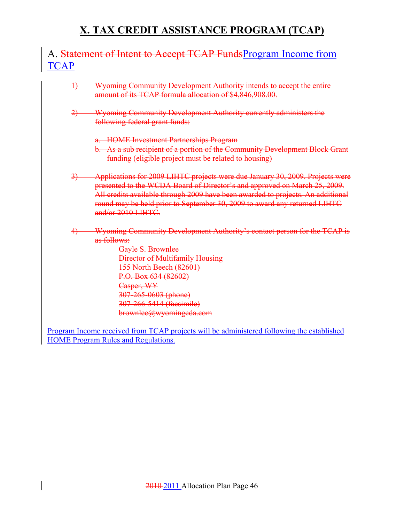### A. Statement of Intent to Accept TCAP FundsProgram Income from **TCAP**

- 1) Wyoming Community Development Authority intends to accept the entire amount of its TCAP formula allocation of \$4,846,908.00.
- 2) Wyoming Community Development Authority currently administers the following federal grant funds:
	- a. HOME Investment Partnerships Program
	- b. As a sub recipient of a portion of the Community Development Block Grant funding (eligible project must be related to housing)
- 3) Applications for 2009 LIHTC projects were due January 30, 2009. Projects were presented to the WCDA Board of Director's and approved on March 25, 2009. All credits available through 2009 have been awarded to projects. An additional round may be held prior to September 30, 2009 to award any returned LIHTC and/or 2010 LIHTC.
- 4) Wyoming Community Development Authority's contact person for the TCAP is as follows:

Gayle S. Brownlee Director of Multifamily Housing 155 North Beech (82601) P.O. Box 634 (82602) Casper, WY 307-265-0603 (phone) 307-266-5414 (facsimile) brownlee@wyomingcda.com

Program Income received from TCAP projects will be administered following the established HOME Program Rules and Regulations.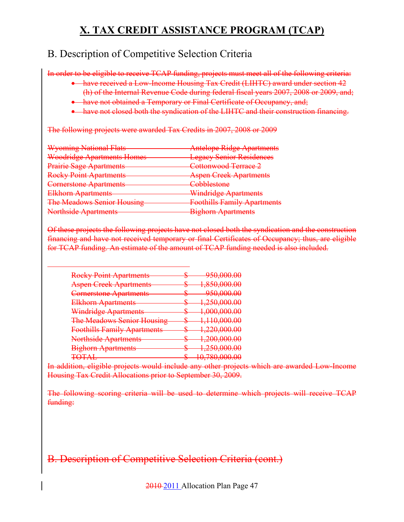### B. Description of Competitive Selection Criteria

In order to be eligible to receive TCAP funding, projects must meet all of the following criteria:

- have received a Low-Income Housing Tax Credit (LIHTC) award under section 42 (h) of the Internal Revenue Code during federal fiscal years 2007, 2008 or 2009, and;
- have not obtained a Temporary or Final Certificate of Occupancy, and;
- have not closed both the syndication of the LIHTC and their construction financing.

The following projects were awarded Tax Credits in 2007, 2008 or 2009

| <b>Wyoming National Flats</b>                             | <b>Antelope Ridge Apartments</b>   |
|-----------------------------------------------------------|------------------------------------|
| <b>Woodridge Apartments Homes</b>                         | <b>Legacy Senior Residences</b>    |
| <b>Prairie Sage Apartments</b>                            | Cottonwood Terrace 2               |
| <b>Rocky Point Apartments</b>                             | <b>Aspen Creek Apartments</b>      |
| <b>Cornerstone Apartments</b>                             | Cobblestone                        |
| Elkhorn Apartments<br>I DI SAN SAMU SE NGA NASA KANG KANA | <b>Windridge Apartments</b>        |
| <b>The Meadows Senior Housing</b>                         | <b>Foothills Family Apartments</b> |
| Northeide Apartments                                      | <b>Bighorn Apartments</b>          |

Of these projects the following projects have not closed both the syndication and the construction financing and have not received temporary or final Certificates of Occupancy; thus, are eligible for TCAP funding. An estimate of the amount of TCAP funding needed is also included.

| <b>Rocky Point Apartments</b>                     | ᠊ᠣ     | 050 000 00<br><del>ᠵᠵᠦᡵᠣᠦᡡᡂ</del>              |
|---------------------------------------------------|--------|------------------------------------------------|
| <b>Aspen Creek Apartments</b>                     | Φ      | <del>1,850,000.00</del>                        |
| <b>Cornerstone Apartments</b>                     | Ψ      | 950 DDD DD<br><del>,,,,,,,,,,,</del>           |
| <u>Fllzhorn, Anartments</u><br>EiKnom / урагинско | ᠊ᠣ     | 1 250 000 00<br><del>1,230,000.00</del>        |
| <b>Windridge Apartments</b>                       | ᠊ᠣ     | <u>1 000 000 00</u><br><del>1,000,000.oo</del> |
| <b>The Meadows Senior Housing</b>                 | Φ<br>Φ | <del>1,110,000.00</del>                        |
| <b>Foothills Family Apartments</b>                | ᠊ᠣ     | <u>1 220 000 00</u><br><del>1,220,000.00</del> |
| <b>Northside Apartments</b>                       | Ψ      | 1 200 000 00<br><del>1,200,000.00</del>        |
| <b>Bighorn Apartments</b>                         | Ψ      | <del>1,250,000.00</del>                        |
| $T\cap T$ a<br>TU JUNU                            |        | 10 790 000 00<br><del>10,700,000.00</del>      |

In addition, eligible projects would include any other projects which are awarded Low-Income Housing Tax Credit Allocations prior to September 30, 2009.

The following scoring criteria will be used to determine which projects will receive TCAP funding:

### B. Description of Competitive Selection Criteria (cont.)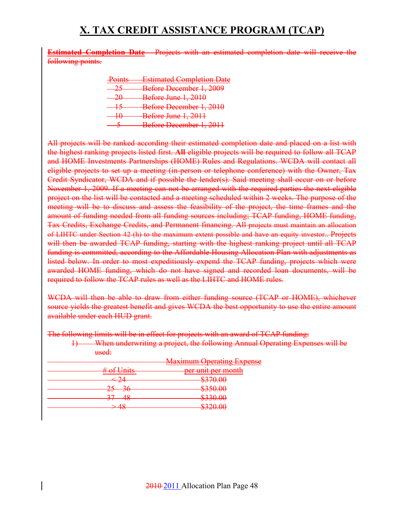**Estimated Completion Date** - Projects with an estimated completion date will receive the following points.

| $D_{\alpha}$ into<br>$_{\rm{T0mio}}$ | <b>Estimated Completion Date</b> |
|--------------------------------------|----------------------------------|
| つぐ                                   | Before December 1, 2009          |
| റല<br>zν                             | <b>Before June 1, 2010</b>       |
| 1 C                                  | Before December 1, 2010          |
|                                      | Before June 1, 2011              |
|                                      | Before December 1, 2011          |

All projects will be ranked according their estimated completion date and placed on a list with the highest ranking projects listed first. **All** eligible projects will be required to follow all TCAP and HOME Investments Partnerships (HOME) Rules and Regulations. WCDA will contact all eligible projects to set up a meeting (in-person or telephone conference) with the Owner, Tax Credit Syndicator, WCDA and if possible the lender(s). Said meeting shall occur on or before November 1, 2009. If a meeting can not be arranged with the required parties the next eligible project on the list will be contacted and a meeting scheduled within 2 weeks. The purpose of the meeting will be to discuss and assess the feasibility of the project, the time frames and the amount of funding needed from all funding sources including; TCAP funding, HOME funding, Tax Credits, Exchange Credits, and Permanent financing. All projects must maintain an allocation of LIHTC under Section 42 (h) to the maximum extent possible and have an equity investor.. Projects will then be awarded TCAP funding, starting with the highest ranking project until all TCAP funding is committed, according to the Affordable Housing Allocation Plan with adjustments as listed below. In order to most expeditiously expend the TCAP funding, projects which were awarded HOME funding, which do not have signed and recorded loan documents, will be required to follow the TCAP rules as well as the LIHTC and HOME rules.

WCDA will then be able to draw from either funding source (TCAP or HOME), whichever source yields the greatest benefit and gives WCDA the best opportunity to use the entire amount available under each HUD grant.

The following limits will be in effect for projects with an award of TCAP funding:

1) When underwriting a project, the following Annual Operating Expenses will be used:

|                                   | <b>Maximum Operating Expense</b> |
|-----------------------------------|----------------------------------|
| $#$ of Unite<br>$\sigma$ r Ullito | per unit per month               |
| ▱                                 | <del>ws 10.00</del>              |
| ᠊ᠣ<br>20                          | P25000<br><del>w.utca</del>      |
| тo                                | 22000<br><del>TU.UC G</del>      |
| тo                                | UJZU.UU                          |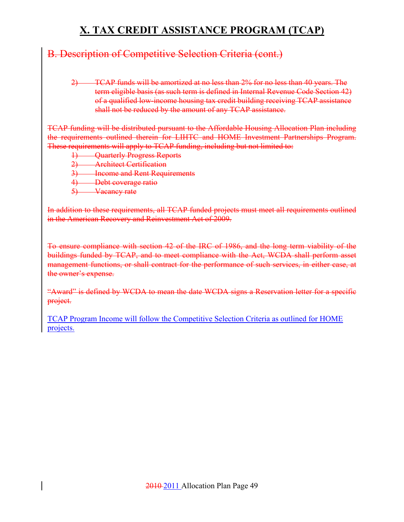### B. Description of Competitive Selection Criteria (cont.)

2) TCAP funds will be amortized at no less than 2% for no less than 40 years. The term eligible basis (as such term is defined in Internal Revenue Code Section 42) of a qualified low-income housing tax credit building receiving TCAP assistance shall not be reduced by the amount of any TCAP assistance.

TCAP funding will be distributed pursuant to the Affordable Housing Allocation Plan including the requirements outlined therein for LIHTC and HOME Investment Partnerships Program. These requirements will apply to TCAP funding, including but not limited to:

- 1) Quarterly Progress Reports
- 2) Architect Certification
- <sup>2)</sup> Income and Rent Requirements
- 4) Debt coverage ratio
- 5) Vacancy rate

In addition to these requirements, all TCAP funded projects must meet all requirements outlined in the American Recovery and Reinvestment Act of 2009.

To ensure compliance with section 42 of the IRC of 1986, and the long term viability of the buildings funded by TCAP, and to meet compliance with the Act, WCDA shall perform asset management functions, or shall contract for the performance of such services, in either case, at the owner's expense.

"Award" is defined by WCDA to mean the date WCDA signs a Reservation letter for a specific project.

TCAP Program Income will follow the Competitive Selection Criteria as outlined for HOME projects.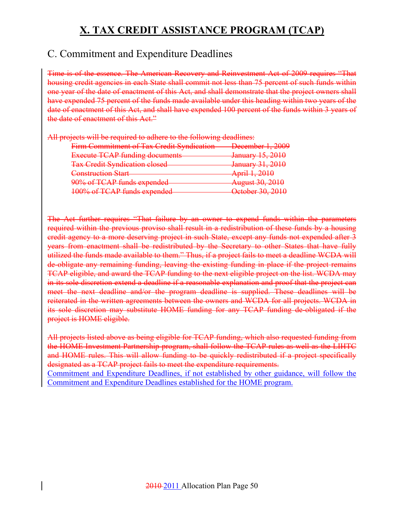### C. Commitment and Expenditure Deadlines

Time is of the essence. The American Recovery and Reinvestment Act of 2009 requires "That housing credit agencies in each State shall commit not less than 75 percent of such funds within one year of the date of enactment of this Act, and shall demonstrate that the project owners shall have expended 75 percent of the funds made available under this heading within two years of the date of enactment of this Act, and shall have expended 100 percent of the funds within 3 years of the date of enactment of this Act."

| All projects will be required to adhere to the following deadlines: |                                                 |
|---------------------------------------------------------------------|-------------------------------------------------|
| Firm Commitment of Tax Credit Syndication                           | December 1, 2009                                |
| <b>Execute TCAP funding documents</b>                               | January 15, 2010<br><del>January 19, .</del>    |
| <b>Tax Credit Syndication closed</b>                                | January 31, 2010                                |
| <b>Construction Start</b>                                           | April 1, 2010                                   |
| 90% of TCAP funds expended                                          | <b>August 30, 2010</b>                          |
| 100% of TCAP funds expended                                         | October 30, 2010<br><del>october 30, 2010</del> |
|                                                                     |                                                 |

The Act further requires "That failure by an owner to expend funds within the parameters required within the previous proviso shall result in a redistribution of these funds by a housing credit agency to a more deserving project in such State, except any funds not expended after 3 years from enactment shall be redistributed by the Secretary to other States that have fully utilized the funds made available to them." Thus, if a project fails to meet a deadline WCDA will de-obligate any remaining funding, leaving the existing funding in place if the project remains TCAP eligible, and award the TCAP funding to the next eligible project on the list. WCDA may in its sole discretion extend a deadline if a reasonable explanation and proof that the project can meet the next deadline and/or the program deadline is supplied. These deadlines will be reiterated in the written agreements between the owners and WCDA for all projects. WCDA in its sole discretion may substitute HOME funding for any TCAP funding de-obligated if the project is HOME eligible.

All projects listed above as being eligible for TCAP funding, which also requested funding from the HOME Investment Partnership program, shall follow the TCAP rules as well as the LIHTC and HOME rules. This will allow funding to be quickly redistributed if a project specifically designated as a TCAP project fails to meet the expenditure requirements.

Commitment and Expenditure Deadlines, if not established by other guidance, will follow the Commitment and Expenditure Deadlines established for the HOME program.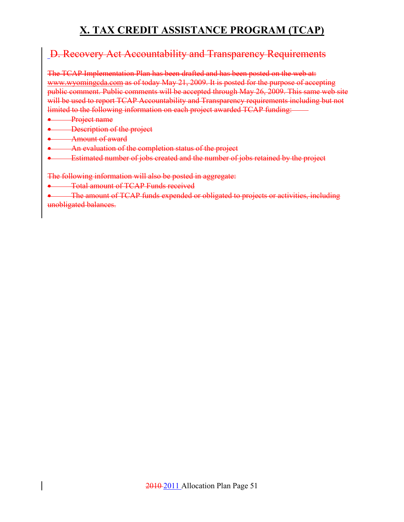### D. Recovery Act Accountability and Transparency Requirements

The TCAP Implementation Plan has been drafted and has been posted on the web at: www.wyomingcda.com as of today May 21, 2009. It is posted for the purpose of accepting public comment. Public comments will be accepted through May 26, 2009. This same web site will be used to report TCAP Accountability and Transparency requirements including but not limited to the following information on each project awarded TCAP funding:

- **Project name**
- Description of the project
- Amount of award
- **•** An evaluation of the completion status of the project
- Estimated number of jobs created and the number of jobs retained by the project

The following information will also be posted in aggregate:

• Total amount of TCAP Funds received

• The amount of TCAP funds expended or obligated to projects or activities, including unobligated balances.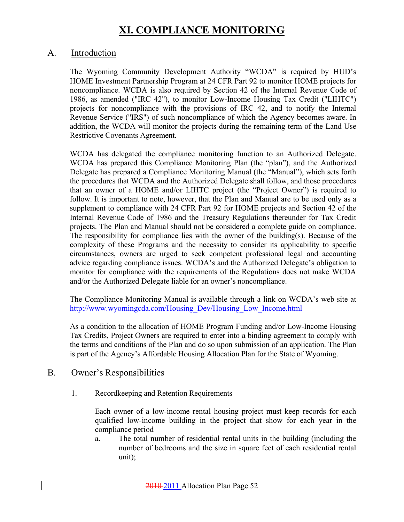#### A. Introduction

The Wyoming Community Development Authority "WCDA" is required by HUD's HOME Investment Partnership Program at 24 CFR Part 92 to monitor HOME projects for noncompliance. WCDA is also required by Section 42 of the Internal Revenue Code of 1986, as amended ("IRC 42"), to monitor Low-Income Housing Tax Credit ("LIHTC") projects for noncompliance with the provisions of IRC 42, and to notify the Internal Revenue Service ("IRS") of such noncompliance of which the Agency becomes aware. In addition, the WCDA will monitor the projects during the remaining term of the Land Use Restrictive Covenants Agreement.

WCDA has delegated the compliance monitoring function to an Authorized Delegate. WCDA has prepared this Compliance Monitoring Plan (the "plan"), and the Authorized Delegate has prepared a Compliance Monitoring Manual (the "Manual"), which sets forth the procedures that WCDA and the Authorized Delegate shall follow, and those procedures that an owner of a HOME and/or LIHTC project (the "Project Owner") is required to follow. It is important to note, however, that the Plan and Manual are to be used only as a supplement to compliance with 24 CFR Part 92 for HOME projects and Section 42 of the Internal Revenue Code of 1986 and the Treasury Regulations thereunder for Tax Credit projects. The Plan and Manual should not be considered a complete guide on compliance. The responsibility for compliance lies with the owner of the building(s). Because of the complexity of these Programs and the necessity to consider its applicability to specific circumstances, owners are urged to seek competent professional legal and accounting advice regarding compliance issues. WCDA's and the Authorized Delegate's obligation to monitor for compliance with the requirements of the Regulations does not make WCDA and/or the Authorized Delegate liable for an owner's noncompliance.

The Compliance Monitoring Manual is available through a link on WCDA's web site at http://www.wyomingcda.com/Housing\_Dev/Housing\_Low\_Income.html

As a condition to the allocation of HOME Program Funding and/or Low-Income Housing Tax Credits, Project Owners are required to enter into a binding agreement to comply with the terms and conditions of the Plan and do so upon submission of an application. The Plan is part of the Agency's Affordable Housing Allocation Plan for the State of Wyoming.

#### B. Owner's Responsibilities

1. Recordkeeping and Retention Requirements

Each owner of a low-income rental housing project must keep records for each qualified low-income building in the project that show for each year in the compliance period

a. The total number of residential rental units in the building (including the number of bedrooms and the size in square feet of each residential rental unit);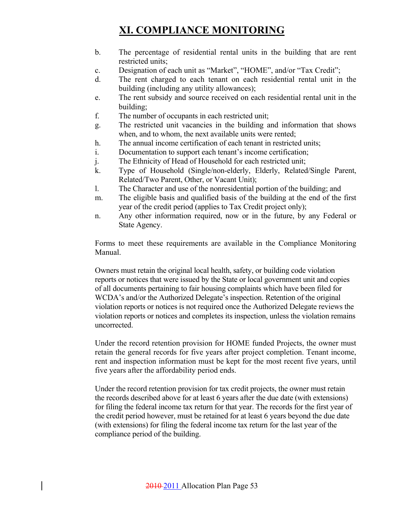- b. The percentage of residential rental units in the building that are rent restricted units;
- c. Designation of each unit as "Market", "HOME", and/or "Tax Credit";
- d. The rent charged to each tenant on each residential rental unit in the building (including any utility allowances);
- e. The rent subsidy and source received on each residential rental unit in the building;
- f. The number of occupants in each restricted unit;
- g. The restricted unit vacancies in the building and information that shows when, and to whom, the next available units were rented;
- h. The annual income certification of each tenant in restricted units;
- i. Documentation to support each tenant's income certification;
- j. The Ethnicity of Head of Household for each restricted unit;
- k. Type of Household (Single/non-elderly, Elderly, Related/Single Parent, Related/Two Parent, Other, or Vacant Unit);
- l. The Character and use of the nonresidential portion of the building; and
- m. The eligible basis and qualified basis of the building at the end of the first year of the credit period (applies to Tax Credit project only);
- n. Any other information required, now or in the future, by any Federal or State Agency.

Forms to meet these requirements are available in the Compliance Monitoring Manual.

Owners must retain the original local health, safety, or building code violation reports or notices that were issued by the State or local government unit and copies of all documents pertaining to fair housing complaints which have been filed for WCDA's and/or the Authorized Delegate's inspection. Retention of the original violation reports or notices is not required once the Authorized Delegate reviews the violation reports or notices and completes its inspection, unless the violation remains uncorrected.

Under the record retention provision for HOME funded Projects, the owner must retain the general records for five years after project completion. Tenant income, rent and inspection information must be kept for the most recent five years, until five years after the affordability period ends.

Under the record retention provision for tax credit projects, the owner must retain the records described above for at least 6 years after the due date (with extensions) for filing the federal income tax return for that year. The records for the first year of the credit period however, must be retained for at least 6 years beyond the due date (with extensions) for filing the federal income tax return for the last year of the compliance period of the building.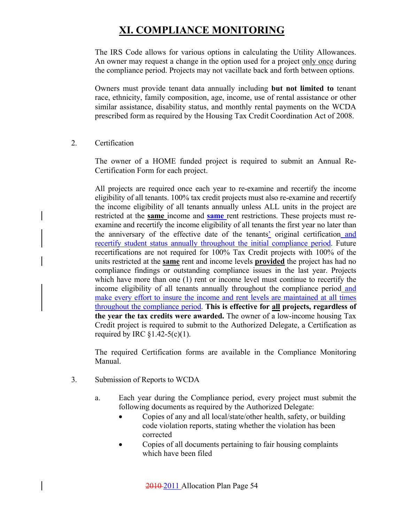The IRS Code allows for various options in calculating the Utility Allowances. An owner may request a change in the option used for a project only once during the compliance period. Projects may not vacillate back and forth between options.

Owners must provide tenant data annually including **but not limited to** tenant race, ethnicity, family composition, age, income, use of rental assistance or other similar assistance, disability status, and monthly rental payments on the WCDA prescribed form as required by the Housing Tax Credit Coordination Act of 2008.

2. Certification

 The owner of a HOME funded project is required to submit an Annual Re-Certification Form for each project.

 All projects are required once each year to re-examine and recertify the income eligibility of all tenants. 100% tax credit projects must also re-examine and recertify the income eligibility of all tenants annually unless ALL units in the project are restricted at the **same** income and **same** rent restrictions. These projects must reexamine and recertify the income eligibility of all tenants the first year no later than the anniversary of the effective date of the tenants' original certification and recertify student status annually throughout the initial compliance period. Future recertifications are not required for 100% Tax Credit projects with 100% of the units restricted at the **same** rent and income levels **provided** the project has had no compliance findings or outstanding compliance issues in the last year. Projects which have more than one (1) rent or income level must continue to recertify the income eligibility of all tenants annually throughout the compliance period and make every effort to insure the income and rent levels are maintained at all times throughout the compliance period. **This is effective for all projects, regardless of the year the tax credits were awarded.** The owner of a low-income housing Tax Credit project is required to submit to the Authorized Delegate, a Certification as required by IRC  $$1.42-5(c)(1)$ .

 The required Certification forms are available in the Compliance Monitoring Manual.

- 3. Submission of Reports to WCDA
	- a. Each year during the Compliance period, every project must submit the following documents as required by the Authorized Delegate:
		- Copies of any and all local/state/other health, safety, or building code violation reports, stating whether the violation has been corrected
		- Copies of all documents pertaining to fair housing complaints which have been filed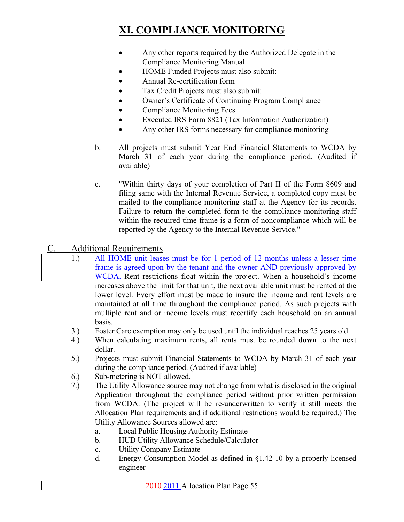- Any other reports required by the Authorized Delegate in the Compliance Monitoring Manual
- HOME Funded Projects must also submit:
- Annual Re-certification form
- Tax Credit Projects must also submit:
- Owner's Certificate of Continuing Program Compliance
- Compliance Monitoring Fees
- Executed IRS Form 8821 (Tax Information Authorization)
- Any other IRS forms necessary for compliance monitoring
- b. All projects must submit Year End Financial Statements to WCDA by March 31 of each year during the compliance period. (Audited if available)
- c. "Within thirty days of your completion of Part II of the Form 8609 and filing same with the Internal Revenue Service, a completed copy must be mailed to the compliance monitoring staff at the Agency for its records. Failure to return the completed form to the compliance monitoring staff within the required time frame is a form of noncompliance which will be reported by the Agency to the Internal Revenue Service."

### C. Additional Requirements

- 1.) All HOME unit leases must be for 1 period of 12 months unless a lesser time frame is agreed upon by the tenant and the owner AND previously approved by WCDA. Rent restrictions float within the project. When a household's income increases above the limit for that unit, the next available unit must be rented at the lower level. Every effort must be made to insure the income and rent levels are maintained at all time throughout the compliance period. As such projects with multiple rent and or income levels must recertify each household on an annual basis.
- 3.) Foster Care exemption may only be used until the individual reaches 25 years old.
- 4.) When calculating maximum rents, all rents must be rounded **down** to the next dollar.
- 5.) Projects must submit Financial Statements to WCDA by March 31 of each year during the compliance period. (Audited if available)
- 6.) Sub-metering is NOT allowed.
- 7.) The Utility Allowance source may not change from what is disclosed in the original Application throughout the compliance period without prior written permission from WCDA. (The project will be re-underwritten to verify it still meets the Allocation Plan requirements and if additional restrictions would be required.) The Utility Allowance Sources allowed are:
	- a. Local Public Housing Authority Estimate
	- b. HUD Utility Allowance Schedule/Calculator
	- c. Utility Company Estimate
	- d. Energy Consumption Model as defined in §1.42-10 by a properly licensed engineer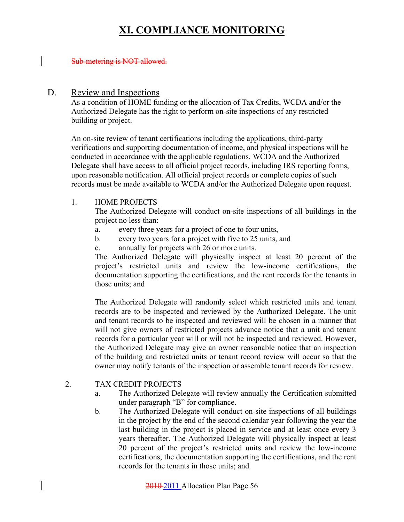#### Sub-metering is NOT allowed.

#### D. Review and Inspections

As a condition of HOME funding or the allocation of Tax Credits, WCDA and/or the Authorized Delegate has the right to perform on-site inspections of any restricted building or project.

An on-site review of tenant certifications including the applications, third-party verifications and supporting documentation of income, and physical inspections will be conducted in accordance with the applicable regulations. WCDA and the Authorized Delegate shall have access to all official project records, including IRS reporting forms, upon reasonable notification. All official project records or complete copies of such records must be made available to WCDA and/or the Authorized Delegate upon request.

#### 1. HOME PROJECTS

The Authorized Delegate will conduct on-site inspections of all buildings in the project no less than:

- a. every three years for a project of one to four units,
- b. every two years for a project with five to 25 units, and
- c. annually for projects with 26 or more units.

The Authorized Delegate will physically inspect at least 20 percent of the project's restricted units and review the low-income certifications, the documentation supporting the certifications, and the rent records for the tenants in those units; and

The Authorized Delegate will randomly select which restricted units and tenant records are to be inspected and reviewed by the Authorized Delegate. The unit and tenant records to be inspected and reviewed will be chosen in a manner that will not give owners of restricted projects advance notice that a unit and tenant records for a particular year will or will not be inspected and reviewed. However, the Authorized Delegate may give an owner reasonable notice that an inspection of the building and restricted units or tenant record review will occur so that the owner may notify tenants of the inspection or assemble tenant records for review.

#### 2. TAX CREDIT PROJECTS

- a. The Authorized Delegate will review annually the Certification submitted under paragraph "B" for compliance.
- b. The Authorized Delegate will conduct on-site inspections of all buildings in the project by the end of the second calendar year following the year the last building in the project is placed in service and at least once every 3 years thereafter. The Authorized Delegate will physically inspect at least 20 percent of the project's restricted units and review the low-income certifications, the documentation supporting the certifications, and the rent records for the tenants in those units; and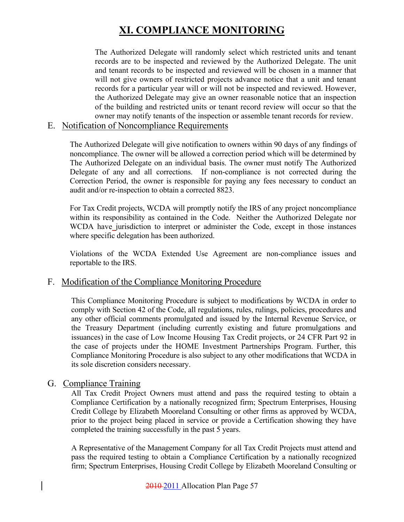The Authorized Delegate will randomly select which restricted units and tenant records are to be inspected and reviewed by the Authorized Delegate. The unit and tenant records to be inspected and reviewed will be chosen in a manner that will not give owners of restricted projects advance notice that a unit and tenant records for a particular year will or will not be inspected and reviewed. However, the Authorized Delegate may give an owner reasonable notice that an inspection of the building and restricted units or tenant record review will occur so that the owner may notify tenants of the inspection or assemble tenant records for review.

#### E. Notification of Noncompliance Requirements

The Authorized Delegate will give notification to owners within 90 days of any findings of noncompliance. The owner will be allowed a correction period which will be determined by The Authorized Delegate on an individual basis. The owner must notify The Authorized Delegate of any and all corrections. If non-compliance is not corrected during the Correction Period, the owner is responsible for paying any fees necessary to conduct an audit and/or re-inspection to obtain a corrected 8823.

For Tax Credit projects, WCDA will promptly notify the IRS of any project noncompliance within its responsibility as contained in the Code. Neither the Authorized Delegate nor WCDA have jurisdiction to interpret or administer the Code, except in those instances where specific delegation has been authorized.

Violations of the WCDA Extended Use Agreement are non-compliance issues and reportable to the IRS.

#### F. Modification of the Compliance Monitoring Procedure

This Compliance Monitoring Procedure is subject to modifications by WCDA in order to comply with Section 42 of the Code, all regulations, rules, rulings, policies, procedures and any other official comments promulgated and issued by the Internal Revenue Service, or the Treasury Department (including currently existing and future promulgations and issuances) in the case of Low Income Housing Tax Credit projects, or 24 CFR Part 92 in the case of projects under the HOME Investment Partnerships Program. Further, this Compliance Monitoring Procedure is also subject to any other modifications that WCDA in its sole discretion considers necessary.

#### G. Compliance Training

All Tax Credit Project Owners must attend and pass the required testing to obtain a Compliance Certification by a nationally recognized firm; Spectrum Enterprises, Housing Credit College by Elizabeth Mooreland Consulting or other firms as approved by WCDA, prior to the project being placed in service or provide a Certification showing they have completed the training successfully in the past 5 years.

A Representative of the Management Company for all Tax Credit Projects must attend and pass the required testing to obtain a Compliance Certification by a nationally recognized firm; Spectrum Enterprises, Housing Credit College by Elizabeth Mooreland Consulting or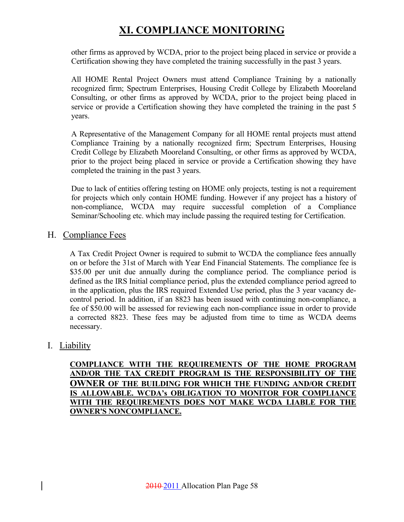other firms as approved by WCDA, prior to the project being placed in service or provide a Certification showing they have completed the training successfully in the past 3 years.

All HOME Rental Project Owners must attend Compliance Training by a nationally recognized firm; Spectrum Enterprises, Housing Credit College by Elizabeth Mooreland Consulting, or other firms as approved by WCDA, prior to the project being placed in service or provide a Certification showing they have completed the training in the past 5 years.

A Representative of the Management Company for all HOME rental projects must attend Compliance Training by a nationally recognized firm; Spectrum Enterprises, Housing Credit College by Elizabeth Mooreland Consulting, or other firms as approved by WCDA, prior to the project being placed in service or provide a Certification showing they have completed the training in the past 3 years.

Due to lack of entities offering testing on HOME only projects, testing is not a requirement for projects which only contain HOME funding. However if any project has a history of non-compliance, WCDA may require successful completion of a Compliance Seminar/Schooling etc. which may include passing the required testing for Certification.

#### H. Compliance Fees

A Tax Credit Project Owner is required to submit to WCDA the compliance fees annually on or before the 31st of March with Year End Financial Statements. The compliance fee is \$35.00 per unit due annually during the compliance period. The compliance period is defined as the IRS Initial compliance period, plus the extended compliance period agreed to in the application, plus the IRS required Extended Use period, plus the 3 year vacancy decontrol period. In addition, if an 8823 has been issued with continuing non-compliance, a fee of \$50.00 will be assessed for reviewing each non-compliance issue in order to provide a corrected 8823. These fees may be adjusted from time to time as WCDA deems necessary.

### I. Liability

**COMPLIANCE WITH THE REQUIREMENTS OF THE HOME PROGRAM AND/OR THE TAX CREDIT PROGRAM IS THE RESPONSIBILITY OF THE OWNER OF THE BUILDING FOR WHICH THE FUNDING AND/OR CREDIT IS ALLOWABLE. WCDA's OBLIGATION TO MONITOR FOR COMPLIANCE WITH THE REQUIREMENTS DOES NOT MAKE WCDA LIABLE FOR THE OWNER'S NONCOMPLIANCE.**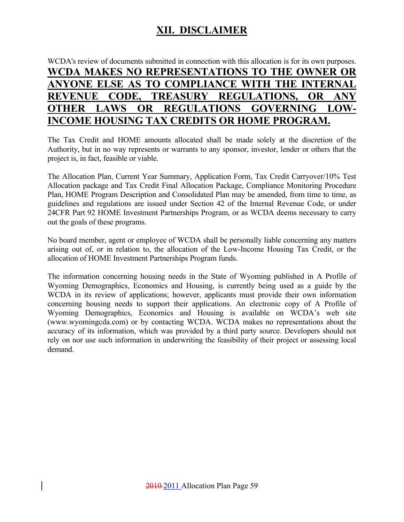### **XII. DISCLAIMER**

### WCDA's review of documents submitted in connection with this allocation is for its own purposes. **WCDA MAKES NO REPRESENTATIONS TO THE OWNER OR ANYONE ELSE AS TO COMPLIANCE WITH THE INTERNAL REVENUE CODE, TREASURY REGULATIONS, OR ANY OTHER LAWS OR REGULATIONS GOVERNING LOW-INCOME HOUSING TAX CREDITS OR HOME PROGRAM.**

The Tax Credit and HOME amounts allocated shall be made solely at the discretion of the Authority, but in no way represents or warrants to any sponsor, investor, lender or others that the project is, in fact, feasible or viable.

The Allocation Plan, Current Year Summary, Application Form, Tax Credit Carryover/10% Test Allocation package and Tax Credit Final Allocation Package, Compliance Monitoring Procedure Plan, HOME Program Description and Consolidated Plan may be amended, from time to time, as guidelines and regulations are issued under Section 42 of the Internal Revenue Code, or under 24CFR Part 92 HOME Investment Partnerships Program, or as WCDA deems necessary to carry out the goals of these programs.

No board member, agent or employee of WCDA shall be personally liable concerning any matters arising out of, or in relation to, the allocation of the Low-Income Housing Tax Credit, or the allocation of HOME Investment Partnerships Program funds.

The information concerning housing needs in the State of Wyoming published in A Profile of Wyoming Demographics, Economics and Housing, is currently being used as a guide by the WCDA in its review of applications; however, applicants must provide their own information concerning housing needs to support their applications. An electronic copy of A Profile of Wyoming Demographics, Economics and Housing is available on WCDA's web site (www.wyomingcda.com) or by contacting WCDA. WCDA makes no representations about the accuracy of its information, which was provided by a third party source. Developers should not rely on nor use such information in underwriting the feasibility of their project or assessing local demand.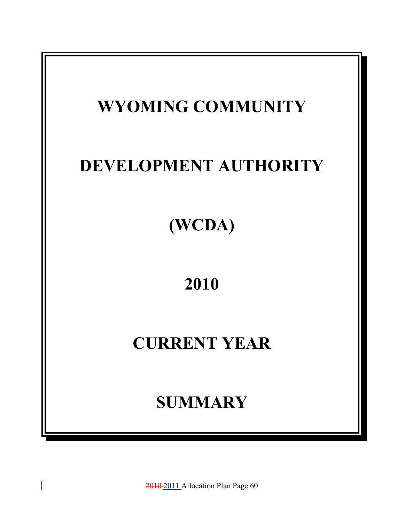

2010 2011 Allocation Plan Page 60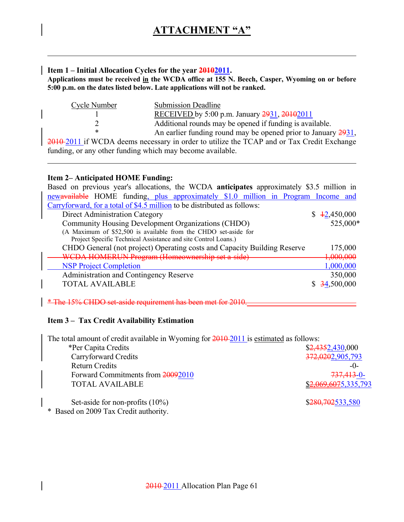#### **Item 1 – Initial Allocation Cycles for the year 20102011.**

**Applications must be received in the WCDA office at 155 N. Beech, Casper, Wyoming on or before 5:00 p.m. on the dates listed below. Late applications will not be ranked.** 

| Cycle Number | <b>Submission Deadline</b>                                    |
|--------------|---------------------------------------------------------------|
|              | RECEIVED by 5:00 p.m. January 2931, 20102011                  |
|              | Additional rounds may be opened if funding is available.      |
|              | An earlier funding round may be opened prior to January 2931, |
|              |                                                               |

2010 2011 if WCDA deems necessary in order to utilize the TCAP and or Tax Credit Exchange funding, or any other funding which may become available.

#### **Item 2– Anticipated HOME Funding:**

| Based on previous year's allocations, the WCDA anticipates approximately \$3.5 million in |                      |
|-------------------------------------------------------------------------------------------|----------------------|
| newavailable HOME funding, plus approximately \$1.0 million in Program Income and         |                      |
| Carryforward, for a total of \$4.5 million to be distributed as follows:                  |                      |
| Direct Administration Category                                                            | \$42,450,000         |
| Community Housing Development Organizations (CHDO)                                        | 525,000*             |
| (A Maximum of \$52,500 is available from the CHDO set-aside for                           |                      |
| Project Specific Technical Assistance and site Control Loans.)                            |                      |
| CHDO General (not project) Operating costs and Capacity Building Reserve                  | 175,000              |
| WCDA HOMERUN Program (Homeownership set a-side)                                           | <del>1,000,000</del> |
| <b>NSP Project Completion</b>                                                             | 1,000,000            |
| Administration and Contingency Reserve                                                    | 350,000              |
| <b>TOTAL AVAILABLE</b>                                                                    | 34,500,000           |
|                                                                                           |                      |

\* The 15% CHDO set-aside requirement has been met for 2010.

#### **Item 3 – Tax Credit Availability Estimation**

The total amount of credit available in Wyoming for  $2010-2011$  is estimated as follows:

| *Per Capita Credits               | \$2,4352,430,000            |
|-----------------------------------|-----------------------------|
| Carryforward Credits              | 372,0202,905,793            |
| <b>Return Credits</b>             | $-()$                       |
| Forward Commitments from 20092010 | <del>737,413</del> -0-      |
| <b>TOTAL AVAILABLE</b>            | <u>\$2,069,6075,335,793</u> |
|                                   |                             |

Set-aside for non-profits (10%) \$280,702533,580

\* Based on 2009 Tax Credit authority.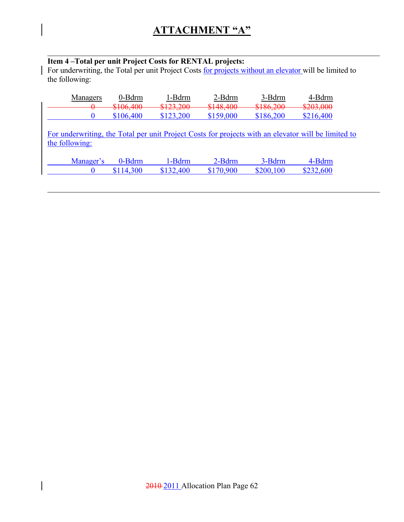#### **Item 4 –Total per unit Project Costs for RENTAL projects:**

For underwriting, the Total per unit Project Costs for projects without an elevator will be limited to the following:

| Managers       | 0-Bdrm                                       | 1-Bdrm               | 2-Bdrm                    | 3-Bdrm                | 4-Bdrm                                                                                              |
|----------------|----------------------------------------------|----------------------|---------------------------|-----------------------|-----------------------------------------------------------------------------------------------------|
| $\bm{\sigma}$  | $106 \text{ A}00$<br>$\overline{v}$ 100, 100 | 0122.200<br>V12J, VV | 0140 400<br>$\frac{1}{2}$ | 8196, 200<br>4100,200 | \$203,000                                                                                           |
|                | \$106,400                                    | \$123,200            | \$159,000                 | \$186,200             | \$216,400                                                                                           |
| the following: |                                              |                      |                           |                       | For underwriting, the Total per unit Project Costs for projects with an elevator will be limited to |
|                |                                              |                      |                           |                       |                                                                                                     |

| Manager's | 0-Bdrm    | -Bdrm     | 2-Bdrm    | 3-Bdrm    | 4-Bdrm    |
|-----------|-----------|-----------|-----------|-----------|-----------|
|           | \$114,300 | \$132,400 | \$170,900 | \$200 100 | \$232,600 |

 $\overline{\phantom{a}}$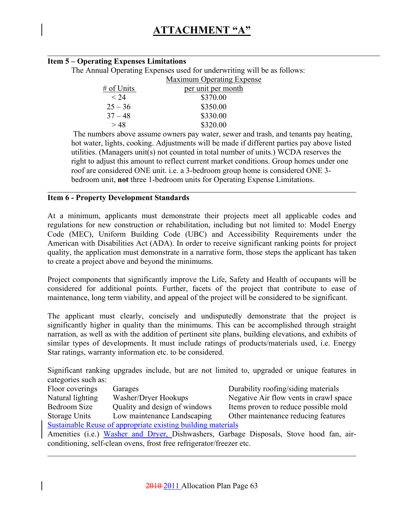#### **Item 5 – Operating Expenses Limitations**

The Annual Operating Expenses used for underwriting will be as follows:

|            | <b>Maximum Operating Expense</b> |
|------------|----------------------------------|
| # of Units | per unit per month               |
| $\leq 24$  | \$370.00                         |
| $25 - 36$  | \$350.00                         |
| $37 - 48$  | \$330.00                         |
| >48        | \$320.00                         |

 The numbers above assume owners pay water, sewer and trash, and tenants pay heating, hot water, lights, cooking. Adjustments will be made if different parties pay above listed utilities. (Managers unit(s) not counted in total number of units.) WCDA reserves the right to adjust this amount to reflect current market conditions. Group homes under one roof are considered ONE unit. i.e. a 3-bedroom group home is considered ONE 3 bedroom unit, **not** three 1-bedroom units for Operating Expense Limitations.

#### **Item 6 - Property Development Standards**

At a minimum, applicants must demonstrate their projects meet all applicable codes and regulations for new construction or rehabilitation, including but not limited to: Model Energy Code (MEC), Uniform Building Code (UBC) and Accessibility Requirements under the American with Disabilities Act (ADA). In order to receive significant ranking points for project quality, the application must demonstrate in a narrative form, those steps the applicant has taken to create a project above and beyond the minimums.

Project components that significantly improve the Life, Safety and Health of occupants will be considered for additional points. Further, facets of the project that contribute to ease of maintenance, long term viability, and appeal of the project will be considered to be significant.

The applicant must clearly, concisely and undisputedly demonstrate that the project is significantly higher in quality than the minimums. This can be accomplished through straight narration, as well as with the addition of pertinent site plans, building elevations, and exhibits of similar types of developments. It must include ratings of products/materials used, i.e. Energy Star ratings, warranty information etc. to be considered.

Significant ranking upgrades include, but are not limited to, upgraded or unique features in categories such as:

| $\bullet \bullet \bullet \bullet \bullet \bullet \bullet \bullet \bullet \bullet \bullet \bullet \bullet \bullet \bullet \bullet \bullet$ |                                                                      |                                                                                         |
|-------------------------------------------------------------------------------------------------------------------------------------------|----------------------------------------------------------------------|-----------------------------------------------------------------------------------------|
| Floor coverings                                                                                                                           | Garages                                                              | Durability roofing/siding materials                                                     |
| Natural lighting                                                                                                                          | Washer/Dryer Hookups                                                 | Negative Air flow vents in crawl space                                                  |
| Bedroom Size                                                                                                                              | Quality and design of windows                                        | Items proven to reduce possible mold                                                    |
| Storage Units                                                                                                                             | Low maintenance Landscaping                                          | Other maintenance reducing features                                                     |
|                                                                                                                                           | Sustainable Reuse of appropriate existing building materials         |                                                                                         |
|                                                                                                                                           |                                                                      | Amenities (i.e.) Washer and Dryer, Dishwashers, Garbage Disposals, Stove hood fan, air- |
|                                                                                                                                           | conditioning, self-clean ovens, frost free refrigerator/freezer etc. |                                                                                         |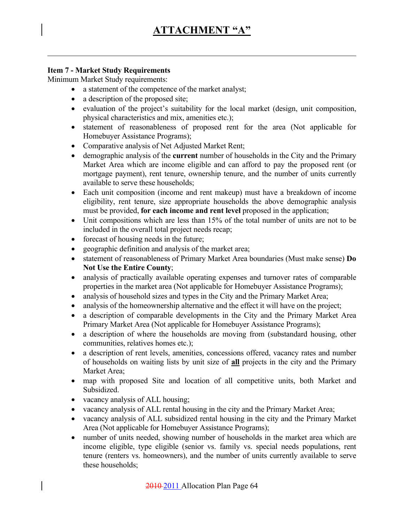#### **Item 7 - Market Study Requirements**

Minimum Market Study requirements:

- a statement of the competence of the market analyst;
- a description of the proposed site;
- evaluation of the project's suitability for the local market (design, unit composition, physical characteristics and mix, amenities etc.);
- statement of reasonableness of proposed rent for the area (Not applicable for Homebuyer Assistance Programs);
- Comparative analysis of Net Adjusted Market Rent;
- demographic analysis of the **current** number of households in the City and the Primary Market Area which are income eligible and can afford to pay the proposed rent (or mortgage payment), rent tenure, ownership tenure, and the number of units currently available to serve these households;
- Each unit composition (income and rent makeup) must have a breakdown of income eligibility, rent tenure, size appropriate households the above demographic analysis must be provided, **for each income and rent level** proposed in the application;
- Unit compositions which are less than 15% of the total number of units are not to be included in the overall total project needs recap;
- forecast of housing needs in the future;
- geographic definition and analysis of the market area;
- statement of reasonableness of Primary Market Area boundaries (Must make sense) **Do Not Use the Entire County**;
- analysis of practically available operating expenses and turnover rates of comparable properties in the market area (Not applicable for Homebuyer Assistance Programs);
- analysis of household sizes and types in the City and the Primary Market Area;
- analysis of the homeownership alternative and the effect it will have on the project;
- a description of comparable developments in the City and the Primary Market Area Primary Market Area (Not applicable for Homebuyer Assistance Programs);
- a description of where the households are moving from (substandard housing, other communities, relatives homes etc.);
- a description of rent levels, amenities, concessions offered, vacancy rates and number of households on waiting lists by unit size of **all** projects in the city and the Primary Market Area;
- map with proposed Site and location of all competitive units, both Market and **Subsidized.**
- vacancy analysis of ALL housing;
- vacancy analysis of ALL rental housing in the city and the Primary Market Area;
- vacancy analysis of ALL subsidized rental housing in the city and the Primary Market Area (Not applicable for Homebuyer Assistance Programs);
- number of units needed, showing number of households in the market area which are income eligible, type eligible (senior vs. family vs. special needs populations, rent tenure (renters vs. homeowners), and the number of units currently available to serve these households;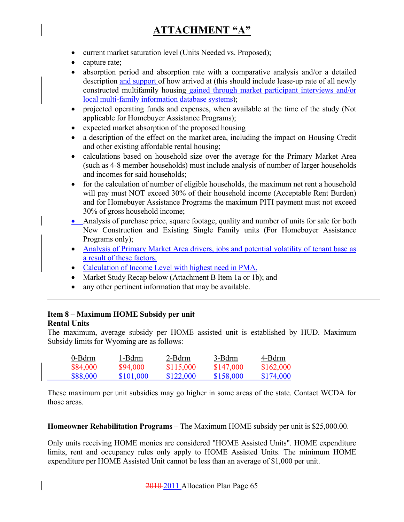- current market saturation level (Units Needed vs. Proposed);
- capture rate;
- absorption period and absorption rate with a comparative analysis and/or a detailed description and support of how arrived at (this should include lease-up rate of all newly constructed multifamily housing gained through market participant interviews and/or local multi-family information database systems);
- projected operating funds and expenses, when available at the time of the study (Not applicable for Homebuyer Assistance Programs);
- expected market absorption of the proposed housing
- a description of the effect on the market area, including the impact on Housing Credit and other existing affordable rental housing;
- calculations based on household size over the average for the Primary Market Area (such as 4-8 member households) must include analysis of number of larger households and incomes for said households;
- for the calculation of number of eligible households, the maximum net rent a household will pay must NOT exceed 30% of their household income (Acceptable Rent Burden) and for Homebuyer Assistance Programs the maximum PITI payment must not exceed 30% of gross household income;
- Analysis of purchase price, square footage, quality and number of units for sale for both New Construction and Existing Single Family units (For Homebuyer Assistance Programs only);
- Analysis of Primary Market Area drivers, jobs and potential volatility of tenant base as a result of these factors.
- Calculation of Income Level with highest need in PMA.
- Market Study Recap below (Attachment B Item 1a or 1b); and
- any other pertinent information that may be available.

#### **Item 8 – Maximum HOME Subsidy per unit Rental Units**

The maximum, average subsidy per HOME assisted unit is established by HUD. Maximum Subsidy limits for Wyoming are as follows:

| 0-Bdrm             | 1-Bdrm                                    | 2-Bdrm                            | 3-Bdrm                                                 | 4-Bdrm                         |
|--------------------|-------------------------------------------|-----------------------------------|--------------------------------------------------------|--------------------------------|
| 001 AM<br>᠊ᢦᠣ᠇ᠷᠣᠥᠥ | $\mathfrak{e}_{\Omega}$ a non<br>᠊ᢦᠵ᠇ᠷᠣᠥᠣ | P115000<br>$\overline{v}$ 112,000 | P11700<br>$\overline{v}$ $\overline{v}$ $\overline{v}$ | R162000<br><del>viv2,000</del> |
| \$88,000           | \$101 000                                 | \$122,000                         | \$158,000                                              | \$174,000                      |

These maximum per unit subsidies may go higher in some areas of the state. Contact WCDA for those areas.

**Homeowner Rehabilitation Programs** – The Maximum HOME subsidy per unit is \$25,000.00.

Only units receiving HOME monies are considered "HOME Assisted Units". HOME expenditure limits, rent and occupancy rules only apply to HOME Assisted Units. The minimum HOME expenditure per HOME Assisted Unit cannot be less than an average of \$1,000 per unit.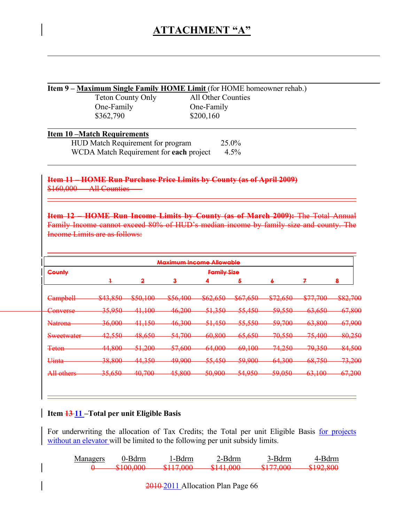#### **Item 9 – Maximum Single Family HOME Limit** (for HOME homeowner rehab.)

 One-Family One-Family \$362,790 \$200,160

Teton County Only All Other Counties

#### **Item 10 –Match Requirements**

| HUD Match Requirement for program       | $25.0\%$ |
|-----------------------------------------|----------|
| WCDA Match Requirement for each project | $4.5\%$  |

**Item 11 – HOME Run Purchase Price Limits by County (as of April 2009)** \$160,000 - All Counties

**Item 12 – HOME Run Income Limits by County (as of March 2009):** The Total Annual Family Income cannot exceed 80% of HUD's median income by family size and county. The Income Limits are as follows:

| <b>Maximum Income Allowable</b>     |                                                    |                               |                                |                                                |                                                                               |                                                               |                                      |                                      |
|-------------------------------------|----------------------------------------------------|-------------------------------|--------------------------------|------------------------------------------------|-------------------------------------------------------------------------------|---------------------------------------------------------------|--------------------------------------|--------------------------------------|
| County                              | <b>Family Size</b>                                 |                               |                                |                                                |                                                                               |                                                               |                                      |                                      |
|                                     |                                                    | 2                             | $\ddot{\mathbf{3}}$            | 4                                              | 5                                                                             | 6                                                             | z                                    | 8                                    |
| <b>Campbell</b>                     | $\Omega$ $\Omega$ $\Omega$<br><del>᠕᠊ᡰ</del> ᢖᠢᠣᢣᠣ | R50,100<br><del>งวง,100</del> | 856 400<br><del>von, roo</del> | $R62$ 650<br><del>⊅∪∠,∪J∪</del>                | 867650<br>$\mathfrak{v} \mathfrak{v} \mathfrak{v}, \mathfrak{v} \mathfrak{v}$ | 272650<br><del>v12,030</del>                                  | <b>¢77.700</b><br><del>v11,100</del> | <u>୧୧၁ 700</u><br><del>ooz,700</del> |
| Converse                            | 35,950                                             | 41.100<br><del>n.nv</del>     | 46,200                         | 51,350                                         | 55,450                                                                        | 59,550                                                        | 63,650                               | 67,800                               |
| <b>Natrona</b>                      | 36,000                                             | 41,150                        | 46,300                         | 51,450                                         | 55,550                                                                        | 59,700                                                        | 63,800                               | 67,900                               |
| Sweetwater                          | 12.550<br><del>12,JJU</del>                        | <u>AR 650.</u><br>$+0,0,0$    | 54.700<br><del>34,700</del>    | <u> 60 ዩስስ</u><br>$\mathbf{v}$ .o $\mathbf{v}$ | 65.650<br>᠊ᡃ <del>ᡂᠷᠣᢣᠣ</del>                                                 | 70.550<br><del>70.JJU</del>                                   | 75,400<br><del>79,400</del>          | 80,250                               |
| <b>Teton</b>                        | <u><i>AA ROO</i></u><br><del>11.000</del>          | 51,200<br>$\sigma$ 1,200      | 57600<br><del>st.uuu</del>     | 64,000<br><del>un.uuu</del>                    | 60,100<br><del>02.IOU</del>                                                   | 74.250<br>74.ZJU                                              | 70.350<br>77.IIV                     | 84,500                               |
| <b>I</b> linto<br><del>Ullita</del> | 38,800                                             | 44,350                        | 49,900                         | 55,450                                         | 59,900                                                                        | 64,300                                                        | 68,750                               | 73,200                               |
| All others                          | 35650<br><del>JJ.VJV</del>                         | 40.700<br>᠇ᠣᡕᢣ᠋ᢦᡃᠣ            | 45.800<br><del>10.000</del>    | 50.900<br>ᢒᠦᡵᢣᡃᠦᠥ                              | 54.950<br>$\sigma$ 1,700                                                      | 50.050<br>$\overline{\mathcal{O}_2,\mathcal{O}_3\mathcal{O}}$ | 63,100<br>$\sigma$ , roo             | 67.200<br><del>∪7,∠∪∪</del>          |

#### **Item 13 11 –Total per unit Eligible Basis**

For underwriting the allocation of Tax Credits; the Total per unit Eligible Basis for projects without an elevator will be limited to the following per unit subsidy limits.

| Managers | J-Rdrm | -Bdrm              | ∕-Bdrm_                                        | 3-Bdrm                                           | 4-Bdrm                 |
|----------|--------|--------------------|------------------------------------------------|--------------------------------------------------|------------------------|
|          |        | 011700<br>W111.000 | 0141000<br>$\overline{v}$ . The $\overline{v}$ | 0177000<br>$\overline{\mathbf{v}}$<br><u>wir</u> | \$102\$800<br>V174.000 |

2010 2011 Allocation Plan Page 66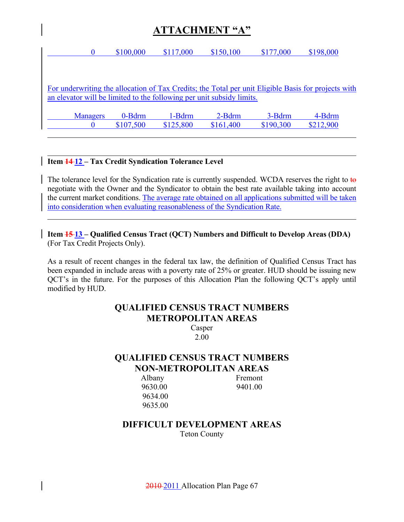| $\bf{0}$        | \$100,000          | \$117,000                                                             | \$150,100 | \$177,000 | \$198,000                                                                                           |
|-----------------|--------------------|-----------------------------------------------------------------------|-----------|-----------|-----------------------------------------------------------------------------------------------------|
|                 |                    |                                                                       |           |           |                                                                                                     |
|                 |                    |                                                                       |           |           |                                                                                                     |
|                 |                    |                                                                       |           |           | For underwriting the allocation of Tax Credits; the Total per unit Eligible Basis for projects with |
|                 |                    | an elevator will be limited to the following per unit subsidy limits. |           |           |                                                                                                     |
|                 |                    |                                                                       |           |           |                                                                                                     |
| <b>Managers</b> | $0 - \text{B}$ drm | 1-Bdrm                                                                | $2-Bdm$   | 3-Bdrm    | 4-Bdrm                                                                                              |
|                 | \$107,500          | \$125,800                                                             | \$161,400 | \$190,300 | \$212,900                                                                                           |
|                 |                    |                                                                       |           |           |                                                                                                     |

#### **Item 14 12 – Tax Credit Syndication Tolerance Level**

The tolerance level for the Syndication rate is currently suspended. WCDA reserves the right to to negotiate with the Owner and the Syndicator to obtain the best rate available taking into account the current market conditions. The average rate obtained on all applications submitted will be taken into consideration when evaluating reasonableness of the Syndication Rate.

**Item 15 13 – Qualified Census Tract (QCT) Numbers and Difficult to Develop Areas (DDA)** (For Tax Credit Projects Only).

As a result of recent changes in the federal tax law, the definition of Qualified Census Tract has been expanded in include areas with a poverty rate of 25% or greater. HUD should be issuing new QCT's in the future. For the purposes of this Allocation Plan the following QCT's apply until modified by HUD.

### **QUALIFIED CENSUS TRACT NUMBERS METROPOLITAN AREAS**

Casper 2.00

### **QUALIFIED CENSUS TRACT NUMBERS NON-METROPOLITAN AREAS**

9630.00 9401.00 9634.00 9635.00

Albany Fremont

#### **DIFFICULT DEVELOPMENT AREAS**  Teton County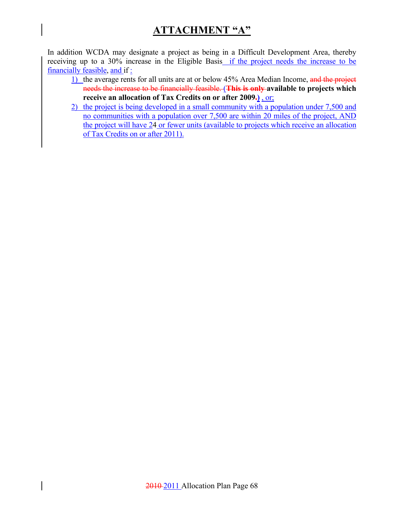In addition WCDA may designate a project as being in a Difficult Development Area, thereby receiving up to a 30% increase in the Eligible Basis if the project needs the increase to be financially feasible, and if :

- 1) the average rents for all units are at or below 45% Area Median Income, and the project needs the increase to be financially feasible. (**This is only available to projects which receive an allocation of Tax Credits on or after 2009.)** , or;
- 2) the project is being developed in a small community with a population under 7,500 and no communities with a population over 7,500 are within 20 miles of the project, AND the project will have 24 or fewer units (available to projects which receive an allocation of Tax Credits on or after 2011).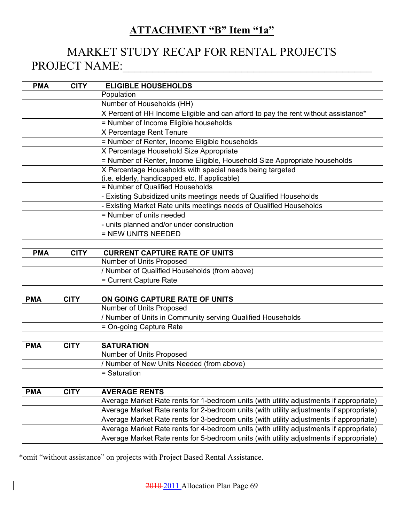### **ATTACHMENT "B" Item "1a"**

# MARKET STUDY RECAP FOR RENTAL PROJECTS PROJECT NAME:\_\_\_\_\_\_\_\_\_\_\_\_\_\_\_\_\_\_\_\_\_\_\_\_\_\_\_\_\_\_\_\_\_\_\_\_\_\_\_\_\_\_

| <b>PMA</b> | <b>CITY</b> | <b>ELIGIBLE HOUSEHOLDS</b>                                                         |
|------------|-------------|------------------------------------------------------------------------------------|
|            |             | Population                                                                         |
|            |             | Number of Households (HH)                                                          |
|            |             | X Percent of HH Income Eligible and can afford to pay the rent without assistance* |
|            |             | = Number of Income Eligible households                                             |
|            |             | X Percentage Rent Tenure                                                           |
|            |             | = Number of Renter, Income Eligible households                                     |
|            |             | X Percentage Household Size Appropriate                                            |
|            |             | = Number of Renter, Income Eligible, Household Size Appropriate households         |
|            |             | X Percentage Households with special needs being targeted                          |
|            |             | (i.e. elderly, handicapped etc, If applicable)                                     |
|            |             | = Number of Qualified Households                                                   |
|            |             | - Existing Subsidized units meetings needs of Qualified Households                 |
|            |             | - Existing Market Rate units meetings needs of Qualified Households                |
|            |             | = Number of units needed                                                           |
|            |             | - units planned and/or under construction                                          |
|            |             | = NEW UNITS NEEDED                                                                 |

| <b>PMA</b> | <b>CITY</b> | <b>CURRENT CAPTURE RATE OF UNITS</b>          |
|------------|-------------|-----------------------------------------------|
|            |             | Number of Units Proposed                      |
|            |             | / Number of Qualified Households (from above) |
|            |             | = Current Capture Rate                        |

| <b>PMA</b> | <b>CITY</b> | ON GOING CAPTURE RATE OF UNITS                              |
|------------|-------------|-------------------------------------------------------------|
|            |             | Number of Units Proposed                                    |
|            |             | / Number of Units in Community serving Qualified Households |
|            |             | $=$ On-going Capture Rate                                   |

| <b>PMA</b> | <b>CITY</b> | <b>SATURATION</b>                         |
|------------|-------------|-------------------------------------------|
|            |             | Number of Units Proposed                  |
|            |             | / Number of New Units Needed (from above) |
|            |             | = Saturation                              |

| <b>PMA</b> | <b>CITY</b> | <b>AVERAGE RENTS</b>                                                                    |
|------------|-------------|-----------------------------------------------------------------------------------------|
|            |             | Average Market Rate rents for 1-bedroom units (with utility adjustments if appropriate) |
|            |             | Average Market Rate rents for 2-bedroom units (with utility adjustments if appropriate) |
|            |             | Average Market Rate rents for 3-bedroom units (with utility adjustments if appropriate) |
|            |             | Average Market Rate rents for 4-bedroom units (with utility adjustments if appropriate) |
|            |             | Average Market Rate rents for 5-bedroom units (with utility adjustments if appropriate) |

\*omit "without assistance" on projects with Project Based Rental Assistance.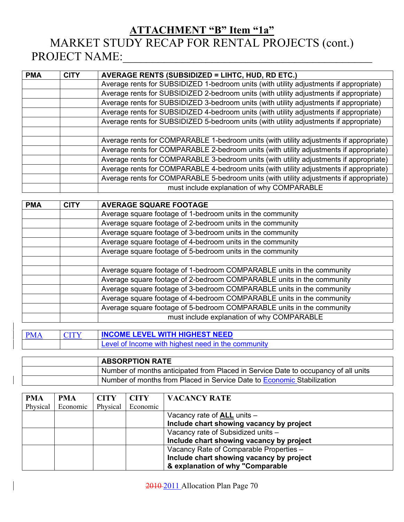### **ATTACHMENT "B" Item "1a"** MARKET STUDY RECAP FOR RENTAL PROJECTS (cont.) PROJECT NAME:

| <b>PMA</b> | <b>CITY</b> | <b>AVERAGE RENTS (SUBSIDIZED = LIHTC, HUD, RD ETC.)</b>                                |  |  |  |
|------------|-------------|----------------------------------------------------------------------------------------|--|--|--|
|            |             | Average rents for SUBSIDIZED 1-bedroom units (with utility adjustments if appropriate) |  |  |  |
|            |             | Average rents for SUBSIDIZED 2-bedroom units (with utility adjustments if appropriate) |  |  |  |
|            |             | Average rents for SUBSIDIZED 3-bedroom units (with utility adjustments if appropriate) |  |  |  |
|            |             | Average rents for SUBSIDIZED 4-bedroom units (with utility adjustments if appropriate) |  |  |  |
|            |             | Average rents for SUBSIDIZED 5-bedroom units (with utility adjustments if appropriate) |  |  |  |
|            |             |                                                                                        |  |  |  |
|            |             | Average rents for COMPARABLE 1-bedroom units (with utility adjustments if appropriate) |  |  |  |
|            |             | Average rents for COMPARABLE 2-bedroom units (with utility adjustments if appropriate) |  |  |  |
|            |             | Average rents for COMPARABLE 3-bedroom units (with utility adjustments if appropriate) |  |  |  |
|            |             | Average rents for COMPARABLE 4-bedroom units (with utility adjustments if appropriate) |  |  |  |
|            |             | Average rents for COMPARABLE 5-bedroom units (with utility adjustments if appropriate) |  |  |  |
|            |             | must include explanation of why COMPARABLE                                             |  |  |  |

| <b>PMA</b> | <b>CITY</b> | <b>AVERAGE SQUARE FOOTAGE</b>                                         |  |  |
|------------|-------------|-----------------------------------------------------------------------|--|--|
|            |             | Average square footage of 1-bedroom units in the community            |  |  |
|            |             | Average square footage of 2-bedroom units in the community            |  |  |
|            |             | Average square footage of 3-bedroom units in the community            |  |  |
|            |             | Average square footage of 4-bedroom units in the community            |  |  |
|            |             | Average square footage of 5-bedroom units in the community            |  |  |
|            |             |                                                                       |  |  |
|            |             | Average square footage of 1-bedroom COMPARABLE units in the community |  |  |
|            |             | Average square footage of 2-bedroom COMPARABLE units in the community |  |  |
|            |             | Average square footage of 3-bedroom COMPARABLE units in the community |  |  |
|            |             | Average square footage of 4-bedroom COMPARABLE units in the community |  |  |
|            |             | Average square footage of 5-bedroom COMPARABLE units in the community |  |  |
|            |             | must include explanation of why COMPARABLE                            |  |  |

| <b>PMA</b> | <b>CITY</b> | <b>INCOME LEVEL WITH HIGHEST NEED</b>              |  |  |  |
|------------|-------------|----------------------------------------------------|--|--|--|
|            |             | Level of Income with highest need in the community |  |  |  |

|                                                                        | <b>ABSORPTION RATE</b>                                                             |  |  |  |
|------------------------------------------------------------------------|------------------------------------------------------------------------------------|--|--|--|
|                                                                        | Number of months anticipated from Placed in Service Date to occupancy of all units |  |  |  |
| Number of months from Placed in Service Date to Economic Stabilization |                                                                                    |  |  |  |

| <b>PMA</b> | <b>PMA</b> | <b>CITY</b> | <b>CITY</b> | <b>VACANCY RATE</b>                      |
|------------|------------|-------------|-------------|------------------------------------------|
| Physical   | Economic   | Physical    | Economic    |                                          |
|            |            |             |             | Vacancy rate of $ALL$ units $-$          |
|            |            |             |             | Include chart showing vacancy by project |
|            |            |             |             | Vacancy rate of Subsidized units -       |
|            |            |             |             | Include chart showing vacancy by project |
|            |            |             |             | Vacancy Rate of Comparable Properties -  |
|            |            |             |             | Include chart showing vacancy by project |
|            |            |             |             | & explanation of why "Comparable         |

2010 2011 Allocation Plan Page 70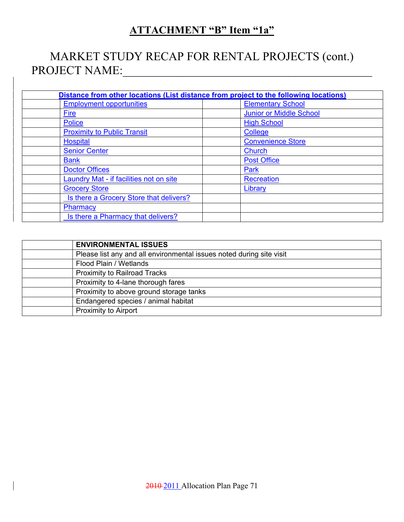## **ATTACHMENT "B" Item "1a"**

# MARKET STUDY RECAP FOR RENTAL PROJECTS (cont.) PROJECT NAME:\_\_\_\_\_\_\_\_\_\_\_\_\_\_\_\_\_\_\_\_\_\_\_\_\_\_\_\_\_\_\_\_\_\_\_\_\_\_\_\_\_\_

| Distance from other locations (List distance from project to the following locations) |                                |  |  |  |  |
|---------------------------------------------------------------------------------------|--------------------------------|--|--|--|--|
| <b>Employment opportunities</b>                                                       | <b>Elementary School</b>       |  |  |  |  |
| Fire                                                                                  | <b>Junior or Middle School</b> |  |  |  |  |
| <b>Police</b>                                                                         | <b>High School</b>             |  |  |  |  |
| <b>Proximity to Public Transit</b>                                                    | <b>College</b>                 |  |  |  |  |
| <b>Hospital</b>                                                                       | <b>Convenience Store</b>       |  |  |  |  |
| <b>Senior Center</b>                                                                  | Church                         |  |  |  |  |
| <b>Bank</b>                                                                           | <b>Post Office</b>             |  |  |  |  |
| <b>Doctor Offices</b>                                                                 | Park                           |  |  |  |  |
| <b>Laundry Mat - if facilities not on site</b>                                        | <b>Recreation</b>              |  |  |  |  |
| <b>Grocery Store</b>                                                                  | Library                        |  |  |  |  |
| Is there a Grocery Store that delivers?                                               |                                |  |  |  |  |
| Pharmacy                                                                              |                                |  |  |  |  |
| Is there a Pharmacy that delivers?                                                    |                                |  |  |  |  |

| <b>ENVIRONMENTAL ISSUES</b>                                          |
|----------------------------------------------------------------------|
| Please list any and all environmental issues noted during site visit |
| Flood Plain / Wetlands                                               |
| <b>Proximity to Railroad Tracks</b>                                  |
| Proximity to 4-lane thorough fares                                   |
| Proximity to above ground storage tanks                              |
| Endangered species / animal habitat                                  |
| <b>Proximity to Airport</b>                                          |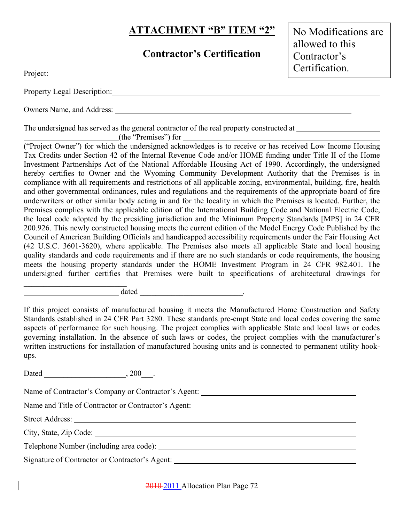### **ATTACHMENT "B" ITEM "2"**

### **Contractor's Certification**

No Modifications are allowed to this Contractor's Certification.

| Property Legal Description: |  |
|-----------------------------|--|

Owners Name, and Address:

The undersigned has served as the general contractor of the real property constructed at

(the "Premises") for

Project:

("Project Owner") for which the undersigned acknowledges is to receive or has received Low Income Housing Tax Credits under Section 42 of the Internal Revenue Code and/or HOME funding under Title II of the Home Investment Partnerships Act of the National Affordable Housing Act of 1990. Accordingly, the undersigned hereby certifies to Owner and the Wyoming Community Development Authority that the Premises is in compliance with all requirements and restrictions of all applicable zoning, environmental, building, fire, health and other governmental ordinances, rules and regulations and the requirements of the appropriate board of fire underwriters or other similar body acting in and for the locality in which the Premises is located. Further, the Premises complies with the applicable edition of the International Building Code and National Electric Code, the local code adopted by the presiding jurisdiction and the Minimum Property Standards [MPS] in 24 CFR 200.926. This newly constructed housing meets the current edition of the Model Energy Code Published by the Council of American Building Officials and handicapped accessibility requirements under the Fair Housing Act (42 U.S.C. 3601-3620), where applicable. The Premises also meets all applicable State and local housing quality standards and code requirements and if there are no such standards or code requirements, the housing meets the housing property standards under the HOME Investment Program in 24 CFR 982.401. The undersigned further certifies that Premises were built to specifications of architectural drawings for

dated  $\qquad \qquad \qquad$ 

If this project consists of manufactured housing it meets the Manufactured Home Construction and Safety Standards established in 24 CFR Part 3280. These standards pre-empt State and local codes covering the same aspects of performance for such housing. The project complies with applicable State and local laws or codes governing installation. In the absence of such laws or codes, the project complies with the manufacturer's written instructions for installation of manufactured housing units and is connected to permanent utility hookups.

Dated  $\qquad \qquad \ldots \qquad \qquad .200$ 

 $\mathcal{L}_\text{max}$ 

Name of Contractor's Company or Contractor's Agent: Name and Title of Contractor or Contractor's Agent: \_\_\_\_\_\_\_\_\_\_\_\_\_\_\_\_\_\_\_\_\_\_\_\_\_\_\_\_\_ Street Address: City, State, Zip Code: Telephone Number (including area code): Signature of Contractor or Contractor's Agent:

2010 2011 Allocation Plan Page 72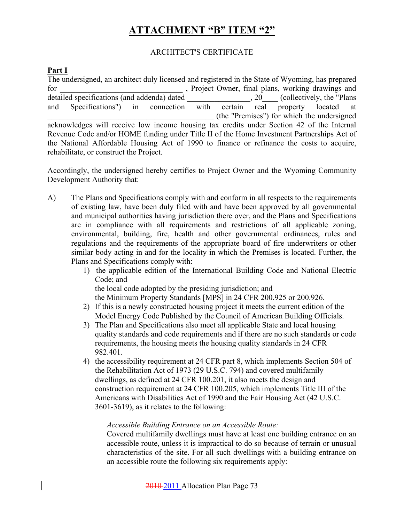# **ATTACHMENT "B" ITEM "2"**

### ARCHITECT'S CERTIFICATE

### **Part I**

The undersigned, an architect duly licensed and registered in the State of Wyoming, has prepared for final plans, working drawings and for the project Owner, final plans, working drawings and detailed specifications (and addenda) dated <br>  $\qquad \qquad$ , 20 (collectively, the "Plans and Specifications") in connection with certain real property located at \_\_\_\_\_\_\_\_\_\_\_\_\_\_\_\_\_\_\_\_\_\_\_\_\_\_\_\_\_\_\_\_\_\_\_\_\_\_\_\_\_\_ (the "Premises") for which the undersigned acknowledges will receive low income housing tax credits under Section 42 of the Internal Revenue Code and/or HOME funding under Title II of the Home Investment Partnerships Act of the National Affordable Housing Act of 1990 to finance or refinance the costs to acquire, rehabilitate, or construct the Project.

Accordingly, the undersigned hereby certifies to Project Owner and the Wyoming Community Development Authority that:

- A) The Plans and Specifications comply with and conform in all respects to the requirements of existing law, have been duly filed with and have been approved by all governmental and municipal authorities having jurisdiction there over, and the Plans and Specifications are in compliance with all requirements and restrictions of all applicable zoning, environmental, building, fire, health and other governmental ordinances, rules and regulations and the requirements of the appropriate board of fire underwriters or other similar body acting in and for the locality in which the Premises is located. Further, the Plans and Specifications comply with:
	- 1) the applicable edition of the International Building Code and National Electric Code; and

the local code adopted by the presiding jurisdiction; and

the Minimum Property Standards [MPS] in 24 CFR 200.925 or 200.926.

- 2) If this is a newly constructed housing project it meets the current edition of the Model Energy Code Published by the Council of American Building Officials.
- 3) The Plan and Specifications also meet all applicable State and local housing quality standards and code requirements and if there are no such standards or code requirements, the housing meets the housing quality standards in 24 CFR 982.401.
- 4) the accessibility requirement at 24 CFR part 8, which implements Section 504 of the Rehabilitation Act of 1973 (29 U.S.C. 794) and covered multifamily dwellings, as defined at 24 CFR 100.201, it also meets the design and construction requirement at 24 CFR 100.205, which implements Title III of the Americans with Disabilities Act of 1990 and the Fair Housing Act (42 U.S.C. 3601-3619), as it relates to the following:

### *Accessible Building Entrance on an Accessible Route:*

Covered multifamily dwellings must have at least one building entrance on an accessible route, unless it is impractical to do so because of terrain or unusual characteristics of the site. For all such dwellings with a building entrance on an accessible route the following six requirements apply: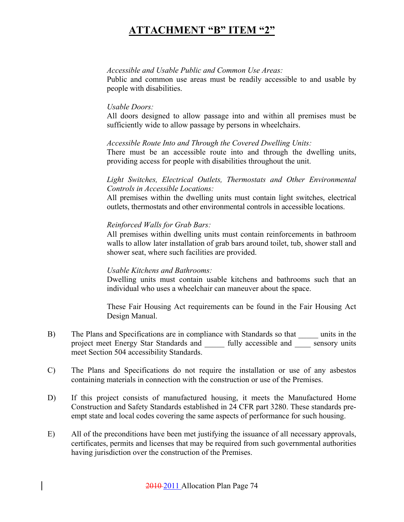### **ATTACHMENT "B" ITEM "2"**

#### *Accessible and Usable Public and Common Use Areas:*

Public and common use areas must be readily accessible to and usable by people with disabilities.

### *Usable Doors:*

All doors designed to allow passage into and within all premises must be sufficiently wide to allow passage by persons in wheelchairs.

### *Accessible Route Into and Through the Covered Dwelling Units:*

There must be an accessible route into and through the dwelling units, providing access for people with disabilities throughout the unit.

### *Light Switches, Electrical Outlets, Thermostats and Other Environmental Controls in Accessible Locations:*

All premises within the dwelling units must contain light switches, electrical outlets, thermostats and other environmental controls in accessible locations.

### *Reinforced Walls for Grab Bars:*

All premises within dwelling units must contain reinforcements in bathroom walls to allow later installation of grab bars around toilet, tub, shower stall and shower seat, where such facilities are provided.

### *Usable Kitchens and Bathrooms:*

Dwelling units must contain usable kitchens and bathrooms such that an individual who uses a wheelchair can maneuver about the space.

These Fair Housing Act requirements can be found in the Fair Housing Act Design Manual.

- B) The Plans and Specifications are in compliance with Standards so that \_\_\_\_\_ units in the project meet Energy Star Standards and \_\_\_\_ fully accessible and \_\_\_\_ sensory units meet Section 504 accessibility Standards.
- C) The Plans and Specifications do not require the installation or use of any asbestos containing materials in connection with the construction or use of the Premises.
- D) If this project consists of manufactured housing, it meets the Manufactured Home Construction and Safety Standards established in 24 CFR part 3280. These standards preempt state and local codes covering the same aspects of performance for such housing.
- E) All of the preconditions have been met justifying the issuance of all necessary approvals, certificates, permits and licenses that may be required from such governmental authorities having jurisdiction over the construction of the Premises.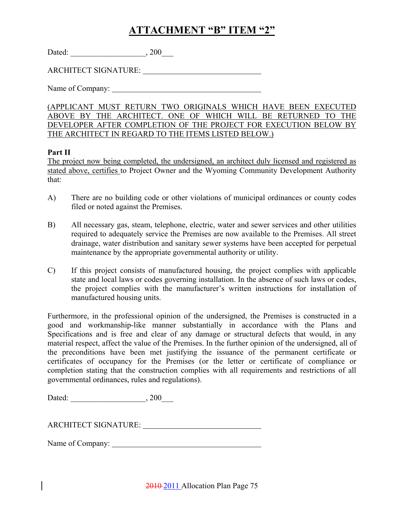### **ATTACHMENT "B" ITEM "2"**

| Dated: | 200 |
|--------|-----|
|--------|-----|

ARCHITECT SIGNATURE:

Name of Company:

(APPLICANT MUST RETURN TWO ORIGINALS WHICH HAVE BEEN EXECUTED ABOVE BY THE ARCHITECT. ONE OF WHICH WILL BE RETURNED TO THE DEVELOPER AFTER COMPLETION OF THE PROJECT FOR EXECUTION BELOW BY THE ARCHITECT IN REGARD TO THE ITEMS LISTED BELOW.)

### **Part II**

The project now being completed, the undersigned, an architect duly licensed and registered as stated above, certifies to Project Owner and the Wyoming Community Development Authority that:

- A) There are no building code or other violations of municipal ordinances or county codes filed or noted against the Premises.
- B) All necessary gas, steam, telephone, electric, water and sewer services and other utilities required to adequately service the Premises are now available to the Premises. All street drainage, water distribution and sanitary sewer systems have been accepted for perpetual maintenance by the appropriate governmental authority or utility.
- C) If this project consists of manufactured housing, the project complies with applicable state and local laws or codes governing installation. In the absence of such laws or codes, the project complies with the manufacturer's written instructions for installation of manufactured housing units.

Furthermore, in the professional opinion of the undersigned, the Premises is constructed in a good and workmanship-like manner substantially in accordance with the Plans and Specifications and is free and clear of any damage or structural defects that would, in any material respect, affect the value of the Premises. In the further opinion of the undersigned, all of the preconditions have been met justifying the issuance of the permanent certificate or certificates of occupancy for the Premises (or the letter or certificate of compliance or completion stating that the construction complies with all requirements and restrictions of all governmental ordinances, rules and regulations).

| Dated: | 200 |
|--------|-----|
|--------|-----|

Name of Company: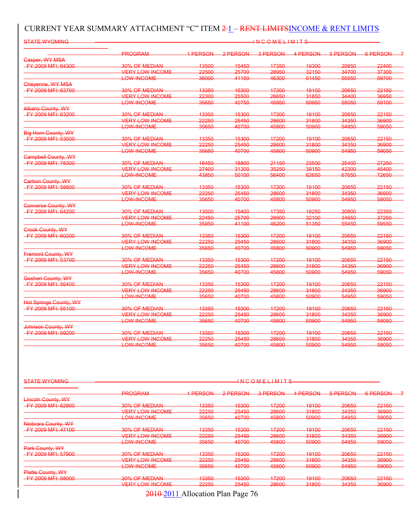### CURRENT YEAR SUMMARY ATTACHMENT "C" ITEM 2-1 – RENT LIMITSINCOME & RENT LIMITS

| <b>STATE:WYOMING</b>                           |                        |          |          | <b>INCOMELIMITS</b> |          |          |          |
|------------------------------------------------|------------------------|----------|----------|---------------------|----------|----------|----------|
|                                                | <b>PROGRAM</b>         | 1 PERSON | 2 PERSON | 3 PERSON            | 4 PERSON | 5 PERSON | 6 PERSON |
| <b>Casper, WY MSA</b>                          |                        |          |          |                     |          |          |          |
| FY 2009 MFI: 64300                             | 30% OF MEDIAN          | 13500    | 15450    | 17350               | 19300    | 20850    | 22400    |
|                                                | <b>VERY LOW INCOME</b> | 22500    | 25700    | 28950               | 32150    | 34700    | 37300    |
|                                                | <b>LOW-INCOME</b>      | 36000    | 41150    | 46300               | 51450    | 55550    | 59700    |
| Cheyenne, WY MSA                               |                        |          |          |                     |          |          |          |
| FY 2009 MFI: 63700                             | 30% OF MEDIAN          | 13350    | 15300    | 17200               | 19100    | 20650    | 22150    |
|                                                | <b>VERY LOW INCOME</b> | 22300    | 25500    | 28650               | 31850    | 34400    | 36950    |
|                                                | <b>LOW-INCOME</b>      | 35650    | 40750    | 45850               | 50950    | 55050    | 59100    |
|                                                |                        |          |          |                     |          |          |          |
| Albany County, WY<br><b>FY 2009 MFI: 63200</b> | 30% OF MEDIAN          | 13350    | 15300    | 17200               |          | 20650    | 22150    |
|                                                |                        |          |          |                     | 19100    |          |          |
|                                                | <b>VERY LOW INCOME</b> | 22250    | 25450    | 28600               | 31800    | 34350    | 36900    |
|                                                | <b>LOW-INCOME</b>      | 35650    | 40700    | 45800               | 50900    | 54950    | 59050    |
| <b>Big Horn County, WY</b>                     |                        |          |          |                     |          |          |          |
| <b>EY 2009 MFI: 53500</b>                      | <b>30% OF MEDIAN</b>   | 13350    | 15300    | 17200               | 19100    | 20650    | 22150    |
|                                                | VERY LOW INCOME        | 22250    | 25450    | 28600               | 31800    | 34350    | 36900    |
|                                                | <b>LOW-INCOME</b>      | 35650    | 40700    | 45800               | 50900    | 54950    | 59050    |
| <b>Campbell County, WY</b>                     |                        |          |          |                     |          |          |          |
| FY 2009 MFI: 78300                             | 30% OF MEDIAN          | 16450    | 18800    | 21150               | 23500    | 25400    | 27250    |
|                                                | <b>VERY LOW INCOME</b> | 27400    | 31300    | 35250               | 39150    | 42300    | 45400    |
|                                                | <b>LOW-INCOME</b>      | 43850    | 50100    | 56400               | 62650    | 67650    | 72650    |
| <b>Carbon County, WY</b>                       |                        |          |          |                     |          |          |          |
| FY 2009 MFI: 58800                             | 30% OF MEDIAN          | 13350    | 15300    | 17200               | 19100    | 20650    | 22150    |
|                                                | <b>VERY LOW INCOME</b> | 22250    | 25450    | 28600               | 31800    | 34350    | 36900    |
|                                                | <b>LOW-INCOME</b>      | 35650    | 40700    | 45800               | 50900    | 54950    | 59050    |
|                                                |                        |          |          |                     |          |          |          |
| <b>Converse County, WY</b>                     |                        |          |          |                     |          |          |          |
| <b>FY 2009 MFI: 64200</b>                      | 30% OF MEDIAN          | 13500    | 15400    | 17350               | 19250    | 20800    | 22350    |
|                                                | <b>VERY LOW INCOME</b> | 22450    | 25700    | 28900               | 32100    | 34650    | 37250    |
|                                                | <b>LOW-INCOME</b>      | 35950    | 41100    | 46200               | 51350    | 55450    | 59550    |
| <b>Crook County, WY</b>                        |                        |          |          |                     |          |          |          |
| <b>FY 2009 MFI: 60200</b>                      | 30% OF MEDIAN          | 13350    | 15300    | 17200               | 19100    | 20650    | 22150    |
|                                                | <b>VERY LOW INCOME</b> | 22250    | 25450    | 28600               | 31800    | 34350    | 36900    |
|                                                | <b>LOW-INCOME</b>      | 35650    | 40700    | 45800               | 50900    | 54950    | 59050    |
| <b>Fremont County, WY</b>                      |                        |          |          |                     |          |          |          |
| FY 2009 MFI: 53700                             | 30% OF MEDIAN          | 13350    | 15300    | 17200               | 19100    | 20650    | 22150    |
|                                                | <b>VERY LOW INCOME</b> | 22250    | 25450    | 28600               | 31800    | 34350    | 36900    |
|                                                | <b>LOW-INCOME</b>      | 35650    | 40700    | 45800               | 50900    | 54950    | 59050    |
| Goshen County, WY                              |                        |          |          |                     |          |          |          |
| FY 2009 MFI: 56400                             | 30% OF MEDIAN          | 13350    | 15300    | 17200               | 19100    | 20650    | 22150    |
|                                                | <b>VERY LOW INCOME</b> | 22250    | 25450    | 28600               | 31800    | 34350    | 36900    |
|                                                | <b>LOW-INCOME</b>      | 35650    | 40700    | 45800               | 50900    | 54950    | 59050    |
|                                                |                        |          |          |                     |          |          |          |
| <b>Hot Springs County, WY</b>                  |                        |          |          |                     |          |          |          |
| FY 2009 MFI: 55100                             | 30% OF MEDIAN          | 13350    | 15300    | 17200               | 19100    | 20650    | 22150    |
|                                                | <b>VERY LOW INCOME</b> | 22250    | 25450    | 28600               | 31800    | 34350    | 36900    |
|                                                | <b>LOW-INCOME</b>      | 35650    | 40700    | 45800               | 50900    | 54950    | 59050    |
| Johnson County, WY                             |                        |          |          |                     |          |          |          |
| <b>FY 2009 MFI: 59200</b>                      | 30% OF MEDIAN          | 13350    | 15300    | 17200               | 19100    | 20650    | 22150    |
|                                                | <b>VERY LOW INCOME</b> | 22250    | 25450    | 28600               | 31800    | 34350    | 36900    |
|                                                | LOW-INCOME             | 35650    | 40700    | 45800               | 50900    | 54950    | 59050    |

| STATE: M/VOMINIC<br><del>omne.wrowmo</del>                                 |                                                            |                                               |                                       | $1$ N $\cap$ $\cap$ M $\sqsubset$ $1$ $1$ M $1$ T $\subseteq$<br>--------------------- |                                        |                                           |                                                                                                                                         |
|----------------------------------------------------------------------------|------------------------------------------------------------|-----------------------------------------------|---------------------------------------|----------------------------------------------------------------------------------------|----------------------------------------|-------------------------------------------|-----------------------------------------------------------------------------------------------------------------------------------------|
|                                                                            | <b>DDOCDAM</b><br><del>moorv.w</del>                       | <b>1 DEDCAN</b><br><u> Elektronic version</u> | 2 DEDCAN<br><u> – Les Mondais</u>     | <b>2 DEDCON</b><br><del>, דב הסטוד</del>                                               | 1 DEDEAN<br><b>THERMANY ARE</b>        | <b>EDEDOON</b><br><u>iva menintezen i</u> | <b>G DEDCON</b><br><u> 2000 - 2000 - 2000 - 2000 - 2000 - 2000 - 2000 - 2000 - 2000 - 2000 - 2000 - 2000 - 2000 - 2000 - 2000 - 200</u> |
| <b>Lincoln County, WY</b>                                                  |                                                            |                                               |                                       |                                                                                        |                                        |                                           |                                                                                                                                         |
| EV 2000 MEH 62000<br><del>1 1 2000 MH 1. 02000</del>                       | 30% OF MEDIAN                                              | 122E<br><del>ioooo</del>                      | 15300<br><del>iooo</del>              | 17200<br>₩₩                                                                            | 10100<br>$\overline{\phantom{a}}$      | OORE<br>$-0000$                           | 22150<br>22 IUU                                                                                                                         |
|                                                                            | VERY LOW INCOME<br>---------------------                   | 22250<br>≃≏≏⊽                                 | 25450<br>----                         | 28600<br>cooot                                                                         | 31800<br><del>,,,,,,</del>             | 34350<br><del>-----</del>                 | <b>36000</b><br><del>,,,,,,</del>                                                                                                       |
|                                                                            | <b>OWLINICOME</b><br><del>EVW MYOUWE</del>                 | 35650<br><del>uuuu</del>                      | 10700<br><del>,,,,,,</del>            | 45800                                                                                  | 50000<br><del>uuouu</del>              | 54050<br><del>unaau</del>                 | 50050<br><del>uouu</del>                                                                                                                |
| Niobrara County, WY                                                        |                                                            |                                               |                                       |                                                                                        |                                        |                                           |                                                                                                                                         |
| <b>FY 2009 MFI: 47100</b>                                                  | <b>2004 OF MEDIANI</b><br><del>007001 1911 1917 1919</del> | 13350<br><del>10000</del>                     | 15300<br><b>BUSINESS</b>              | 17200<br>₩₩                                                                            | 10100<br><b><i><u>BOOTHOOD</u></i></b> | 20650                                     | 22150<br>$- - - -$                                                                                                                      |
|                                                                            | <b>VEDATION INCOME</b><br><del>VERT LUW INJUME</del>       | 22250<br>22200                                | ORAEO<br><del>∠∪⊣∪∪</del>             | 28800<br><del>∠∪∪∪</del>                                                               | 21800<br><del>o loog</del>             | 31350<br><del>unuu</del>                  | 36000<br><del>uuouu</del>                                                                                                               |
|                                                                            | <b>OM INCOME</b><br><del>LUW MYUUML</del>                  | 35650<br><del>ooooo</del>                     | 10700<br>19199                        | 45800<br><del>10000</del>                                                              | <b>ENONO</b><br><del>-----</del>       | <b>EAOEO</b><br><del>- - - - - -</del>    | 50050<br>$\scriptstyle\bullet\bullet\bullet\bullet\bullet$                                                                              |
| Park County, WY                                                            |                                                            |                                               |                                       |                                                                                        |                                        |                                           |                                                                                                                                         |
| EV 2000 MEL 57000<br><del>.</del>                                          | 30% OF MEDIAN                                              | 12250<br><del>iooo</del>                      | 15300<br><del>, , , , , , , , ,</del> | 17200<br>₩₩                                                                            | 10100<br>1 <del>0100</del>             | 20650<br>±∪∪∪                             | 22150<br>22 IUU                                                                                                                         |
|                                                                            | <b>VERY LOW INCOME</b>                                     | 22250<br>∠∠∠ov                                | 95150<br><del>∠onou</del>             | 28600<br><del>∠∪∪∪</del>                                                               | 21800<br>-----                         | 31350<br>-----                            | <b>36000</b><br><del>------</del>                                                                                                       |
|                                                                            | <b>LOW-INCOME</b>                                          | 35650<br><del></del>                          | 10700<br>19199                        | 45800<br>10000                                                                         | <b>ENONO</b><br>-----                  | <b>EAOEO</b><br><del>- 100</del>          | <b>EOOEO</b><br><del>------</del>                                                                                                       |
| <b>Platte County, WY</b>                                                   |                                                            |                                               |                                       |                                                                                        |                                        |                                           |                                                                                                                                         |
| EV 2000 MEI- 58000<br><u> 1 milion - Angeles VII and Britan March 1988</u> | <b>2004 OF MEDIANI</b><br><del>,,,,,,,,,,,,,,,,,,</del>    | 122E<br>$\sim$                                | 15200<br><b>INVESTIGATION</b>         | 17200<br><del>.</del>                                                                  | 10100<br>$\overline{\phantom{a}}$      | OORE<br>$-0000$                           | 22150<br>$- - - -$                                                                                                                      |
|                                                                            | VEDAT UM INCOME                                            | 22250<br>22200                                | <b>OEAEO</b><br><del>____</del>       | 28800<br><del>∠∪∪∪</del>                                                               | 21800<br><del>- - - - -</del>          | 31350<br><del>- - - - - -</del>           | <b>36000</b><br><del>- - - - - -</del>                                                                                                  |
|                                                                            |                                                            |                                               |                                       |                                                                                        |                                        |                                           |                                                                                                                                         |

2010 2011 Allocation Plan Page 76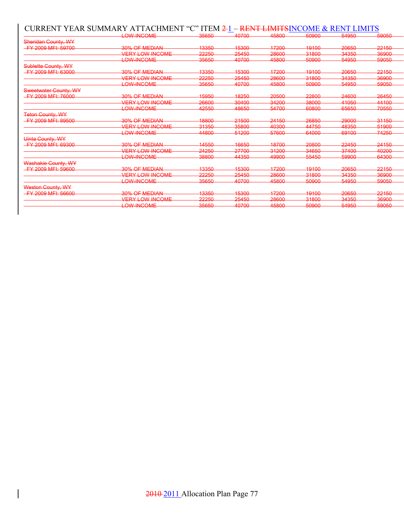### CURRENT YEAR SUMMARY ATTACHMENT "C" ITEM 2-1 – RENT LIMITSINCOME & RENT LIMITS

|                           | LOW_INCOME             | 35650                                | 40700                            | 45800                     | 50900                                          | 54950                                  | 59050                          |
|---------------------------|------------------------|--------------------------------------|----------------------------------|---------------------------|------------------------------------------------|----------------------------------------|--------------------------------|
| Sheridan County, WY       |                        |                                      |                                  |                           |                                                |                                        |                                |
| FY 2009 MFI: 59700        | <b>30% OF MEDIAN</b>   | 13350                                | 15300                            | 17200                     | 10100                                          | 20650                                  | 22150                          |
|                           | <b>VERY LOW INCOME</b> | 22250                                | 25450                            | 28600                     | 31800                                          | 34350                                  | 36900                          |
|                           | <del>LOW-INCOME</del>  | 35650                                | <b>10700</b><br><b>BY A BYAY</b> | 45800<br><b>TOWARD</b>    | 50000<br><del>-----</del>                      | 54050<br><del>-----</del>              | <b>60050</b><br>-----          |
| Sublette County, WY       |                        |                                      |                                  |                           |                                                |                                        |                                |
| <b>FY 2009 MFI: 63000</b> | 30% OF MEDIAN          | 13350                                | 15300                            | 17200                     | 10100                                          | 20650                                  | 22150                          |
|                           | <b>VEDY LOW INCOME</b> | つつつらへ<br>ᅔᅔᅔᄫ                        | つらんらい                            | 28600<br>coooo            | 31800                                          | 31350<br>ᠳᠣᠣᡃ                          | <b>36000</b>                   |
|                           | LOW-INCOME             | 35650<br>-----                       | <b>10700</b><br><b>TOTAL STO</b> | 45800                     | <b>ENQNN</b><br><del>-----</del>               | 54050<br><del>u4000</del>              | 50050<br>-----                 |
| Sweetwater County, WY     |                        |                                      |                                  |                           |                                                |                                        |                                |
| FY 2009 MFI: 76000        | 30% OF MEDIAN          | 15950                                | 18250                            | 20500                     | 22800                                          | 24600                                  | 26450                          |
|                           | <b>VERY LOW INCOME</b> | 26600                                | 30400                            | 34200                     | 38000                                          | 41050                                  | 44100                          |
|                           | LOW-INCOME             | 42550                                | 48650                            | 54700                     | 60800                                          | 65650                                  | 70550                          |
| <b>Teton County, WY</b>   |                        |                                      |                                  |                           |                                                |                                        |                                |
| FY 2009 MFI: 89500        | 30% OF MEDIAN          | 18800                                | 21500                            | 24150                     | 26850                                          | 29000                                  | 31150                          |
|                           | <b>VERY LOW INCOME</b> | 31350                                | 35800                            | 40300                     | <b>AA750</b>                                   | 48350                                  | 51900                          |
|                           | <b>LOW-INCOME</b>      | <u> 44800</u><br><b>CONSTRUCTION</b> | 51200                            | 57600                     | 64000                                          | 60100<br><b><i><u>USUMBURU</u></i></b> | 74250                          |
| <b>Uinta County, WY</b>   |                        |                                      |                                  |                           |                                                |                                        |                                |
| FY 2009 MFI: 69300        | 30% OF MEDIAN          | 14550                                | 16650                            | 18700                     | 20800                                          | 22450                                  | 24150                          |
|                           | <b>VERY LOW INCOME</b> | 24250<br><del>24200</del>            | 27700<br><del>- 1700</del>       | 31200                     | 34650<br><del>-----</del>                      | 27100<br>$\overline{\phantom{a}}$      | ∩∩ص<br><b>INVESTIGAT</b>       |
|                           | <b>LOW-INCOME</b>      | 38800<br><del>ooouu</del>            | <b>AA350</b>                     | 49900                     | 55450                                          | 59900                                  | 64300                          |
| Washakie County, WY       |                        |                                      |                                  |                           |                                                |                                        |                                |
| FY 2009 MFI: 59600        | 30% OF MEDIAN          | 13350                                | 15300                            | 17200                     | 10100                                          | 20650                                  | 22150                          |
|                           | <b>VERY LOW INCOME</b> | 22250                                | つらんらい                            | 28600                     | 31800                                          | 31350<br><del>unuc</del>               | 36900                          |
|                           | <del>LOW-INCOME</del>  | 35650                                | <b>10700</b>                     | 45800                     | 50000                                          | 54050                                  | 50050                          |
| Weston County, WY         |                        |                                      |                                  |                           |                                                |                                        |                                |
| FY 2009 MFI: 56600        | <b>30% OF MEDIAN</b>   | 13350                                | 15300                            | 17200<br><b>FIFT TOWN</b> | 10100                                          | 20650                                  | 22150                          |
|                           | <b>VERY LOW INCOME</b> | 22250                                | 25450                            | 28600                     | 31800<br><b>USE EVALUAT</b>                    | 34350<br><del>-----</del>              | 36900                          |
|                           | <del>LOW-INCOME</del>  | 35650                                | 10700<br><b>BY A BYAY</b>        | 45800<br><b>TOO OO O</b>  | <b>ENONN</b><br><b><i><u>UAUAUAUAU</u></i></b> | <b>EAOEO</b><br><del>-----</del>       | <b>60050</b><br><b>WAWAWAW</b> |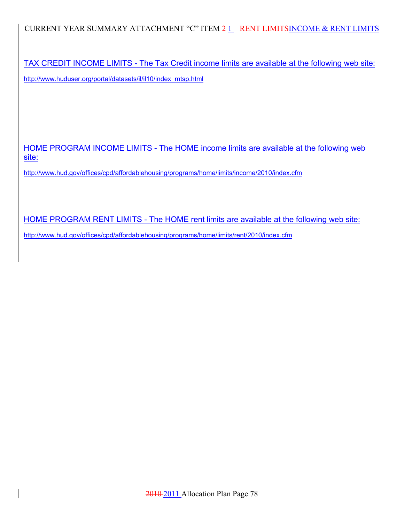CURRENT YEAR SUMMARY ATTACHMENT "C" ITEM 2-1 - RENT LIMITSINCOME & RENT LIMITS

TAX CREDIT INCOME LIMITS - The Tax Credit income limits are available at the following web site: http://www.huduser.org/portal/datasets/il/il10/index\_mtsp.html

HOME PROGRAM INCOME LIMITS - The HOME income limits are available at the following web site:

http://www.hud.gov/offices/cpd/affordablehousing/programs/home/limits/income/2010/index.cfm

HOME PROGRAM RENT LIMITS - The HOME rent limits are available at the following web site:

http://www.hud.gov/offices/cpd/affordablehousing/programs/home/limits/rent/2010/index.cfm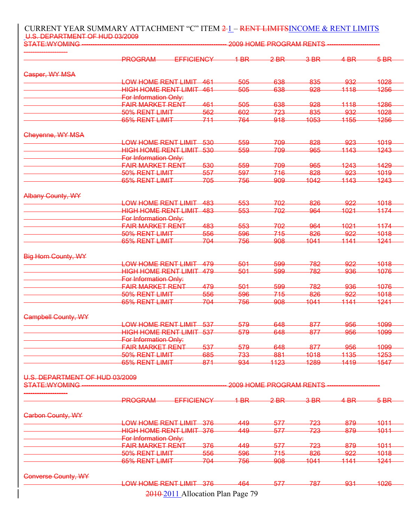#### CURRENT YEAR SUMMARY ATTACHMENT "C" ITEM 2-1 - RENT LIMITSINCOME & RENT LIMITS U.S. DEPARTMENT OF HUD 03/2009

| STATE: WYOMING                                         | 2009 HOME PROGRAM RENTS                           |      |        |                         |        |                       |                 |
|--------------------------------------------------------|---------------------------------------------------|------|--------|-------------------------|--------|-----------------------|-----------------|
|                                                        | PROGRAM<br>EFFICIENCY                             |      | $4-BR$ | $2-BR$                  | $3-BR$ | $4-BR$                | $5-BR$          |
| Gasper, WY MSA                                         |                                                   |      |        |                         |        |                       |                 |
|                                                        | <b>LOW HOME RENT LIMIT.</b>                       | -461 | 505    | 638                     | 835    | 932                   | 1028            |
|                                                        | <b>HIGH HOME RENT LIMIT 461</b>                   |      | 505    | 638                     | 928    | 1118                  | 1256            |
|                                                        | For Information Only:                             |      |        |                         |        |                       |                 |
|                                                        | <b>FAIR MARKET RENT</b>                           | 461  | 505    | 638                     | 928    | 1118                  | 1286            |
|                                                        | 50% RENT LIMIT                                    | 562  | 602    | 723                     | 835    | 932                   | 1028            |
|                                                        | 65% RENT LIMIT                                    | 711  | 764    | 918                     | 1053   | 1155                  | 1256            |
| Cheyenne, WY MSA                                       |                                                   |      |        |                         |        |                       |                 |
|                                                        | LOW HOME RENT LIMIT                               | -530 | 559    | 709                     | 828    | <del>923</del>        | <del>1019</del> |
|                                                        | <b>HIGH HOME RENT LIMIT 530</b>                   |      | 559    | 709                     | 965    | 1143                  | 1243            |
|                                                        | For Information Only:                             |      |        |                         |        |                       |                 |
|                                                        | <b>FAIR MARKET RENT</b>                           | 530  | 559    | 709                     | 965    | 1243                  | <b>1429</b>     |
|                                                        | 50% RENT LIMIT                                    | 557  | 597    | 716                     | 828    | 923                   | 1019            |
|                                                        | 65% RENT LIMIT                                    | 705  | 756    | 909                     | 1042   | 1143                  | 1243            |
|                                                        |                                                   |      |        |                         |        |                       |                 |
| <b>Albany County, WY</b>                               |                                                   |      |        |                         |        |                       |                 |
|                                                        | LOW HOME RENT LIMIT                               | 483  | 553    | 702                     | 826    | 922                   | 1018            |
|                                                        | <b>HIGH HOME RENT LIMIT 483</b>                   |      | 553    | 702                     | 964    | 1021                  | 1174            |
|                                                        | <b>For Information Only:</b>                      |      |        |                         |        |                       |                 |
|                                                        | <b>FAIR MARKET RENT</b>                           | 483  | 553    | 702                     | 964    | 1021                  | 1174            |
|                                                        | 50% RENT LIMIT                                    | 556  | 596    | 715                     | 826    | 922                   | 1018            |
|                                                        | 65% RENT LIMIT                                    | 704  | 756    | 908                     | 1041   | 1141                  | 1241            |
| <b>Big Horn County, WY</b>                             |                                                   |      |        |                         |        |                       |                 |
|                                                        | LOW HOME RENT LIMIT 479                           |      | 501    | 599                     | 782    | 922                   | 1018            |
|                                                        | <b>HIGH HOME RENT LIMIT 479</b>                   |      | 501    | 599                     | 782    | 936                   | 1076            |
|                                                        | For Information Only:                             |      |        |                         |        |                       |                 |
|                                                        | <b>FAIR MARKET RENT</b>                           | 479  | 501    | 599                     | 782    | 936                   | 1076            |
|                                                        | 50% RENT LIMIT                                    | 556  | 596    | 715                     | 826    | 922                   | 1018            |
|                                                        | 65% RENT LIMIT                                    | 704  | 756    | <del>908</del>          | 1041   | 1141                  | 1241            |
|                                                        |                                                   |      |        |                         |        |                       |                 |
| <b>Campbell County, WY</b>                             |                                                   |      | 579    |                         | 877    |                       | 1099            |
|                                                        | <b>LOW HOME RENT LIMIT 537</b>                    |      | 579    | 648                     |        | <del>956</del><br>956 | 1099            |
|                                                        | HIGH HOME RENT LIMIT 537<br>For Information Only: |      |        | 648                     | 877    |                       |                 |
|                                                        | <b>FAIR MARKET RENT</b>                           | 537  | 579    | 648                     | 877    | 956                   | 1099            |
|                                                        | 50% RENT LIMIT                                    | 685  | 733    | 881                     | 1018   | 1135                  | 1253            |
|                                                        | 65% RENT LIMIT                                    | 871  | 934    | 1123                    | 1289   | 1419                  | 1547            |
|                                                        |                                                   |      |        |                         |        |                       |                 |
| U.S. DEPARTMENT OF HUD 03/2009<br><b>STATE:WYOMING</b> |                                                   |      |        | 2009 HOME PROGRAM RENTS |        |                       |                 |
|                                                        |                                                   |      |        |                         |        |                       |                 |
|                                                        | <b>PROGRAM</b><br><b>EFFICIENCY</b>               |      | $4-BR$ | $2-BR$                  | $3-BR$ | $4-BR$                | $5-BR$          |
| <b>Carbon County, WY</b>                               |                                                   |      |        |                         |        |                       |                 |
|                                                        | LOW HOME RENT LIMIT 376                           |      | 449    | 577                     | 723    | 879                   | 1011            |
|                                                        | <b>HIGH HOME RENT LIMIT 376</b>                   |      | 449    | 577                     | 723    | 879                   | 1011            |
|                                                        | For Information Only:                             |      |        |                         |        |                       |                 |
|                                                        | <b>FAIR MARKET RENT</b>                           | 376  | 449    | 577                     | 723    | 879                   | 1011            |
|                                                        | 50% RENT LIMIT                                    | 556  | 596    | 715                     | 826    | 922                   | 1018            |
|                                                        | 65% RENT LIMIT                                    | 704  | 756    | 908                     | 1041   | 1141                  | 1241            |
|                                                        |                                                   |      |        |                         |        |                       |                 |
| <b>Converse County, WY</b>                             |                                                   |      |        |                         |        |                       |                 |
|                                                        | <b>LOW HOME RENT LIMIT 376</b>                    |      | 464    | 577                     | 787    | <del>93</del> 1       | 1026            |
|                                                        | 2010-2011 Allocation Plan Page 79                 |      |        |                         |        |                       |                 |

2010 2011 Allocation Plan Page 79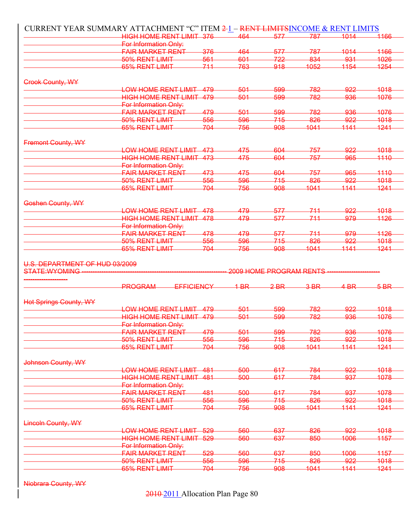|                                                 | CURRENT YEAR SUMMARY ATTACHMENT "C" ITEM 2-1 - RENT LIMITSINCOME & RENT LIMITS |            |            |                         |             |                   |                                              |
|-------------------------------------------------|--------------------------------------------------------------------------------|------------|------------|-------------------------|-------------|-------------------|----------------------------------------------|
|                                                 | <b>HIGH HOME RENT LIMIT 376</b>                                                |            | 464        | 577                     | -787        | 1014              | 1166                                         |
|                                                 | <b>For Information Only:</b>                                                   |            |            |                         |             |                   |                                              |
|                                                 | <b>FAIR MARKET RENT</b>                                                        | 376        | 464        | 577                     | 787         | 1014              | 4466                                         |
|                                                 | 50% RENT LIMIT                                                                 | 561        | 601        | 722                     | 834         | 931               | 1026                                         |
|                                                 | 65% RENT LIMIT                                                                 | 711        | 763        | 918                     | 1052        | 1154              | 1254                                         |
|                                                 |                                                                                |            |            |                         |             |                   |                                              |
| <b>Crook County, WY</b>                         | <b>LOW HOME RENT LIMIT</b>                                                     | 479        | 501        | 599                     | 782         | 922               | <u> 1018</u>                                 |
|                                                 | <b>HIGH HOME RENT LIMIT 479</b>                                                |            | 501        | 599                     | 782         | 936               | 4076                                         |
|                                                 |                                                                                |            |            |                         |             |                   |                                              |
|                                                 | For Information Only:                                                          | 479        | 501        | 599                     | 782         | 936               | 1076                                         |
|                                                 | FAIR MARKET RENT                                                               |            |            |                         |             |                   |                                              |
|                                                 | <del>50% RENT LIMIT</del>                                                      | 556        | 596        | 715                     | 826         | 922               | <del>1018</del>                              |
|                                                 | 65% RENT LIMIT                                                                 | 704        | 756        | 908                     | 1041        | 1141              | 1241                                         |
| <b>Fremont County, WY</b>                       |                                                                                |            |            |                         |             |                   |                                              |
|                                                 | LOW HOME RENT LIMIT                                                            | -473       | 475        | 604                     | 757         | <del>922</del>    | 1018                                         |
|                                                 | <b>HIGH HOME RENT LIMIT 473</b>                                                |            | 475        | 604                     | 757         | 965               | 4440                                         |
|                                                 | For Information Only:                                                          |            |            |                         |             |                   |                                              |
|                                                 | <del>FAIR MARKET RENT</del>                                                    | 473        | 475        | 604                     | 757         | 965               | 1110                                         |
|                                                 | 50% RENT LIMIT                                                                 | 556        | 596        | 715                     | 826         | 922               | 1018                                         |
|                                                 | 65% RENT LIMIT                                                                 | 704        | 756        | 908                     | 1041        | 1141              | 1241                                         |
|                                                 |                                                                                |            |            |                         |             |                   |                                              |
| Goshen County, WY                               |                                                                                |            |            |                         |             |                   |                                              |
|                                                 | LOW HOME RENT LIMIT 478                                                        |            | 479        | 577                     | 711         | 922               | <del>1018</del>                              |
|                                                 | <b>HIGH HOME RENT LIMIT 478</b>                                                |            | 479        | 577                     | 711         | 979               | 1126                                         |
|                                                 | For Information Only:                                                          |            |            |                         |             |                   |                                              |
|                                                 | FAIR MARKET RENT                                                               | 478        | 479        | 577                     | 711         | <del>979</del>    | 4426                                         |
|                                                 | 50% RENT LIMIT                                                                 | 556        | 596        | 715                     | 826         | 922               | 1018                                         |
|                                                 | 65% RENT LIMIT                                                                 | -704       | 756        | 908                     | 1041        | 1141              | 1241                                         |
| U.S. DEPARTMENT OF HUD 03/2009                  |                                                                                |            |            |                         |             |                   |                                              |
| <b>STATE:WYOMING</b>                            |                                                                                |            |            | 2009 HOME PROGRAM RENTS |             |                   |                                              |
|                                                 | PROGRAM<br><b>EFFICIENCY</b>                                                   |            | 1 BR       | $2$ BR                  | $3-BR$      | $4$ <sub>BR</sub> | 5 BR                                         |
|                                                 |                                                                                |            |            |                         |             |                   |                                              |
| <b>Hot Springs County, WY</b>                   | LOW HOME RENT LIMIT 479                                                        |            | 501        | 599                     | 782         | 922               | <u> 1018</u>                                 |
|                                                 | <b>HIGH HOME RENT LIMIT 479</b>                                                |            | 501        | 500                     | 782         | ೧૩೯               | 1076                                         |
|                                                 | For Information Only:                                                          |            |            |                         |             |                   |                                              |
|                                                 |                                                                                |            |            |                         |             |                   |                                              |
|                                                 |                                                                                |            |            |                         |             |                   |                                              |
|                                                 | <b>FAIR MARKET RENT</b>                                                        | 479        | 501        | 599                     | 782         | 936               |                                              |
|                                                 | 50% RENT LIMIT                                                                 | 556        | 596        | 715                     | 826         | 922               |                                              |
|                                                 | 65% RENT LIMIT                                                                 | 704        | 756        | 908                     | 1041        | 1141              |                                              |
|                                                 |                                                                                |            |            |                         |             |                   |                                              |
|                                                 |                                                                                | 481        |            | 617                     |             | 922               |                                              |
|                                                 | LOW HOME RENT LIMIT                                                            |            | 500        |                         | 784         |                   |                                              |
|                                                 | <b>HIGH HOME RENT LIMIT 481</b>                                                |            | 500        | 617                     | 784         | 937               |                                              |
|                                                 | For Information Only:                                                          |            |            |                         |             |                   |                                              |
|                                                 | <b>FAIR MARKET RENT</b>                                                        | 481        | 500        | 617                     | 784         | 937               | 1241                                         |
|                                                 | 50% RENT LIMIT                                                                 | 556        | 596        | 715                     | 826         | 922               |                                              |
|                                                 | 65% RENT LIMIT                                                                 | 704        | 756        | 908                     | 1041        | 1141              |                                              |
|                                                 |                                                                                |            |            |                         |             |                   |                                              |
|                                                 | LOW HOME RENT LIMIT 529                                                        |            | 560        | 637                     | 826         | 922               | 1241                                         |
|                                                 |                                                                                |            |            |                         |             |                   |                                              |
|                                                 | HIGH HOME RENT LIMIT 529                                                       |            | 560        | 637                     | 850         | 1006              |                                              |
|                                                 | For Information Only:                                                          |            |            |                         |             |                   |                                              |
|                                                 | <b>FAIR MARKET RENT</b>                                                        | 529        | 560        | 637                     | 850         | 1006              | 1018<br>1078<br>1078<br>1018<br>1157         |
| Johnson County, WY<br><b>Lincoln County, WY</b> | 50% RENT LIMIT<br>65% RENT LIMIT                                               | 556<br>704 | 596<br>756 | 745<br>908              | 826<br>1041 | 922<br>1141       | 1076<br>1018<br>1018<br>1157<br>1018<br>1241 |

Niobrara County, WY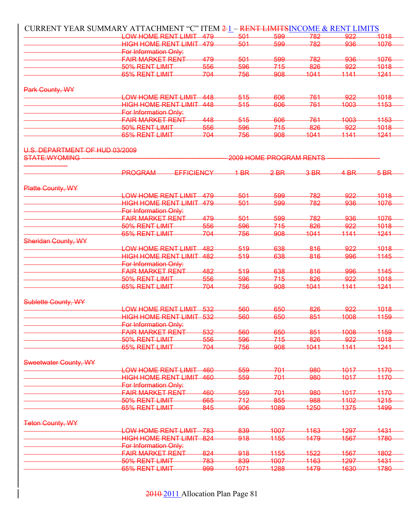|                                | CURRENT YEAR SUMMARY ATTACHMENT "C" ITEM 2-1 |     |        |                         | - RENT LIMITSINCOME & RENT LIMITS |                   |      |
|--------------------------------|----------------------------------------------|-----|--------|-------------------------|-----------------------------------|-------------------|------|
|                                | LOW HOME RENT LIMIT 479                      |     | 501    | 599                     | 782                               | 922               | 1018 |
|                                | HIGH HOME RENT LIMIT 479                     |     | 501    | 599                     | 782                               | 936               | 1076 |
|                                | For Information Only:                        |     |        |                         |                                   |                   |      |
|                                | <del>FAIR MARKET RENT</del>                  | 479 | 501    | 599                     | 782                               | 936               | 1076 |
|                                | 50% RENT LIMIT                               | 556 | 596    | 715                     | 826                               | 922               | 1018 |
|                                | 65% RENT LIMIT                               | 704 | 756    | 908                     | 1041                              | 1141              | 1241 |
|                                |                                              |     |        |                         |                                   |                   |      |
| Park County, WY                |                                              |     |        |                         |                                   |                   |      |
|                                | <del>LOW HOME RENT LIMIT</del>               | 448 | $-515$ | 606                     | -761                              | 922               | 4018 |
|                                | HIGH HOME RENT LIMIT 448                     |     | 515    | 606                     | 761                               | 1003              | 1153 |
|                                | For Information Only:                        |     |        |                         |                                   |                   |      |
|                                | <del>FAIR MARKET RENT</del>                  | 448 | 515    | 606                     | $-761$                            | 1003              | 1153 |
|                                | 50% RENT LIMIT                               | 556 | 596    | 715                     | 826                               | 922               | 1018 |
|                                | 65% RENT LIMIT                               | 704 | 756    | 908                     | 1041                              | 1141              | 1241 |
|                                |                                              |     |        |                         |                                   |                   |      |
| U.S. DEPARTMENT OF HUD 03/2009 |                                              |     |        |                         |                                   |                   |      |
| <b>STATE:WYOMING</b>           |                                              |     |        | 2009 HOME PROGRAM RENTS |                                   |                   |      |
|                                | PROGRAM<br><b>EFFICIENCY</b>                 |     | 1 BR   | <del>2 BR</del>         | $-3-BR$                           | $4$ <sub>BR</sub> | 5 BR |
|                                |                                              |     |        |                         |                                   |                   |      |
| Platte County, WY              |                                              |     |        |                         |                                   |                   |      |
|                                | LOW HOME RENT LIMIT 479                      |     | 501    | 599                     | -782                              | 922               | 1018 |
|                                | HIGH HOME RENT LIMIT 479                     |     | 501    | 599                     | 782                               | 936               | 1076 |
|                                | For Information Only:                        |     |        |                         |                                   |                   |      |
|                                | <u>FAIR MARKET RENT</u>                      | 479 | 501    | 599                     | -782                              | 936               | 1076 |
|                                | 50% RENT LIMIT                               | 556 | 596    | 715                     | 826                               | 922               | 1018 |
|                                | 65% RENT LIMIT                               | 704 | 756    | 908                     | 1041                              | 1141              | 1241 |
| <b>Sheridan County, WY</b>     |                                              |     |        |                         |                                   |                   |      |
|                                |                                              |     |        |                         |                                   | 922               |      |
|                                | LOW HOME RENT LIMIT                          | 482 | 519    | 638                     | 816                               |                   | 1018 |
|                                | <del>HIGH HOME RENT LIMIT-</del>             | 482 | 519    | 638                     | 816                               | 996               | 1145 |
|                                | <b>For Information Only:</b>                 |     |        |                         |                                   |                   |      |
|                                | <del>FAIR MARKET RENT</del>                  | 482 | $-519$ | 638                     | 816                               | 996               | 1145 |
|                                | 50% RENT LIMIT                               | 556 | 596    | 715                     | 826                               | 922               | 1018 |
|                                | 65% RENT LIMIT                               | 704 | 756    | 908                     | 1041                              | 1141              | 1241 |
|                                |                                              |     |        |                         |                                   |                   |      |
| Sublette County, WY            | LOW HOME RENT LIMIT 532                      |     | 560    | 650                     | 826                               | 922               | 1018 |
|                                |                                              |     |        |                         |                                   | 1008              |      |
|                                | HIGH HOME RENT LIMIT 532                     |     | 560    | 650                     | 851                               |                   | 1159 |
|                                | For Information Only:                        |     |        |                         |                                   |                   |      |
|                                | <b>FAIR MARKET RENT</b>                      | 532 | 560    | 650                     | 851                               | 1008              | 1159 |
|                                | 50% RENT LIMIT                               | 556 | 596    | 715                     | 826                               | 922               | 1018 |
|                                | 65% RENT LIMIT                               | 704 | 756    | 908                     | 1041                              | 1141              | 1241 |
|                                |                                              |     |        |                         |                                   |                   |      |
| Sweetwater County, WY          |                                              |     |        |                         |                                   |                   |      |
|                                | LOW HOME RENT LIMIT                          | 460 | 559    | 701                     | 980                               | 1017              | 4470 |
|                                | <b>HIGH HOME RENT LIMIT 460</b>              |     | 559    | 701                     | 980                               | 1017              | 1170 |
|                                | For Information Only:                        |     |        |                         |                                   |                   |      |
|                                | <b>FAIR MARKET RENT</b>                      | 460 | 559    | 701                     | 980                               | 1017              | 1170 |
|                                | 50% RENT LIMIT                               | 665 | 712    | 855                     | 988                               | 1102              | 1215 |
|                                | 65% RENT LIMIT                               | 845 | 906    | 1089                    | 1250                              | 1375              | 1499 |
|                                |                                              |     |        |                         |                                   |                   |      |
| <b>Teton County, WY</b>        |                                              |     |        |                         |                                   |                   |      |
|                                | LOW HOME RENT LIMIT 783                      |     | 839    | 1007                    | 1163                              | 1297              | 1431 |
|                                | HIGH HOME RENT LIMIT 824                     |     | 918    | 1155                    | 1479                              | 1567              | 1780 |
|                                | For Information Only:                        |     |        |                         |                                   |                   |      |
|                                | <b>FAIR MARKET RENT</b>                      | 824 | 918    | 1155                    | 1522                              | 1567              | 1802 |
|                                | 50% RENT LIMIT                               | 783 | 839    | 4007                    | 1163                              | 1297              | 1431 |
|                                | 65% RENT LIMIT                               | 999 | 1071   | 1288                    | 1479                              | 1630              | 1780 |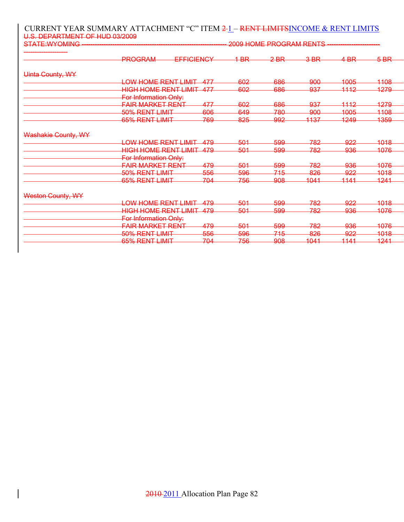#### CURRENT YEAR SUMMARY ATTACHMENT "C" ITEM 2-1 - RENT LIMITSINCOME & RENT LIMITS U.S. DEPARTMENT OF HUD 03/2009

| <b>STATE:WYOMING</b> | 2009 HOME PROGRAM RENTS             |                |                |                |                 |                 |                       |
|----------------------|-------------------------------------|----------------|----------------|----------------|-----------------|-----------------|-----------------------|
|                      | <b>PROGRAM</b><br><b>EFFICIENCY</b> |                | $4-BR$         | $2-BR$         | $3-BR$          | $4-BR$          | $5-BR$                |
| Uinta County, WY     |                                     |                |                |                |                 |                 |                       |
|                      | LOW HOME RENT LIMIT                 | <u>A77</u>     | 602            | 686            | -900            | 1005            | 1108                  |
|                      | <b>HIGH HOME RENT LIMIT</b>         | -477           | 602            | 686            | 937             | 1112            | 1279                  |
|                      | For Information Only:               |                |                |                |                 |                 |                       |
|                      | <b>FAIR MARKET RENT</b>             | 477            | -602           | 686            | 937             | <u> 1112 </u>   | 1279                  |
|                      | 50% RENT LIMIT                      | 606            | 649            | 780            | -900            | <del>1005</del> | 1108                  |
|                      | 65% RENT LIMIT                      | 769            | 825            | <del>992</del> | <del>1137</del> | <u> 1249</u>    | <del>1359</del>       |
| Washakie County, WY  |                                     |                |                |                |                 |                 |                       |
|                      | <b>LOW HOME RENT LIMIT</b>          | A70            | 501            | 599            | 782             | <del>922</del>  | 1018                  |
|                      | <del>HIGH HOME RENT LIMIT</del>     | <u> 470</u>    | 501            | 599            | 782             | 936             | 1076                  |
|                      | For Information Only:               |                |                |                |                 |                 |                       |
|                      | <b>FAIR MARKET RENT</b>             | 479            | 501            | 599            | 782             | <del>936</del>  | 1076                  |
|                      | 50% RENT LIMIT                      | <del>556</del> | <del>596</del> | <del>715</del> | 826             | <u>922</u>      | 1018                  |
|                      | 65% RENT LIMIT                      | 704            | 756            | <del>908</del> | 1041            | 1111            | 1241                  |
| Weston County, WY    |                                     |                |                |                |                 |                 |                       |
|                      | LOW HOME RENT LIMIT                 | <u>470</u>     | 501            | 599            | 782             | 922             | 1018                  |
|                      | <del>HIGH HOME RENT LIMIT</del>     | 470            | 501            | 599            | 782             | <del>936</del>  | 1076                  |
|                      | For Information Only:               |                |                |                |                 |                 |                       |
|                      | <b>FAIR MARKET RENT</b>             | 479            | -501           | <del>599</del> | 782             | <del>936</del>  | 1076                  |
|                      | 50% RENT LIMIT                      | 556            | 596            | 745            | 826             | <del>922</del>  | 1018                  |
|                      | 65% RENT LIMIT                      | 70A<br>——      | 756            | <del>908</del> | 1041            | 1111            | 1241<br><b>ITALIA</b> |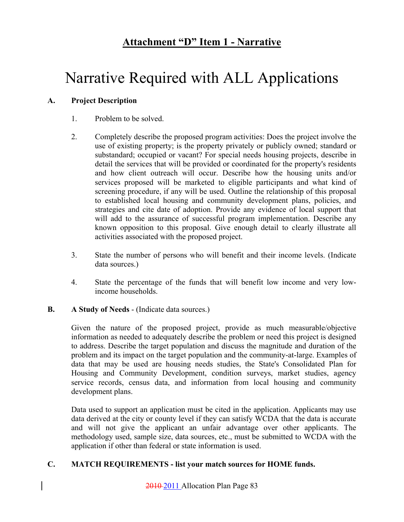# **Attachment "D" Item 1 - Narrative**

# Narrative Required with ALL Applications

### **A. Project Description**

- 1. Problem to be solved.
- 2. Completely describe the proposed program activities: Does the project involve the use of existing property; is the property privately or publicly owned; standard or substandard; occupied or vacant? For special needs housing projects, describe in detail the services that will be provided or coordinated for the property's residents and how client outreach will occur. Describe how the housing units and/or services proposed will be marketed to eligible participants and what kind of screening procedure, if any will be used. Outline the relationship of this proposal to established local housing and community development plans, policies, and strategies and cite date of adoption. Provide any evidence of local support that will add to the assurance of successful program implementation. Describe any known opposition to this proposal. Give enough detail to clearly illustrate all activities associated with the proposed project.
- 3. State the number of persons who will benefit and their income levels. (Indicate data sources.)
- 4. State the percentage of the funds that will benefit low income and very lowincome households.

### **B. A Study of Needs** - (Indicate data sources.)

Given the nature of the proposed project, provide as much measurable/objective information as needed to adequately describe the problem or need this project is designed to address. Describe the target population and discuss the magnitude and duration of the problem and its impact on the target population and the community-at-large. Examples of data that may be used are housing needs studies, the State's Consolidated Plan for Housing and Community Development, condition surveys, market studies, agency service records, census data, and information from local housing and community development plans.

Data used to support an application must be cited in the application. Applicants may use data derived at the city or county level if they can satisfy WCDA that the data is accurate and will not give the applicant an unfair advantage over other applicants. The methodology used, sample size, data sources, etc., must be submitted to WCDA with the application if other than federal or state information is used.

### **C. MATCH REQUIREMENTS - list your match sources for HOME funds.**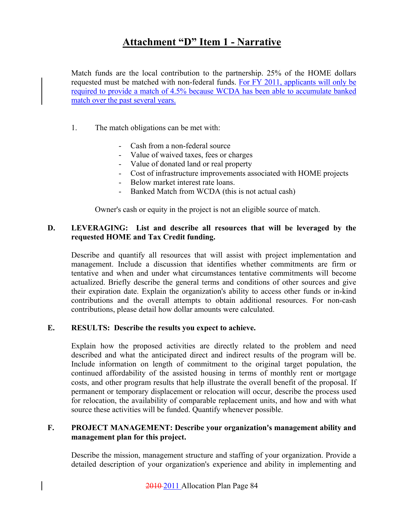# **Attachment "D" Item 1 - Narrative**

Match funds are the local contribution to the partnership. 25% of the HOME dollars requested must be matched with non-federal funds. For FY 2011, applicants will only be required to provide a match of 4.5% because WCDA has been able to accumulate banked match over the past several years.

- 1. The match obligations can be met with:
	- Cash from a non-federal source
	- Value of waived taxes, fees or charges
	- Value of donated land or real property
	- Cost of infrastructure improvements associated with HOME projects
	- Below market interest rate loans.
	- Banked Match from WCDA (this is not actual cash)

Owner's cash or equity in the project is not an eligible source of match.

### **D. LEVERAGING: List and describe all resources that will be leveraged by the requested HOME and Tax Credit funding.**

Describe and quantify all resources that will assist with project implementation and management. Include a discussion that identifies whether commitments are firm or tentative and when and under what circumstances tentative commitments will become actualized. Briefly describe the general terms and conditions of other sources and give their expiration date. Explain the organization's ability to access other funds or in-kind contributions and the overall attempts to obtain additional resources. For non-cash contributions, please detail how dollar amounts were calculated.

### **E. RESULTS: Describe the results you expect to achieve.**

Explain how the proposed activities are directly related to the problem and need described and what the anticipated direct and indirect results of the program will be. Include information on length of commitment to the original target population, the continued affordability of the assisted housing in terms of monthly rent or mortgage costs, and other program results that help illustrate the overall benefit of the proposal. If permanent or temporary displacement or relocation will occur, describe the process used for relocation, the availability of comparable replacement units, and how and with what source these activities will be funded. Quantify whenever possible.

### **F. PROJECT MANAGEMENT: Describe your organization's management ability and management plan for this project.**

Describe the mission, management structure and staffing of your organization. Provide a detailed description of your organization's experience and ability in implementing and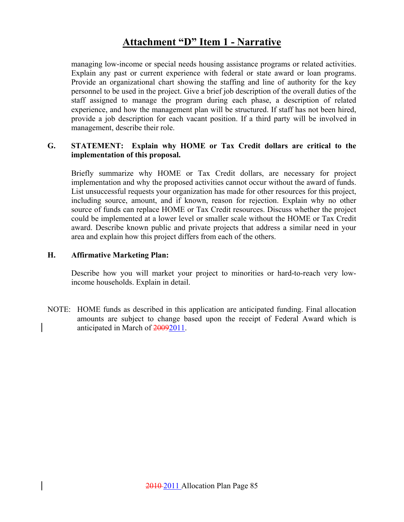### **Attachment "D" Item 1 - Narrative**

managing low-income or special needs housing assistance programs or related activities. Explain any past or current experience with federal or state award or loan programs. Provide an organizational chart showing the staffing and line of authority for the key personnel to be used in the project. Give a brief job description of the overall duties of the staff assigned to manage the program during each phase, a description of related experience, and how the management plan will be structured. If staff has not been hired, provide a job description for each vacant position. If a third party will be involved in management, describe their role.

### **G. STATEMENT: Explain why HOME or Tax Credit dollars are critical to the implementation of this proposal.**

Briefly summarize why HOME or Tax Credit dollars, are necessary for project implementation and why the proposed activities cannot occur without the award of funds. List unsuccessful requests your organization has made for other resources for this project, including source, amount, and if known, reason for rejection. Explain why no other source of funds can replace HOME or Tax Credit resources. Discuss whether the project could be implemented at a lower level or smaller scale without the HOME or Tax Credit award. Describe known public and private projects that address a similar need in your area and explain how this project differs from each of the others.

### **H. Affirmative Marketing Plan:**

Describe how you will market your project to minorities or hard-to-reach very lowincome households. Explain in detail.

NOTE: HOME funds as described in this application are anticipated funding. Final allocation amounts are subject to change based upon the receipt of Federal Award which is anticipated in March of 20092011.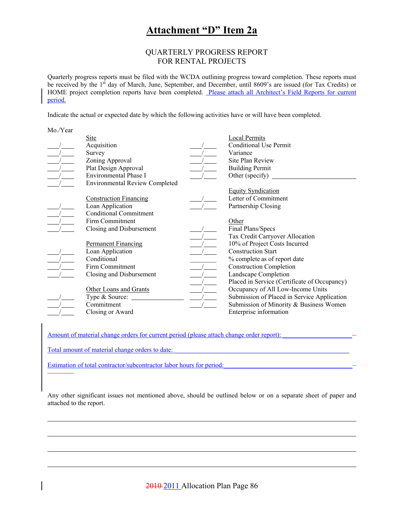### **Attachment "D" Item 2a**

#### QUARTERLY PROGRESS REPORT FOR RENTAL PROJECTS

Quarterly progress reports must be filed with the WCDA outlining progress toward completion. These reports must be received by the 1<sup>st</sup> day of March, June, September, and December, until 8609's are issued (for Tax Credits) or HOME project completion reports have been completed. Please attach all Architect's Field Reports for current period.

Indicate the actual or expected date by which the following activities have or will have been completed.

| Mo./ Y ear |                                       |                                              |
|------------|---------------------------------------|----------------------------------------------|
|            | <b>Site</b>                           | <b>Local Permits</b>                         |
|            | Acquisition                           | <b>Conditional Use Permit</b>                |
|            | Survey                                | Variance                                     |
|            | Zoning Approval                       | Site Plan Review                             |
|            | Plat Design Approval                  | <b>Building Permit</b>                       |
|            | Environmental Phase I                 | Other (specify)                              |
|            | <b>Environmental Review Completed</b> |                                              |
|            |                                       | <b>Equity Syndication</b>                    |
|            | <b>Construction Financing</b>         | Letter of Commitment                         |
|            | Loan Application                      | Partnership Closing                          |
|            | <b>Conditional Commitment</b>         |                                              |
|            | Firm Commitment                       | Other                                        |
|            | Closing and Disbursement              | Final Plans/Specs                            |
|            |                                       | Tax Credit Carryover Allocation              |
|            | <b>Permanent Financing</b>            | 10% of Project Costs Incurred                |
|            | Loan Application                      | <b>Construction Start</b>                    |
|            | Conditional                           | % complete as of report date                 |
|            | Firm Commitment                       | <b>Construction Completion</b>               |
|            | Closing and Disbursement              | Landscape Completion                         |
|            |                                       | Placed in Service (Certificate of Occupancy) |
|            | Other Loans and Grants                | Occupancy of All Low-Income Units            |
|            | Type & Source:                        | Submission of Placed in Service Application  |
|            | Commitment                            | Submission of Minority & Business Women      |
|            | Closing or Award                      | Enterprise information                       |
|            |                                       |                                              |

Amount of material change orders for current period (please attach change order report):

Total amount of material change orders to date:

 $M \times N$ 

Estimation of total contractor/subcontractor labor hours for period:

Any other significant issues not mentioned above, should be outlined below or on a separate sheet of paper and attached to the report.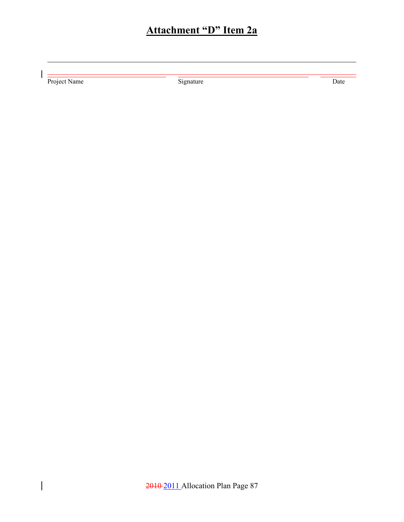# **Attachment "D" Item 2a**

Project Name Signature Signature Date

 $\overline{\phantom{a}}$ 

 $\begin{array}{c} \hline \end{array}$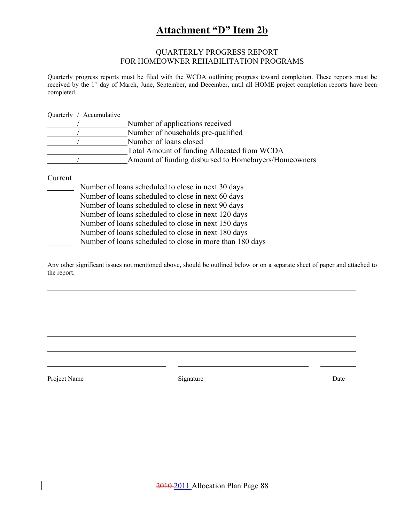# **Attachment "D" Item 2b**

#### QUARTERLY PROGRESS REPORT FOR HOMEOWNER REHABILITATION PROGRAMS

Quarterly progress reports must be filed with the WCDA outlining progress toward completion. These reports must be received by the 1<sup>st</sup> day of March, June, September, and December, until all HOME project completion reports have been completed.

Quarterly / Accumulative

| Number of applications received                      |
|------------------------------------------------------|
| Number of households pre-qualified                   |
| Number of loans closed                               |
| Total Amount of funding Allocated from WCDA          |
| Amount of funding disbursed to Homebuyers/Homeowners |

Current

|  | Number of loans scheduled to close in next 30 days |  |  |
|--|----------------------------------------------------|--|--|
|  |                                                    |  |  |

- Number of loans scheduled to close in next 60 days
- Number of loans scheduled to close in next 90 days
- Number of loans scheduled to close in next 120 days
- Number of loans scheduled to close in next 150 days
- Number of loans scheduled to close in next 180 days
- Number of loans scheduled to close in more than 180 days

Any other significant issues not mentioned above, should be outlined below or on a separate sheet of paper and attached to the report.

Project Name Date Date Signature Date Date Date Date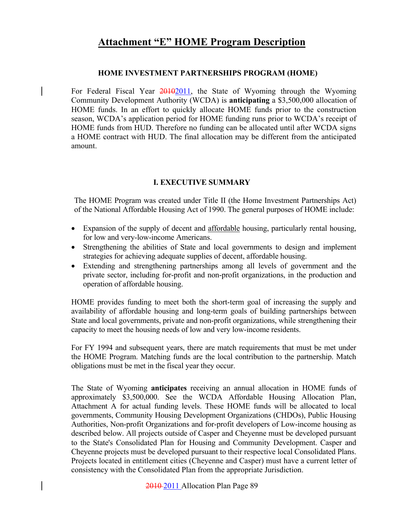### **HOME INVESTMENT PARTNERSHIPS PROGRAM (HOME)**

For Federal Fiscal Year  $20102011$ , the State of Wyoming through the Wyoming Community Development Authority (WCDA) is **anticipating** a \$3,500,000 allocation of HOME funds. In an effort to quickly allocate HOME funds prior to the construction season, WCDA's application period for HOME funding runs prior to WCDA's receipt of HOME funds from HUD. Therefore no funding can be allocated until after WCDA signs a HOME contract with HUD. The final allocation may be different from the anticipated amount.

### **I. EXECUTIVE SUMMARY**

The HOME Program was created under Title II (the Home Investment Partnerships Act) of the National Affordable Housing Act of 1990. The general purposes of HOME include:

- Expansion of the supply of decent and affordable housing, particularly rental housing, for low and very-low-income Americans.
- Strengthening the abilities of State and local governments to design and implement strategies for achieving adequate supplies of decent, affordable housing.
- Extending and strengthening partnerships among all levels of government and the private sector, including for-profit and non-profit organizations, in the production and operation of affordable housing.

HOME provides funding to meet both the short-term goal of increasing the supply and availability of affordable housing and long-term goals of building partnerships between State and local governments, private and non-profit organizations, while strengthening their capacity to meet the housing needs of low and very low-income residents.

For FY 1994 and subsequent years, there are match requirements that must be met under the HOME Program. Matching funds are the local contribution to the partnership. Match obligations must be met in the fiscal year they occur.

The State of Wyoming **anticipates** receiving an annual allocation in HOME funds of approximately \$3,500,000. See the WCDA Affordable Housing Allocation Plan, Attachment A for actual funding levels. These HOME funds will be allocated to local governments, Community Housing Development Organizations (CHDOs), Public Housing Authorities, Non-profit Organizations and for-profit developers of Low-income housing as described below. All projects outside of Casper and Cheyenne must be developed pursuant to the State's Consolidated Plan for Housing and Community Development. Casper and Cheyenne projects must be developed pursuant to their respective local Consolidated Plans. Projects located in entitlement cities (Cheyenne and Casper) must have a current letter of consistency with the Consolidated Plan from the appropriate Jurisdiction.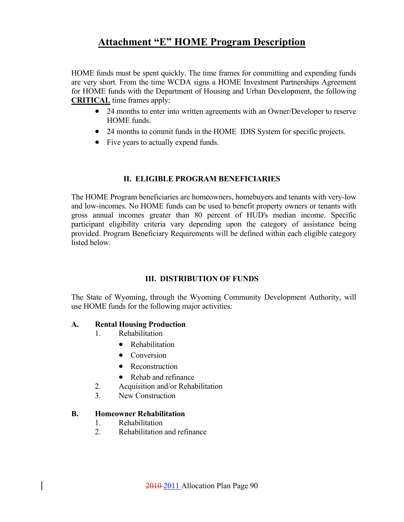HOME funds must be spent quickly. The time frames for committing and expending funds are very short. From the time WCDA signs a HOME Investment Partnerships Agreement for HOME funds with the Department of Housing and Urban Development, the following **CRITICAL** time frames apply:

- 24 months to enter into written agreements with an Owner/Developer to reserve HOME funds.
- 24 months to commit funds in the HOME IDIS System for specific projects.
- Five years to actually expend funds.

### **II. ELIGIBLE PROGRAM BENEFICIARIES**

The HOME Program beneficiaries are homeowners, homebuyers and tenants with very-low and low-incomes. No HOME funds can be used to benefit property owners or tenants with gross annual incomes greater than 80 percent of HUD's median income. Specific participant eligibility criteria vary depending upon the category of assistance being provided. Program Beneficiary Requirements will be defined within each eligible category listed below.

### **III. DISTRIBUTION OF FUNDS**

The State of Wyoming, through the Wyoming Community Development Authority, will use HOME funds for the following major activities:

### **A. Rental Housing Production**

- 1. Rehabilitation
	- Rehabilitation
	- Conversion
	- Reconstruction
	- Rehab and refinance
- 2. Acquisition and/or Rehabilitation
- 3. New Construction

### **B. Homeowner Rehabilitation**

- 1. Rehabilitation
- 2. Rehabilitation and refinance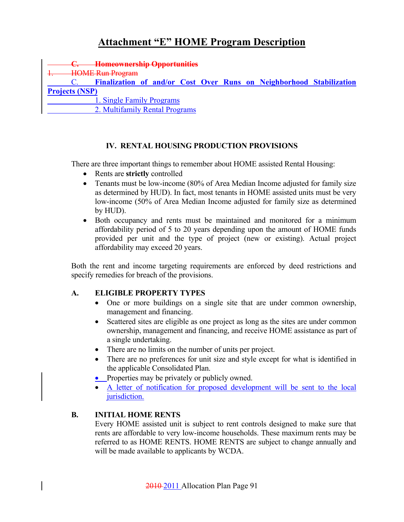**C. Homeownership Opportunities HOME Run Program**  C. **Finalization of and/or Cost Over Runs on Neighborhood Stabilization Projects (NSP)** 1. Single Family Programs 2. Multifamily Rental Programs

### **IV. RENTAL HOUSING PRODUCTION PROVISIONS**

There are three important things to remember about HOME assisted Rental Housing:

- Rents are **strictly** controlled
- Tenants must be low-income (80% of Area Median Income adjusted for family size as determined by HUD). In fact, most tenants in HOME assisted units must be very low-income (50% of Area Median Income adjusted for family size as determined by HUD).
- Both occupancy and rents must be maintained and monitored for a minimum affordability period of 5 to 20 years depending upon the amount of HOME funds provided per unit and the type of project (new or existing). Actual project affordability may exceed 20 years.

Both the rent and income targeting requirements are enforced by deed restrictions and specify remedies for breach of the provisions.

### **A. ELIGIBLE PROPERTY TYPES**

- One or more buildings on a single site that are under common ownership, management and financing.
- Scattered sites are eligible as one project as long as the sites are under common ownership, management and financing, and receive HOME assistance as part of a single undertaking.
- There are no limits on the number of units per project.
- There are no preferences for unit size and style except for what is identified in the applicable Consolidated Plan.
- Properties may be privately or publicly owned.
- A letter of notification for proposed development will be sent to the local jurisdiction.

### **B. INITIAL HOME RENTS**

 Every HOME assisted unit is subject to rent controls designed to make sure that rents are affordable to very low-income households. These maximum rents may be referred to as HOME RENTS. HOME RENTS are subject to change annually and will be made available to applicants by WCDA.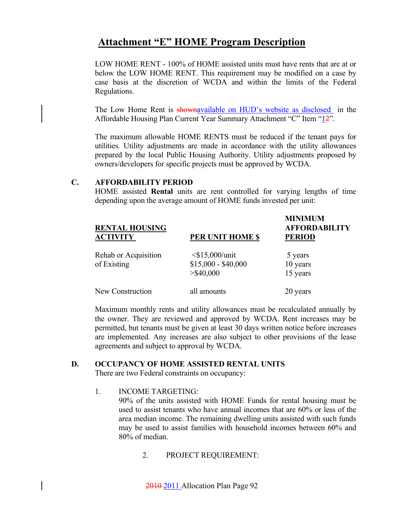LOW HOME RENT - 100% of HOME assisted units must have rents that are at or below the LOW HOME RENT. This requirement may be modified on a case by case basis at the discretion of WCDA and within the limits of the Federal Regulations.

The Low Home Rent is shown available on HUD's website as disclosed in the Affordable Housing Plan Current Year Summary Attachment "C" Item "12".

 The maximum allowable HOME RENTS must be reduced if the tenant pays for utilities. Utility adjustments are made in accordance with the utility allowances prepared by the local Public Housing Authority. Utility adjustments proposed by owners/developers for specific projects must be approved by WCDA.

### **C. AFFORDABILITY PERIOD**

 HOME assisted **Rental** units are rent controlled for varying lengths of time depending upon the average amount of HOME funds invested per unit:

| <b>RENTAL HOUSING</b><br><b>ACTIVITY</b> | PER UNIT HOME \$                                            | <b>MINIMUM</b><br><b>AFFORDABILITY</b><br><b>PERIOD</b> |
|------------------------------------------|-------------------------------------------------------------|---------------------------------------------------------|
| Rehab or Acquisition<br>of Existing      | $\leq$ \$15,000/unit<br>$$15,000 - $40,000$<br>$>$ \$40,000 | 5 years<br>10 years<br>15 years                         |
| New Construction                         | all amounts                                                 | 20 years                                                |

 Maximum monthly rents and utility allowances must be recalculated annually by the owner. They are reviewed and approved by WCDA. Rent increases may be permitted, but tenants must be given at least 30 days written notice before increases are implemented. Any increases are also subject to other provisions of the lease agreements and subject to approval by WCDA.

### **D. OCCUPANCY OF HOME ASSISTED RENTAL UNITS**

There are two Federal constraints on occupancy:

### 1. INCOME TARGETING:

 90% of the units assisted with HOME Funds for rental housing must be used to assist tenants who have annual incomes that are 60% or less of the area median income. The remaining dwelling units assisted with such funds may be used to assist families with household incomes between 60% and 80% of median.

2. PROJECT REQUIREMENT: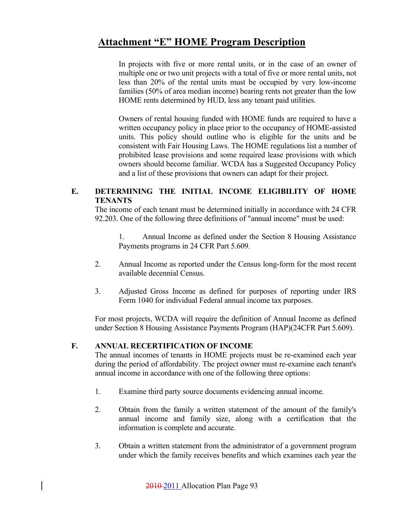In projects with five or more rental units, or in the case of an owner of multiple one or two unit projects with a total of five or more rental units, not less than 20% of the rental units must be occupied by very low-income families (50% of area median income) bearing rents not greater than the low HOME rents determined by HUD, less any tenant paid utilities.

Owners of rental housing funded with HOME funds are required to have a written occupancy policy in place prior to the occupancy of HOME-assisted units. This policy should outline who is eligible for the units and be consistent with Fair Housing Laws. The HOME regulations list a number of prohibited lease provisions and some required lease provisions with which owners should become familiar. WCDA has a Suggested Occupancy Policy and a list of these provisions that owners can adapt for their project.

### **E. DETERMINING THE INITIAL INCOME ELIGIBILITY OF HOME TENANTS**

 The income of each tenant must be determined initially in accordance with 24 CFR 92.203. One of the following three definitions of "annual income" must be used:

 1. Annual Income as defined under the Section 8 Housing Assistance Payments programs in 24 CFR Part 5.609.

- 2. Annual Income as reported under the Census long-form for the most recent available decennial Census.
- 3. Adjusted Gross Income as defined for purposes of reporting under IRS Form 1040 for individual Federal annual income tax purposes.

For most projects, WCDA will require the definition of Annual Income as defined under Section 8 Housing Assistance Payments Program (HAP)(24CFR Part 5.609).

### **F. ANNUAL RECERTIFICATION OF INCOME**

 The annual incomes of tenants in HOME projects must be re-examined each year during the period of affordability. The project owner must re-examine each tenant's annual income in accordance with one of the following three options:

- 1. Examine third party source documents evidencing annual income.
- 2. Obtain from the family a written statement of the amount of the family's annual income and family size, along with a certification that the information is complete and accurate.
- 3. Obtain a written statement from the administrator of a government program under which the family receives benefits and which examines each year the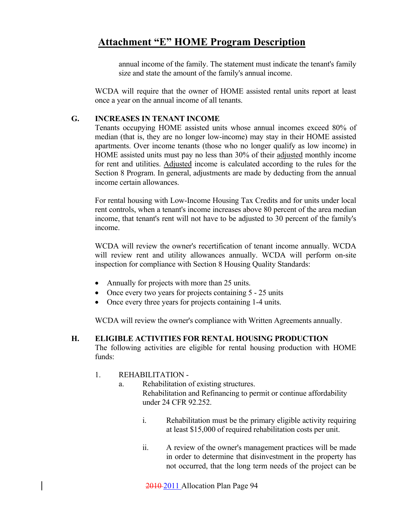annual income of the family. The statement must indicate the tenant's family size and state the amount of the family's annual income.

 WCDA will require that the owner of HOME assisted rental units report at least once a year on the annual income of all tenants.

### **G. INCREASES IN TENANT INCOME**

 Tenants occupying HOME assisted units whose annual incomes exceed 80% of median (that is, they are no longer low-income) may stay in their HOME assisted apartments. Over income tenants (those who no longer qualify as low income) in HOME assisted units must pay no less than 30% of their adjusted monthly income for rent and utilities. Adjusted income is calculated according to the rules for the Section 8 Program. In general, adjustments are made by deducting from the annual income certain allowances.

 For rental housing with Low-Income Housing Tax Credits and for units under local rent controls, when a tenant's income increases above 80 percent of the area median income, that tenant's rent will not have to be adjusted to 30 percent of the family's income.

 WCDA will review the owner's recertification of tenant income annually. WCDA will review rent and utility allowances annually. WCDA will perform on-site inspection for compliance with Section 8 Housing Quality Standards:

- Annually for projects with more than 25 units.
- Once every two years for projects containing 5 25 units
- Once every three years for projects containing 1-4 units.

WCDA will review the owner's compliance with Written Agreements annually.

### **H. ELIGIBLE ACTIVITIES FOR RENTAL HOUSING PRODUCTION**

 The following activities are eligible for rental housing production with HOME funds:

### 1. REHABILITATION -

- a. Rehabilitation of existing structures. Rehabilitation and Refinancing to permit or continue affordability under 24 CFR 92.252.
	- i. Rehabilitation must be the primary eligible activity requiring at least \$15,000 of required rehabilitation costs per unit.
	- ii. A review of the owner's management practices will be made in order to determine that disinvestment in the property has not occurred, that the long term needs of the project can be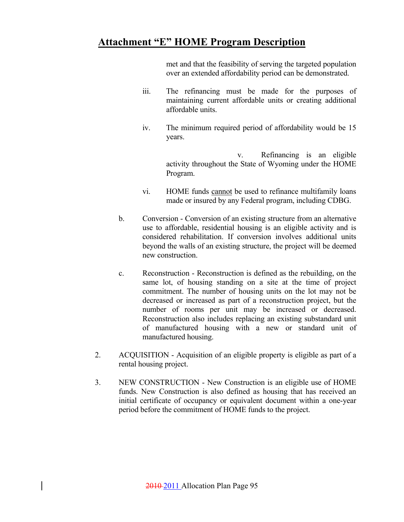met and that the feasibility of serving the targeted population over an extended affordability period can be demonstrated.

- iii. The refinancing must be made for the purposes of maintaining current affordable units or creating additional affordable units.
- iv. The minimum required period of affordability would be 15 years.

 v. Refinancing is an eligible activity throughout the State of Wyoming under the HOME Program.

- vi. HOME funds cannot be used to refinance multifamily loans made or insured by any Federal program, including CDBG.
- b. Conversion Conversion of an existing structure from an alternative use to affordable, residential housing is an eligible activity and is considered rehabilitation. If conversion involves additional units beyond the walls of an existing structure, the project will be deemed new construction.
- c. Reconstruction Reconstruction is defined as the rebuilding, on the same lot, of housing standing on a site at the time of project commitment. The number of housing units on the lot may not be decreased or increased as part of a reconstruction project, but the number of rooms per unit may be increased or decreased. Reconstruction also includes replacing an existing substandard unit of manufactured housing with a new or standard unit of manufactured housing.
- 2. ACQUISITION Acquisition of an eligible property is eligible as part of a rental housing project.
- 3. NEW CONSTRUCTION New Construction is an eligible use of HOME funds. New Construction is also defined as housing that has received an initial certificate of occupancy or equivalent document within a one-year period before the commitment of HOME funds to the project.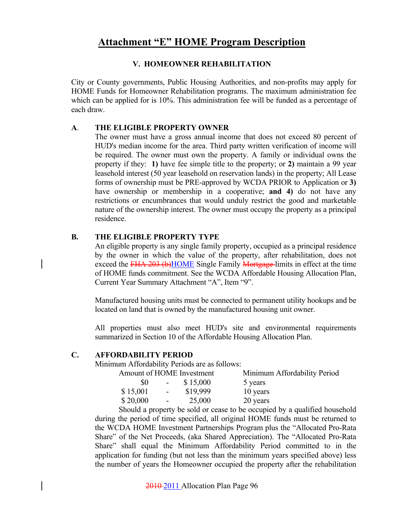### **V. HOMEOWNER REHABILITATION**

City or County governments, Public Housing Authorities, and non-profits may apply for HOME Funds for Homeowner Rehabilitation programs. The maximum administration fee which can be applied for is 10%. This administration fee will be funded as a percentage of each draw.

### **A**. **THE ELIGIBLE PROPERTY OWNER**

 The owner must have a gross annual income that does not exceed 80 percent of HUD's median income for the area. Third party written verification of income will be required. The owner must own the property. A family or individual owns the property if they: **1)** have fee simple title to the property; or **2)** maintain a 99 year leasehold interest (50 year leasehold on reservation lands) in the property; All Lease forms of ownership must be PRE-approved by WCDA PRIOR to Application or **3)** have ownership or membership in a cooperative; **and 4)** do not have any restrictions or encumbrances that would unduly restrict the good and marketable nature of the ownership interest. The owner must occupy the property as a principal residence.

### **B. THE ELIGIBLE PROPERTY TYPE**

An eligible property is any single family property, occupied as a principal residence by the owner in which the value of the property, after rehabilitation, does not exceed the FHA 203 (b)HOME Single Family Mortgage-limits in effect at the time of HOME funds commitment. See the WCDA Affordable Housing Allocation Plan, Current Year Summary Attachment "A", Item "9".

Manufactured housing units must be connected to permanent utility hookups and be located on land that is owned by the manufactured housing unit owner.

 All properties must also meet HUD's site and environmental requirements summarized in Section 10 of the Affordable Housing Allocation Plan.

### **C. AFFORDABILITY PERIOD**

Minimum Affordability Periods are as follows:

| Amount of HOME Investment |                 |          | Minimum Affordability Period |
|---------------------------|-----------------|----------|------------------------------|
| \$0                       | $\sim 100$      | \$15,000 | 5 years                      |
| \$15,001                  | $\sim 10^{-10}$ | \$19,999 | 10 years                     |
| \$20,000                  | $\sim$ $-$      | 25,000   | 20 years                     |

 Should a property be sold or cease to be occupied by a qualified household during the period of time specified, all original HOME funds must be returned to the WCDA HOME Investment Partnerships Program plus the "Allocated Pro-Rata Share" of the Net Proceeds, (aka Shared Appreciation). The "Allocated Pro-Rata Share" shall equal the Minimum Affordability Period committed to in the application for funding (but not less than the minimum years specified above) less the number of years the Homeowner occupied the property after the rehabilitation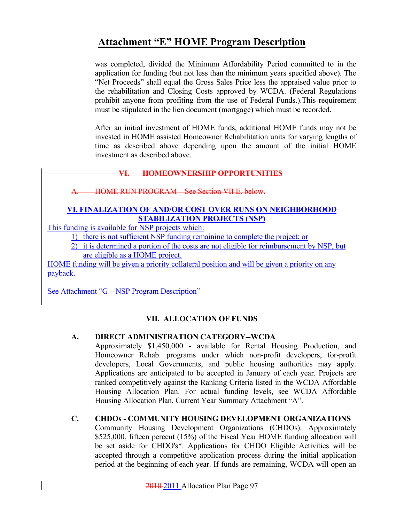was completed, divided the Minimum Affordability Period committed to in the application for funding (but not less than the minimum years specified above). The "Net Proceeds" shall equal the Gross Sales Price less the appraised value prior to the rehabilitation and Closing Costs approved by WCDA. (Federal Regulations prohibit anyone from profiting from the use of Federal Funds.).This requirement must be stipulated in the lien document (mortgage) which must be recorded.

 After an initial investment of HOME funds, additional HOME funds may not be invested in HOME assisted Homeowner Rehabilitation units for varying lengths of time as described above depending upon the amount of the initial HOME investment as described above.

### **VI. HOMEOWNERSHIP OPPORTUNITIES**

A. HOME RUN PROGRAM – See Section VII E. below.

### **VI. FINALIZATION OF AND/OR COST OVER RUNS ON NEIGHBORHOOD STABILIZATION PROJECTS (NSP)**

This funding is available for NSP projects which:

1) there is not sufficient NSP funding remaining to complete the project; or

2) it is determined a portion of the costs are not eligible for reimbursement by NSP, but are eligible as a HOME project.

HOME funding will be given a priority collateral position and will be given a priority on any payback.

See Attachment "G – NSP Program Description"

### **VII. ALLOCATION OF FUNDS**

### **A. DIRECT ADMINISTRATION CATEGORY--WCDA**

 Approximately \$1,450,000 - available for Rental Housing Production, and Homeowner Rehab. programs under which non-profit developers, for-profit developers, Local Governments, and public housing authorities may apply. Applications are anticipated to be accepted in January of each year. Projects are ranked competitively against the Ranking Criteria listed in the WCDA Affordable Housing Allocation Plan. For actual funding levels, see WCDA Affordable Housing Allocation Plan, Current Year Summary Attachment "A".

### **C. CHDOs - COMMUNITY HOUSING DEVELOPMENT ORGANIZATIONS**

Community Housing Development Organizations (CHDOs). Approximately \$525,000, fifteen percent (15%) of the Fiscal Year HOME funding allocation will be set aside for CHDO's\*. Applications for CHDO Eligible Activities will be accepted through a competitive application process during the initial application period at the beginning of each year. If funds are remaining, WCDA will open an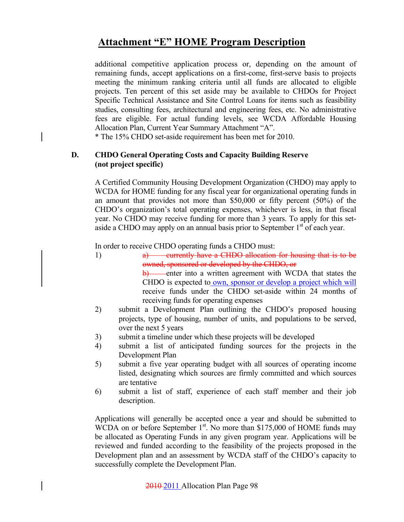additional competitive application process or, depending on the amount of remaining funds, accept applications on a first-come, first-serve basis to projects meeting the minimum ranking criteria until all funds are allocated to eligible projects. Ten percent of this set aside may be available to CHDOs for Project Specific Technical Assistance and Site Control Loans for items such as feasibility studies, consulting fees, architectural and engineering fees, etc. No administrative fees are eligible. For actual funding levels, see WCDA Affordable Housing Allocation Plan, Current Year Summary Attachment "A".

\* The 15% CHDO set-aside requirement has been met for 2010.

### **D. CHDO General Operating Costs and Capacity Building Reserve (not project specific)**

A Certified Community Housing Development Organization (CHDO) may apply to WCDA for HOME funding for any fiscal year for organizational operating funds in an amount that provides not more than \$50,000 or fifty percent (50%) of the CHDO's organization's total operating expenses, whichever is less, in that fiscal year. No CHDO may receive funding for more than 3 years. To apply for this setaside a CHDO may apply on an annual basis prior to September  $1<sup>st</sup>$  of each year.

In order to receive CHDO operating funds a CHDO must:

- 1) a) currently have a CHDO allocation for housing that is to be owned, sponsored or developed by the CHDO, or b) enter into a written agreement with WCDA that states the CHDO is expected to own, sponsor or develop a project which will receive funds under the CHDO set-aside within 24 months of receiving funds for operating expenses
- 2) submit a Development Plan outlining the CHDO's proposed housing projects, type of housing, number of units, and populations to be served, over the next 5 years
- 3) submit a timeline under which these projects will be developed
- 4) submit a list of anticipated funding sources for the projects in the Development Plan
- 5) submit a five year operating budget with all sources of operating income listed, designating which sources are firmly committed and which sources are tentative
- 6) submit a list of staff, experience of each staff member and their job description.

Applications will generally be accepted once a year and should be submitted to WCDA on or before September  $1<sup>st</sup>$ . No more than \$175,000 of HOME funds may be allocated as Operating Funds in any given program year. Applications will be reviewed and funded according to the feasibility of the projects proposed in the Development plan and an assessment by WCDA staff of the CHDO's capacity to successfully complete the Development Plan.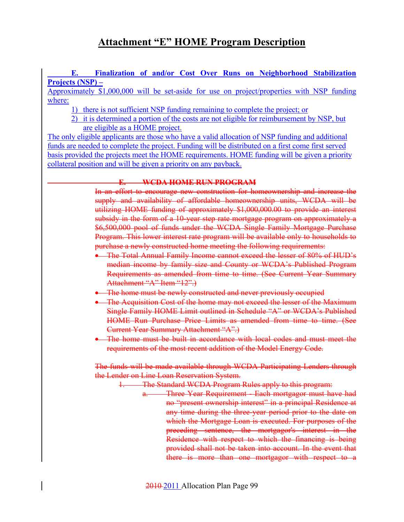### **E. Finalization of and/or Cost Over Runs on Neighborhood Stabilization Projects (NSP) –**

Approximately \$1,000,000 will be set-aside for use on project/properties with NSP funding where:

- 1) there is not sufficient NSP funding remaining to complete the project; or
- 2) it is determined a portion of the costs are not eligible for reimbursement by NSP, but are eligible as a HOME project.

The only eligible applicants are those who have a valid allocation of NSP funding and additional funds are needed to complete the project. Funding will be distributed on a first come first served basis provided the projects meet the HOME requirements. HOME funding will be given a priority collateral position and will be given a priority on any payback.

### **E. WCDA HOME RUN PROGRAM**

In an effort to encourage new construction for homeownership and increase the supply and availability of affordable homeownership units, WCDA will be utilizing HOME funding of approximately \$1,000,000.00 to provide an interest subsidy in the form of a 10-year step rate mortgage program on approximately a \$6,500,000 pool of funds under the WCDA Single Family Mortgage Purchase Program. This lower interest rate program will be available only to households to purchase a newly constructed home meeting the following requirements:

- The Total Annual Family Income cannot exceed the lesser of 80% of HUD's median income by family size and County or WCDA's Published Program Requirements as amended from time to time. (See Current Year Summary Attachment "A" Item "12".)
- The home must be newly constructed and never previously occupied
- The Acquisition Cost of the home may not exceed the lesser of the Maximum Single Family HOME Limit outlined in Schedule "A" or WCDA's Published HOME Run Purchase Price Limits as amended from time to time. (See Current Year Summary Attachment "A".)
- The home must be built in accordance with local codes and must meet the requirements of the most recent addition of the Model Energy Code.

The funds will be made available through WCDA Participating Lenders through the Lender on Line Loan Reservation System.

- 1. The Standard WCDA Program Rules apply to this program:
	- a. Three Year Requirement Each mortgagor must have had no "present ownership interest" in a principal Residence at any time during the three-year period prior to the date on which the Mortgage Loan is executed. For purposes of the preceding sentence, the mortgagor's interest in the Residence with respect to which the financing is being provided shall not be taken into account. In the event that there is more than one mortgagor with respect to a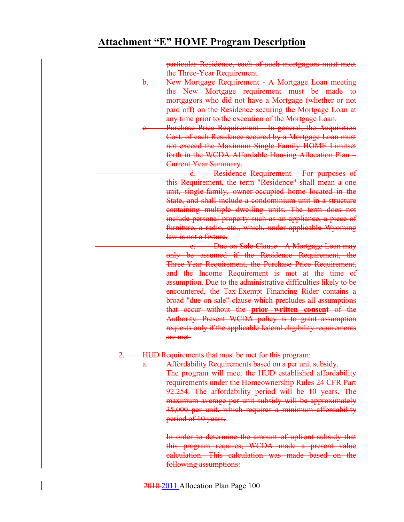particular Residence, each of such mortgagors must meet the Three-Year Requirement.

- b. New Mortgage Requirement A Mortgage Loan meeting the New Mortgage requirement must be made to mortgagors who did not have a Mortgage (whether or not paid off) on the Residence securing the Mortgage Loan at any time prior to the execution of the Mortgage Loan.
- Purchase Price Requirement In general, the Acquisition Cost, of each Residence secured by a Mortgage Loan must not exceed the Maximum Single Family HOME Limitset forth in the WCDA Affordable Housing Allocation Plan – Current Year Summary.

d. Residence Requirement - For purposes of this Requirement, the term "Residence" shall mean a one unit, single-family, owner-occupied home located in the State, and shall include a condominium unit in a structure containing multiple dwelling units. The term does not include personal property such as an appliance, a piece of furniture, a radio, etc., which, under applicable Wyoming law is not a fixture.

e. Due on Sale Clause - A Mortgage Loan may only be assumed if the Residence Requirement, the Three-Year Requirement, the Purchase Price Requirement, and the Income Requirement is met at the time of assumption. Due to the administrative difficulties likely to be encountered, the Tax-Exempt Financing Rider contains a broad "due on sale" clause which precludes all assumptions that occur without the **prior written consent** of the Authority. Present WCDA policy is to grant assumption requests only if the applicable federal eligibility requirements are met.

### HUD Requirements that must be met for this program:

Affordability Requirements based on a per unit subsidy. The program will meet the HUD established affordability requirements under the Homeownership Rules 24 CFR Part 92.254. The affordability period will be 10 years. The maximum average per unit subsidy will be approximately 35,000 per unit, which requires a minimum affordability period of 10 years.

In order to determine the amount of upfront subsidy that this program requires, WCDA made a present value calculation. This calculation was made based on the following assumptions: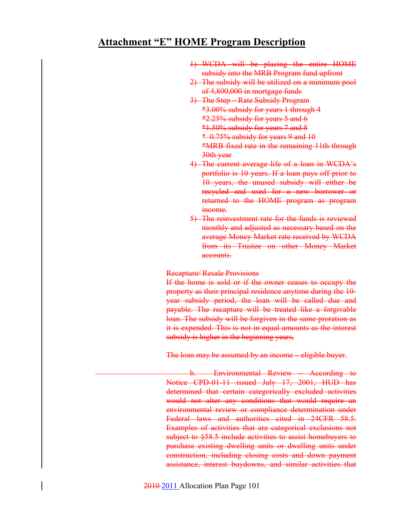- 1) WCDA will be placing the entire HOME subsidy into the MRB Program fund upfront
- 2) The subsidy will be utilized on a minimum pool of 4,800,000 in mortgage funds
- 3) The Step Rate Subsidy Program \*3.00% subsidy for years 1 through 4 \*2.25% subsidy for years 5 and 6 \*1.50% subsidy for years 7 and 8  $*$  0.75% subsidy for years 9 and 10 \*MRB fixed rate in the remaining 11th through 30th year
- 4) The current average life of a loan in WCDA's portfolio is 10 years. If a loan pays off prior to 10 years, the unused subsidy will either be recycled and used for a new borrower or returned to the HOME program as program income.
- 5) The reinvestment rate for the funds is reviewed monthly and adjusted as necessary based on the average Money Market rate received by WCDA from its Trustee on other Money Market accounts.

#### Recapture/ Resale Provisions

If the home is sold or if the owner ceases to occupy the property as their principal residence anytime during the 10 year subsidy period, the loan will be called due and payable. The recapture will be treated like a forgivable loan. The subsidy will be forgiven in the same proration as it is expended. This is not in equal amounts as the interest subsidy is higher in the beginning years,

The loan may be assumed by an income – eligible buyer.

b. Environmental Review – According to Notice CPD-01-11 issued July 17, 2001, HUD has determined that certain categorically excluded activities would not alter any conditions that would require an environmental review or compliance determination under Federal laws and authorities cited in 24CFR 58.5. Examples of activities that are categorical exclusions not subject to §58.5 include activities to assist homebuyers to purchase existing dwelling units or dwelling units under construction, including closing costs and down payment assistance, interest buydowns, and similar activities that

2010 2011 Allocation Plan Page 101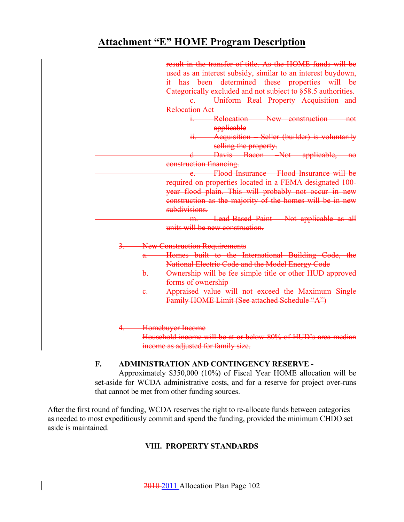| result in the transfer of title. As the HOME funds will be        |
|-------------------------------------------------------------------|
| used as an interest subsidy, similar to an interest buydown,      |
| it has been determined these properties will be                   |
| Categorically excluded and not subject to §58.5 authorities.      |
| e. Uniform Real Property Acquisition and                          |
| Relocation Act-                                                   |
| i. Relocation - New construction<br><del>not</del>                |
| applicable                                                        |
| ii. Acquisition Seller (builder) is voluntarily                   |
| selling the property.                                             |
| Davis Bacon Not applicable, no                                    |
| construction financing.                                           |
| Flood Insurance - Flood Insurance will be                         |
| required on properties located in a FEMA designated 100-          |
| year flood plain. This will probably not occur in new             |
| construction as the majority of the homes will be in new          |
| subdivisions.                                                     |
| m. Lead-Based Paint - Not applicable as all                       |
| units will be new construction.                                   |
| <b>New Construction Requirements</b>                              |
| Homes built to the International Building Code, the<br>a.         |
| National Electric Code and the Model Energy Code                  |
| Ownership will be fee simple title or other HUD approved<br>$b$ . |
| forms of ownership                                                |
| Appraised value will not exceed the Maximum Single                |
| Family HOME Limit (See attached Schedule "A")                     |
|                                                                   |
|                                                                   |
| Homebuyer Income                                                  |

income as adjusted for family size.

### **F. ADMINISTRATION AND CONTINGENCY RESERVE -**

 Approximately \$350,000 (10%) of Fiscal Year HOME allocation will be set-aside for WCDA administrative costs, and for a reserve for project over-runs that cannot be met from other funding sources.

After the first round of funding, WCDA reserves the right to re-allocate funds between categories as needed to most expeditiously commit and spend the funding, provided the minimum CHDO set aside is maintained.

### **VIII. PROPERTY STANDARDS**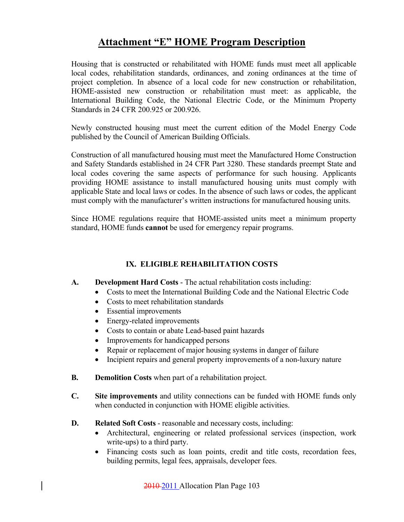Housing that is constructed or rehabilitated with HOME funds must meet all applicable local codes, rehabilitation standards, ordinances, and zoning ordinances at the time of project completion. In absence of a local code for new construction or rehabilitation, HOME-assisted new construction or rehabilitation must meet: as applicable, the International Building Code, the National Electric Code, or the Minimum Property Standards in 24 CFR 200.925 or 200.926.

Newly constructed housing must meet the current edition of the Model Energy Code published by the Council of American Building Officials.

Construction of all manufactured housing must meet the Manufactured Home Construction and Safety Standards established in 24 CFR Part 3280. These standards preempt State and local codes covering the same aspects of performance for such housing. Applicants providing HOME assistance to install manufactured housing units must comply with applicable State and local laws or codes. In the absence of such laws or codes, the applicant must comply with the manufacturer's written instructions for manufactured housing units.

Since HOME regulations require that HOME-assisted units meet a minimum property standard, HOME funds **cannot** be used for emergency repair programs.

### **IX. ELIGIBLE REHABILITATION COSTS**

### **A. Development Hard Costs** - The actual rehabilitation costs including:

- Costs to meet the International Building Code and the National Electric Code
- Costs to meet rehabilitation standards
- Essential improvements
- Energy-related improvements
- Costs to contain or abate Lead-based paint hazards
- Improvements for handicapped persons
- Repair or replacement of major housing systems in danger of failure
- Incipient repairs and general property improvements of a non-luxury nature
- **B.** Demolition Costs when part of a rehabilitation project.
- **C. Site improvements** and utility connections can be funded with HOME funds only when conducted in conjunction with HOME eligible activities.
- **D.** Related Soft Costs reasonable and necessary costs, including:
	- Architectural, engineering or related professional services (inspection, work write-ups) to a third party.
	- Financing costs such as loan points, credit and title costs, recordation fees, building permits, legal fees, appraisals, developer fees.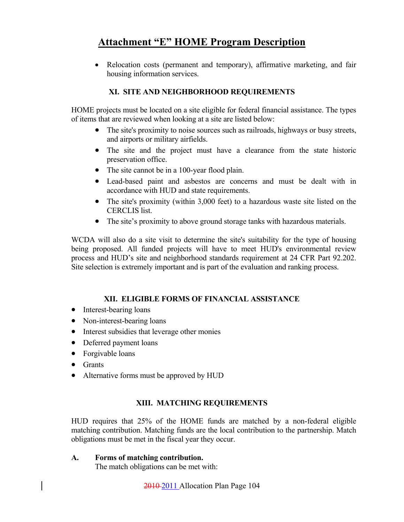• Relocation costs (permanent and temporary), affirmative marketing, and fair housing information services.

### **XI. SITE AND NEIGHBORHOOD REQUIREMENTS**

HOME projects must be located on a site eligible for federal financial assistance. The types of items that are reviewed when looking at a site are listed below:

- The site's proximity to noise sources such as railroads, highways or busy streets, and airports or military airfields.
- The site and the project must have a clearance from the state historic preservation office.
- The site cannot be in a 100-year flood plain.
- Lead-based paint and asbestos are concerns and must be dealt with in accordance with HUD and state requirements.
- The site's proximity (within 3,000 feet) to a hazardous waste site listed on the CERCLIS list.
- The site's proximity to above ground storage tanks with hazardous materials.

WCDA will also do a site visit to determine the site's suitability for the type of housing being proposed. All funded projects will have to meet HUD's environmental review process and HUD's site and neighborhood standards requirement at 24 CFR Part 92.202. Site selection is extremely important and is part of the evaluation and ranking process.

### **XII. ELIGIBLE FORMS OF FINANCIAL ASSISTANCE**

- Interest-bearing loans
- Non-interest-bearing loans
- Interest subsidies that leverage other monies
- Deferred payment loans
- Forgivable loans
- Grants
- Alternative forms must be approved by HUD

### **XIII. MATCHING REQUIREMENTS**

 HUD requires that 25% of the HOME funds are matched by a non-federal eligible matching contribution. Matching funds are the local contribution to the partnership. Match obligations must be met in the fiscal year they occur.

### **A. Forms of matching contribution.**

The match obligations can be met with: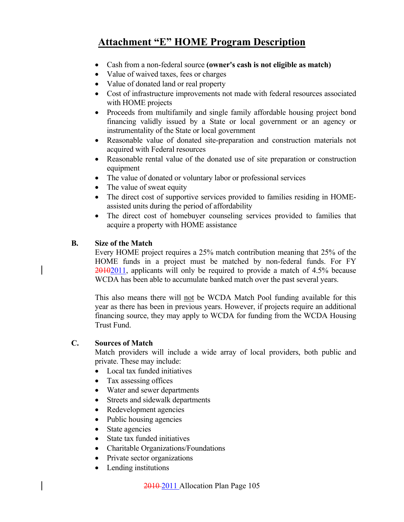- Cash from a non-federal source **(owner's cash is not eligible as match)**
- Value of waived taxes, fees or charges
- Value of donated land or real property
- Cost of infrastructure improvements not made with federal resources associated with HOME projects
- Proceeds from multifamily and single family affordable housing project bond financing validly issued by a State or local government or an agency or instrumentality of the State or local government
- Reasonable value of donated site-preparation and construction materials not acquired with Federal resources
- Reasonable rental value of the donated use of site preparation or construction equipment
- The value of donated or voluntary labor or professional services
- The value of sweat equity
- The direct cost of supportive services provided to families residing in HOMEassisted units during the period of affordability
- The direct cost of homebuyer counseling services provided to families that acquire a property with HOME assistance

### **B. Size of the Match**

 Every HOME project requires a 25% match contribution meaning that 25% of the HOME funds in a project must be matched by non-federal funds. For FY 20102011, applicants will only be required to provide a match of 4.5% because WCDA has been able to accumulate banked match over the past several years.

 This also means there will not be WCDA Match Pool funding available for this year as there has been in previous years. However, if projects require an additional financing source, they may apply to WCDA for funding from the WCDA Housing Trust Fund.

### **C. Sources of Match**

 Match providers will include a wide array of local providers, both public and private. These may include:

- Local tax funded initiatives
- Tax assessing offices
- Water and sewer departments
- Streets and sidewalk departments
- Redevelopment agencies
- Public housing agencies
- State agencies
- State tax funded initiatives
- Charitable Organizations/Foundations
- Private sector organizations
- Lending institutions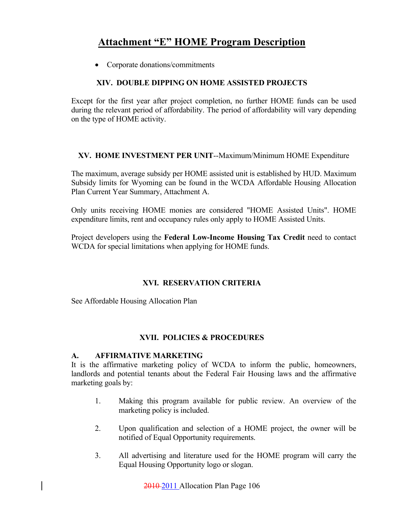• Corporate donations/commitments

### **XIV. DOUBLE DIPPING ON HOME ASSISTED PROJECTS**

Except for the first year after project completion, no further HOME funds can be used during the relevant period of affordability. The period of affordability will vary depending on the type of HOME activity.

### **XV. HOME INVESTMENT PER UNIT**--Maximum/Minimum HOME Expenditure

The maximum, average subsidy per HOME assisted unit is established by HUD. Maximum Subsidy limits for Wyoming can be found in the WCDA Affordable Housing Allocation Plan Current Year Summary, Attachment A.

Only units receiving HOME monies are considered "HOME Assisted Units". HOME expenditure limits, rent and occupancy rules only apply to HOME Assisted Units.

Project developers using the **Federal Low-Income Housing Tax Credit** need to contact WCDA for special limitations when applying for HOME funds.

### **XVI. RESERVATION CRITERIA**

See Affordable Housing Allocation Plan

### **XVII. POLICIES & PROCEDURES**

### **A. AFFIRMATIVE MARKETING**

 It is the affirmative marketing policy of WCDA to inform the public, homeowners, landlords and potential tenants about the Federal Fair Housing laws and the affirmative marketing goals by:

- 1. Making this program available for public review. An overview of the marketing policy is included.
- 2. Upon qualification and selection of a HOME project, the owner will be notified of Equal Opportunity requirements.
- 3. All advertising and literature used for the HOME program will carry the Equal Housing Opportunity logo or slogan.

2010 2011 Allocation Plan Page 106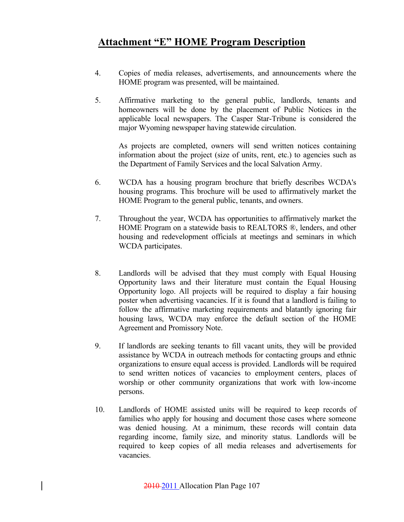- 4. Copies of media releases, advertisements, and announcements where the HOME program was presented, will be maintained.
- 5. Affirmative marketing to the general public, landlords, tenants and homeowners will be done by the placement of Public Notices in the applicable local newspapers. The Casper Star-Tribune is considered the major Wyoming newspaper having statewide circulation.

 As projects are completed, owners will send written notices containing information about the project (size of units, rent, etc.) to agencies such as the Department of Family Services and the local Salvation Army.

- 6. WCDA has a housing program brochure that briefly describes WCDA's housing programs. This brochure will be used to affirmatively market the HOME Program to the general public, tenants, and owners.
- 7. Throughout the year, WCDA has opportunities to affirmatively market the HOME Program on a statewide basis to REALTORS ®, lenders, and other housing and redevelopment officials at meetings and seminars in which WCDA participates.
- 8. Landlords will be advised that they must comply with Equal Housing Opportunity laws and their literature must contain the Equal Housing Opportunity logo. All projects will be required to display a fair housing poster when advertising vacancies. If it is found that a landlord is failing to follow the affirmative marketing requirements and blatantly ignoring fair housing laws, WCDA may enforce the default section of the HOME Agreement and Promissory Note.
- 9. If landlords are seeking tenants to fill vacant units, they will be provided assistance by WCDA in outreach methods for contacting groups and ethnic organizations to ensure equal access is provided. Landlords will be required to send written notices of vacancies to employment centers, places of worship or other community organizations that work with low-income persons.
- 10. Landlords of HOME assisted units will be required to keep records of families who apply for housing and document those cases where someone was denied housing. At a minimum, these records will contain data regarding income, family size, and minority status. Landlords will be required to keep copies of all media releases and advertisements for vacancies.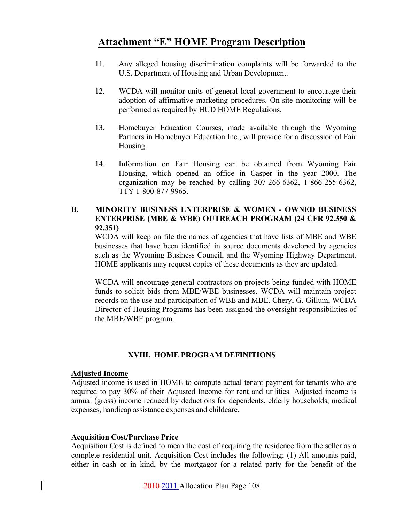- 11. Any alleged housing discrimination complaints will be forwarded to the U.S. Department of Housing and Urban Development.
- 12. WCDA will monitor units of general local government to encourage their adoption of affirmative marketing procedures. On-site monitoring will be performed as required by HUD HOME Regulations.
- 13. Homebuyer Education Courses, made available through the Wyoming Partners in Homebuyer Education Inc., will provide for a discussion of Fair Housing.
- 14. Information on Fair Housing can be obtained from Wyoming Fair Housing, which opened an office in Casper in the year 2000. The organization may be reached by calling 307-266-6362, 1-866-255-6362, TTY 1-800-877-9965.

### **B. MINORITY BUSINESS ENTERPRISE & WOMEN - OWNED BUSINESS ENTERPRISE (MBE & WBE) OUTREACH PROGRAM (24 CFR 92.350 & 92.351)**

 WCDA will keep on file the names of agencies that have lists of MBE and WBE businesses that have been identified in source documents developed by agencies such as the Wyoming Business Council, and the Wyoming Highway Department. HOME applicants may request copies of these documents as they are updated.

WCDA will encourage general contractors on projects being funded with HOME funds to solicit bids from MBE/WBE businesses. WCDA will maintain project records on the use and participation of WBE and MBE. Cheryl G. Gillum, WCDA Director of Housing Programs has been assigned the oversight responsibilities of the MBE/WBE program.

### **XVIII. HOME PROGRAM DEFINITIONS**

### **Adjusted Income**

Adjusted income is used in HOME to compute actual tenant payment for tenants who are required to pay 30% of their Adjusted Income for rent and utilities. Adjusted income is annual (gross) income reduced by deductions for dependents, elderly households, medical expenses, handicap assistance expenses and childcare.

### **Acquisition Cost/Purchase Price**

Acquisition Cost is defined to mean the cost of acquiring the residence from the seller as a complete residential unit. Acquisition Cost includes the following; (1) All amounts paid, either in cash or in kind, by the mortgagor (or a related party for the benefit of the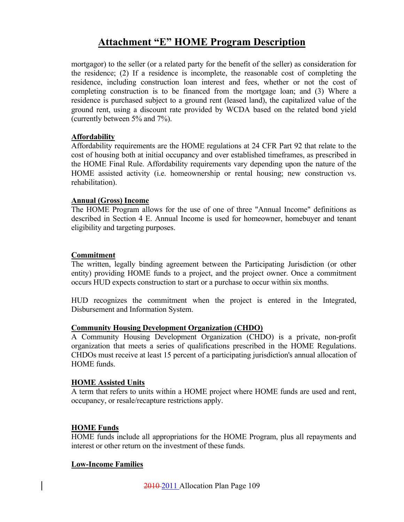## **Attachment "E" HOME Program Description**

mortgagor) to the seller (or a related party for the benefit of the seller) as consideration for the residence; (2) If a residence is incomplete, the reasonable cost of completing the residence, including construction loan interest and fees, whether or not the cost of completing construction is to be financed from the mortgage loan; and (3) Where a residence is purchased subject to a ground rent (leased land), the capitalized value of the ground rent, using a discount rate provided by WCDA based on the related bond yield (currently between 5% and 7%).

### **Affordability**

Affordability requirements are the HOME regulations at 24 CFR Part 92 that relate to the cost of housing both at initial occupancy and over established timeframes, as prescribed in the HOME Final Rule. Affordability requirements vary depending upon the nature of the HOME assisted activity (i.e. homeownership or rental housing; new construction vs. rehabilitation).

### **Annual (Gross) Income**

The HOME Program allows for the use of one of three "Annual Income" definitions as described in Section 4 E. Annual Income is used for homeowner, homebuyer and tenant eligibility and targeting purposes.

### **Commitment**

The written, legally binding agreement between the Participating Jurisdiction (or other entity) providing HOME funds to a project, and the project owner. Once a commitment occurs HUD expects construction to start or a purchase to occur within six months.

HUD recognizes the commitment when the project is entered in the Integrated, Disbursement and Information System.

#### **Community Housing Development Organization (CHDO)**

A Community Housing Development Organization (CHDO) is a private, non-profit organization that meets a series of qualifications prescribed in the HOME Regulations. CHDOs must receive at least 15 percent of a participating jurisdiction's annual allocation of HOME funds.

#### **HOME Assisted Units**

A term that refers to units within a HOME project where HOME funds are used and rent, occupancy, or resale/recapture restrictions apply.

#### **HOME Funds**

HOME funds include all appropriations for the HOME Program, plus all repayments and interest or other return on the investment of these funds.

#### **Low-Income Families**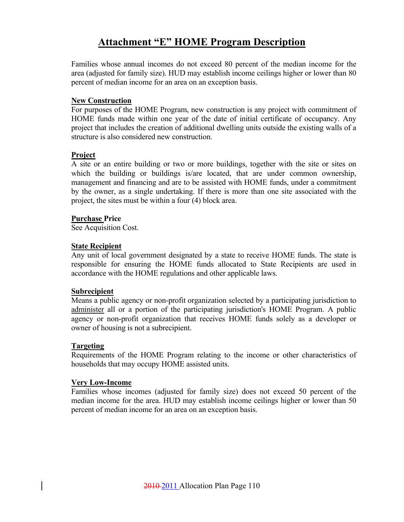## **Attachment "E" HOME Program Description**

Families whose annual incomes do not exceed 80 percent of the median income for the area (adjusted for family size). HUD may establish income ceilings higher or lower than 80 percent of median income for an area on an exception basis.

#### **New Construction**

For purposes of the HOME Program, new construction is any project with commitment of HOME funds made within one year of the date of initial certificate of occupancy. Any project that includes the creation of additional dwelling units outside the existing walls of a structure is also considered new construction.

### **Project**

A site or an entire building or two or more buildings, together with the site or sites on which the building or buildings is/are located, that are under common ownership, management and financing and are to be assisted with HOME funds, under a commitment by the owner, as a single undertaking. If there is more than one site associated with the project, the sites must be within a four (4) block area.

### **Purchase Price**

See Acquisition Cost.

### **State Recipient**

Any unit of local government designated by a state to receive HOME funds. The state is responsible for ensuring the HOME funds allocated to State Recipients are used in accordance with the HOME regulations and other applicable laws.

### **Subrecipient**

Means a public agency or non-profit organization selected by a participating jurisdiction to administer all or a portion of the participating jurisdiction's HOME Program. A public agency or non-profit organization that receives HOME funds solely as a developer or owner of housing is not a subrecipient.

#### **Targeting**

Requirements of the HOME Program relating to the income or other characteristics of households that may occupy HOME assisted units.

#### **Very Low-Income**

Families whose incomes (adjusted for family size) does not exceed 50 percent of the median income for the area. HUD may establish income ceilings higher or lower than 50 percent of median income for an area on an exception basis.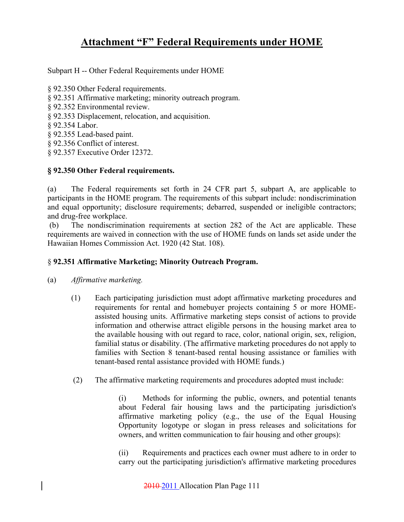Subpart H -- Other Federal Requirements under HOME

- § 92.350 Other Federal requirements.
- § 92.351 Affirmative marketing; minority outreach program.
- § 92.352 Environmental review.
- § 92.353 Displacement, relocation, and acquisition.
- § 92.354 Labor.
- § 92.355 Lead-based paint.
- § 92.356 Conflict of interest.
- § 92.357 Executive Order 12372.

### **§ 92.350 Other Federal requirements.**

(a) The Federal requirements set forth in 24 CFR part 5, subpart A, are applicable to participants in the HOME program. The requirements of this subpart include: nondiscrimination and equal opportunity; disclosure requirements; debarred, suspended or ineligible contractors; and drug-free workplace.

 (b) The nondiscrimination requirements at section 282 of the Act are applicable. These requirements are waived in connection with the use of HOME funds on lands set aside under the Hawaiian Homes Commission Act. 1920 (42 Stat. 108).

### § **92.351 Affirmative Marketing; Minority Outreach Program.**

- (a) *Affirmative marketing.*
	- (1) Each participating jurisdiction must adopt affirmative marketing procedures and requirements for rental and homebuyer projects containing 5 or more HOMEassisted housing units. Affirmative marketing steps consist of actions to provide information and otherwise attract eligible persons in the housing market area to the available housing with out regard to race, color, national origin, sex, religion, familial status or disability. (The affirmative marketing procedures do not apply to families with Section 8 tenant-based rental housing assistance or families with tenant-based rental assistance provided with HOME funds.)
	- (2) The affirmative marketing requirements and procedures adopted must include:

 (i) Methods for informing the public, owners, and potential tenants about Federal fair housing laws and the participating jurisdiction's affirmative marketing policy (e.g., the use of the Equal Housing Opportunity logotype or slogan in press releases and solicitations for owners, and written communication to fair housing and other groups):

 (ii) Requirements and practices each owner must adhere to in order to carry out the participating jurisdiction's affirmative marketing procedures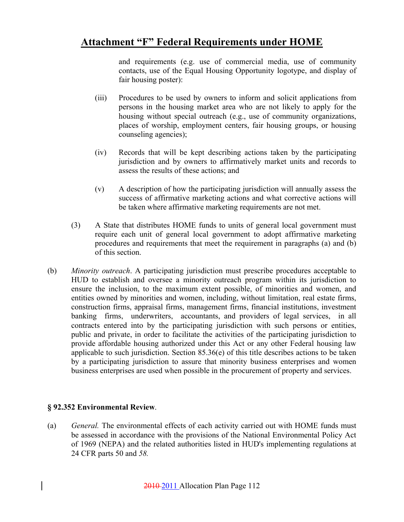and requirements (e.g. use of commercial media, use of community contacts, use of the Equal Housing Opportunity logotype, and display of fair housing poster):

- (iii) Procedures to be used by owners to inform and solicit applications from persons in the housing market area who are not likely to apply for the housing without special outreach (e.g., use of community organizations, places of worship, employment centers, fair housing groups, or housing counseling agencies);
- (iv) Records that will be kept describing actions taken by the participating jurisdiction and by owners to affirmatively market units and records to assess the results of these actions; and
- (v) A description of how the participating jurisdiction will annually assess the success of affirmative marketing actions and what corrective actions will be taken where affirmative marketing requirements are not met.
- (3) A State that distributes HOME funds to units of general local government must require each unit of general local government to adopt affirmative marketing procedures and requirements that meet the requirement in paragraphs (a) and (b) of this section.
- (b) *Minority outreach*. A participating jurisdiction must prescribe procedures acceptable to HUD to establish and oversee a minority outreach program within its jurisdiction to ensure the inclusion, to the maximum extent possible, of minorities and women, and entities owned by minorities and women, including, without limitation, real estate firms, construction firms, appraisal firms, management firms, financial institutions, investment banking firms, underwriters, accountants, and providers of legal services, in all contracts entered into by the participating jurisdiction with such persons or entities, public and private, in order to facilitate the activities of the participating jurisdiction to provide affordable housing authorized under this Act or any other Federal housing law applicable to such jurisdiction. Section 85.36(e) of this title describes actions to be taken by a participating jurisdiction to assure that minority business enterprises and women business enterprises are used when possible in the procurement of property and services.

### **§ 92.352 Environmental Review**.

(a) *General.* The environmental effects of each activity carried out with HOME funds must be assessed in accordance with the provisions of the National Environmental Policy Act of 1969 (NEPA) and the related authorities listed in HUD's implementing regulations at 24 CFR parts 50 and *58.*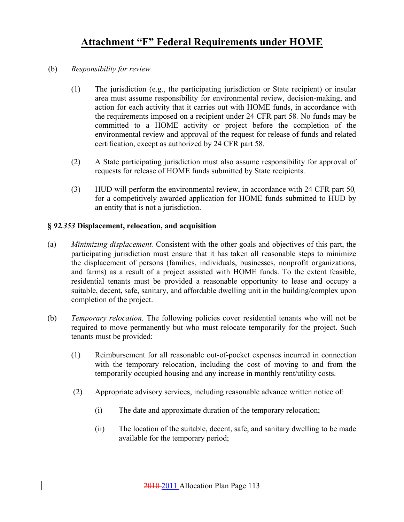- (b) *Responsibility for review.* 
	- (1) The jurisdiction (e.g., the participating jurisdiction or State recipient) or insular area must assume responsibility for environmental review, decision-making, and action for each activity that it carries out with HOME funds, in accordance with the requirements imposed on a recipient under 24 CFR part 58*.* No funds may be committed to a HOME activity or project before the completion of the environmental review and approval of the request for release of funds and related certification, except as authorized by 24 CFR part 58.
	- (2) A State participating jurisdiction must also assume responsibility for approval of requests for release of HOME funds submitted by State recipients.
	- (3) HUD will perform the environmental review, in accordance with 24 CFR part 50*,*  for a competitively awarded application for HOME funds submitted to HUD by an entity that is not a jurisdiction.

### **§** *92.353* **Displacement, relocation, and acquisition**

- (a) *Minimizing displacement.* Consistent with the other goals and objectives of this part, the participating jurisdiction must ensure that it has taken all reasonable steps to minimize the displacement of persons (families, individuals, businesses, nonprofit organizations, and farms) as a result of a project assisted with HOME funds. To the extent feasible, residential tenants must be provided a reasonable opportunity to lease and occupy a suitable, decent, safe, sanitary, and affordable dwelling unit in the building/complex upon completion of the project.
- (b) *Temporary relocation.* The following policies cover residential tenants who will not be required to move permanently but who must relocate temporarily for the project. Such tenants must be provided:
	- (1) Reimbursement for all reasonable out-of-pocket expenses incurred in connection with the temporary relocation, including the cost of moving to and from the temporarily occupied housing and any increase in monthly rent/utility costs.
	- (2) Appropriate advisory services, including reasonable advance written notice of:
		- (i) The date and approximate duration of the temporary relocation;
		- (ii) The location of the suitable, decent, safe, and sanitary dwelling to be made available for the temporary period;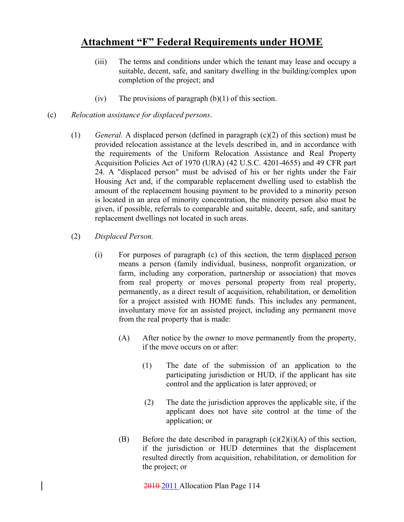- (iii) The terms and conditions under which the tenant may lease and occupy a suitable, decent, safe, and sanitary dwelling in the building/complex upon completion of the project; and
- (iv) The provisions of paragraph  $(b)(1)$  of this section.
- (c) *Relocation assistance for displaced persons*.
	- (1) *General.* A displaced person (defined in paragraph (c)(2) of this section) must be provided relocation assistance at the levels described in, and in accordance with the requirements of the Uniform Relocation Assistance and Real Property Acquisition Policies Act of 1970 (URA) (42 U.S.C. 4201-4655) and 49 CFR part 24. A "displaced person" must be advised of his or her rights under the Fair Housing Act and, if the comparable replacement dwelling used to establish the amount of the replacement housing payment to be provided to a minority person is located in an area of minority concentration, the minority person also must be given, if possible, referrals to comparable and suitable, decent, safe, and sanitary replacement dwellings not located in such areas.
	- (2) *Displaced Person.* 
		- (i) For purposes of paragraph (c) of this section, the term displaced person means a person (family individual, business, nonprofit organization, or farm, including any corporation, partnership or association) that moves from real property or moves personal property from real property, permanently, as a direct result of acquisition, rehabilitation, or demolition for a project assisted with HOME funds. This includes any permanent, involuntary move for an assisted project, including any permanent move from the real property that is made:
			- (A) After notice by the owner to move permanently from the property, if the move occurs on or after:
				- (1) The date of the submission of an application to the participating jurisdiction or HUD, if the applicant has site control and the application is later approved; or
				- (2) The date the jurisdiction approves the applicable site, if the applicant does not have site control at the time of the application; or
			- (B) Before the date described in paragraph  $(c)(2)(i)(A)$  of this section, if the jurisdiction or HUD determines that the displacement resulted directly from acquisition, rehabilitation, or demolition for the project; or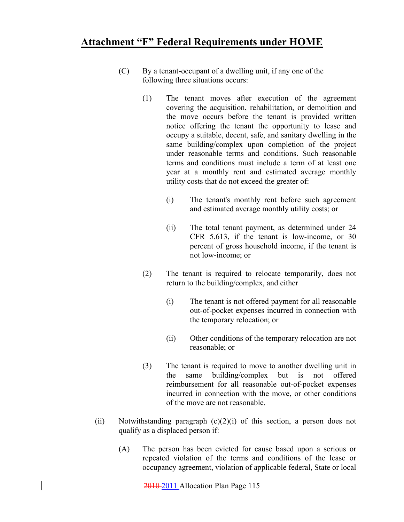- (C) By a tenant-occupant of a dwelling unit, if any one of the following three situations occurs:
	- (1) The tenant moves after execution of the agreement covering the acquisition, rehabilitation, or demolition and the move occurs before the tenant is provided written notice offering the tenant the opportunity to lease and occupy a suitable, decent, safe, and sanitary dwelling in the same building/complex upon completion of the project under reasonable terms and conditions. Such reasonable terms and conditions must include a term of at least one year at a monthly rent and estimated average monthly utility costs that do not exceed the greater of:
		- (i) The tenant's monthly rent before such agreement and estimated average monthly utility costs; or
		- (ii) The total tenant payment, as determined under 24 CFR 5.613, if the tenant is low-income, or 30 percent of gross household income, if the tenant is not low-income; or
	- (2) The tenant is required to relocate temporarily, does not return to the building/complex, and either
		- (i) The tenant is not offered payment for all reasonable out-of-pocket expenses incurred in connection with the temporary relocation; or
		- (ii) Other conditions of the temporary relocation are not reasonable; or
	- (3) The tenant is required to move to another dwelling unit in the same building/complex but is not offered reimbursement for all reasonable out-of-pocket expenses incurred in connection with the move, or other conditions of the move are not reasonable.
- (ii) Notwithstanding paragraph  $(c)(2)(i)$  of this section, a person does not qualify as a displaced person if:
	- (A) The person has been evicted for cause based upon a serious or repeated violation of the terms and conditions of the lease or occupancy agreement, violation of applicable federal, State or local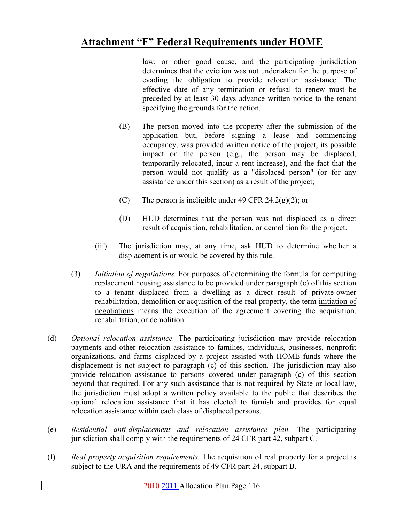law, or other good cause, and the participating jurisdiction determines that the eviction was not undertaken for the purpose of evading the obligation to provide relocation assistance. The effective date of any termination or refusal to renew must be preceded by at least 30 days advance written notice to the tenant specifying the grounds for the action.

- (B) The person moved into the property after the submission of the application but, before signing a lease and commencing occupancy, was provided written notice of the project, its possible impact on the person (e.g., the person may be displaced, temporarily relocated, incur a rent increase), and the fact that the person would not qualify as a "displaced person" (or for any assistance under this section) as a result of the project;
- (C) The person is ineligible under 49 CFR 24.2(g)(2); or
- (D) HUD determines that the person was not displaced as a direct result of acquisition, rehabilitation, or demolition for the project.
- (iii) The jurisdiction may, at any time, ask HUD to determine whether a displacement is or would be covered by this rule.
- (3) *Initiation of negotiations.* For purposes of determining the formula for computing replacement housing assistance to be provided under paragraph (c) of this section to a tenant displaced from a dwelling as a direct result of private-owner rehabilitation, demolition or acquisition of the real property, the term initiation of negotiations means the execution of the agreement covering the acquisition, rehabilitation, or demolition.
- (d) *Optional relocation assistance.* The participating jurisdiction may provide relocation payments and other relocation assistance to families, individuals, businesses, nonprofit organizations, and farms displaced by a project assisted with HOME funds where the displacement is not subject to paragraph (c) of this section. The jurisdiction may also provide relocation assistance to persons covered under paragraph (c) of this section beyond that required. For any such assistance that is not required by State or local law, the jurisdiction must adopt a written policy available to the public that describes the optional relocation assistance that it has elected to furnish and provides for equal relocation assistance within each class of displaced persons.
- (e) *Residential anti-displacement and relocation assistance plan.* The participating jurisdiction shall comply with the requirements of 24 CFR part 42, subpart C.
- (f) *Real property acquisition requirements.* The acquisition of real property for a project is subject to the URA and the requirements of 49 CFR part 24, subpart B.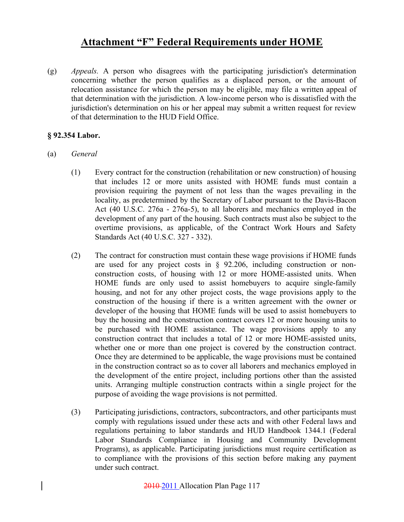(g) *Appeals.* A person who disagrees with the participating jurisdiction's determination concerning whether the person qualifies as a displaced person, or the amount of relocation assistance for which the person may be eligible, may file a written appeal of that determination with the jurisdiction. A low-income person who is dissatisfied with the jurisdiction's determination on his or her appeal may submit a written request for review of that determination to the HUD Field Office.

### **§ 92.354 Labor.**

- (a) *General* 
	- (1) Every contract for the construction (rehabilitation or new construction) of housing that includes 12 or more units assisted with HOME funds must contain a provision requiring the payment of not less than the wages prevailing in the locality, as predetermined by the Secretary of Labor pursuant to the Davis-Bacon Act (40 U.S.C. 276a - 276a-5), to all laborers and mechanics employed in the development of any part of the housing. Such contracts must also be subject to the overtime provisions, as applicable, of the Contract Work Hours and Safety Standards Act (40 U.S.C. 327 - 332).
	- (2) The contract for construction must contain these wage provisions if HOME funds are used for any project costs in § 92.206, including construction or nonconstruction costs, of housing with 12 or more HOME-assisted units. When HOME funds are only used to assist homebuyers to acquire single-family housing, and not for any other project costs, the wage provisions apply to the construction of the housing if there is a written agreement with the owner or developer of the housing that HOME funds will be used to assist homebuyers to buy the housing and the construction contract covers 12 or more housing units to be purchased with HOME assistance. The wage provisions apply to any construction contract that includes a total of 12 or more HOME-assisted units, whether one or more than one project is covered by the construction contract. Once they are determined to be applicable, the wage provisions must be contained in the construction contract so as to cover all laborers and mechanics employed in the development of the entire project, including portions other than the assisted units. Arranging multiple construction contracts within a single project for the purpose of avoiding the wage provisions is not permitted.
	- (3) Participating jurisdictions, contractors, subcontractors, and other participants must comply with regulations issued under these acts and with other Federal laws and regulations pertaining to labor standards and HUD Handbook 1344.1 (Federal Labor Standards Compliance in Housing and Community Development Programs), as applicable. Participating jurisdictions must require certification as to compliance with the provisions of this section before making any payment under such contract.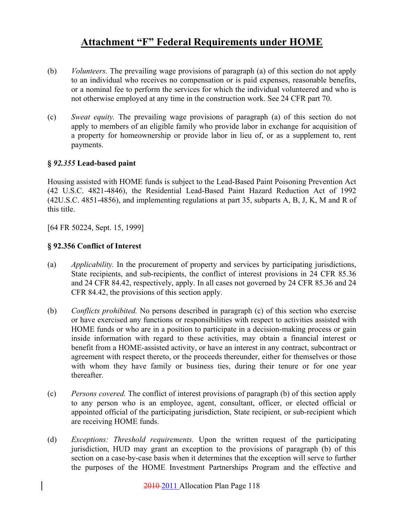- (b) *Volunteers.* The prevailing wage provisions of paragraph (a) of this section do not apply to an individual who receives no compensation or is paid expenses, reasonable benefits, or a nominal fee to perform the services for which the individual volunteered and who is not otherwise employed at any time in the construction work. See 24 CFR part 70.
- (c) *Sweat equity.* The prevailing wage provisions of paragraph (a) of this section do not apply to members of an eligible family who provide labor in exchange for acquisition of a property for homeownership or provide labor in lieu of, or as a supplement to, rent payments.

### **§** *92.355* **Lead-based paint**

Housing assisted with HOME funds is subject to the Lead-Based Paint Poisoning Prevention Act (42 U.S.C. 4821-4846), the Residential Lead-Based Paint Hazard Reduction Act of 1992 (42U.S.C. 4851-4856), and implementing regulations at part 35, subparts A, B, J, K, M and R of this title.

[64 FR 50224, Sept. 15, 1999]

### **§ 92.356 Conflict of Interest**

- (a) *Applicability.* In the procurement of property and services by participating jurisdictions, State recipients, and sub-recipients, the conflict of interest provisions in 24 CFR 85.36 and 24 CFR 84.42, respectively, apply. In all cases not governed by 24 CFR 85.36 and 24 CFR 84.42, the provisions of this section apply.
- (b) *Conflicts prohibited.* No persons described in paragraph (c) of this section who exercise or have exercised any functions or responsibilities with respect to activities assisted with HOME funds or who are in a position to participate in a decision-making process or gain inside information with regard to these activities, may obtain a financial interest or benefit from a HOME-assisted activity, or have an interest in any contract, subcontract or agreement with respect thereto, or the proceeds thereunder, either for themselves or those with whom they have family or business ties, during their tenure or for one year thereafter.
- (c) *Persons covered.* The conflict of interest provisions of paragraph (b) of this section apply to any person who is an employee, agent, consultant, officer, or elected official or appointed official of the participating jurisdiction, State recipient, or sub-recipient which are receiving HOME funds.
- (d) *Exceptions: Threshold requirements.* Upon the written request of the participating jurisdiction, HUD may grant an exception to the provisions of paragraph (b) of this section on a case-by-case basis when it determines that the exception will serve to further the purposes of the HOME Investment Partnerships Program and the effective and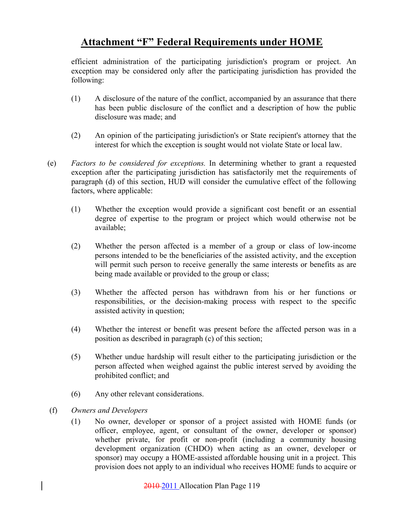efficient administration of the participating jurisdiction's program or project. An exception may be considered only after the participating jurisdiction has provided the following:

- (1) A disclosure of the nature of the conflict, accompanied by an assurance that there has been public disclosure of the conflict and a description of how the public disclosure was made; and
- (2) An opinion of the participating jurisdiction's or State recipient's attorney that the interest for which the exception is sought would not violate State or local law.
- (e) *Factors to be considered for exceptions.* In determining whether to grant a requested exception after the participating jurisdiction has satisfactorily met the requirements of paragraph (d) of this section, HUD will consider the cumulative effect of the following factors, where applicable:
	- (1) Whether the exception would provide a significant cost benefit or an essential degree of expertise to the program or project which would otherwise not be available;
	- (2) Whether the person affected is a member of a group or class of low-income persons intended to be the beneficiaries of the assisted activity, and the exception will permit such person to receive generally the same interests or benefits as are being made available or provided to the group or class;
	- (3) Whether the affected person has withdrawn from his or her functions or responsibilities, or the decision-making process with respect to the specific assisted activity in question;
	- (4) Whether the interest or benefit was present before the affected person was in a position as described in paragraph (c) of this section;
	- (5) Whether undue hardship will result either to the participating jurisdiction or the person affected when weighed against the public interest served by avoiding the prohibited conflict; and
	- (6) Any other relevant considerations.
- (f) *Owners and Developers* 
	- (1) No owner, developer or sponsor of a project assisted with HOME funds (or officer, employee, agent, or consultant of the owner, developer or sponsor) whether private, for profit or non-profit (including a community housing development organization (CHDO) when acting as an owner, developer or sponsor) may occupy a HOME-assisted affordable housing unit in a project. This provision does not apply to an individual who receives HOME funds to acquire or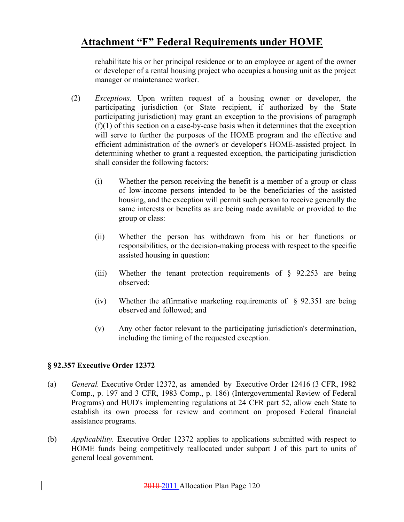rehabilitate his or her principal residence or to an employee or agent of the owner or developer of a rental housing project who occupies a housing unit as the project manager or maintenance worker.

- (2) *Exceptions.* Upon written request of a housing owner or developer, the participating jurisdiction (or State recipient, if authorized by the State participating jurisdiction) may grant an exception to the provisions of paragraph (f)(1) of this section on a case-by-case basis when it determines that the exception will serve to further the purposes of the HOME program and the effective and efficient administration of the owner's or developer's HOME-assisted project. In determining whether to grant a requested exception, the participating jurisdiction shall consider the following factors:
	- (i) Whether the person receiving the benefit is a member of a group or class of low-income persons intended to be the beneficiaries of the assisted housing, and the exception will permit such person to receive generally the same interests or benefits as are being made available or provided to the group or class:
	- (ii) Whether the person has withdrawn from his or her functions or responsibilities, or the decision-making process with respect to the specific assisted housing in question:
	- (iii) Whether the tenant protection requirements of  $\S$  92.253 are being observed:
	- (iv) Whether the affirmative marketing requirements of § 92.351 are being observed and followed; and
	- (v) Any other factor relevant to the participating jurisdiction's determination, including the timing of the requested exception.

### **§ 92.357 Executive Order 12372**

- (a) *General.* Executive Order 12372, as amended by Executive Order 12416 (3 CFR, 1982 Comp., p. 197 and 3 CFR, 1983 Comp., p. 186) (Intergovernmental Review of Federal Programs) and HUD's implementing regulations at 24 CFR part 52, allow each State to establish its own process for review and comment on proposed Federal financial assistance programs.
- (b) *Applicability.* Executive Order 12372 applies to applications submitted with respect to HOME funds being competitively reallocated under subpart J of this part to units of general local government.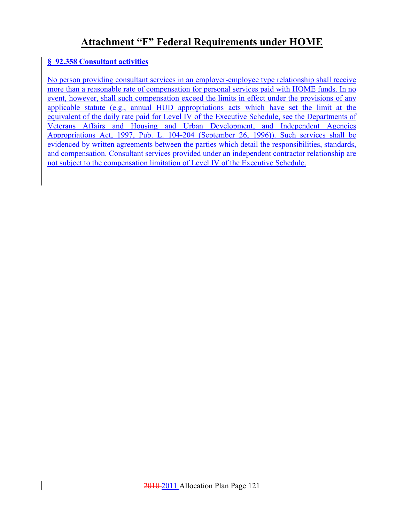### **§ 92.358 Consultant activities**

No person providing consultant services in an employer-employee type relationship shall receive more than a reasonable rate of compensation for personal services paid with HOME funds. In no event, however, shall such compensation exceed the limits in effect under the provisions of any applicable statute (e.g., annual HUD appropriations acts which have set the limit at the equivalent of the daily rate paid for Level IV of the Executive Schedule, see the Departments of Veterans Affairs and Housing and Urban Development, and Independent Agencies Appropriations Act, 1997, Pub. L. 104-204 (September 26, 1996)). Such services shall be evidenced by written agreements between the parties which detail the responsibilities, standards, and compensation. Consultant services provided under an independent contractor relationship are not subject to the compensation limitation of Level IV of the Executive Schedule.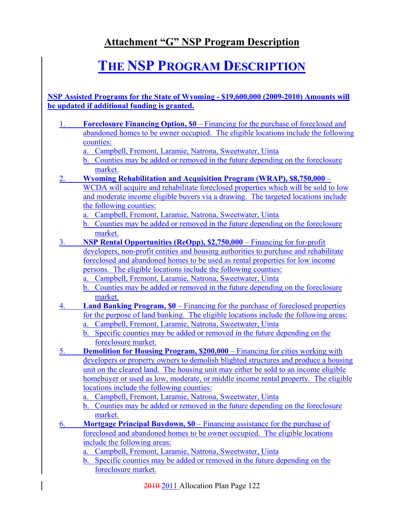# **THE NSP PROGRAM DESCRIPTION**

**NSP Assisted Programs for the State of Wyoming - \$19,600,000 (2009-2010) Amounts will be updated if additional funding is granted.**

- 1. **Foreclosure Financing Option, \$0** Financing for the purchase of foreclosed and abandoned homes to be owner occupied. The eligible locations include the following counties:
	- a. Campbell, Fremont, Laramie, Natrona, Sweetwater, Uinta
	- b. Counties may be added or removed in the future depending on the foreclosure market.
- 2. **Wyoming Rehabilitation and Acquisition Program (WRAP), \$8,750,000** WCDA will acquire and rehabilitate foreclosed properties which will be sold to low and moderate income eligible buyers via a drawing. The targeted locations include the following counties:
	- a. Campbell, Fremont, Laramie, Natrona, Sweetwater, Uinta
	- b. Counties may be added or removed in the future depending on the foreclosure market.
- 3. **NSP Rental Opportunities (ReOpp), \$2,750,000** Financing for for-profit developers, non-profit entities and housing authorities to purchase and rehabilitate foreclosed and abandoned homes to be used as rental properties for low income persons. The eligible locations include the following counties:
	- a. Campbell, Fremont, Laramie, Natrona, Sweetwater, Uinta
	- b. Counties may be added or removed in the future depending on the foreclosure market.
- 4. **Land Banking Program, \$0** Financing for the purchase of foreclosed properties for the purpose of land banking. The eligible locations include the following areas:
	- a. Campbell, Fremont, Laramie, Natrona, Sweetwater, Uinta
	- b. Specific counties may be added or removed in the future depending on the foreclosure market.
- 5. **Demolition for Housing Program, \$200,000** Financing for cities working with developers or property owners to demolish blighted structures and produce a housing unit on the cleared land. The housing unit may either be sold to an income eligible homebuyer or used as low, moderate, or middle income rental property. The eligible locations include the following counties:
	- a. Campbell, Fremont, Laramie, Natrona, Sweetwater, Uinta
	- b. Counties may be added or removed in the future depending on the foreclosure market.
- 6. **Mortgage Principal Buydown, \$0** Financing assistance for the purchase of foreclosed and abandoned homes to be owner occupied. The eligible locations include the following areas:
	- a. Campbell, Fremont, Laramie, Natrona, Sweetwater, Uinta
	- b. Specific counties may be added or removed in the future depending on the foreclosure market.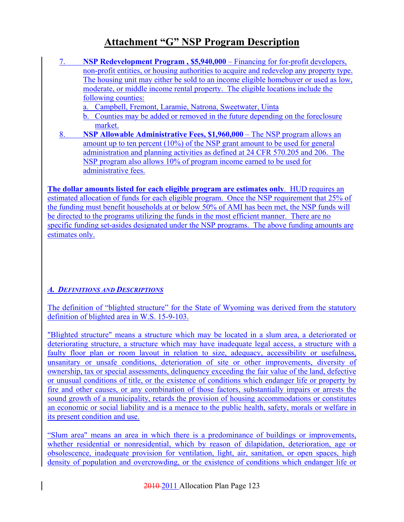- 7. **NSP Redevelopment Program , \$5,940,000** Financing for for-profit developers, non-profit entities, or housing authorities to acquire and redevelop any property type. The housing unit may either be sold to an income eligible homebuyer or used as low, moderate, or middle income rental property. The eligible locations include the following counties:
	- a. Campbell, Fremont, Laramie, Natrona, Sweetwater, Uinta
	- b. Counties may be added or removed in the future depending on the foreclosure market.
- 8. **NSP Allowable Administrative Fees, \$1,960,000** The NSP program allows an amount up to ten percent (10%) of the NSP grant amount to be used for general administration and planning activities as defined at 24 CFR 570.205 and 206. The NSP program also allows 10% of program income earned to be used for administrative fees.

**The dollar amounts listed for each eligible program are estimates only**. HUD requires an estimated allocation of funds for each eligible program. Once the NSP requirement that 25% of the funding must benefit households at or below 50% of AMI has been met, the NSP funds will be directed to the programs utilizing the funds in the most efficient manner. There are no specific funding set-asides designated under the NSP programs. The above funding amounts are estimates only.

### *A. DEFINITIONS AND DESCRIPTIONS*

The definition of "blighted structure" for the State of Wyoming was derived from the statutory definition of blighted area in W.S. 15-9-103.

"Blighted structure" means a structure which may be located in a slum area, a deteriorated or deteriorating structure, a structure which may have inadequate legal access, a structure with a faulty floor plan or room layout in relation to size, adequacy, accessibility or usefulness, unsanitary or unsafe conditions, deterioration of site or other improvements, diversity of ownership, tax or special assessments, delinquency exceeding the fair value of the land, defective or unusual conditions of title, or the existence of conditions which endanger life or property by fire and other causes, or any combination of those factors, substantially impairs or arrests the sound growth of a municipality, retards the provision of housing accommodations or constitutes an economic or social liability and is a menace to the public health, safety, morals or welfare in its present condition and use.

"Slum area" means an area in which there is a predominance of buildings or improvements, whether residential or nonresidential, which by reason of dilapidation, deterioration, age or obsolescence, inadequate provision for ventilation, light, air, sanitation, or open spaces, high density of population and overcrowding, or the existence of conditions which endanger life or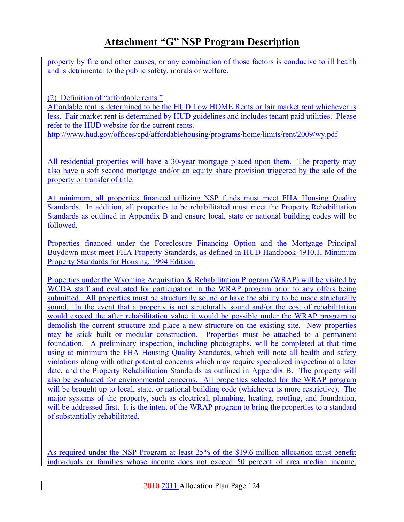property by fire and other causes, or any combination of those factors is conducive to ill health and is detrimental to the public safety, morals or welfare.

(2) Definition of "affordable rents."

Affordable rent is determined to be the HUD Low HOME Rents or fair market rent whichever is less. Fair market rent is determined by HUD guidelines and includes tenant paid utilities. Please refer to the HUD website for the current rents.

http://www.hud.gov/offices/cpd/affordablehousing/programs/home/limits/rent/2009/wy.pdf

All residential properties will have a 30-year mortgage placed upon them. The property may also have a soft second mortgage and/or an equity share provision triggered by the sale of the property or transfer of title.

At minimum, all properties financed utilizing NSP funds must meet FHA Housing Quality Standards. In addition, all properties to be rehabilitated must meet the Property Rehabilitation Standards as outlined in Appendix B and ensure local, state or national building codes will be followed.

Properties financed under the Foreclosure Financing Option and the Mortgage Principal Buydown must meet FHA Property Standards, as defined in HUD Handbook 4910.1, Minimum Property Standards for Housing, 1994 Edition.

Properties under the Wyoming Acquisition & Rehabilitation Program (WRAP) will be visited by WCDA staff and evaluated for participation in the WRAP program prior to any offers being submitted. All properties must be structurally sound or have the ability to be made structurally sound. In the event that a property is not structurally sound and/or the cost of rehabilitation would exceed the after rehabilitation value it would be possible under the WRAP program to demolish the current structure and place a new structure on the existing site. New properties may be stick built or modular construction. Properties must be attached to a permanent foundation. A preliminary inspection, including photographs, will be completed at that time using at minimum the FHA Housing Quality Standards, which will note all health and safety violations along with other potential concerns which may require specialized inspection at a later date, and the Property Rehabilitation Standards as outlined in Appendix B. The property will also be evaluated for environmental concerns. All properties selected for the WRAP program will be brought up to local, state, or national building code (whichever is more restrictive). The major systems of the property, such as electrical, plumbing, heating, roofing, and foundation, will be addressed first. It is the intent of the WRAP program to bring the properties to a standard of substantially rehabilitated.

As required under the NSP Program at least 25% of the \$19.6 million allocation must benefit individuals or families whose income does not exceed 50 percent of area median income.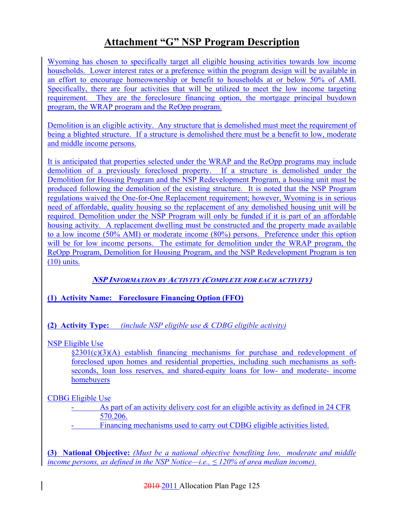Wyoming has chosen to specifically target all eligible housing activities towards low income households. Lower interest rates or a preference within the program design will be available in an effort to encourage homeownership or benefit to households at or below 50% of AMI. Specifically, there are four activities that will be utilized to meet the low income targeting requirement. They are the foreclosure financing option, the mortgage principal buydown program, the WRAP program and the ReOpp program.

Demolition is an eligible activity. Any structure that is demolished must meet the requirement of being a blighted structure. If a structure is demolished there must be a benefit to low, moderate and middle income persons.

It is anticipated that properties selected under the WRAP and the ReOpp programs may include demolition of a previously foreclosed property. If a structure is demolished under the Demolition for Housing Program and the NSP Redevelopment Program, a housing unit must be produced following the demolition of the existing structure. It is noted that the NSP Program regulations waived the One-for-One Replacement requirement; however, Wyoming is in serious need of affordable, quality housing so the replacement of any demolished housing unit will be required. Demolition under the NSP Program will only be funded if it is part of an affordable housing activity. A replacement dwelling must be constructed and the property made available to a low income (50% AMI) or moderate income (80%) persons. Preference under this option will be for low income persons. The estimate for demolition under the WRAP program, the ReOpp Program, Demolition for Housing Program, and the NSP Redevelopment Program is ten (10) units.

### **NSP INFORMATION BY ACTIVITY (COMPLETE FOR EACH ACTIVITY)**

### **(1) Activity Name: Foreclosure Financing Option (FFO)**

### **(2) Activity Type:** *(include NSP eligible use & CDBG eligible activity)*

### NSP Eligible Use

 $\frac{\delta 2301(c)(3)}{A}$  establish financing mechanisms for purchase and redevelopment of foreclosed upon homes and residential properties, including such mechanisms as softseconds, loan loss reserves, and shared-equity loans for low- and moderate- income homebuyers

CDBG Eligible Use

As part of an activity delivery cost for an eligible activity as defined in 24 CFR 570.206.

- Financing mechanisms used to carry out CDBG eligible activities listed.

**(3) National Objective:** *(Must be a national objective benefiting low, moderate and middle income persons, as defined in the NSP Notice—i.e., ≤ 120% of area median income).*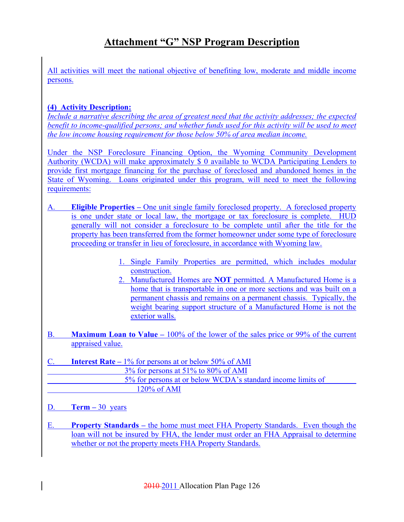All activities will meet the national objective of benefiting low, moderate and middle income persons.

### **(4) Activity Description:**

*Include a narrative describing the area of greatest need that the activity addresses; the expected benefit to income-qualified persons; and whether funds used for this activity will be used to meet the low income housing requirement for those below 50% of area median income.*

Under the NSP Foreclosure Financing Option, the Wyoming Community Development Authority (WCDA) will make approximately \$ 0 available to WCDA Participating Lenders to provide first mortgage financing for the purchase of foreclosed and abandoned homes in the State of Wyoming. Loans originated under this program, will need to meet the following requirements:

- A. **Eligible Properties –** One unit single family foreclosed property. A foreclosed property is one under state or local law, the mortgage or tax foreclosure is complete. HUD generally will not consider a foreclosure to be complete until after the title for the property has been transferred from the former homeowner under some type of foreclosure proceeding or transfer in lieu of foreclosure, in accordance with Wyoming law.
	- 1. Single Family Properties are permitted, which includes modular construction.
	- 2. Manufactured Homes are **NOT** permitted. A Manufactured Home is a home that is transportable in one or more sections and was built on a permanent chassis and remains on a permanent chassis. Typically, the weight bearing support structure of a Manufactured Home is not the exterior walls.
- B. **Maximum Loan to Value** 100% of the lower of the sales price or 99% of the current appraised value.
- C. **Interest Rate** 1% for persons at or below 50% of AMI 3% for persons at 51% to 80% of AMI 5% for persons at or below WCDA's standard income limits of 120% of AMI
- D. **Term –** 30 years
- E. **Property Standards –** the home must meet FHA Property Standards. Even though the loan will not be insured by FHA, the lender must order an FHA Appraisal to determine whether or not the property meets FHA Property Standards.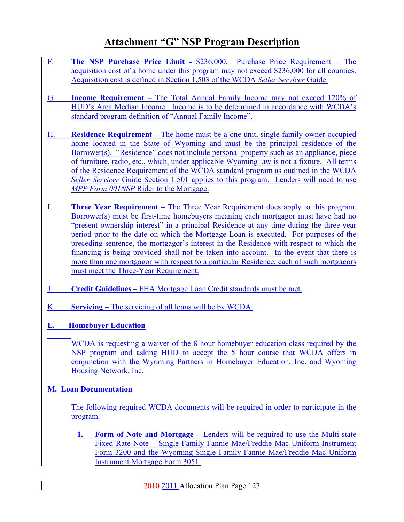- F. **The NSP Purchase Price Limit -** \$236,000. Purchase Price Requirement The acquisition cost of a home under this program may not exceed \$236,000 for all counties. Acquisition cost is defined in Section 1.503 of the WCDA *Seller Servicer* Guide.
- G. **Income Requirement –** The Total Annual Family Income may not exceed 120% of HUD's Area Median Income. Income is to be determined in accordance with WCDA's standard program definition of "Annual Family Income".
- H. **Residence Requirement –** The home must be a one unit, single-family owner-occupied home located in the State of Wyoming and must be the principal residence of the Borrower(s). "Residence" does not include personal property such as an appliance, piece of furniture, radio, etc., which, under applicable Wyoming law is not a fixture. All terms of the Residence Requirement of the WCDA standard program as outlined in the WCDA *Seller Servicer* Guide Section 1.501 applies to this program. Lenders will need to use *MPP Form 001NSP* Rider to the Mortgage.
- **Three Year Requirement –** The Three Year Requirement does apply to this program. Borrower(s) must be first-time homebuyers meaning each mortgagor must have had no "present ownership interest" in a principal Residence at any time during the three-year period prior to the date on which the Mortgage Loan is executed. For purposes of the preceding sentence, the mortgagor's interest in the Residence with respect to which the financing is being provided shall not be taken into account. In the event that there is more than one mortgagor with respect to a particular Residence, each of such mortgagors must meet the Three-Year Requirement.
- J. **Credit Guidelines** FHA Mortgage Loan Credit standards must be met.
- K. **Servicing –** The servicing of all loans will be by WCDA.
- **L. Homebuyer Education**

WCDA is requesting a waiver of the 8 hour homebuyer education class required by the NSP program and asking HUD to accept the 5 hour course that WCDA offers in conjunction with the Wyoming Partners in Homebuyer Education, Inc. and Wyoming Housing Network, Inc.

### **M. Loan Documentation**

The following required WCDA documents will be required in order to participate in the program.

**1. Form of Note and Mortgage –** Lenders will be required to use the Multi-state Fixed Rate Note – Single Family Fannie Mae/Freddie Mac Uniform Instrument Form 3200 and the Wyoming-Single Family-Fannie Mae/Freddie Mac Uniform Instrument Mortgage Form 3051.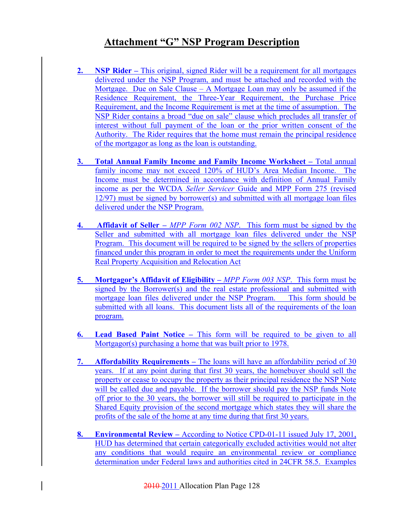- **2. NSP Rider** This original, signed Rider will be a requirement for all mortgages delivered under the NSP Program, and must be attached and recorded with the Mortgage. Due on Sale Clause – A Mortgage Loan may only be assumed if the Residence Requirement, the Three-Year Requirement, the Purchase Price Requirement, and the Income Requirement is met at the time of assumption. The NSP Rider contains a broad "due on sale" clause which precludes all transfer of interest without full payment of the loan or the prior written consent of the Authority. The Rider requires that the home must remain the principal residence of the mortgagor as long as the loan is outstanding.
- **3. Total Annual Family Income and Family Income Worksheet** Total annual family income may not exceed 120% of HUD's Area Median Income. The Income must be determined in accordance with definition of Annual Family income as per the WCDA *Seller Servicer* Guide and MPP Form 275 (revised 12/97) must be signed by borrower(s) and submitted with all mortgage loan files delivered under the NSP Program.
- **4. Affidavit of Seller –** *MPP Form 002 NSP*. This form must be signed by the Seller and submitted with all mortgage loan files delivered under the NSP Program. This document will be required to be signed by the sellers of properties financed under this program in order to meet the requirements under the Uniform Real Property Acquisition and Relocation Act
- **5. Mortgagor's Affidavit of Eligibility –** *MPP Form 003 NSP*. This form must be signed by the Borrower(s) and the real estate professional and submitted with mortgage loan files delivered under the NSP Program. This form should be submitted with all loans. This document lists all of the requirements of the loan program.
- **6. Lead Based Paint Notice –** This form will be required to be given to all Mortgagor(s) purchasing a home that was built prior to 1978.
- **7. Affordability Requirements** The loans will have an affordability period of 30 years. If at any point during that first 30 years, the homebuyer should sell the property or cease to occupy the property as their principal residence the NSP Note will be called due and payable. If the borrower should pay the NSP funds Note off prior to the 30 years, the borrower will still be required to participate in the Shared Equity provision of the second mortgage which states they will share the profits of the sale of the home at any time during that first 30 years.
- **8. Environmental Review** According to Notice CPD-01-11 issued July 17, 2001, HUD has determined that certain categorically excluded activities would not alter any conditions that would require an environmental review or compliance determination under Federal laws and authorities cited in 24CFR 58.5. Examples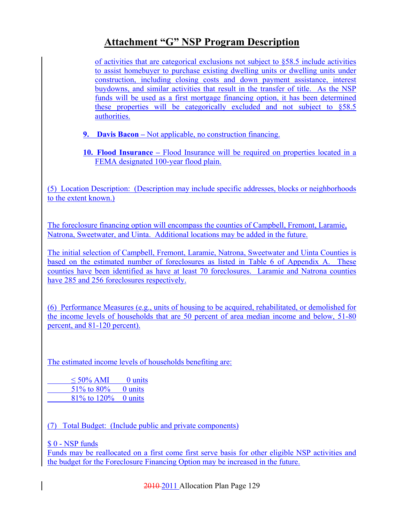of activities that are categorical exclusions not subject to §58.5 include activities to assist homebuyer to purchase existing dwelling units or dwelling units under construction, including closing costs and down payment assistance, interest buydowns, and similar activities that result in the transfer of title. As the NSP funds will be used as a first mortgage financing option, it has been determined these properties will be categorically excluded and not subject to §58.5 authorities.

- **9. Davis Bacon** Not applicable, no construction financing.
- **10. Flood Insurance** Flood Insurance will be required on properties located in a FEMA designated 100-year flood plain.

(5) Location Description: (Description may include specific addresses, blocks or neighborhoods to the extent known.)

The foreclosure financing option will encompass the counties of Campbell, Fremont, Laramie, Natrona, Sweetwater, and Uinta. Additional locations may be added in the future.

The initial selection of Campbell, Fremont, Laramie, Natrona, Sweetwater and Uinta Counties is based on the estimated number of foreclosures as listed in Table 6 of Appendix A. These counties have been identified as have at least 70 foreclosures. Laramie and Natrona counties have 285 and 256 foreclosures respectively.

(6) Performance Measures (e.g., units of housing to be acquired, rehabilitated, or demolished for the income levels of households that are 50 percent of area median income and below, 51-80 percent, and 81-120 percent).

The estimated income levels of households benefiting are:

 $\leq$  50% AMI 0 units 51\% to 80\% 0 units 81% to 120% 0 units

(7) Total Budget: (Include public and private components)

\$ 0 - NSP funds

Funds may be reallocated on a first come first serve basis for other eligible NSP activities and the budget for the Foreclosure Financing Option may be increased in the future.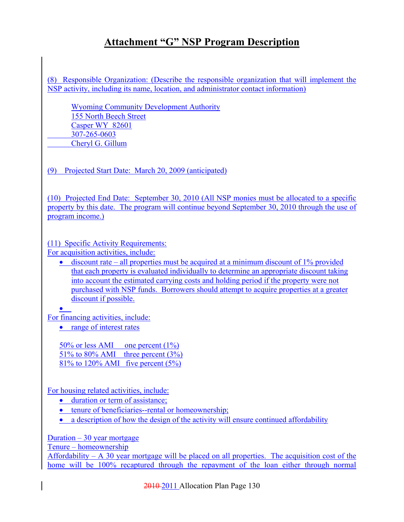(8) Responsible Organization: (Describe the responsible organization that will implement the NSP activity, including its name, location, and administrator contact information)

Wyoming Community Development Authority 155 North Beech Street Casper WY 82601 307-265-0603 Cheryl G. Gillum

(9) Projected Start Date: March 20, 2009 (anticipated)

(10) Projected End Date: September 30, 2010 (All NSP monies must be allocated to a specific property by this date. The program will continue beyond September 30, 2010 through the use of program income.)

(11) Specific Activity Requirements: For acquisition activities, include:

• discount rate – all properties must be acquired at a minimum discount of 1% provided that each property is evaluated individually to determine an appropriate discount taking into account the estimated carrying costs and holding period if the property were not purchased with NSP funds. Borrowers should attempt to acquire properties at a greater discount if possible.

• For financing activities, include:

• range of interest rates

50% or less AMI one percent (1%) 51% to 80% AMI three percent  $(3\%)$ 81% to 120% AMI five percent (5%)

For housing related activities, include:

- duration or term of assistance;
- tenure of beneficiaries--rental or homeownership;
- a description of how the design of the activity will ensure continued affordability

Duration  $-30$  year mortgage

Tenure – homeownership

Affordability  $- A$  30 year mortgage will be placed on all properties. The acquisition cost of the home will be 100% recaptured through the repayment of the loan either through normal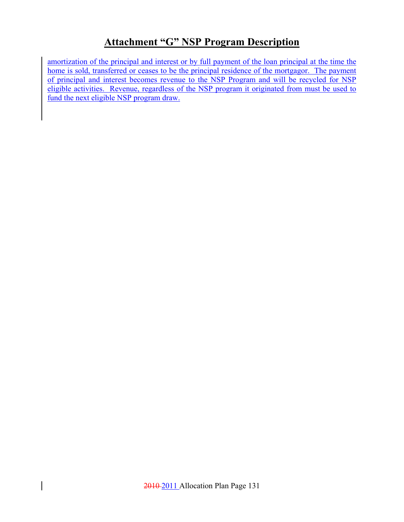amortization of the principal and interest or by full payment of the loan principal at the time the home is sold, transferred or ceases to be the principal residence of the mortgagor. The payment of principal and interest becomes revenue to the NSP Program and will be recycled for NSP eligible activities. Revenue, regardless of the NSP program it originated from must be used to fund the next eligible NSP program draw.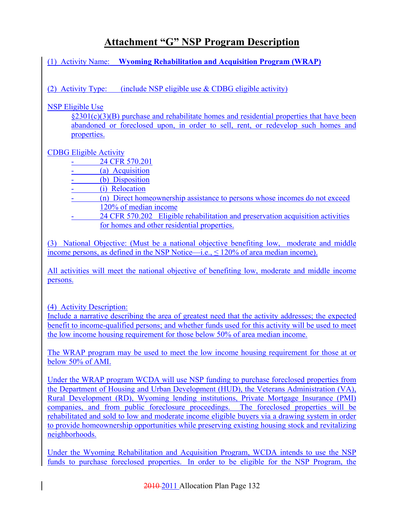(1) Activity Name: **Wyoming Rehabilitation and Acquisition Program (WRAP)**

(2) Activity Type: (include NSP eligible use  $&$  CDBG eligible activity)

NSP Eligible Use

§2301(c)(3)(B) purchase and rehabilitate homes and residential properties that have been abandoned or foreclosed upon, in order to sell, rent, or redevelop such homes and properties.

### CDBG Eligible Activity

24 CFR 570.201

(a) Acquisition

- (b) Disposition
- (i) Relocation
- (n) Direct homeownership assistance to persons whose incomes do not exceed 120% of median income
- 24 CFR 570.202 Eligible rehabilitation and preservation acquisition activities for homes and other residential properties.

(3) National Objective: (Must be a national objective benefiting low, moderate and middle income persons, as defined in the NSP Notice—i.e.,  $\leq 120\%$  of area median income).

All activities will meet the national objective of benefiting low, moderate and middle income persons.

(4) Activity Description:

Include a narrative describing the area of greatest need that the activity addresses; the expected benefit to income-qualified persons; and whether funds used for this activity will be used to meet the low income housing requirement for those below 50% of area median income.

The WRAP program may be used to meet the low income housing requirement for those at or below 50% of AMI.

Under the WRAP program WCDA will use NSP funding to purchase foreclosed properties from the Department of Housing and Urban Development (HUD), the Veterans Administration (VA), Rural Development (RD), Wyoming lending institutions, Private Mortgage Insurance (PMI) companies, and from public foreclosure proceedings. The foreclosed properties will be rehabilitated and sold to low and moderate income eligible buyers via a drawing system in order to provide homeownership opportunities while preserving existing housing stock and revitalizing neighborhoods.

Under the Wyoming Rehabilitation and Acquisition Program, WCDA intends to use the NSP funds to purchase foreclosed properties. In order to be eligible for the NSP Program, the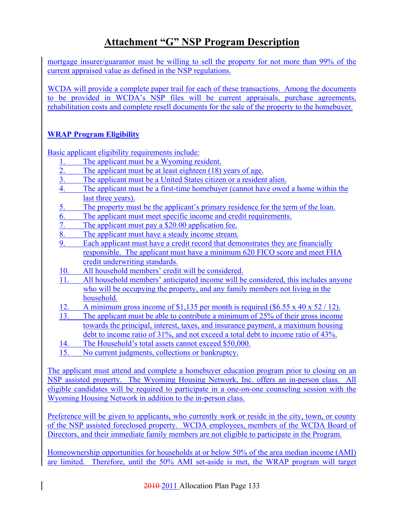mortgage insurer/guarantor must be willing to sell the property for not more than 99% of the current appraised value as defined in the NSP regulations.

WCDA will provide a complete paper trail for each of these transactions. Among the documents to be provided in WCDA's NSP files will be current appraisals, purchase agreements, rehabilitation costs and complete resell documents for the sale of the property to the homebuyer.

### **WRAP Program Eligibility**

Basic applicant eligibility requirements include:

- 1. The applicant must be a Wyoming resident.<br>2. The applicant must be at least eighteen (18)
- The applicant must be at least eighteen (18) years of age.
- 3. The applicant must be a United States citizen or a resident alien.
- 4. The applicant must be a first-time homebuyer (cannot have owed a home within the last three years).
- 5. The property must be the applicant's primary residence for the term of the loan.
- 6. The applicant must meet specific income and credit requirements.
- 7. The applicant must pay a \$20.00 application fee.
- 8. The applicant must have a steady income stream.
- 9. Each applicant must have a credit record that demonstrates they are financially responsible. The applicant must have a minimum 620 FICO score and meet FHA credit underwriting standards.
- 10. All household members' credit will be considered.
- 11. All household members' anticipated income will be considered, this includes anyone who will be occupying the property, and any family members not living in the household.
- 12. A minimum gross income of \$1,135 per month is required (\$6.55 x 40 x 52 / 12).
- 13. The applicant must be able to contribute a minimum of 25% of their gross income towards the principal, interest, taxes, and insurance payment, a maximum housing debt to income ratio of 31%, and not exceed a total debt to income ratio of 43%.
- 14. The Household's total assets cannot exceed \$50,000.
- 15. No current judgments, collections or bankruptcy.

The applicant must attend and complete a homebuyer education program prior to closing on an NSP assisted property. The Wyoming Housing Network, Inc. offers an in-person class. All eligible candidates will be required to participate in a one-on-one counseling session with the Wyoming Housing Network in addition to the in-person class.

Preference will be given to applicants, who currently work or reside in the city, town, or county of the NSP assisted foreclosed property. WCDA employees, members of the WCDA Board of Directors, and their immediate family members are not eligible to participate in the Program.

Homeownership opportunities for households at or below 50% of the area median income (AMI) are limited. Therefore, until the 50% AMI set-aside is met, the WRAP program will target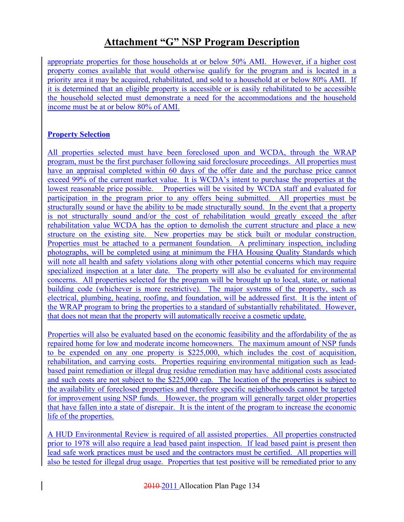appropriate properties for those households at or below 50% AMI. However, if a higher cost property comes available that would otherwise qualify for the program and is located in a priority area it may be acquired, rehabilitated, and sold to a household at or below 80% AMI. If it is determined that an eligible property is accessible or is easily rehabilitated to be accessible the household selected must demonstrate a need for the accommodations and the household income must be at or below 80% of AMI.

### **Property Selection**

All properties selected must have been foreclosed upon and WCDA, through the WRAP program, must be the first purchaser following said foreclosure proceedings. All properties must have an appraisal completed within 60 days of the offer date and the purchase price cannot exceed 99% of the current market value. It is WCDA's intent to purchase the properties at the lowest reasonable price possible. Properties will be visited by WCDA staff and evaluated for participation in the program prior to any offers being submitted. All properties must be structurally sound or have the ability to be made structurally sound. In the event that a property is not structurally sound and/or the cost of rehabilitation would greatly exceed the after rehabilitation value WCDA has the option to demolish the current structure and place a new structure on the existing site. New properties may be stick built or modular construction. Properties must be attached to a permanent foundation. A preliminary inspection, including photographs, will be completed using at minimum the FHA Housing Quality Standards which will note all health and safety violations along with other potential concerns which may require specialized inspection at a later date. The property will also be evaluated for environmental concerns. All properties selected for the program will be brought up to local, state, or national building code (whichever is more restrictive). The major systems of the property, such as electrical, plumbing, heating, roofing, and foundation, will be addressed first. It is the intent of the WRAP program to bring the properties to a standard of substantially rehabilitated. However, that does not mean that the property will automatically receive a cosmetic update.

Properties will also be evaluated based on the economic feasibility and the affordability of the as repaired home for low and moderate income homeowners. The maximum amount of NSP funds to be expended on any one property is \$225,000, which includes the cost of acquisition, rehabilitation, and carrying costs. Properties requiring environmental mitigation such as leadbased paint remediation or illegal drug residue remediation may have additional costs associated and such costs are not subject to the \$225,000 cap. The location of the properties is subject to the availability of foreclosed properties and therefore specific neighborhoods cannot be targeted for improvement using NSP funds. However, the program will generally target older properties that have fallen into a state of disrepair. It is the intent of the program to increase the economic life of the properties.

A HUD Environmental Review is required of all assisted properties. All properties constructed prior to 1978 will also require a lead based paint inspection. If lead based paint is present then lead safe work practices must be used and the contractors must be certified. All properties will also be tested for illegal drug usage. Properties that test positive will be remediated prior to any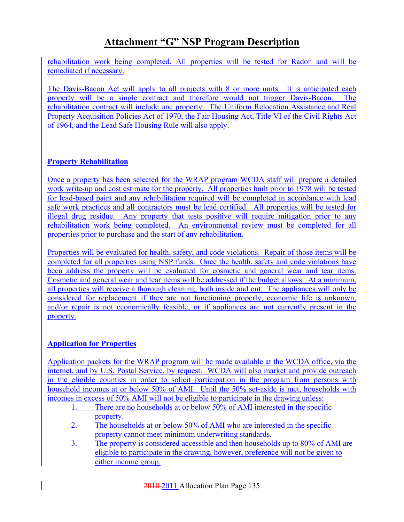rehabilitation work being completed. All properties will be tested for Radon and will be remediated if necessary.

The Davis-Bacon Act will apply to all projects with 8 or more units. It is anticipated each property will be a single contract and therefore would not trigger Davis-Bacon. The rehabilitation contract will include one property. The Uniform Relocation Assistance and Real Property Acquisition Policies Act of 1970, the Fair Housing Act, Title VI of the Civil Rights Act of 1964, and the Lead Safe Housing Rule will also apply.

### **Property Rehabilitation**

Once a property has been selected for the WRAP program WCDA staff will prepare a detailed work write-up and cost estimate for the property. All properties built prior to 1978 will be tested for lead-based paint and any rehabilitation required will be completed in accordance with lead safe work practices and all contractors must be lead certified. All properties will be tested for illegal drug residue. Any property that tests positive will require mitigation prior to any rehabilitation work being completed. An environmental review must be completed for all properties prior to purchase and the start of any rehabilitation.

Properties will be evaluated for health, safety, and code violations. Repair of those items will be completed for all properties using NSP funds. Once the health, safety and code violations have been address the property will be evaluated for cosmetic and general wear and tear items. Cosmetic and general wear and tear items will be addressed if the budget allows. At a minimum, all properties will receive a thorough cleaning, both inside and out. The appliances will only be considered for replacement if they are not functioning properly, economic life is unknown, and/or repair is not economically feasible, or if appliances are not currently present in the property.

### **Application for Properties**

Application packets for the WRAP program will be made available at the WCDA office, via the internet, and by U.S. Postal Service, by request. WCDA will also market and provide outreach in the eligible counties in order to solicit participation in the program from persons with household incomes at or below 50% of AMI. Until the 50% set-aside is met, households with incomes in excess of 50% AMI will not be eligible to participate in the drawing unless:

- 1. There are no households at or below 50% of AMI interested in the specific property.
- 2. The households at or below 50% of AMI who are interested in the specific property cannot meet minimum underwriting standards.
- 3. The property is considered accessible and then households up to 80% of AMI are eligible to participate in the drawing, however, preference will not be given to either income group.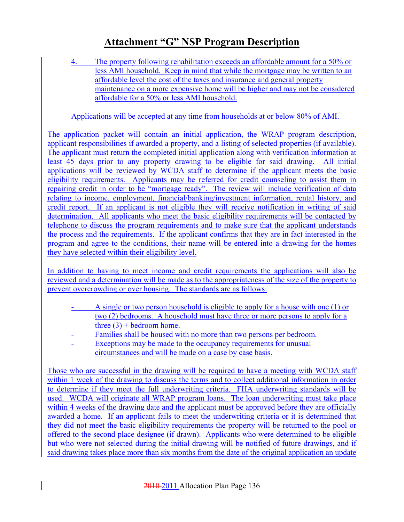4. The property following rehabilitation exceeds an affordable amount for a 50% or less AMI household. Keep in mind that while the mortgage may be written to an affordable level the cost of the taxes and insurance and general property maintenance on a more expensive home will be higher and may not be considered affordable for a 50% or less AMI household.

Applications will be accepted at any time from households at or below 80% of AMI.

The application packet will contain an initial application, the WRAP program description, applicant responsibilities if awarded a property, and a listing of selected properties (if available). The applicant must return the completed initial application along with verification information at least 45 days prior to any property drawing to be eligible for said drawing. All initial applications will be reviewed by WCDA staff to determine if the applicant meets the basic eligibility requirements. Applicants may be referred for credit counseling to assist them in repairing credit in order to be "mortgage ready". The review will include verification of data relating to income, employment, financial/banking/investment information, rental history, and credit report. If an applicant is not eligible they will receive notification in writing of said determination. All applicants who meet the basic eligibility requirements will be contacted by telephone to discuss the program requirements and to make sure that the applicant understands the process and the requirements. If the applicant confirms that they are in fact interested in the program and agree to the conditions, their name will be entered into a drawing for the homes they have selected within their eligibility level.

In addition to having to meet income and credit requirements the applications will also be reviewed and a determination will be made as to the appropriateness of the size of the property to prevent overcrowding or over housing. The standards are as follows:

- A single or two person household is eligible to apply for a house with one (1) or two (2) bedrooms. A household must have three or more persons to apply for a three  $(3)$  + bedroom home.
- Families shall be housed with no more than two persons per bedroom.
- Exceptions may be made to the occupancy requirements for unusual circumstances and will be made on a case by case basis.

Those who are successful in the drawing will be required to have a meeting with WCDA staff within 1 week of the drawing to discuss the terms and to collect additional information in order to determine if they meet the full underwriting criteria. FHA underwriting standards will be used. WCDA will originate all WRAP program loans. The loan underwriting must take place within 4 weeks of the drawing date and the applicant must be approved before they are officially awarded a home. If an applicant fails to meet the underwriting criteria or it is determined that they did not meet the basic eligibility requirements the property will be returned to the pool or offered to the second place designee (if drawn). Applicants who were determined to be eligible but who were not selected during the initial drawing will be notified of future drawings, and if said drawing takes place more than six months from the date of the original application an update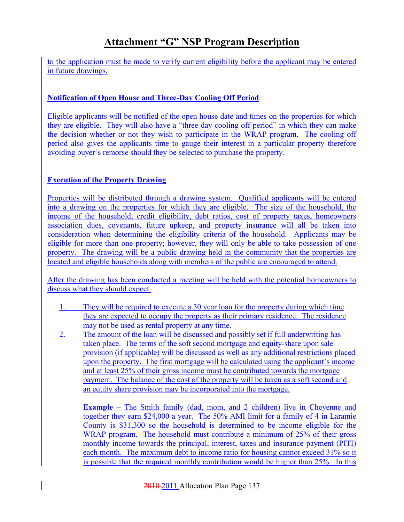to the application must be made to verify current eligibility before the applicant may be entered in future drawings.

### **Notification of Open House and Three-Day Cooling Off Period**

Eligible applicants will be notified of the open house date and times on the properties for which they are eligible. They will also have a "three-day cooling off period" in which they can make the decision whether or not they wish to participate in the WRAP program. The cooling off period also gives the applicants time to gauge their interest in a particular property therefore avoiding buyer's remorse should they be selected to purchase the property.

### **Execution of the Property Drawing**

Properties will be distributed through a drawing system. Qualified applicants will be entered into a drawing on the properties for which they are eligible. The size of the household, the income of the household, credit eligibility, debt ratios, cost of property taxes, homeowners association dues, covenants, future upkeep, and property insurance will all be taken into consideration when determining the eligibility criteria of the household. Applicants may be eligible for more than one property; however, they will only be able to take possession of one property. The drawing will be a public drawing held in the community that the properties are located and eligible households along with members of the public are encouraged to attend.

After the drawing has been conducted a meeting will be held with the potential homeowners to discuss what they should expect.

- 1. They will be required to execute a 30 year loan for the property during which time they are expected to occupy the property as their primary residence. The residence may not be used as rental property at any time.
- 2. The amount of the loan will be discussed and possibly set if full underwriting has taken place. The terms of the soft second mortgage and equity-share upon sale provision (if applicable) will be discussed as well as any additional restrictions placed upon the property. The first mortgage will be calculated using the applicant's income and at least 25% of their gross income must be contributed towards the mortgage payment. The balance of the cost of the property will be taken as a soft second and an equity share provision may be incorporated into the mortgage.

**Example** – The Smith family (dad, mom, and 2 children) live in Cheyenne and together they earn \$24,000 a year. The 50% AMI limit for a family of 4 in Laramie County is \$31,300 so the household is determined to be income eligible for the WRAP program. The household must contribute a minimum of 25% of their gross monthly income towards the principal, interest, taxes and insurance payment (PITI) each month. The maximum debt to income ratio for housing cannot exceed 31% so it is possible that the required monthly contribution would be higher than 25%. In this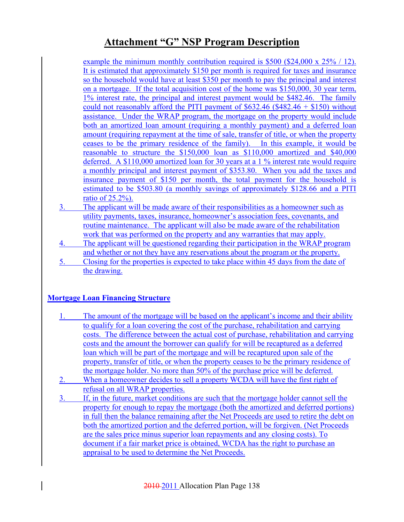example the minimum monthly contribution required is \$500 (\$24,000 x 25% / 12). It is estimated that approximately \$150 per month is required for taxes and insurance so the household would have at least \$350 per month to pay the principal and interest on a mortgage. If the total acquisition cost of the home was \$150,000, 30 year term, 1% interest rate, the principal and interest payment would be \$482.46. The family could not reasonably afford the PITI payment of  $$632.46 ($482.46 + $150)$  without assistance. Under the WRAP program, the mortgage on the property would include both an amortized loan amount (requiring a monthly payment) and a deferred loan amount (requiring repayment at the time of sale, transfer of title, or when the property ceases to be the primary residence of the family). In this example, it would be reasonable to structure the \$150,000 loan as \$110,000 amortized and \$40,000 deferred. A \$110,000 amortized loan for 30 years at a 1 % interest rate would require a monthly principal and interest payment of \$353.80. When you add the taxes and insurance payment of \$150 per month, the total payment for the household is estimated to be \$503.80 (a monthly savings of approximately \$128.66 and a PITI ratio of 25.2%).

- 3. The applicant will be made aware of their responsibilities as a homeowner such as utility payments, taxes, insurance, homeowner's association fees, covenants, and routine maintenance. The applicant will also be made aware of the rehabilitation work that was performed on the property and any warranties that may apply.
- 4. The applicant will be questioned regarding their participation in the WRAP program and whether or not they have any reservations about the program or the property.
- 5. Closing for the properties is expected to take place within 45 days from the date of the drawing.

### **Mortgage Loan Financing Structure**

- 1. The amount of the mortgage will be based on the applicant's income and their ability to qualify for a loan covering the cost of the purchase, rehabilitation and carrying costs. The difference between the actual cost of purchase, rehabilitation and carrying costs and the amount the borrower can qualify for will be recaptured as a deferred loan which will be part of the mortgage and will be recaptured upon sale of the property, transfer of title, or when the property ceases to be the primary residence of the mortgage holder. No more than 50% of the purchase price will be deferred.
- 2. When a homeowner decides to sell a property WCDA will have the first right of refusal on all WRAP properties.
- 3. If, in the future, market conditions are such that the mortgage holder cannot sell the property for enough to repay the mortgage (both the amortized and deferred portions) in full then the balance remaining after the Net Proceeds are used to retire the debt on both the amortized portion and the deferred portion, will be forgiven. (Net Proceeds are the sales price minus superior loan repayments and any closing costs). To document if a fair market price is obtained, WCDA has the right to purchase an appraisal to be used to determine the Net Proceeds.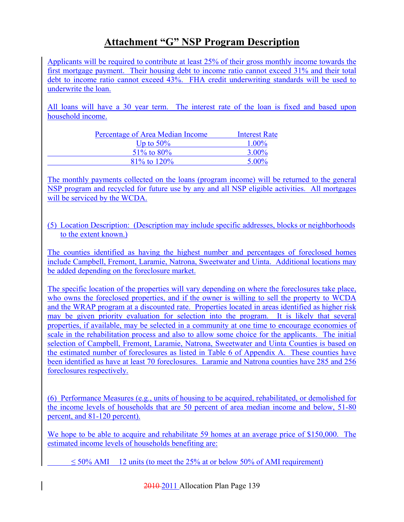Applicants will be required to contribute at least 25% of their gross monthly income towards the first mortgage payment. Their housing debt to income ratio cannot exceed 31% and their total debt to income ratio cannot exceed 43%. FHA credit underwriting standards will be used to underwrite the loan.

All loans will have a 30 year term. The interest rate of the loan is fixed and based upon household income.

| Percentage of Area Median Income | <b>Interest Rate</b> |
|----------------------------------|----------------------|
| Up to $50\%$                     | $1.00\%$             |
| $51\%$ to 80%                    | $3.00\%$             |
| $81\%$ to $120\%$                | $5.00\%$             |

The monthly payments collected on the loans (program income) will be returned to the general NSP program and recycled for future use by any and all NSP eligible activities. All mortgages will be serviced by the WCDA.

### (5) Location Description: (Description may include specific addresses, blocks or neighborhoods to the extent known.)

The counties identified as having the highest number and percentages of foreclosed homes include Campbell, Fremont, Laramie, Natrona, Sweetwater and Uinta. Additional locations may be added depending on the foreclosure market.

The specific location of the properties will vary depending on where the foreclosures take place, who owns the foreclosed properties, and if the owner is willing to sell the property to WCDA and the WRAP program at a discounted rate. Properties located in areas identified as higher risk may be given priority evaluation for selection into the program. It is likely that several properties, if available, may be selected in a community at one time to encourage economies of scale in the rehabilitation process and also to allow some choice for the applicants. The initial selection of Campbell, Fremont, Laramie, Natrona, Sweetwater and Uinta Counties is based on the estimated number of foreclosures as listed in Table 6 of Appendix A. These counties have been identified as have at least 70 foreclosures. Laramie and Natrona counties have 285 and 256 foreclosures respectively.

(6) Performance Measures (e.g., units of housing to be acquired, rehabilitated, or demolished for the income levels of households that are 50 percent of area median income and below, 51-80 percent, and 81-120 percent).

We hope to be able to acquire and rehabilitate 59 homes at an average price of \$150,000. The estimated income levels of households benefiting are:

 $\leq$  50% AMI 12 units (to meet the 25% at or below 50% of AMI requirement)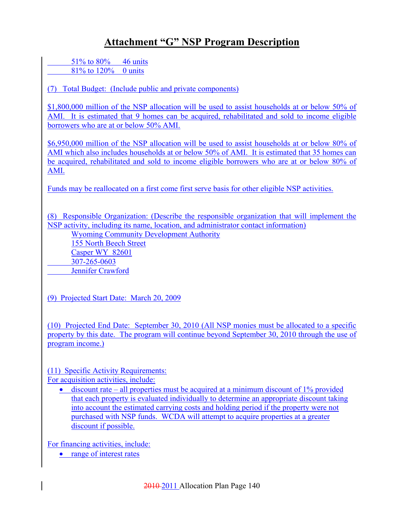51% to 80% 46 units 81% to  $120%$  0 units

(7) Total Budget: (Include public and private components)

\$1,800,000 million of the NSP allocation will be used to assist households at or below 50% of AMI. It is estimated that 9 homes can be acquired, rehabilitated and sold to income eligible borrowers who are at or below 50% AMI.

\$6,950,000 million of the NSP allocation will be used to assist households at or below 80% of AMI which also includes households at or below 50% of AMI. It is estimated that 35 homes can be acquired, rehabilitated and sold to income eligible borrowers who are at or below 80% of AMI.

Funds may be reallocated on a first come first serve basis for other eligible NSP activities.

(8) Responsible Organization: (Describe the responsible organization that will implement the NSP activity, including its name, location, and administrator contact information)

Wyoming Community Development Authority

155 North Beech Street Casper WY 82601 307-265-0603 Jennifer Crawford

(9) Projected Start Date: March 20, 2009

(10) Projected End Date: September 30, 2010 (All NSP monies must be allocated to a specific property by this date. The program will continue beyond September 30, 2010 through the use of program income.)

(11) Specific Activity Requirements:

For acquisition activities, include:

• discount rate – all properties must be acquired at a minimum discount of  $1\%$  provided that each property is evaluated individually to determine an appropriate discount taking into account the estimated carrying costs and holding period if the property were not purchased with NSP funds. WCDA will attempt to acquire properties at a greater discount if possible.

For financing activities, include:

• range of interest rates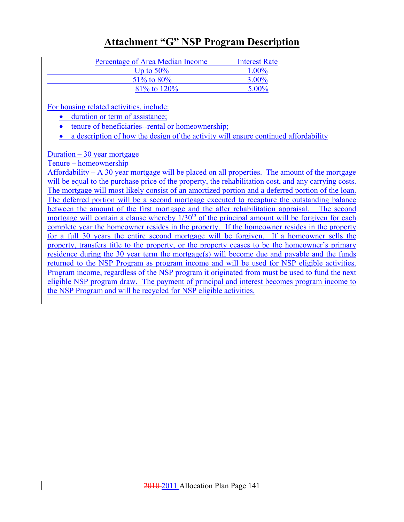| Percentage of Area Median Income | Interest Rate |
|----------------------------------|---------------|
| Up to $50\%$                     | $1.00\%$      |
| 51\% to 80\%                     | $3.00\%$      |
| $81\%$ to $120\%$                | $5.00\%$      |

For housing related activities, include:

- duration or term of assistance;
- tenure of beneficiaries--rental or homeownership;
- a description of how the design of the activity will ensure continued affordability

Duration  $-30$  year mortgage

Tenure – homeownership

Affordability  $- A$  30 year mortgage will be placed on all properties. The amount of the mortgage will be equal to the purchase price of the property, the rehabilitation cost, and any carrying costs. The mortgage will most likely consist of an amortized portion and a deferred portion of the loan. The deferred portion will be a second mortgage executed to recapture the outstanding balance between the amount of the first mortgage and the after rehabilitation appraisal. The second mortgage will contain a clause whereby  $1/30<sup>th</sup>$  of the principal amount will be forgiven for each complete year the homeowner resides in the property. If the homeowner resides in the property for a full 30 years the entire second mortgage will be forgiven. If a homeowner sells the property, transfers title to the property, or the property ceases to be the homeowner's primary residence during the 30 year term the mortgage(s) will become due and payable and the funds returned to the NSP Program as program income and will be used for NSP eligible activities. Program income, regardless of the NSP program it originated from must be used to fund the next eligible NSP program draw. The payment of principal and interest becomes program income to the NSP Program and will be recycled for NSP eligible activities.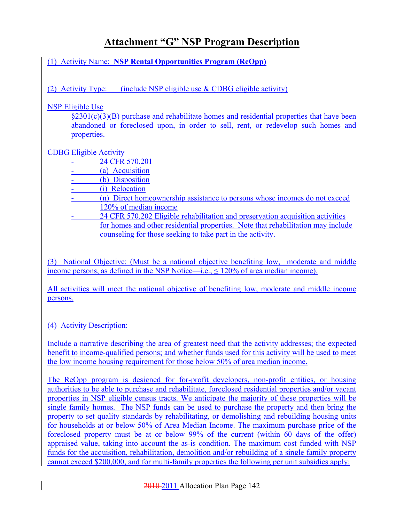(1) Activity Name: **NSP Rental Opportunities Program (ReOpp)**

(2) Activity Type: (include NSP eligible use  $&$  CDBG eligible activity)

NSP Eligible Use

§2301(c)(3)(B) purchase and rehabilitate homes and residential properties that have been abandoned or foreclosed upon, in order to sell, rent, or redevelop such homes and properties.

### CDBG Eligible Activity

24 CFR 570.201

- (a) Acquisition
- (b) Disposition
- (i) Relocation
- (n) Direct homeownership assistance to persons whose incomes do not exceed 120% of median income
- 24 CFR 570.202 Eligible rehabilitation and preservation acquisition activities for homes and other residential properties. Note that rehabilitation may include counseling for those seeking to take part in the activity.

(3) National Objective: (Must be a national objective benefiting low, moderate and middle income persons, as defined in the NSP Notice—i.e., ≤ 120% of area median income).

All activities will meet the national objective of benefiting low, moderate and middle income persons.

### (4) Activity Description:

Include a narrative describing the area of greatest need that the activity addresses; the expected benefit to income-qualified persons; and whether funds used for this activity will be used to meet the low income housing requirement for those below 50% of area median income.

The ReOpp program is designed for for-profit developers, non-profit entities, or housing authorities to be able to purchase and rehabilitate, foreclosed residential properties and/or vacant properties in NSP eligible census tracts. We anticipate the majority of these properties will be single family homes. The NSP funds can be used to purchase the property and then bring the property to set quality standards by rehabilitating, or demolishing and rebuilding housing units for households at or below 50% of Area Median Income. The maximum purchase price of the foreclosed property must be at or below 99% of the current (within 60 days of the offer) appraised value, taking into account the as-is condition. The maximum cost funded with NSP funds for the acquisition, rehabilitation, demolition and/or rebuilding of a single family property cannot exceed \$200,000, and for multi-family properties the following per unit subsidies apply: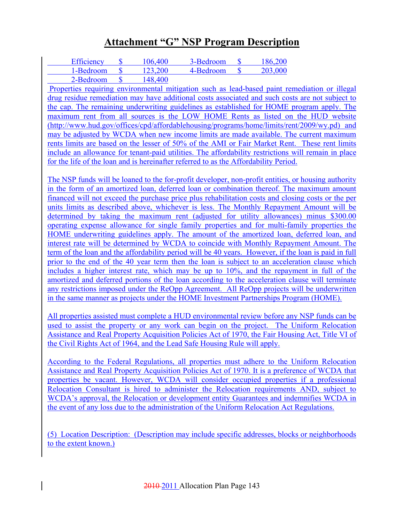| Efficiency | 106,400 | 3-Bedroom | 186,200 |
|------------|---------|-----------|---------|
| 1-Bedroom  | 123.200 | 4-Bedroom | 203,000 |
| 2-Bedroom  | 148,400 |           |         |

 Properties requiring environmental mitigation such as lead-based paint remediation or illegal drug residue remediation may have additional costs associated and such costs are not subject to the cap. The remaining underwriting guidelines as established for HOME program apply. The maximum rent from all sources is the LOW HOME Rents as listed on the HUD website (http://www.hud.gov/offices/cpd/affordablehousing/programs/home/limits/rent/2009/wy.pd) and may be adjusted by WCDA when new income limits are made available. The current maximum rents limits are based on the lesser of 50% of the AMI or Fair Market Rent. These rent limits include an allowance for tenant-paid utilities. The affordability restrictions will remain in place for the life of the loan and is hereinafter referred to as the Affordability Period.

The NSP funds will be loaned to the for-profit developer, non-profit entities, or housing authority in the form of an amortized loan, deferred loan or combination thereof. The maximum amount financed will not exceed the purchase price plus rehabilitation costs and closing costs or the per units limits as described above, whichever is less. The Monthly Repayment Amount will be determined by taking the maximum rent (adjusted for utility allowances) minus \$300.00 operating expense allowance for single family properties and for multi-family properties the HOME underwriting guidelines apply. The amount of the amortized loan, deferred loan, and interest rate will be determined by WCDA to coincide with Monthly Repayment Amount. The term of the loan and the affordability period will be 40 years. However, if the loan is paid in full prior to the end of the 40 year term then the loan is subject to an acceleration clause which includes a higher interest rate, which may be up to 10%, and the repayment in full of the amortized and deferred portions of the loan according to the acceleration clause will terminate any restrictions imposed under the ReOpp Agreement. All ReOpp projects will be underwritten in the same manner as projects under the HOME Investment Partnerships Program (HOME).

All properties assisted must complete a HUD environmental review before any NSP funds can be used to assist the property or any work can begin on the project. The Uniform Relocation Assistance and Real Property Acquisition Policies Act of 1970, the Fair Housing Act, Title VI of the Civil Rights Act of 1964, and the Lead Safe Housing Rule will apply.

According to the Federal Regulations, all properties must adhere to the Uniform Relocation Assistance and Real Property Acquisition Policies Act of 1970. It is a preference of WCDA that properties be vacant. However, WCDA will consider occupied properties if a professional Relocation Consultant is hired to administer the Relocation requirements AND, subject to WCDA's approval, the Relocation or development entity Guarantees and indemnifies WCDA in the event of any loss due to the administration of the Uniform Relocation Act Regulations.

(5) Location Description: (Description may include specific addresses, blocks or neighborhoods to the extent known.)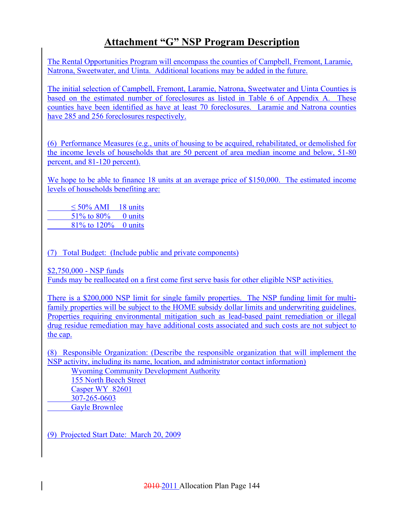The Rental Opportunities Program will encompass the counties of Campbell, Fremont, Laramie, Natrona, Sweetwater, and Uinta. Additional locations may be added in the future.

The initial selection of Campbell, Fremont, Laramie, Natrona, Sweetwater and Uinta Counties is based on the estimated number of foreclosures as listed in Table 6 of Appendix A. These counties have been identified as have at least 70 foreclosures. Laramie and Natrona counties have 285 and 256 foreclosures respectively.

(6) Performance Measures (e.g., units of housing to be acquired, rehabilitated, or demolished for the income levels of households that are 50 percent of area median income and below, 51-80 percent, and 81-120 percent).

We hope to be able to finance 18 units at an average price of \$150,000. The estimated income levels of households benefiting are:

 $\leq 50\%$  AMI 18 units 51% to 80% 0 units 81% to 120% 0 units

(7) Total Budget: (Include public and private components)

\$2,750,000 - NSP funds

Funds may be reallocated on a first come first serve basis for other eligible NSP activities.

There is a \$200,000 NSP limit for single family properties. The NSP funding limit for multifamily properties will be subject to the HOME subsidy dollar limits and underwriting guidelines. Properties requiring environmental mitigation such as lead-based paint remediation or illegal drug residue remediation may have additional costs associated and such costs are not subject to the cap.

(8) Responsible Organization: (Describe the responsible organization that will implement the NSP activity, including its name, location, and administrator contact information)

Wyoming Community Development Authority 155 North Beech Street Casper WY 82601 307-265-0603 Gayle Brownlee

(9) Projected Start Date: March 20, 2009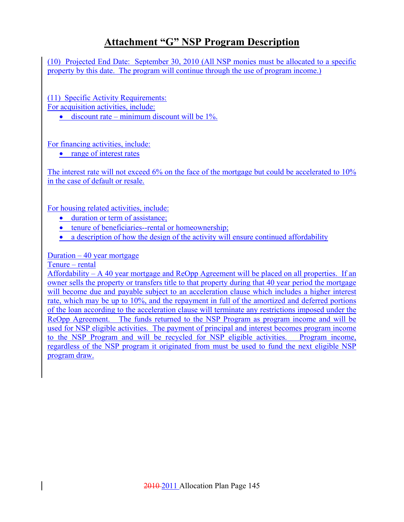(10) Projected End Date: September 30, 2010 (All NSP monies must be allocated to a specific property by this date. The program will continue through the use of program income.)

(11) Specific Activity Requirements:

For acquisition activities, include:

• discount rate – minimum discount will be  $1\%$ .

For financing activities, include:

• range of interest rates

The interest rate will not exceed 6% on the face of the mortgage but could be accelerated to 10% in the case of default or resale.

For housing related activities, include:

- duration or term of assistance;
- tenure of beneficiaries--rental or homeownership;
- a description of how the design of the activity will ensure continued affordability

Duration – 40 year mortgage

Tenure – rental

Affordability – A 40 year mortgage and ReOpp Agreement will be placed on all properties. If an owner sells the property or transfers title to that property during that 40 year period the mortgage will become due and payable subject to an acceleration clause which includes a higher interest rate, which may be up to 10%, and the repayment in full of the amortized and deferred portions of the loan according to the acceleration clause will terminate any restrictions imposed under the ReOpp Agreement. The funds returned to the NSP Program as program income and will be used for NSP eligible activities. The payment of principal and interest becomes program income to the NSP Program and will be recycled for NSP eligible activities. Program income, regardless of the NSP program it originated from must be used to fund the next eligible NSP program draw.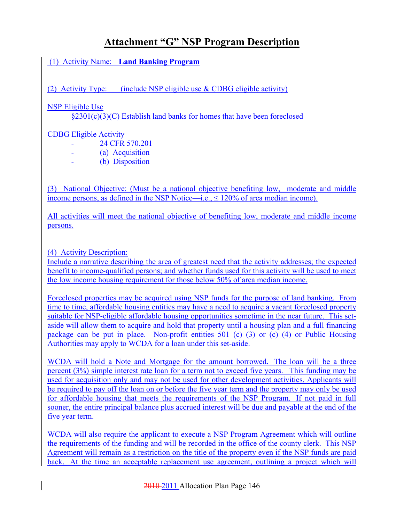(1) Activity Name: **Land Banking Program**

(2) Activity Type: (include NSP eligible use  $&$  CDBG eligible activity)

NSP Eligible Use

§2301(c)(3)(C) Establish land banks for homes that have been foreclosed

CDBG Eligible Activity

24 CFR 570.201

- (a) Acquisition (b) Disposition

(3) National Objective: (Must be a national objective benefiting low, moderate and middle income persons, as defined in the NSP Notice—i.e.,  $\leq 120\%$  of area median income).

All activities will meet the national objective of benefiting low, moderate and middle income persons.

(4) Activity Description:

Include a narrative describing the area of greatest need that the activity addresses; the expected benefit to income-qualified persons; and whether funds used for this activity will be used to meet the low income housing requirement for those below 50% of area median income.

Foreclosed properties may be acquired using NSP funds for the purpose of land banking. From time to time, affordable housing entities may have a need to acquire a vacant foreclosed property suitable for NSP-eligible affordable housing opportunities sometime in the near future. This setaside will allow them to acquire and hold that property until a housing plan and a full financing package can be put in place. Non-profit entities 501 (c) (3) or (c) (4) or Public Housing Authorities may apply to WCDA for a loan under this set-aside.

WCDA will hold a Note and Mortgage for the amount borrowed. The loan will be a three percent (3%) simple interest rate loan for a term not to exceed five years. This funding may be used for acquisition only and may not be used for other development activities. Applicants will be required to pay off the loan on or before the five year term and the property may only be used for affordable housing that meets the requirements of the NSP Program. If not paid in full sooner, the entire principal balance plus accrued interest will be due and payable at the end of the five year term.

WCDA will also require the applicant to execute a NSP Program Agreement which will outline the requirements of the funding and will be recorded in the office of the county clerk. This NSP Agreement will remain as a restriction on the title of the property even if the NSP funds are paid back. At the time an acceptable replacement use agreement, outlining a project which will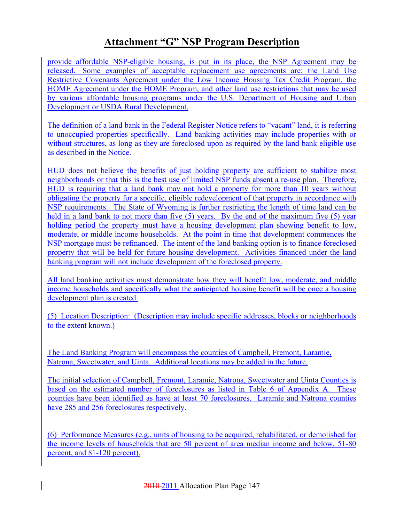provide affordable NSP-eligible housing, is put in its place, the NSP Agreement may be released. Some examples of acceptable replacement use agreements are: the Land Use Restrictive Covenants Agreement under the Low Income Housing Tax Credit Program, the HOME Agreement under the HOME Program, and other land use restrictions that may be used by various affordable housing programs under the U.S. Department of Housing and Urban Development or USDA Rural Development.

The definition of a land bank in the Federal Register Notice refers to "vacant" land, it is referring to unoccupied properties specifically. Land banking activities may include properties with or without structures, as long as they are foreclosed upon as required by the land bank eligible use as described in the Notice.

HUD does not believe the benefits of just holding property are sufficient to stabilize most neighborhoods or that this is the best use of limited NSP funds absent a re-use plan. Therefore, HUD is requiring that a land bank may not hold a property for more than 10 years without obligating the property for a specific, eligible redevelopment of that property in accordance with NSP requirements. The State of Wyoming is further restricting the length of time land can be held in a land bank to not more than five (5) years. By the end of the maximum five (5) year holding period the property must have a housing development plan showing benefit to low, moderate, or middle income households. At the point in time that development commences the NSP mortgage must be refinanced. The intent of the land banking option is to finance foreclosed property that will be held for future housing development. Activities financed under the land banking program will not include development of the foreclosed property.

All land banking activities must demonstrate how they will benefit low, moderate, and middle income households and specifically what the anticipated housing benefit will be once a housing development plan is created.

(5) Location Description: (Description may include specific addresses, blocks or neighborhoods to the extent known.)

The Land Banking Program will encompass the counties of Campbell, Fremont, Laramie, Natrona, Sweetwater, and Uinta. Additional locations may be added in the future.

The initial selection of Campbell, Fremont, Laramie, Natrona, Sweetwater and Uinta Counties is based on the estimated number of foreclosures as listed in Table 6 of Appendix A. These counties have been identified as have at least 70 foreclosures. Laramie and Natrona counties have 285 and 256 foreclosures respectively.

(6) Performance Measures (e.g., units of housing to be acquired, rehabilitated, or demolished for the income levels of households that are 50 percent of area median income and below, 51-80 percent, and 81-120 percent).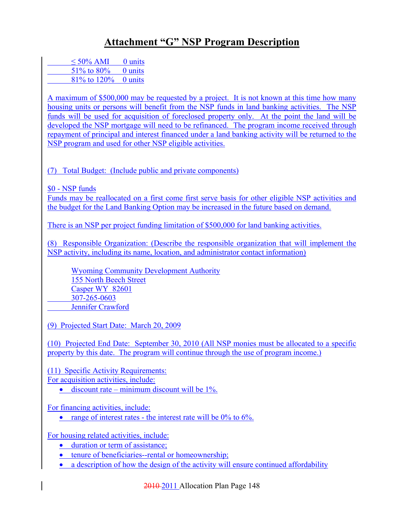| $\leq 50\%$ AMI | $0$ units |
|-----------------|-----------|
| 51\% to 80\%    | 0 units   |
| 81\% to 120\%   | 0 units   |

A maximum of \$500,000 may be requested by a project. It is not known at this time how many housing units or persons will benefit from the NSP funds in land banking activities. The NSP funds will be used for acquisition of foreclosed property only. At the point the land will be developed the NSP mortgage will need to be refinanced. The program income received through repayment of principal and interest financed under a land banking activity will be returned to the NSP program and used for other NSP eligible activities.

(7) Total Budget: (Include public and private components)

\$0 - NSP funds

Funds may be reallocated on a first come first serve basis for other eligible NSP activities and the budget for the Land Banking Option may be increased in the future based on demand.

There is an NSP per project funding limitation of \$500,000 for land banking activities.

(8) Responsible Organization: (Describe the responsible organization that will implement the NSP activity, including its name, location, and administrator contact information)

Wyoming Community Development Authority 155 North Beech Street Casper WY 82601 307-265-0603 Jennifer Crawford

(9) Projected Start Date: March 20, 2009

(10) Projected End Date: September 30, 2010 (All NSP monies must be allocated to a specific property by this date. The program will continue through the use of program income.)

(11) Specific Activity Requirements:

For acquisition activities, include:

• discount rate – minimum discount will be  $1\%$ .

For financing activities, include:

• range of interest rates - the interest rate will be  $0\%$  to  $6\%$ .

For housing related activities, include:

- duration or term of assistance;
- tenure of beneficiaries--rental or homeownership;
- a description of how the design of the activity will ensure continued affordability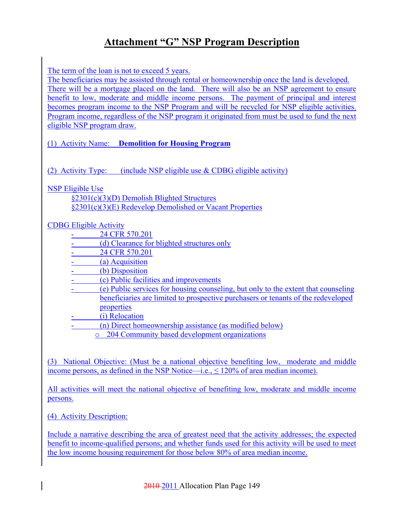The term of the loan is not to exceed 5 years.

The beneficiaries may be assisted through rental or homeownership once the land is developed. There will be a mortgage placed on the land. There will also be an NSP agreement to ensure benefit to low, moderate and middle income persons. The payment of principal and interest becomes program income to the NSP Program and will be recycled for NSP eligible activities. Program income, regardless of the NSP program it originated from must be used to fund the next eligible NSP program draw.

(1) Activity Name: **Demolition for Housing Program** 

(2) Activity Type: (include NSP eligible use & CDBG eligible activity)

NSP Eligible Use

§2301(c)(3)(D) Demolish Blighted Structures §2301(c)(3)(E) Redevelop Demolished or Vacant Properties

#### CDBG Eligible Activity

- 24 CFR 570.201
- (d) Clearance for blighted structures only
- 24 CFR 570.201
- (a) Acquisition
- (b) Disposition
- (c) Public facilities and improvements
- (e) Public services for housing counseling, but only to the extent that counseling beneficiaries are limited to prospective purchasers or tenants of the redeveloped properties
- (i) Relocation
- (n) Direct homeownership assistance (as modified below)
	- o 204 Community based development organizations

(3) National Objective: (Must be a national objective benefiting low, moderate and middle income persons, as defined in the NSP Notice—i.e.,  $\leq 120\%$  of area median income).

All activities will meet the national objective of benefiting low, moderate and middle income persons.

(4) Activity Description:

Include a narrative describing the area of greatest need that the activity addresses; the expected benefit to income-qualified persons; and whether funds used for this activity will be used to meet the low income housing requirement for those below 80% of area median income.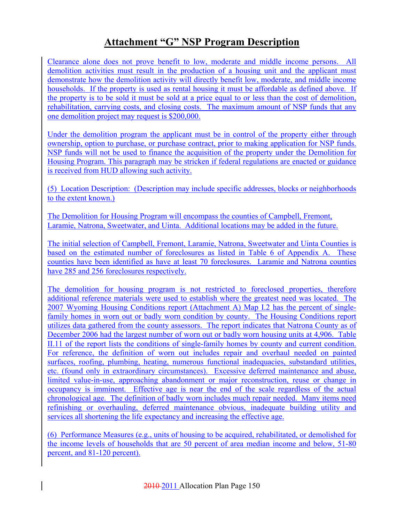Clearance alone does not prove benefit to low, moderate and middle income persons. All demolition activities must result in the production of a housing unit and the applicant must demonstrate how the demolition activity will directly benefit low, moderate, and middle income households. If the property is used as rental housing it must be affordable as defined above. If the property is to be sold it must be sold at a price equal to or less than the cost of demolition, rehabilitation, carrying costs, and closing costs. The maximum amount of NSP funds that any one demolition project may request is \$200,000.

Under the demolition program the applicant must be in control of the property either through ownership, option to purchase, or purchase contract, prior to making application for NSP funds. NSP funds will not be used to finance the acquisition of the property under the Demolition for Housing Program. This paragraph may be stricken if federal regulations are enacted or guidance is received from HUD allowing such activity.

(5) Location Description: (Description may include specific addresses, blocks or neighborhoods to the extent known.)

The Demolition for Housing Program will encompass the counties of Campbell, Fremont, Laramie, Natrona, Sweetwater, and Uinta. Additional locations may be added in the future.

The initial selection of Campbell, Fremont, Laramie, Natrona, Sweetwater and Uinta Counties is based on the estimated number of foreclosures as listed in Table 6 of Appendix A. These counties have been identified as have at least 70 foreclosures. Laramie and Natrona counties have 285 and 256 foreclosures respectively.

The demolition for housing program is not restricted to foreclosed properties, therefore additional reference materials were used to establish where the greatest need was located. The 2007 Wyoming Housing Conditions report (Attachment A) Map I.2 has the percent of singlefamily homes in worn out or badly worn condition by county. The Housing Conditions report utilizes data gathered from the county assessors. The report indicates that Natrona County as of December 2006 had the largest number of worn out or badly worn housing units at 4,906. Table II.11 of the report lists the conditions of single-family homes by county and current condition. For reference, the definition of worn out includes repair and overhaul needed on painted surfaces, roofing, plumbing, heating, numerous functional inadequacies, substandard utilities, etc. (found only in extraordinary circumstances). Excessive deferred maintenance and abuse, limited value-in-use, approaching abandonment or major reconstruction, reuse or change in occupancy is imminent. Effective age is near the end of the scale regardless of the actual chronological age. The definition of badly worn includes much repair needed. Many items need refinishing or overhauling, deferred maintenance obvious, inadequate building utility and services all shortening the life expectancy and increasing the effective age.

(6) Performance Measures (e.g., units of housing to be acquired, rehabilitated, or demolished for the income levels of households that are 50 percent of area median income and below, 51-80 percent, and 81-120 percent).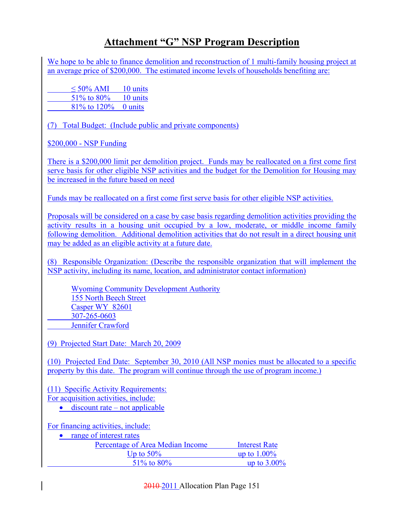We hope to be able to finance demolition and reconstruction of 1 multi-family housing project at an average price of \$200,000. The estimated income levels of households benefiting are:

| $\leq 50\%$ AMI     | 10 units |
|---------------------|----------|
| 51% to 80%          | 10 units |
| 81% to 120% 0 units |          |

(7) Total Budget: (Include public and private components)

\$200,000 - NSP Funding

There is a \$200,000 limit per demolition project. Funds may be reallocated on a first come first serve basis for other eligible NSP activities and the budget for the Demolition for Housing may be increased in the future based on need

Funds may be reallocated on a first come first serve basis for other eligible NSP activities.

Proposals will be considered on a case by case basis regarding demolition activities providing the activity results in a housing unit occupied by a low, moderate, or middle income family following demolition. Additional demolition activities that do not result in a direct housing unit may be added as an eligible activity at a future date.

(8) Responsible Organization: (Describe the responsible organization that will implement the NSP activity, including its name, location, and administrator contact information)

Wyoming Community Development Authority 155 North Beech Street Casper WY 82601 307-265-0603 Jennifer Crawford

(9) Projected Start Date: March 20, 2009

(10) Projected End Date: September 30, 2010 (All NSP monies must be allocated to a specific property by this date. The program will continue through the use of program income.)

(11) Specific Activity Requirements: For acquisition activities, include:

 $\bullet$  discount rate – not applicable

For financing activities, include:

• range of interest rates

| Percentage of Area Median Income | Interest Rate  |
|----------------------------------|----------------|
| Up to $50\%$                     | up to $1.00\%$ |
| $51\%$ to 80%                    | up to $3.00\%$ |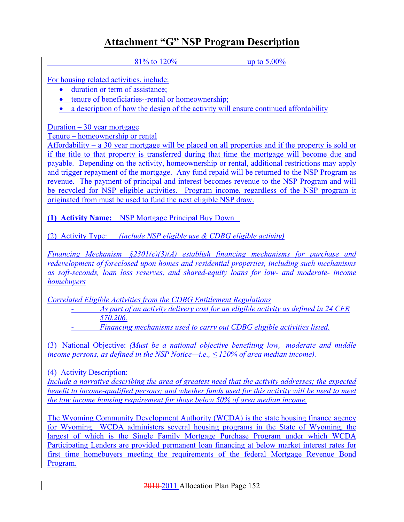81% to 120% up to 5.00%

For housing related activities, include:

- duration or term of assistance:
- tenure of beneficiaries--rental or homeownership;
- a description of how the design of the activity will ensure continued affordability

Duration  $-30$  year mortgage

Tenure – homeownership or rental

Affordability – a 30 year mortgage will be placed on all properties and if the property is sold or if the title to that property is transferred during that time the mortgage will become due and payable. Depending on the activity, homeownership or rental, additional restrictions may apply and trigger repayment of the mortgage. Any fund repaid will be returned to the NSP Program as revenue. The payment of principal and interest becomes revenue to the NSP Program and will be recycled for NSP eligible activities. Program income, regardless of the NSP program it originated from must be used to fund the next eligible NSP draw.

**(1) Activity Name:** NSP Mortgage Principal Buy Down

(2) Activity Type: *(include NSP eligible use & CDBG eligible activity)*

*Financing Mechanism §2301(c)(3)(A) establish financing mechanisms for purchase and redevelopment of foreclosed upon homes and residential properties, including such mechanisms as soft-seconds, loan loss reserves, and shared-equity loans for low- and moderate- income homebuyers*

*Correlated Eligible Activities from the CDBG Entitlement Regulations*

- *As part of an activity delivery cost for an eligible activity as defined in 24 CFR 570.206.*

- *Financing mechanisms used to carry out CDBG eligible activities listed.*

(3) National Objective: *(Must be a national objective benefiting low, moderate and middle income persons, as defined in the NSP Notice—i.e.,*  $\leq$  120% of area median income).

(4) Activity Description:

*Include a narrative describing the area of greatest need that the activity addresses; the expected benefit to income-qualified persons; and whether funds used for this activity will be used to meet the low income housing requirement for those below 50% of area median income.*

The Wyoming Community Development Authority (WCDA) is the state housing finance agency for Wyoming. WCDA administers several housing programs in the State of Wyoming, the largest of which is the Single Family Mortgage Purchase Program under which WCDA Participating Lenders are provided permanent loan financing at below market interest rates for first time homebuyers meeting the requirements of the federal Mortgage Revenue Bond Program.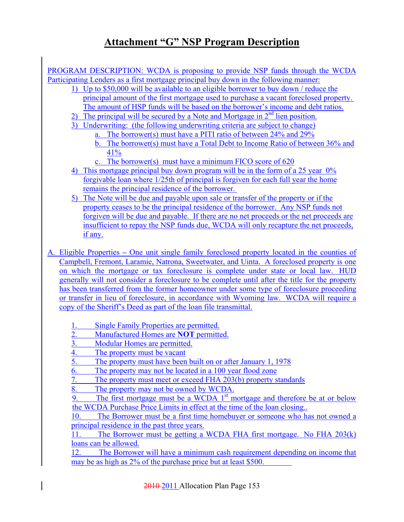PROGRAM DESCRIPTION: WCDA is proposing to provide NSP funds through the WCDA Participating Lenders as a first mortgage principal buy down in the following manner:

- 1) Up to \$50,000 will be available to an eligible borrower to buy down / reduce the principal amount of the first mortgage used to purchase a vacant foreclosed property. The amount of HSP funds will be based on the borrower's income and debt ratios.
- 2) The principal will be secured by a Note and Mortgage in  $2<sup>nd</sup>$  lien position.
- 3) Underwriting: (the following underwriting criteria are subject to change)
	- a. The borrower(s) must have a PITI ratio of between 24% and 29%
	- b. The borrower(s) must have a Total Debt to Income Ratio of between 36% and 41%
	- c. The borrower(s) must have a minimum FICO score of 620
- 4) This mortgage principal buy down program will be in the form of a 25 year 0% forgivable loan where 1/25th of principal is forgiven for each full year the home remains the principal residence of the borrower.
- 5) The Note will be due and payable upon sale or transfer of the property or if the property ceases to be the principal residence of the borrower. Any NSP funds not forgiven will be due and payable. If there are no net proceeds or the net proceeds are insufficient to repay the NSP funds due, WCDA will only recapture the net proceeds, if any.
- A. Eligible Properties **–** One unit single family foreclosed property located in the counties of Campbell, Fremont, Laramie, Natrona, Sweetwater, and Uinta. A foreclosed property is one on which the mortgage or tax foreclosure is complete under state or local law. HUD generally will not consider a foreclosure to be complete until after the title for the property has been transferred from the former homeowner under some type of foreclosure proceeding or transfer in lieu of foreclosure, in accordance with Wyoming law. WCDA will require a copy of the Sheriff's Deed as part of the loan file transmittal.
	- 1. Single Family Properties are permitted.
	- 2. Manufactured Homes are **NOT** permitted.
	- 3. Modular Homes are permitted.
	- 4. The property must be vacant
	- 5. The property must have been built on or after January 1, 1978
	- 6. The property may not be located in a 100 year flood zone
	- 7. The property must meet or exceed FHA 203(b) property standards
	- 8. The property may not be owned by WCDA.

9. The first mortgage must be a WCDA  $1<sup>st</sup>$  mortgage and therefore be at or below the WCDA Purchase Price Limits in effect at the time of the loan closing..

10. The Borrower must be a first time homebuyer or someone who has not owned a principal residence in the past three years.

11. The Borrower must be getting a WCDA FHA first mortgage. No FHA 203(k) loans can be allowed.

12. The Borrower will have a minimum cash requirement depending on income that may be as high as 2% of the purchase price but at least \$500.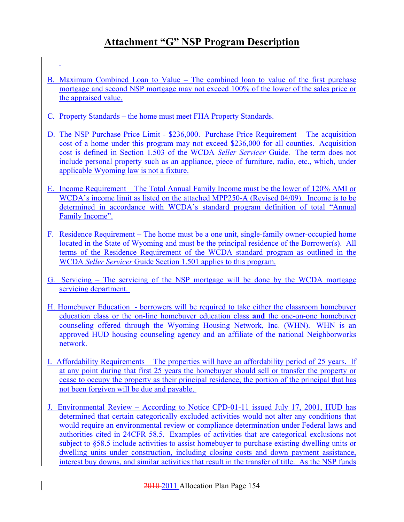- B. Maximum Combined Loan to ValueThe combined loan to value of the first purchase mortgage and second NSP mortgage may not exceed 100% of the lower of the sales price or the appraised value.
- C. Property Standards the home must meet FHA Property Standards.
- D. The NSP Purchase Price Limit \$236,000. Purchase Price Requirement The acquisition cost of a home under this program may not exceed \$236,000 for all counties. Acquisition cost is defined in Section 1.503 of the WCDA *Seller Servicer* Guide. The term does not include personal property such as an appliance, piece of furniture, radio, etc., which, under applicable Wyoming law is not a fixture.
- E. Income Requirement The Total Annual Family Income must be the lower of 120% AMI or WCDA's income limit as listed on the attached MPP250-A (Revised 04/09). Income is to be determined in accordance with WCDA's standard program definition of total "Annual Family Income".
- F. Residence Requirement The home must be a one unit, single-family owner-occupied home located in the State of Wyoming and must be the principal residence of the Borrower(s). All terms of the Residence Requirement of the WCDA standard program as outlined in the WCDA *Seller Servicer* Guide Section 1.501 applies to this program.
- G. Servicing The servicing of the NSP mortgage will be done by the WCDA mortgage servicing department.
- H. Homebuyer Education borrowers will be required to take either the classroom homebuyer education class or the on-line homebuyer education class **and** the one-on-one homebuyer counseling offered through the Wyoming Housing Network, Inc. (WHN). WHN is an approved HUD housing counseling agency and an affiliate of the national Neighborworks network.
- I. Affordability Requirements The properties will have an affordability period of 25 years. If at any point during that first 25 years the homebuyer should sell or transfer the property or cease to occupy the property as their principal residence, the portion of the principal that has not been forgiven will be due and payable.
- J. Environmental Review According to Notice CPD-01-11 issued July 17, 2001, HUD has determined that certain categorically excluded activities would not alter any conditions that would require an environmental review or compliance determination under Federal laws and authorities cited in 24CFR 58.5. Examples of activities that are categorical exclusions not subject to §58.5 include activities to assist homebuyer to purchase existing dwelling units or dwelling units under construction, including closing costs and down payment assistance, interest buy downs, and similar activities that result in the transfer of title. As the NSP funds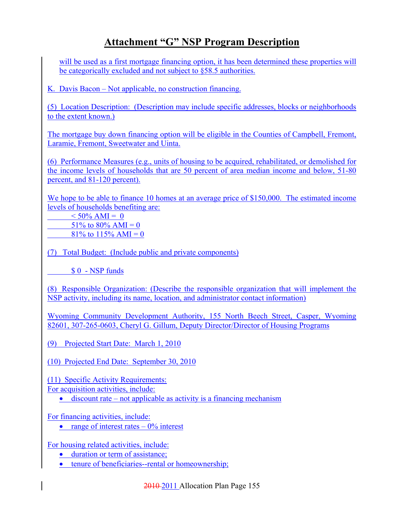will be used as a first mortgage financing option, it has been determined these properties will be categorically excluded and not subject to §58.5 authorities.

K. Davis Bacon – Not applicable, no construction financing.

(5) Location Description: (Description may include specific addresses, blocks or neighborhoods to the extent known.)

The mortgage buy down financing option will be eligible in the Counties of Campbell, Fremont, Laramie, Fremont, Sweetwater and Uinta.

(6) Performance Measures (e.g., units of housing to be acquired, rehabilitated, or demolished for the income levels of households that are 50 percent of area median income and below, 51-80 percent, and 81-120 percent).

We hope to be able to finance 10 homes at an average price of \$150,000. The estimated income levels of households benefiting are:

 $< 50\%$  AMI = 0 51% to 80% AMI = 0 81\% to 115\% AMI = 0

(7) Total Budget: (Include public and private components)

\$ 0 - NSP funds

(8) Responsible Organization: (Describe the responsible organization that will implement the NSP activity, including its name, location, and administrator contact information)

Wyoming Community Development Authority, 155 North Beech Street, Casper, Wyoming 82601, 307-265-0603, Cheryl G. Gillum, Deputy Director/Director of Housing Programs

(9) Projected Start Date: March 1, 2010

(10) Projected End Date: September 30, 2010

(11) Specific Activity Requirements: For acquisition activities, include:

 $\bullet$  discount rate – not applicable as activity is a financing mechanism

For financing activities, include:

• range of interest rates  $-0\%$  interest

For housing related activities, include:

- duration or term of assistance;
- tenure of beneficiaries--rental or homeownership;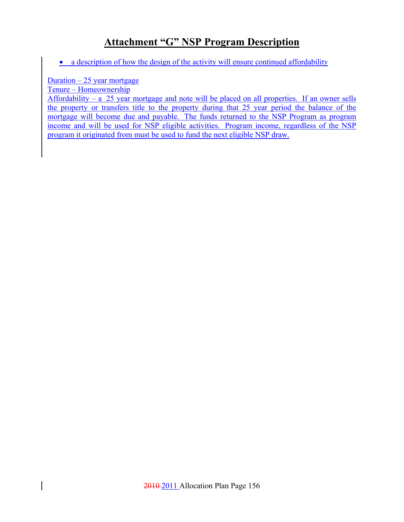• a description of how the design of the activity will ensure continued affordability

#### Duration  $-25$  year mortgage

Tenure – Homeownership

Affordability – a 25 year mortgage and note will be placed on all properties. If an owner sells the property or transfers title to the property during that 25 year period the balance of the mortgage will become due and payable. The funds returned to the NSP Program as program income and will be used for NSP eligible activities. Program income, regardless of the NSP program it originated from must be used to fund the next eligible NSP draw.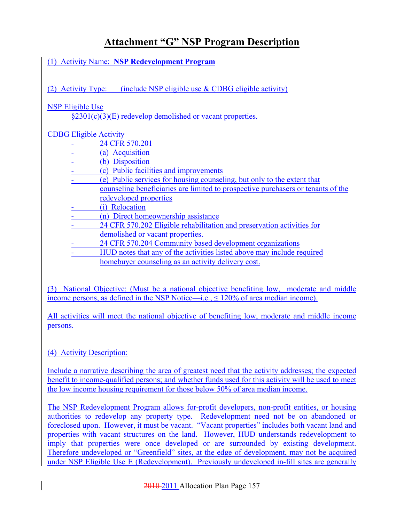(1) Activity Name: **NSP Redevelopment Program**

(2) Activity Type: (include NSP eligible use  $&$  CDBG eligible activity)

#### NSP Eligible Use

§2301(c)(3)(E) redevelop demolished or vacant properties.

#### CDBG Eligible Activity

- 24 CFR 570.201
- (a) Acquisition
- (b) Disposition
- (c) Public facilities and improvements
- (e) Public services for housing counseling, but only to the extent that counseling beneficiaries are limited to prospective purchasers or tenants of the redeveloped properties
- (i) Relocation
- (n) Direct homeownership assistance
- 24 CFR 570.202 Eligible rehabilitation and preservation activities for demolished or vacant properties.
- 24 CFR 570.204 Community based development organizations
- HUD notes that any of the activities listed above may include required homebuyer counseling as an activity delivery cost.

(3) National Objective: (Must be a national objective benefiting low, moderate and middle income persons, as defined in the NSP Notice—i.e., ≤ 120% of area median income).

All activities will meet the national objective of benefiting low, moderate and middle income persons.

#### (4) Activity Description:

Include a narrative describing the area of greatest need that the activity addresses; the expected benefit to income-qualified persons; and whether funds used for this activity will be used to meet the low income housing requirement for those below 50% of area median income.

The NSP Redevelopment Program allows for-profit developers, non-profit entities, or housing authorities to redevelop any property type. Redevelopment need not be on abandoned or foreclosed upon. However, it must be vacant. "Vacant properties" includes both vacant land and properties with vacant structures on the land. However, HUD understands redevelopment to imply that properties were once developed or are surrounded by existing development. Therefore undeveloped or "Greenfield" sites, at the edge of development, may not be acquired under NSP Eligible Use E (Redevelopment). Previously undeveloped in-fill sites are generally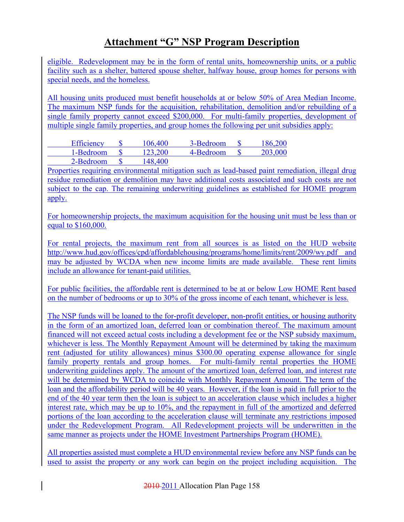eligible. Redevelopment may be in the form of rental units, homeownership units, or a public facility such as a shelter, battered spouse shelter, halfway house, group homes for persons with special needs, and the homeless.

All housing units produced must benefit households at or below 50% of Area Median Income. The maximum NSP funds for the acquisition, rehabilitation, demolition and/or rebuilding of a single family property cannot exceed \$200,000. For multi-family properties, development of multiple single family properties, and group homes the following per unit subsidies apply:

| Efficiency | 106,400 | 3-Bedroom | 186,200 |
|------------|---------|-----------|---------|
| 1-Bedroom  | 123,200 | 4-Bedroom | 203,000 |
| 2-Bedroom  | 148,400 |           |         |

Properties requiring environmental mitigation such as lead-based paint remediation, illegal drug residue remediation or demolition may have additional costs associated and such costs are not subject to the cap. The remaining underwriting guidelines as established for HOME program apply.

For homeownership projects, the maximum acquisition for the housing unit must be less than or equal to \$160,000.

For rental projects, the maximum rent from all sources is as listed on the HUD website http://www.hud.gov/offices/cpd/affordablehousing/programs/home/limits/rent/2009/wy.pdf and may be adjusted by WCDA when new income limits are made available. These rent limits include an allowance for tenant-paid utilities.

For public facilities, the affordable rent is determined to be at or below Low HOME Rent based on the number of bedrooms or up to 30% of the gross income of each tenant, whichever is less.

The NSP funds will be loaned to the for-profit developer, non-profit entities, or housing authority in the form of an amortized loan, deferred loan or combination thereof. The maximum amount financed will not exceed actual costs including a development fee or the NSP subsidy maximum, whichever is less. The Monthly Repayment Amount will be determined by taking the maximum rent (adjusted for utility allowances) minus \$300.00 operating expense allowance for single family property rentals and group homes. For multi-family rental properties the HOME underwriting guidelines apply. The amount of the amortized loan, deferred loan, and interest rate will be determined by WCDA to coincide with Monthly Repayment Amount. The term of the loan and the affordability period will be 40 years. However, if the loan is paid in full prior to the end of the 40 year term then the loan is subject to an acceleration clause which includes a higher interest rate, which may be up to 10%, and the repayment in full of the amortized and deferred portions of the loan according to the acceleration clause will terminate any restrictions imposed under the Redevelopment Program. All Redevelopment projects will be underwritten in the same manner as projects under the HOME Investment Partnerships Program (HOME).

All properties assisted must complete a HUD environmental review before any NSP funds can be used to assist the property or any work can begin on the project including acquisition. The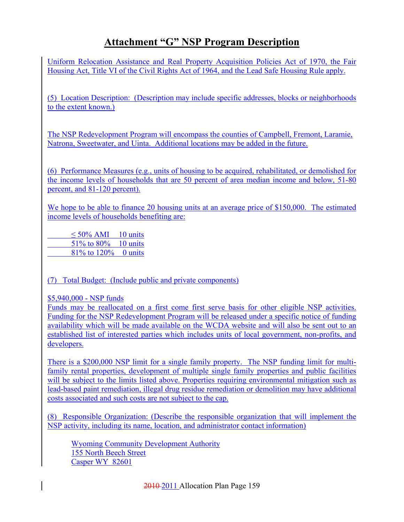Uniform Relocation Assistance and Real Property Acquisition Policies Act of 1970, the Fair Housing Act, Title VI of the Civil Rights Act of 1964, and the Lead Safe Housing Rule apply.

(5) Location Description: (Description may include specific addresses, blocks or neighborhoods to the extent known.)

The NSP Redevelopment Program will encompass the counties of Campbell, Fremont, Laramie, Natrona, Sweetwater, and Uinta. Additional locations may be added in the future.

(6) Performance Measures (e.g., units of housing to be acquired, rehabilitated, or demolished for the income levels of households that are 50 percent of area median income and below, 51-80 percent, and 81-120 percent).

We hope to be able to finance 20 housing units at an average price of \$150,000. The estimated income levels of households benefiting are:

 $\leq 50\%$  AMI 10 units 51% to 80% 10 units 81% to 120% 0 units

(7) Total Budget: (Include public and private components)

\$5,940,000 - NSP funds

Funds may be reallocated on a first come first serve basis for other eligible NSP activities. Funding for the NSP Redevelopment Program will be released under a specific notice of funding availability which will be made available on the WCDA website and will also be sent out to an established list of interested parties which includes units of local government, non-profits, and developers.

There is a \$200,000 NSP limit for a single family property. The NSP funding limit for multifamily rental properties, development of multiple single family properties and public facilities will be subject to the limits listed above. Properties requiring environmental mitigation such as lead-based paint remediation, illegal drug residue remediation or demolition may have additional costs associated and such costs are not subject to the cap.

(8) Responsible Organization: (Describe the responsible organization that will implement the NSP activity, including its name, location, and administrator contact information)

Wyoming Community Development Authority 155 North Beech Street Casper WY 82601